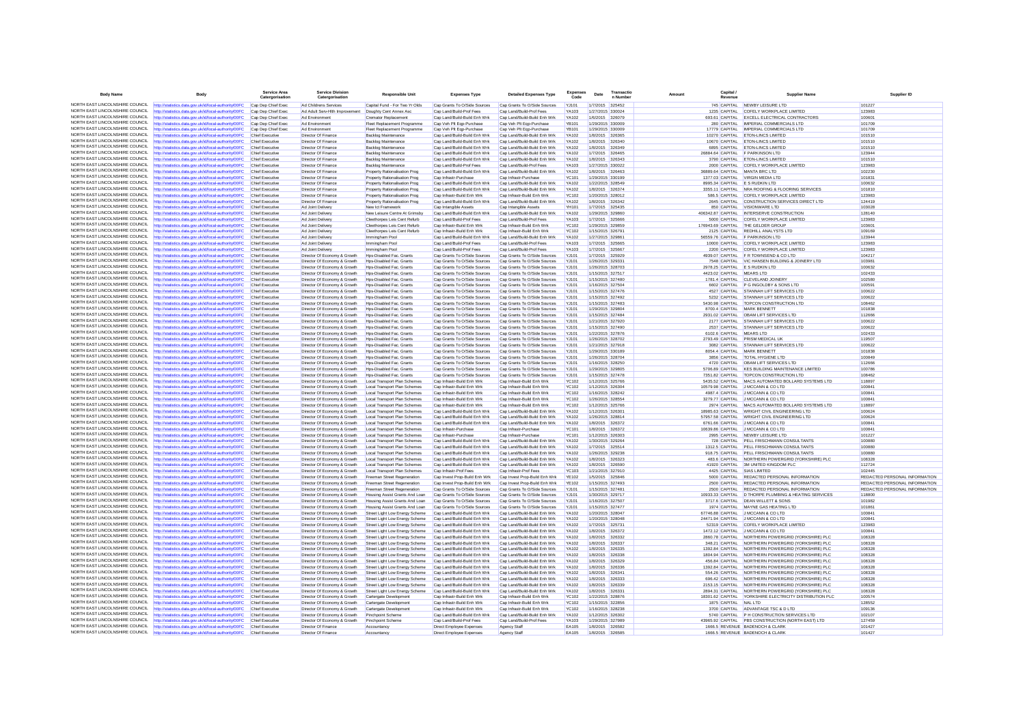| <b>Body Name</b>                                                   | <b>Body</b>                                                                                                    | Service Area<br>Catergorisation           | <b>Service Division</b><br>Catergorisation                   | <b>Responsible Unit</b>                                          | <b>Expenses Type</b>                                         | <b>Detailed Expenses Type</b>                                | <b>Expenses</b><br>Code      | Date                                 | Transactio<br>n Numbe | Amount | Capital<br>Revenue        | <b>Supplier Name</b>                                                                                    | Supplier ID                   |
|--------------------------------------------------------------------|----------------------------------------------------------------------------------------------------------------|-------------------------------------------|--------------------------------------------------------------|------------------------------------------------------------------|--------------------------------------------------------------|--------------------------------------------------------------|------------------------------|--------------------------------------|-----------------------|--------|---------------------------|---------------------------------------------------------------------------------------------------------|-------------------------------|
| NORTH EAST LINCOLNSHIRE COUNCIL                                    | http://statistics.data.gov.uk/id/local-authority/00FC                                                          | Cap Dep Chief Exec                        | Ad Childrens Services                                        | Capital Fund - For Two Yr Olds                                   | Cap Grants To O/Side Sources                                 | Cap Grants To O/Side Sources                                 | YJ101                        | 1/7/2015 325452                      |                       |        |                           | 745 CAPITAL NEWBY LEISURE LTD                                                                           | 101227                        |
| NORTH FAST LINCOLNSHIRE COUNCIL                                    | ttp://statistics.data.gov.uk/id/local-authority/00FC                                                           | Cap Dep Chief Exec                        | Ad Adult Serv-Hith Improvement                               | Doughty Cent Annex Asc                                           | Cap Land/Build-Prof Fees                                     | Cap Land/Build-Prof Fees                                     | YA103                        | 1/27/2015 330024                     |                       |        |                           | 1235 CAPITAL COFELY WORKPLACE LIMITED                                                                   | 123983                        |
| NORTH EAST LINCOLNSHIRE COUNCIL                                    | http://statistics.data.gov.uk/id/local-authority/00FC                                                          | Cap Dep Chief Exec                        | Ad Environment                                               | <b>Cremator Replacement</b>                                      | Cap Land/Build-Build Enh Wrk                                 | Cap Land/Build-Build Enh Wrk                                 | YA102                        | 1/6/2015 326079                      |                       |        |                           | 693.61 CAPITAL EXCELL ELECTRICAL CONTRACTORS                                                            | 100601                        |
| NORTH EAST LINCOLNSHIRE COUNCIL                                    | http://statistics.data.gov.uk/id/local-authority/00FC                                                          | Cap Dep Chief Exec                        | Ad Environment                                               | Fleet Replacement Programme                                      | Cap Veh Plt Egp-Purchase                                     | Cap Veh Plt Egp-Purchase                                     | <b>YR101</b>                 | 1/29/2015 330005                     |                       |        |                           | 280 CAPITAL IMPERIAL COMMERCIALS LTD                                                                    | 101709                        |
| NORTH EAST LINCOLNSHIRE COUNCIL                                    | http://statistics.data.gov.uk/id/local-authority/00FC                                                          | Cap Dep Chief Exec                        | Ad Environmen                                                | Fleet Replacement Programme                                      | Cap Veh Plt Eqp-Purchase                                     | Cap Veh Plt Eqp-Purchase                                     | <b>YB101</b>                 | 1/29/2015 330009                     |                       |        |                           | 17779 CAPITAL IMPERIAL COMMERCIALS LTD                                                                  | 101709                        |
| NORTH EAST LINCOLNSHIRE COUNCIL                                    | http://statistics.data.gov.uk/id/local-authority/00FC                                                          | Chief Executive                           | Director Of Finance                                          | Backlog Maintenance                                              | Cap Land/Build-Build Enh Wrk                                 | Cap Land/Build-Build Enh Wrk                                 | YA102                        | 1/8/2015 326365                      |                       |        |                           | 10270 CAPITAL ETON-LINCS LIMITED                                                                        | 101510                        |
| NORTH EAST LINCOLNSHIRE COUNCIL<br>NORTH EAST LINCOLNSHIRE COUNCIL | http://statistics.data.gov.uk/id/local-authority/00FC                                                          | Chief Executive                           | <b>Director Of Finance</b>                                   | Backlog Maintenance                                              | Cap Land/Build-Build Enh Wrk                                 | Cap Land/Build-Build Enh Wrk                                 | YA102                        | 1/8/2015 326340                      |                       |        |                           | 10670 CAPITAL ETON-LINCS LIMITED                                                                        | 101510                        |
| NORTH FAST LINCOLNSHIRE COUNCIL                                    | http://statistics.data.gov.uk/id/local-authority/00FC                                                          | Chief Executive<br>Chief Executive        | Director Of Finance<br>Director Of Finance                   | Backlog Maintenance<br>Backlog Maintenance                       | Cap Land/Build-Build Enh Wrk<br>Cap Land/Build-Build Enh Wrk | Cap Land/Build-Build Enh Wrk<br>Cap Land/Build-Build Enh Wrk | YA102<br>YA102               | 1/8/2015 326349<br>1/7/2015 326465   |                       |        |                           | 6895 CAPITAL ETON-LINCS LIMITED<br>26884.64 CAPITAL F PARKINSON LTD                                     | 101510<br>123944              |
| NORTH EAST LINCOLNSHIRE COUNCIL                                    | http://statistics.data.gov.uk/id/local-authority/00FC<br>http://statistics.data.gov.uk/id/local-authority/00FC | Chief Executive                           | <b>Director Of Finance</b>                                   | Backlog Maintenance                                              | Cap Land/Build-Build Enh Wrk                                 | Cap Land/Build-Build Enh Wrk                                 | <b>YA102</b>                 | 1/8/2015 326343                      |                       |        |                           | 3790 CAPITAL ETON-LINCS LIMITED                                                                         | 101510                        |
| NORTH EAST LINCOLNSHIRE COUNCIL                                    | http://statistics.data.gov.uk/id/local-authority/00FC                                                          | Chief Executive                           | Director Of Finance                                          | Backlog Maintenance                                              | Cap Land/Build-Prof Fees                                     | Cap Land/Build-Prof Fees                                     | YA103                        | 1/27/2015 330022                     |                       |        |                           | 2000 CAPITAL COFELY WORKPLACE LIMITED                                                                   | 123983                        |
| NORTH EAST LINCOLNSHIRE COUNCIL                                    | http://statistics.data.gov.uk/id/local-authority/00FC                                                          | Chief Executive                           | Director Of Finance                                          | Property Rationalisation Prog                                    | Cap Land/Build-Build Enh Wrk                                 | Cap Land/Build-Build Enh Wrk                                 | YA102                        | 1/8/2015 326463                      |                       |        |                           | 36889.64 CAPITAL MANTA BRC LTD                                                                          | 102230                        |
| NORTH EAST LINCOLNSHIRE COUNCIL                                    | ttp://statistics.data.gov.uk/id/local-authority/00FC                                                           | Chief Executive                           | Director Of Finance                                          | Property Rationalisation Prog                                    | Cap Infrastr-Purchase                                        | Cap Infrastr-Purchase                                        | <b>YC101</b>                 | 1/29/2015 330199                     |                       |        |                           | 1377.03 CAPITAL VIRGIN MEDIA LTD                                                                        | 101831                        |
| NORTH EAST LINCOLNSHIRE COUNCIL                                    | http://statistics.data.gov.uk/id/local-authority/00FC                                                          | Chief Executive                           | <b>Director Of Finance</b>                                   | Property Rationalisation Prog                                    | Cap Land/Build-Build Enh Wrk                                 | Cap Land/Build-Build Enh Wrk                                 | <b>YA102</b>                 | 1/22/2015 328549                     |                       |        |                           | 8995.34 CAPITAL E S RUDKIN LTD                                                                          | 100632                        |
| NORTH EAST LINCOLNSHIRE COUNCIL                                    | http://statistics.data.gov.uk/id/local-authority/00FC                                                          | Chief Executive                           | <b>Director Of Finance</b>                                   | Property Rationalisation Prog                                    | Cap Land/Build-Build Enh Wrk                                 | Cap Land/Build-Build Enh Wrk                                 | <b>YA102</b>                 | 1/8/2015 326374                      |                       |        |                           | 3355.11 CAPITAL NRA ROOFING & FLOORING SERVICES                                                         | 101810                        |
| NORTH EAST LINCOLNSHIRE COUNCIL                                    | ttp://statistics.data.gov.uk/id/local-authority/00FC                                                           | Chief Executive                           | Director Of Finance                                          | Property Rationalisation Prog                                    | Cap Infrastr-Build Enh Wrk                                   | Cap Infrastr-Build Enh Wrk                                   | <b>YC102</b>                 | 1/20/2015 328012                     |                       |        |                           | 586.5 CAPITAL COFELY WORKPLACE LIMITED                                                                  | 123983                        |
| NORTH EAST LINCOLNSHIRE COUNCIL<br>NORTH EAST LINCOLNSHIRE COUNCIL | http://statistics.data.gov.uk/id/local-authority/00FC                                                          | Chief Executive                           | <b>Director Of Finance</b>                                   | Property Rationalisation Prog                                    | Cap Land/Build-Build Enh Wrk                                 | Cap Land/Build-Build Enh Wrk                                 | YA102                        | 1/8/2015 326342                      |                       |        |                           | 2645 CAPITAL CONSTRUCTION SERVICES DIRECT LTD                                                           | 124419                        |
| NORTH EAST LINCOLNSHIRE COUNCIL                                    | http://statistics.data.gov.uk/id/local-authority/00FC<br>http://statistics.data.gov.uk/id/local-authority/00FC | Chief Executive<br>Chief Executiv         | Ad Joint Delivery<br>Ad Joint Delivery                       | New Ict Framework<br>New Leisure Centre At Grimsby               | Cap Intangible Assets<br>Cap Land/Build-Build Enh Wrk        | Cap Intangible Assets<br>Cap Land/Build-Build Enh Wrk        | YH101<br>YA102               | 1/7/2015 325435<br>1/29/2015 329860  |                       |        |                           | 850 CAPITAL VISIONWARE LTD<br>406342.87 CAPITAL INTERSERVE CONSTRUCTION                                 | 103028<br>128140              |
| NORTH EAST LINCOLNSHIRE COUNCIL                                    | http://statistics.data.gov.uk/id/local-authority/00FC                                                          | Chief Executive                           | Ad Joint Delivery                                            | Cleethorpes Leis Cent Refurb                                     | Cap Land/Build-Prof Fees                                     | Cap Land/Build-Prof Fees                                     | YA103                        | 1/7/2015 325666                      |                       |        |                           | 5000 CAPITAL COFELY WORKPLACE LIMITED                                                                   | 123983                        |
| NORTH EAST LINCOLNSHIRE COUNCIL                                    | http://statistics.data.gov.uk/id/local-authority/00FC                                                          | Chief Executive                           | Ad Joint Delivery                                            | Cleethorpes Leis Cent Refurb                                     | Cap Infrastr-Build Enh Wrk                                   | Cap Infrastr-Build Enh Wrk                                   | <b>YC102</b>                 | 1/29/2015 329859                     |                       |        |                           | 176943.69 CAPITAL THE GELDER GROUP                                                                      | 103601                        |
| NORTH EAST LINCOLNSHIRE COUNCIL                                    | http://statistics.data.gov.uk/id/local-authority/00FC                                                          | Chief Executive                           | Ad Joint Delivery                                            | Cleethorpes Leis Cent Refurb                                     | Cap Infrastr-Build Enh Wrk                                   | Cap Infrastr-Build Enh Wrk                                   | YC102                        | 1/15/2015 326791                     |                       |        |                           | 2125 CAPITAL REDHILL ANALYSTS LTD                                                                       | 109169                        |
| NORTH EAST LINCOLNSHIRE COUNCIL                                    | http://statistics.data.gov.uk/id/local-authority/00FC                                                          | Chief Executive                           | Ad Joint Delivery                                            | Immingham Pool                                                   | Cap Land/Build-Build Enh Wrk                                 | Cap Land/Build-Build Enh Wrk                                 | <b>YA102</b>                 | 1/27/2015 329861                     |                       |        |                           | 56559.76 CAPITAL F PARKINSON LTD                                                                        | 123944                        |
| NORTH EAST LINCOLNSHIRE COUNCIL                                    | http://statistics.data.gov.uk/id/local-authority/00FC                                                          | Chief Executive                           | Ad Joint Delivery                                            | Immingham Pool                                                   | Cap Land/Build-Prof Fees                                     | Cap Land/Build-Prof Fees                                     | <b>YA103</b>                 | 1/7/2015 325665                      |                       |        |                           | 10000 CAPITAL COFELY WORKPLACE LIMITED                                                                  | 123983                        |
| NORTH EAST LINCOLNSHIRE COUNCIL                                    | http://statistics.data.gov.uk/id/local-authority/00FC                                                          | Chief Executive                           | Ad Joint Delivery                                            | Immingham Pool                                                   | Cap Land/Build-Prof Fees                                     | Cap Land/Build-Prof Fees                                     | YA103                        | 1/7/2015 325667                      |                       |        |                           | 2200 CAPITAL COFELY WORKPLACE LIMITED                                                                   | 123983                        |
| NORTH EAST LINCOLNSHIRE COUNCIL                                    | http://statistics.data.gov.uk/id/local-authority/00FC                                                          | Chief Executive                           | Director Of Economy & Growth                                 | Hps-Disabled Fac. Grants                                         | Cap Grants To O/Side Sources                                 | Cap Grants To O/Side Sources                                 | YJ101                        | 1/7/2015 325929                      |                       |        |                           | 4939.07 CAPITAL F R TOWNSEND & CO LTD                                                                   | 104217                        |
| NORTH EAST LINCOLNSHIRE COUNCIL<br>NORTH EAST LINCOLNSHIRE COUNCIL | http://statistics.data.gov.uk/id/local-authority/00FC                                                          | Chief Executive                           | Director Of Economy & Growth                                 | Hps-Disabled Fac. Grants                                         | Cap Grants To O/Side Sources                                 | Cap Grants To O/Side Sources                                 | <b>YJ101</b>                 | 1/26/2015 329331                     |                       |        |                           | 7548 CAPITAL VIC HANSEN BUILDING & JOINERY LTD                                                          | 103981                        |
| NORTH EAST LINCOLNSHIRE COUNCIL                                    | http://statistics.data.gov.uk/id/local-authority/00FC<br>http://statistics.data.gov.uk/id/local-authority/00FC | Chief Executive<br><b>Chief Executive</b> | Director Of Economy & Growth<br>Director Of Economy & Growth | Hos-Disabled Fac. Grants<br>Hps-Disabled Fac. Grants             | Cap Grants To O/Side Sources<br>Cap Grants To O/Side Sources | Cap Grants To O/Side Sources<br>Cap Grants To O/Side Sources | <b>YJ101</b><br><b>YJ101</b> | 1/26/2015 328703<br>1/15/2015 327517 |                       |        | 4423.02 CAPITAL MEARS LTD | 2978.25 CAPITAL E S RUDKIN LTD                                                                          | 100632<br>102433              |
| NORTH EAST LINCOLNSHIRE COUNCIL                                    | http://statistics.data.gov.uk/id/local-authority/00FC                                                          | Chief Executive                           | Director Of Economy & Growth                                 | Hos-Disabled Fac. Grants                                         | Cap Grants To O/Side Sources                                 | Cap Grants To O/Side Sources                                 | <b>YJ101</b>                 | 1/15/2015 327480                     |                       |        |                           | 1781.4 CAPITAL CLEVELAND JOINERY                                                                        | 102580                        |
| NORTH EAST LINCOLNSHIRE COUNCIL                                    | http://statistics.data.gov.uk/id/local-authority/00FC                                                          | Chief Executive                           | Director Of Economy & Growth                                 | Hos-Disabled Fac Grants                                          | Can Grants To O/Side Sources                                 | Can Grants To O/Side Sources                                 | Y.1101                       | 1/16/2015 327504                     |                       |        |                           | 6602 CAPITAL P G INGOLDRY & SONS LTD                                                                    | 100591                        |
| NORTH EAST LINCOLNSHIRE COUNCIL                                    | http://statistics.data.gov.uk/id/local-authority/00FC                                                          | Chief Executive                           | Director Of Economy & Growth                                 | Hps-Disabled Fac. Grants                                         | Cap Grants To O/Side Sources                                 | Cap Grants To O/Side Sources                                 | YJ101                        | 1/15/2015 327476                     |                       |        |                           | 4527 CAPITAL STANNAH LIFT SERVICES LTD                                                                  | 100622                        |
| NORTH FAST LINCOLNSHIRE COUNCIL                                    | ttp://statistics.data.gov.uk/id/local-authority/00FC                                                           | Chief Executive                           | Director Of Economy & Growth                                 | Hos-Disabled Fac. Grants                                         | Cap Grants To O/Side Sources                                 | Cap Grants To O/Side Sources                                 | <b>YJ101</b>                 | 1/15/2015 327492                     |                       |        |                           | 5232 CAPITAL STANNAH LIFT SERVICES LTD                                                                  | 100622                        |
| NORTH EAST LINCOLNSHIRE COUNCIL                                    | http://statistics.data.gov.uk/id/local-authority/00FC                                                          | Chief Executive                           | Director Of Economy & Growth                                 | Hps-Disabled Fac. Grants                                         | Cap Grants To O/Side Sources                                 | Cap Grants To O/Side Sources                                 | <b>YJ101</b>                 | 1/15/2015 327483                     |                       |        |                           | 5430.98 CAPITAL TOPCON CONSTRUCTION LTD                                                                 | 108462                        |
| NORTH EAST LINCOLNSHIRE COUNCIL                                    | http://statistics.data.gov.uk/id/local-authority/00FC                                                          | Chief Executive                           | Director Of Economy & Growth                                 | Hos-Disabled Fac Grants                                          | Cap Grants To O/Side Sources                                 | Cap Grants To O/Side Sources                                 | YJ101                        | 1/29/2015 329804                     |                       |        |                           | 8700 4 CAPITAI MARK BENNETT                                                                             | 101838                        |
| NORTH EAST LINCOLNSHIRE COUNCIL                                    | http://statistics.data.gov.uk/id/local-authority/00F0                                                          | <b>Chief Executive</b>                    | Director Of Economy & Growth                                 | Hps-Disabled Fac. Grants                                         | Cap Grants To O/Side Sources                                 | Cap Grants To O/Side Sources                                 | <b>YJ101</b>                 | 1/15/2015 327484                     |                       |        |                           | 2931.02 CAPITAL OBAM LIFT SERVICES LTD                                                                  | 112666                        |
| NORTH EAST LINCOLNSHIRE COUNCIL<br>NORTH EAST LINCOLNSHIRE COUNCIL | http://statistics.data.gov.uk/id/local-authority/00FC                                                          | Chief Executive                           | Director Of Economy & Growth                                 | Hps-Disabled Fac. Grants                                         | Cap Grants To O/Side Sources                                 | Cap Grants To O/Side Sources                                 | YJ101                        | 1/21/2015 327920                     |                       |        |                           | 2177 CAPITAL STANNAH LIFT SERVICES LTD                                                                  | 100622                        |
| NORTH EAST LINCOLNSHIRE COUNCIL                                    | http://statistics.data.gov.uk/id/local-authority/00FC                                                          | Chief Executive                           | Director Of Economy & Growth                                 | Hos-Disabled Fac. Grants                                         | Cap Grants To O/Side Sources                                 | Cap Grants To O/Side Sources                                 | <b>YJ101</b>                 | 1/15/2015 327490                     |                       |        |                           | 2537 CAPITAL STANNAH LIFT SERVICES LTD                                                                  | 100622                        |
| NORTH EAST LINCOLNSHIRE COUNCIL                                    | http://statistics.data.gov.uk/id/local-authority/00FC<br>http://statistics.data.gov.uk/id/local-authority/00FC | Chief Executive<br>Chief Executive        | Director Of Economy & Growth<br>Director Of Economy & Growth | Hos-Disabled Fac. Grants<br>Hps-Disabled Fac. Grants             | Cap Grants To O/Side Sources<br>Cap Grants To O/Side Sources | Cap Grants To O/Side Sources<br>Cap Grants To O/Side Sources | YJ101<br><b>YJ101</b>        | 1/22/2015 327876<br>1/26/2015 328702 |                       |        | 6102.6 CAPITAL MEARS LTD  | 2793.49 CAPITAL PRISM MEDICAL UK                                                                        | 102433<br>119507              |
| NORTH EAST LINCOLNSHIRE COUNCIL                                    | http://statistics.data.gov.uk/id/local-authority/00FC                                                          | Chief Executive                           | Director Of Economy & Growth                                 | Hos-Disabled Fac. Grants                                         | Cap Grants To O/Side Sources                                 | Cap Grants To O/Side Sources                                 | <b>YJ101</b>                 | 1/21/2015 327918                     |                       |        |                           | 3082 CAPITAL STANNAH LIFT SERVICES LTD                                                                  | 100622                        |
| NORTH EAST LINCOLNSHIRE COUNCIL                                    | http://statistics.data.gov.uk/id/local-authority/00FC                                                          | Chief Executive                           | Director Of Economy & Growth                                 | Hps-Disabled Fac. Grants                                         | Cap Grants To O/Side Sources                                 | Cap Grants To O/Side Sources                                 | YJ101                        | 1/29/2015 330189                     |                       |        |                           | 8054.4 CAPITAL MARK BENNETT                                                                             | 101838                        |
| NORTH EAST LINCOLNSHIRE COUNCIL                                    | http://statistics.data.gov.uk/id/local-authority/00FC                                                          | Chief Executive                           | Director Of Economy & Growth                                 | Hps-Disabled Fac. Grants                                         | Cap Grants To O/Side Sources                                 | Cap Grants To O/Side Sources                                 | YJ101                        | 1/26/2015 328704                     |                       |        |                           | 3856 CAPITAL TOTAL HYGIENE LTD                                                                          | 100849                        |
| NORTH EAST LINCOLNSHIRE COUNCIL                                    | ttp://statistics.data.gov.uk/id/local-authority/00FC                                                           | Chief Executive                           | Director Of Economy & Growth                                 | Hps-Disabled Fac. Grants                                         | Cap Grants To O/Side Sources                                 | Cap Grants To O/Side Sources                                 | <b>YJ101</b>                 | 1/16/2015 328250                     |                       |        |                           | 4720 CAPITAL OBAM LIFT SERVICES LTD                                                                     | 112666                        |
| NORTH EAST LINCOLNSHIRE COUNCIL                                    | http://statistics.data.gov.uk/id/local-authority/00FC                                                          | Chief Executive                           | Director Of Economy & Growth                                 | Hos-Disabled Fac. Grants                                         | Cap Grants To O/Side Sources                                 | Cap Grants To O/Side Sources                                 | <b>YJ101</b>                 | 1/29/2015 329805                     |                       |        |                           | 5706.89 CAPITAL KES BUILDING MAINTENANCE LIMITED                                                        | 100786                        |
| NORTH EAST LINCOLNSHIRE COUNCIL                                    | http://statistics.data.gov.uk/id/local-authority/00FC                                                          | Chief Executive                           | Director Of Economy & Growth                                 | Hos-Disabled Fac. Grants                                         | Cap Grants To O/Side Sources                                 | Cap Grants To O/Side Sources                                 | <b>YJ101</b>                 | 1/15/2015 327478                     |                       |        |                           | 7351.82 CAPITAL TOPCON CONSTRUCTION LTD                                                                 | 108462                        |
| NORTH EAST LINCOLNSHIRE COUNCIL                                    | http://statistics.data.gov.uk/id/local-authority/00FC                                                          | Chief Executive                           | Director Of Economy & Growth                                 | Local Transport Plan Schemes                                     | Cap Infrastr-Build Enh Wrk                                   | Cap Infrastr-Build Enh Wrk                                   | <b>YC102</b>                 | 1/12/2015 325766                     |                       |        |                           | 5435.52 CAPITAL MACS AUTOMATED BOLLARD SYSTEMS LTD                                                      | 118897                        |
| NORTH EAST LINCOLNSHIRE COUNCIL<br>NORTH EAST LINCOLNSHIRE COUNCIL | http://statistics.data.gov.uk/id/local-authority/00FC                                                          | Chief Executive                           | Director Of Economy & Growth                                 | Local Transport Plan Schemes                                     | Cap Infrastr-Build Enh Wrk                                   | Cap Infrastr-Build Enh Wrk                                   | <b>YC102</b>                 | 1/12/2015 326304                     |                       |        |                           | 10579.98 CAPITAL J MCCANN & CO LTD                                                                      | 100841                        |
| NORTH EAST LINCOLNSHIRE COUNCIL                                    | http://statistics.data.gov.uk/id/local-authority/00FC<br>http://statistics.data.gov.uk/id/local-authority/00FC | Chief Executive<br>Chief Executive        | Director Of Economy & Growth<br>Director Of Economy & Growth | Local Transport Plan Schemes<br>Local Transport Plan Schemer     | Cap Infrastr-Build Enh Wrk<br>Cap Infrastr-Build Enh Wrk     | Cap Infrastr-Build Enh Wrk<br>Cap Infrastr-Build Enh Wrk     | <b>YC102</b><br><b>YC102</b> | 1/16/2015 328242<br>1/26/2015 328554 |                       |        |                           | 4987.4 CAPITAL JMCCANN & COLTD<br>3279.77 CAPITAL JMCCANN & CO LTD                                      | 100841<br>100841              |
| NORTH EAST LINCOLNSHIRE COUNCIL                                    | http://statistics.data.gov.uk/id/local-authority/00FC                                                          | Chief Executive                           | Director Of Economy & Growth                                 | Local Transport Plan Schemes                                     | Cap Infrastr-Build Enh Wrk                                   | Cap Infrastr-Build Enh Wrk                                   | YC102                        | 1/12/2015 325766                     |                       |        |                           | 2974 CAPITAL MACS AUTOMATED BOLLARD SYSTEMS LTD                                                         | 118897                        |
| NORTH EAST LINCOLNSHIRE COUNCIL                                    | http://statistics.data.gov.uk/id/local-authority/00FC                                                          | Chief Executive                           | Director Of Economy & Growth                                 | Local Transport Plan Schemes                                     | Cap Land/Build-Build Enh Wrk                                 | Cap Land/Build-Build Enh Wrk                                 | <b>YA102</b>                 | 1/12/2015 326301                     |                       |        |                           | 18985.63 CAPITAL WRIGHT CIVIL ENGINEERING LTD                                                           | 100624                        |
| NORTH EAST LINCOLNSHIRE COUNCIL                                    | http://statistics.data.gov.uk/id/local-authority/00FC                                                          | <b>Chief Executive</b>                    | Director Of Economy & Growth                                 | Local Transport Plan Schemes                                     | Cap Land/Build-Build Enh Wrk                                 | Cap Land/Build-Build Enh Wrk                                 | YA102                        | 1/26/2015 328814                     |                       |        |                           | 57957.58 CAPITAL WRIGHT CIVIL ENGINEERING LTD                                                           | 100624                        |
| NORTH EAST LINCOLNSHIRE COUNCIL                                    | http://statistics.data.gov.uk/id/local-authority/00FC                                                          | Chief Executive                           | Director Of Economy & Growth                                 | Local Transport Plan Schemes                                     | Cap Land/Build-Build Enh Wrk                                 | Cap Land/Build-Build Enh Wrk                                 | <b>YA102</b>                 | 1/8/2015 326372                      |                       |        |                           | 6761.66 CAPITAL JMCCANN & COLTD                                                                         | 100841                        |
| NORTH EAST LINCOLNSHIRE COUNCIL                                    | http://statistics.data.gov.uk/id/local-authority/00FC                                                          | Chief Executive                           | Director Of Economy & Growth                                 | Local Transport Plan Schemes                                     | Cap Infrastr-Purchase                                        | Cap Infrastr-Purchase                                        | <b>YC101</b>                 | 1/8/2015 326372                      |                       |        |                           | 10639.86 CAPITAL J MCCANN & CO LTD                                                                      | 100841                        |
| NORTH EAST LINCOLNSHIRE COUNCIL                                    | http://statistics.data.gov.uk/id/local-authority/00FC                                                          | Chief Executive                           | Director Of Economy & Growth                                 | Local Transport Plan Schemes                                     | Cap Infrastr-Purchase                                        | Cap Infrastr-Purchase                                        | YC101                        | 1/12/2015 326303                     |                       |        | 2995 CAPITAL              | NEWBY LEISURE LTD                                                                                       | 101227                        |
| NORTH EAST LINCOLNSHIRE COUNCIL<br>NORTH EAST LINCOLNSHIRE COUNCIL | http://statistics.data.gov.uk/id/local-authority/00FC                                                          | Chief Executive                           | Director Of Economy & Growth                                 | Local Transport Plan Schemes                                     | Cap Land/Build-Build Enh Wrk                                 | Cap Land/Build-Build Enh Wrk                                 | YA102                        | 1/30/2015 329264                     |                       |        |                           | 728 CAPITAL PELL FRISCHMANN CONSULTANTS                                                                 | 100880                        |
| NORTH EAST LINCOLNSHIRE COUNCIL                                    | http://statistics.data.gov.uk/id/local-authority/00FC<br>http://statistics.data.gov.uk/id/local-authority/00FC | Chief Executive<br>Chief Executive        | Director Of Economy & Growth<br>Director Of Economy & Growth | Local Transport Plan Schemes<br>Local Transport Plan Schemes     | Cap Land/Build-Build Enh Wrk<br>Can Land/Build-Build Enh Wrk | Cap Land/Build-Build Enh Wrk<br>Can Land/Build-Build Enh Wrk | YA102<br>YA102               | 1/7/2015 325514<br>1/26/2015 329238  |                       |        |                           | 1312.5 CAPITAL PELL FRISCHMANN CONSULTANTS<br>918 75 CAPITAL PELL FRISCHMANN CONSULTANTS                | 100880<br>100880              |
| NORTH EAST LINCOLNSHIRE COUNCIL                                    | http://statistics.data.gov.uk/id/local-authority/00FC                                                          | Chief Executive                           | Director Of Economy & Growth                                 | Local Transport Plan Schemes                                     | Cap Land/Build-Build Enh Wrk                                 | Cap Land/Build-Build Enh Wrk                                 | YA102                        | 1/8/2015 326323                      |                       |        |                           | 483.6 CAPITAL NORTHERN POWERGRID (YORKSHIRE) PLC                                                        | 108328                        |
| NORTH EAST LINCOLNSHIRE COUNCIL                                    | ttp://statistics.data.gov.uk/id/local-authority/00FC                                                           | Chief Executive                           | Director Of Economy & Growth                                 | Local Transport Plan Schemes                                     | Cap Land/Build-Build Enh Wrk                                 | Cap Land/Build-Build Enh Wrk                                 | YA102                        | 1/8/2015 326590                      |                       |        |                           | 41920 CAPITAL 3M UNITED KINGDOM PLC                                                                     | 112724                        |
| NORTH EAST LINCOLNSHIRE COUNCIL                                    | http://statistics.data.gov.uk/id/local-authority/00FC                                                          | Chief Executive                           | Director Of Economy & Growth                                 | Local Transport Plan Schemes                                     | Can Infrastr-Prof Fees                                       | Can Infrastr-Prof Fees                                       | YC103                        | 1/21/2015 327910                     |                       |        |                           | 4425 CAPITAL SIAS LIMITED                                                                               | 102445                        |
| NORTH EAST LINCOLNSHIRE COUNCIL                                    | http://statistics.data.gov.uk/id/local-authority/00FC                                                          | Chief Executive                           | Director Of Economy & Growth                                 | Freeman Street Regeneration                                      | Cap Invest Prop-Build Enh Wrk                                | Cap Invest Prop-Build Enh Wrk                                | <b>YE102</b>                 | 1/5/2015 325846                      |                       |        |                           | 5000 CAPITAL REDACTED PERSONAL INFORMATION                                                              | REDACTED PERSONAL INFORMATION |
| NORTH FAST LINCOLNSHIRE COUNCIL                                    | ttp://statistics.data.gov.uk/id/local-authority/00FC                                                           | Chief Executive                           | Director Of Economy & Growth                                 | Freeman Street Regeneration                                      | Cap Invest Prop-Build Enh Wrk                                | Cap Invest Prop-Build Enh Wrk                                | <b>YE102</b>                 | 1/15/2015 327493                     |                       |        |                           | 2500 CAPITAL REDACTED PERSONAL INFORMATION                                                              | REDACTED PERSONAL INFORMATION |
| NORTH EAST LINCOLNSHIRE COUNCIL                                    | http://statistics.data.gov.uk/id/local-authority/00FC                                                          | Chief Executive                           | Director Of Economy & Growth                                 | Freeman Street Regeneration                                      | Cap Grants To O/Side Sources                                 | Cap Grants To O/Side Sources                                 | <b>YJ101</b>                 | 1/15/2015 327481                     |                       |        |                           | 2500 CAPITAL REDACTED PERSONAL INFORMATION                                                              | REDACTED PERSONAL INFORMATION |
| NORTH EAST LINCOLNSHIRE COUNCIL<br>NORTH EAST LINCOLNSHIRE COUNCIL | http://statistics.data.gov.uk/id/local-authority/00FC                                                          | Chief Executive                           | Director Of Economy & Growth                                 | Housing Assist Grants And Loan                                   | Cap Grants To O/Side Sources                                 | Cap Grants To O/Side Sources                                 | Y.1101                       | 1/30/2015 329717                     |                       |        |                           | 10933.33 CAPITAL D THORPE PLUMBING & HEATING SERVICES                                                   | 118800                        |
| NORTH EAST LINCOLNSHIRE COUNCIL                                    | http://statistics.data.gov.uk/id/local-authority/00FC                                                          | Chief Executive<br>Chief Executive        | Director Of Economy & Growth                                 | Housing Assist Grants And Loan                                   | Cap Grants To O/Side Sources                                 | Cap Grants To O/Side Sources<br>Cap Grants To O/Side Sources | YJ101                        | 1/16/2015 327507<br>1/15/2015 327477 |                       |        |                           | 3717.6 CAPITAL DEAN WILLETT & SONS                                                                      | 101982<br>101861              |
| NORTH EAST LINCOLNSHIRE COUNCIL                                    | http://statistics.data.gov.uk/id/local-authority/00FC<br>http://statistics.data.gov.uk/id/local-authority/00FC | Chief Executive                           | Director Of Economy & Growth<br>Director Of Economy & Growth | Housing Assist Grants And Loan                                   | Cap Grants To O/Side Sources<br>Can Land/Build-Build Enh Wrk | Can Land/Build-Build Enh Wrk                                 | YJ101<br><b>YA102</b>        | 1/20/2015 328047                     |                       |        |                           | 1974 CAPITAL MAYNE GAS HEATING LTD<br>67746.88 CAPITAL JMCCANN & COLTD                                  | 100841                        |
| NORTH EAST LINCOLNSHIRE COUNCIL                                    | http://statistics.data.gov.uk/id/local-authority/00FC                                                          | Chief Executive                           | Director Of Economy & Growth                                 | Street Light Low Energy Scheme<br>Street Light Low Energy Scheme | Cap Land/Build-Build Enh Wrk                                 | Cap Land/Build-Build Enh Wrk                                 | YA102                        | 1/20/2015 328048                     |                       |        |                           | 24471.94 CAPITAL JMCCANN & COLTD                                                                        | 100841                        |
| NORTH FAST LINCOLNSHIRE COUNCIL                                    | http://statistics.data.gov.uk/id/local-authority/00FC                                                          | Chief Executive                           | Director Of Economy & Growth                                 | Street Light Low Energy Scheme                                   | Cap Land/Build-Build Enh Wrk                                 | Cap Land/Build-Build Enh Wrk                                 | YA102                        | 1/7/2015 325731                      |                       |        |                           | 52319 CAPITAL COFELY WORKPLACE LIMITED                                                                  | 123983                        |
| NORTH EAST LINCOLNSHIRE COUNCIL                                    | http://statistics.data.gov.uk/id/local-authority/00FC                                                          | Chief Executive                           | Director Of Economy & Growth                                 | Street Light Low Energy Scheme                                   | Cap Land/Build-Build Enh Wrk                                 | Cap Land/Build-Build Enh Wrk                                 | YA102                        | 1/8/2015 326372                      |                       |        |                           | 1472.12 CAPITAL JMCCANN & COLTD                                                                         | 100841                        |
| NORTH EAST LINCOLNSHIRE COUNCIL                                    | http://statistics.data.gov.uk/id/local-authority/00FC                                                          | Chief Executive                           | Director Of Economy & Growth                                 | Street Light Low Energy Scheme                                   | Cap Land/Build-Build Enh Wrk                                 | Cap Land/Build-Build Enh Wrk                                 | YA102                        | 1/8/2015 326332                      |                       |        |                           | 2860.78 CAPITAL NORTHERN POWERGRID (YORKSHIRE) PLC                                                      | 108328                        |
| NORTH EAST LINCOLNSHIRE COUNCIL                                    | http://statistics.data.gov.uk/id/local-authority/00FC                                                          | Chief Executive                           | Director Of Economy & Growth                                 | Street Light Low Energy Scheme                                   | Cap Land/Build-Build Enh Wrk                                 | Cap Land/Build-Build Enh Wrk                                 | YA102                        | 1/8/2015 326337                      |                       |        |                           | 348.21 CAPITAL NORTHERN POWERGRID (YORKSHIRE) PLC                                                       | 108328                        |
| NORTH EAST LINCOLNSHIRE COUNCIL                                    | ttp://statistics.data.gov.uk/id/local-authority/00FC                                                           | Chief Executive                           | Director Of Economy & Growth                                 | Street Light Low Energy Scheme                                   | Cap Land/Build-Build Enh Wrk                                 | Cap Land/Build-Build Enh Wrk                                 | YA102                        | 1/8/2015 326335                      |                       |        | 1392.84 CAPITAL           | NORTHERN POWERGRID (YORKSHIRE) PLC                                                                      | 108328                        |
| NORTH EAST LINCOLNSHIRE COUNCIL                                    | http://statistics.data.gov.uk/id/local-authority/00FC                                                          | Chief Executive                           | Director Of Economy & Growth                                 | Street Light Low Energy Scheme                                   | Cap Land/Build-Build Enh Wrk                                 | Cap Land/Build-Build Enh Wrk                                 | YA102                        | 1/8/2015 326338                      |                       |        |                           | 1804.94 CAPITAL NORTHERN POWERGRID (YORKSHIRE) PLC                                                      | 108328                        |
| NORTH EAST LINCOLNSHIRE COUNCIL<br>NORTH EAST LINCOLNSHIRE COUNCIL | http://statistics.data.gov.uk/id/local-authority/00FC                                                          | Chief Executive                           | Director Of Economy & Growth                                 | Street Light Low Energy Scheme                                   | Cap Land/Build-Build Enh Wrk                                 | Cap Land/Build-Build Enh Wrk                                 | <b>YA102</b>                 | 1/8/2015 326329                      |                       |        |                           | 456.84 CAPITAL NORTHERN POWERGRID (YORKSHIRE) PLC                                                       | 108328                        |
| NORTH EAST LINCOLNSHIRE COUNCIL                                    | ttp://statistics.data.gov.uk/id/local-authority/00FC<br>http://statistics.data.gov.uk/id/local-authority/00FC  | Chief Executive<br>Chief Executive        | Director Of Economy & Growth<br>Director Of Economy & Growth | Street Light Low Energy Scheme                                   | Cap Land/Build-Build Enh Wrk<br>Cap Land/Build-Build Enh Wrk | Cap Land/Build-Build Enh Wrk<br>Cap Land/Build-Build Enh Wrk | YA102<br>YA102               | 1/8/2015 326336<br>1/8/2015 326341   |                       |        |                           | 1392.84 CAPITAL NORTHERN POWERGRID (YORKSHIRE) PLC<br>554.26 CAPITAL NORTHERN POWERGRID (YORKSHIRE) PLC | 108328<br>108328              |
| NORTH EAST LINCOLNSHIRE COUNCIL                                    | http://statistics.data.gov.uk/id/local-authority/00FC                                                          | Chief Executive                           | Director Of Economy & Growth                                 | Street Light Low Energy Scheme<br>Street Light Low Energy Scheme | Cap Land/Build-Build Enh Wrk                                 | Cap Land/Build-Build Enh Wrk                                 | YA102                        | 1/8/2015 326333                      |                       |        |                           | 696.42 CAPITAL NORTHERN POWERGRID (YORKSHIRE) PLC                                                       | 108328                        |
| NORTH EAST LINCOLNSHIRE COUNCIL                                    | http://statistics.data.gov.uk/id/local-authority/00FC                                                          | Chief Executive                           | Director Of Economy & Growth                                 | Street Light Low Energy Scheme                                   | Cap Land/Build-Build Enh Wrk                                 | Cap Land/Build-Build Enh Wrk                                 | YA102                        | 1/8/2015                             | 326339                |        | 2153.15 CAPITAL           | NORTHERN POWERGRID (YORKSHIRE) PLC                                                                      | 108328                        |
| NORTH EAST LINCOLNSHIRE COUNCIL                                    | http://statistics.data.gov.uk/id/local-authority/00FC                                                          | Chief Executive                           | Director Of Economy & Growth                                 | Street Light Low Energy Scheme                                   | Cap Land/Build-Build Enh Wrk                                 | Cap Land/Build-Build Enh Wrk                                 | YA102                        | 1/8/2015 326331                      |                       |        |                           | 2894.31 CAPITAL NORTHERN POWERGRID (YORKSHIRE) PLC                                                      | 108328                        |
| NORTH EAST LINCOLNSHIRE COUNCIL                                    | http://statistics.data.gov.uk/id/local-authority/00FC                                                          | Chief Executive                           | Director Of Economy & Growth                                 | Cartergate Development                                           | Cap Infrastr-Build Enh Wrk                                   | Cap Infrastr-Build Enh Wrk                                   | <b>YC102</b>                 | 1/22/2015 328876                     |                       |        |                           | 18301.62 CAPITAL YORKSHIRE ELECTRICITY DISTRIBUTION PLO                                                 | 100574                        |
| NORTH EAST LINCOLNSHIRE COUNCIL                                    | http://statistics.data.gov.uk/id/local-authority/00FC                                                          | <b>Chief Executive</b>                    | Director Of Economy & Growth                                 | Cartergate Development                                           | Cap Infrastr-Build Enh Wrk                                   | Cap Infrastr-Build Enh Wrk                                   | YC102                        | 1/15/2015 322856                     |                       |        | 1875 CAPITAL NAL LTD      |                                                                                                         | 128552                        |
| NORTH EAST LINCOLNSHIRE COUNCIL                                    | http://statistics.data.gov.uk/id/local-authority/00FC                                                          | Chief Executive                           | Director Of Economy & Growth                                 | Cartergate Development                                           | Cap Infrastr-Build Enh Wrk                                   | Cap Infrastr-Build Enh Wrk                                   | <b>YC102</b>                 | 1/16/2015 328238                     |                       |        |                           | 3700 CAPITAL ADVANTAGE TSC & D LTD                                                                      | 109136                        |
| NORTH EAST LINCOLNSHIRE COUNCIL                                    | http://statistics.data.gov.uk/id/local-authority/00FC                                                          | Chief Executive                           | Director Of Economy & Growth                                 | Pinchpoint Scheme                                                | Cap Land/Build-Build Enh Wrk                                 | Cap Land/Build-Build Enh Wrk                                 | YA102                        | 1/12/2015 326302                     |                       |        |                           | 5740 CAPITAL P H CONSTRUCTION SERVICES LTD                                                              | 102107                        |
| NORTH EAST LINCOLNSHIRE COUNCIL<br>NORTH EAST LINCOLNSHIRE COUNCIL | http://statistics.data.gov.uk/id/local-authority/00FC                                                          | Chief Executive                           | Director Of Economy & Growth                                 | Pinchpoint Scheme                                                | Cap Land/Build-Prof Fees                                     | Cap Land/Build-Prof Fees                                     | YA103                        | 1/29/2015 327989                     |                       |        |                           | 43965.92 CAPITAL PBS CONSTRUCTION (NORTH EAST) LTD                                                      | 127459                        |
| NORTH EAST LINCOLNSHIRE COUNCIL                                    | http://statistics.data.gov.uk/id/local-authority/00FC<br>http://statistics.data.gov.uk/id/local-authority/00FC | Chief Executive<br>Chief Executive        | Director Of Finance<br>Director Of Finance                   | Accountancy                                                      | Direct Employee Expenses<br>Direct Employee Expenses         | Agency Staff<br>Agency Staf                                  | EA105<br>EA105               | 1/8/2015 326582<br>1/8/2015          | 326585                |        |                           | 1666.5 REVENUE BADENOCH & CLARK<br>1666.5 REVENUE BADENOCH & CLARK                                      | 101427<br>101427              |
|                                                                    |                                                                                                                |                                           |                                                              | Accountancy                                                      |                                                              |                                                              |                              |                                      |                       |        |                           |                                                                                                         |                               |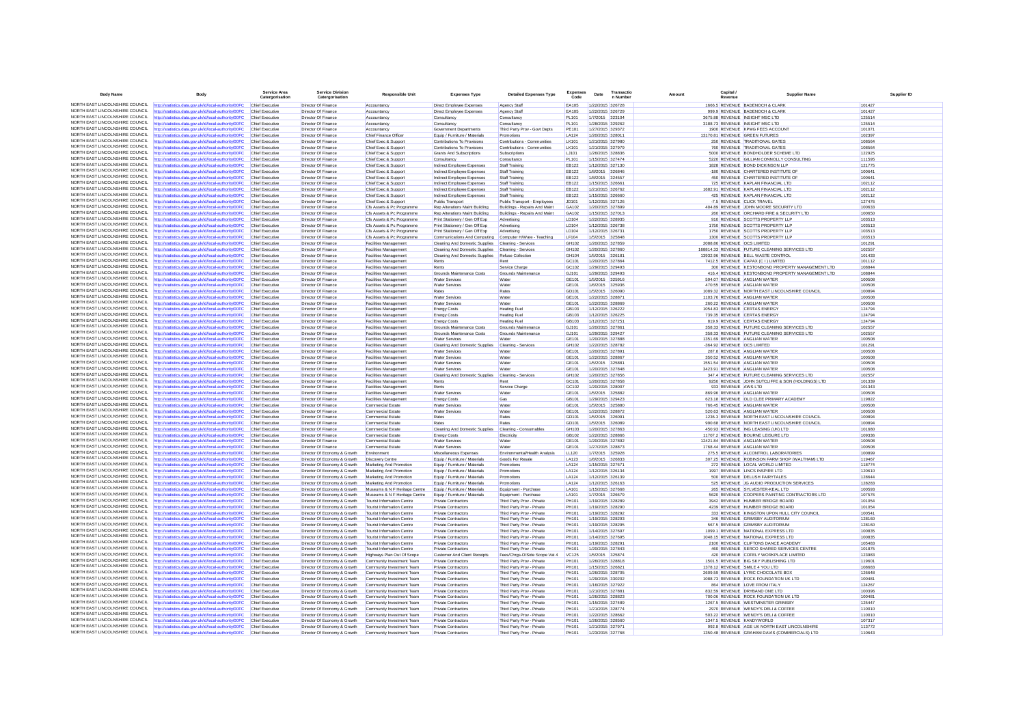| <b>Body Name</b>                                                   | <b>Body</b>                                                                                                     | Service Area<br>Catergorisation    | <b>Service Division</b><br>Catergorisation                   | <b>Responsible Unit</b>                                         | <b>Expenses Type</b>                                             | <b>Detailed Expenses Type</b>                             | <b>Expenses</b><br>Code | Date | Transactio<br>n Number               | Capital.<br>Amount<br>Revenue | <b>Supplier Name</b>                                                             | Supplier ID      |
|--------------------------------------------------------------------|-----------------------------------------------------------------------------------------------------------------|------------------------------------|--------------------------------------------------------------|-----------------------------------------------------------------|------------------------------------------------------------------|-----------------------------------------------------------|-------------------------|------|--------------------------------------|-------------------------------|----------------------------------------------------------------------------------|------------------|
|                                                                    | NORTH EAST LINCOLNSHIRE COUNCIL http://statistics.data.gov.uk/id/local-authority/00FC                           | Chief Executive                    | Director Of Finance                                          | Accountancy                                                     | <b>Direct Employee Expenses</b>                                  | <b>Agency Staff</b>                                       | EA105                   |      | 1/22/2015 326728                     |                               | 1666.5 REVENUE BADENOCH & CLARK                                                  | 101427           |
| NORTH FAST LINCOLNSHIRE COUNCIL.                                   | http://statistics.data.gov.uk/id/local-authority/00FC                                                           | <b>Chief Executive</b>             | Director Of Finance                                          | Accountancy                                                     | Direct Employee Expenses                                         | Agency Staff                                              | EA105                   |      | 1/22/2015 326729                     |                               | 999.9 REVENUE BADENOCH & CLARK                                                   | 101427           |
| NORTH EAST LINCOLNSHIRE COUNCIL                                    | http://statistics.data.gov.uk/id/local-authority/00FC                                                           | Chief Executive                    | Director Of Finance                                          | Accountancy                                                     | Consultancy                                                      | Consultancy                                               | <b>PL101</b>            |      | 1/7/2015 323104                      |                               | 3675.88 REVENUE INSIGHT MSC LTD                                                  | 125514           |
| NORTH EAST LINCOLNSHIRE COUNCIL<br>NORTH EAST LINCOLNSHIRE COUNCIL | http://statistics.data.gov.uk/id/local-authority/00FC                                                           | Chief Executive                    | Director Of Finance                                          | Accountancy                                                     | Consultancy                                                      | Consultancy                                               | PI 101                  |      | 1/28/2015 329262                     |                               | 3188.73 REVENUE INSIGHT MSC LTD                                                  | 125514           |
| NORTH EAST LINCOLNSHIRE COUNCIL                                    | http://statistics.data.gov.uk/id/local-authority/00FC                                                           | Chief Executive<br>Chief Executive | Director Of Finance                                          | Accountancy                                                     | Government Departments                                           | Third Party Prov - Govt Depts                             | PE101<br><b>LA124</b>   |      | 1/27/2015 329372<br>1/20/2015 328011 |                               | 1900 REVENUE KPMG FEES ACCOUNT<br>13170.81 REVENUE GREEN FUTURES                 | 101071<br>102397 |
| NORTH EAST LINCOLNSHIRE COUNCIL                                    | http://statistics.data.gov.uk/id/local-authority/00FC<br>http://statistics.data.gov.uk/id/local-authority/00FC  | Chief Executive                    | Director Of Finance<br>Director Of Finance                   | Chief Finance Officer<br>Chief Exec & Support                   | Equip / Furniture / Materials<br>Contributions To Provisions     | Promotions<br>Contributions - Communities                 | LK101                   |      | 1/21/2015 327980                     |                               | 250 REVENUE TRADITIONAL GATES                                                    | 108564           |
| NORTH EAST LINCOLNSHIRE COUNCIL                                    | http://statistics.data.gov.uk/id/local-authority/00FC                                                           | Chief Executive                    | Director Of Finance                                          | Chief Exec & Support                                            | Contributions To Provisions                                      | Contributions - Communities                               | <b>LK101</b>            |      | 1/21/2015 327979                     |                               | 760 REVENUE TRADITIONAL GATES                                                    | 108564           |
| NORTH EAST LINCOLNSHIRE COUNCIL                                    | http://statistics.data.gov.uk/id/local-authority/00FC                                                           | Chief Executive                    | Director Of Finance                                          | Chief Exec & Support                                            | Grants And Subscriptions                                         | Subscriptions                                             | LJ101                   |      | 1/26/2015 328836                     |                               | 5000 REVENUE BONDHOLDER SCHEME LTD                                               | 122925           |
| NORTH EAST LINCOLNSHIRE COUNCIL                                    | http://statistics.data.gov.uk/id/local-authority/00FC                                                           | Chief Executive                    | <b>Director Of Finance</b>                                   | Chief Exec & Support                                            | Consultancy                                                      | Consultancy                                               | PL101                   |      | 1/15/2015 327474                     |                               | 5220 REVENUE GILLIAN CONNOLLY CONSULTING                                         | 111595           |
| NORTH EAST LINCOLNSHIRE COUNCIL                                    | http://statistics.data.gov.uk/id/local-authority/00FC                                                           | Chief Executive                    | Director Of Finance                                          | Chief Exec & Support                                            | Indirect Employee Expenses                                       | Staff Training                                            | <b>EB122</b>            |      | 1/12/2015 327130                     |                               | 1828 REVENUE BOND DICKINSON LLP                                                  | 121775           |
| NORTH EAST LINCOLNSHIRE COUNCIL<br>NORTH EAST LINCOLNSHIRE COUNCIL | http://statistics.data.gov.uk/id/local-authority/00FC                                                           | Chief Executive                    | Director Of Finance                                          | Chief Exec & Suppor                                             | Indirect Employee Expenses                                       | <b>Staff Training</b>                                     | EB122                   |      | 1/8/2015 326846                      |                               | -180 REVENUE CHARTERED INSTITUTE OF                                              | 100641           |
| NORTH EAST LINCOLNSHIRE COUNCIL                                    | http://statistics.data.gov.uk/id/local-authority/00FC<br>http://statistics.data.gov.uk/id/local-authority/00FC  | Chief Executive<br>Chief Executive | Director Of Finance<br><b>Director Of Finance</b>            | Chief Exec & Support<br>Chief Exec & Support                    | Indirect Employee Expenses<br>Indirect Employee Expenses         | Staff Training<br>Staff Training                          | EB122<br><b>EB122</b>   |      | 1/8/2015 324557<br>1/15/2015 326661  |                               | 450 REVENUE CHARTERED INSTITUTE OF<br>725 REVENUE KAPLAN FINANCIAL LTD           | 100641<br>102112 |
| NORTH EAST LINCOLNSHIRE COUNCIL                                    | http://statistics.data.gov.uk/id/local-authority/00FC                                                           | Chief Executive                    | <b>Director Of Finance</b>                                   | Chief Exec & Support                                            | Indirect Employee Expenses                                       | <b>Staff Training</b>                                     | EB122                   |      | 1/21/2015 326762                     |                               | 1682.91 REVENUE KAPLAN FINANCIAL LTD                                             | 102112           |
| NORTH EAST LINCOLNSHIRE COUNCIL                                    | http://statistics.data.gov.uk/id/local-authority/00FC                                                           | Chief Executive                    | <b>Director Of Finance</b>                                   | Chief Exec & Support                                            | Indirect Employee Expenses                                       | Staff Training                                            | EB122                   |      | 1/15/2015 326660                     |                               | 425 REVENUE KAPLAN FINANCIAL LTD                                                 | 102112           |
| NORTH EAST LINCOLNSHIRE COUNCIL                                    | http://statistics.data.gov.uk/id/local-authority/00FC                                                           | Chief Executive                    | Director Of Finance                                          | Chief Exec & Support                                            | <b>Public Transport</b>                                          | Public Transport - Employees                              | JD101                   |      | 1/12/2015 327126                     |                               | -7.5 REVENUE CLICK TRAVEL                                                        | 127476           |
| NORTH EAST LINCOLNSHIRE COUNCIL                                    | http://statistics.data.gov.uk/id/local-authority/00FC                                                           | Chief Executive                    | Director Of Finance                                          | Cfs Assets & Pc Programme                                       | Rep Alterations Maint Building                                   | Buildings - Repairs And Maint                             | GA102                   |      | 1/20/2015 327899                     |                               | 404.89 REVENUE JOHN MOORE SECURITY LTD                                           | 100633           |
| NORTH EAST LINCOLNSHIRE COUNCIL                                    | http://statistics.data.gov.uk/id/local-authority/00FC                                                           | Chief Executive                    | Director Of Finance                                          | Cfs Assets & Pc Programme                                       | Rep Alterations Maint Building                                   | Buildings - Repairs And Maint                             | GA102                   |      | 1/15/2015 327013                     |                               | 260 REVENUE ORCHARD FIRE & SECURITY LTD                                          | 100650           |
| NORTH EAST LINCOLNSHIRE COUNCIL<br>NORTH EAST LINCOLNSHIRE COUNCIL | http://statistics.data.gov.uk/id/local-authority/00FC<br>http://statistics.data.oov.uk/id/local-authority/00EC. | Chief Executive<br>Chief Executive | Director Of Finance<br>Director Of Finance                   | Cfs Assets & Pc Programme<br>Cfs Assets & Pc Programme          | Print Stationery / Gen Off Exp<br>Print Stationery / Gen Off Exp | Advertising<br>Advertising                                | LD104<br><b>ID104</b>   |      | 1/22/2015 328935<br>1/12/2015 326738 |                               | 910 REVENUE SCOTTS PROPERTY LLP<br>1750 REVENUE SCOTTS PROPERTY LLP              | 103513<br>103513 |
| NORTH EAST LINCOLNSHIRE COUNCIL                                    | http://statistics.data.gov.uk/id/local-authority/00FC                                                           | Chief Executive                    | Director Of Finance                                          | Cfs Assets & Pc Programme                                       | Print Stationery / Gen Off Exp                                   | Advertising                                               | LD104                   |      | 1/12/2015 326731                     |                               | 1750 REVENUE SCOTTS PROPERTY LLP                                                 | 103513           |
| NORTH EAST LINCOLNSHIRE COUNCIL                                    | http://statistics.data.gov.uk/id/local-authority/00FC                                                           | Chief Executive                    | Director Of Finance                                          | Cfs Assets & Pc Programme                                       | Communications And Computing Computer H/Ware - Teaching          |                                                           | LF104                   |      | 1/5/2015 325848                      |                               | 1300 REVENUE SCOTTS PROPERTY LLP                                                 | 103513           |
| NORTH EAST LINCOLNSHIRE COUNCIL                                    | http://statistics.data.gov.uk/id/local-authority/00FC                                                           | Chief Executive                    | Director Of Finance                                          | <b>Facilities Management</b>                                    | Cleaning And Domestic Supplies                                   | Cleaning - Services                                       | GH102                   |      | 1/20/2015 327859                     | 2088 86 REVENUE OCS LIMITED   |                                                                                  | 101291           |
| NORTH EAST LINCOLNSHIRE COUNCIL                                    | http://statistics.data.gov.uk/id/local-authority/00FC                                                           | Chief Executive                    | Director Of Finance                                          | Facilities Management                                           | Cleaning And Domestic Supplies                                   | Cleaning - Service                                        | GH102                   |      | 1/20/2015 327860                     |                               | 168814.33 REVENUE FUTURE CLEANING SERVICES LTD                                   | 102557           |
| NORTH FAST LINCOLNSHIRE COUNCIL                                    | http://statistics.data.gov.uk/id/local-authority/00FC                                                           | Chief Executive                    | Director Of Finance                                          | Facilities Management                                           | Cleaning And Domestic Supplies                                   | Refuse Collection                                         | GH104                   |      | 1/5/2015 326181                      |                               | 13932.96 REVENUE BELL WASTE CONTROL                                              | 101433           |
| NORTH EAST LINCOLNSHIRE COUNCIL                                    | http://statistics.data.gov.uk/id/local-authority/00FC                                                           | Chief Executive                    | Director Of Finance                                          | Facilities Management                                           | Rents                                                            | Rent                                                      | GC101                   |      | 1/20/2015 327864                     |                               | 7412.5 REVENUE CAPAX (C I ) LIMITED                                              | 101112           |
| NORTH EAST LINCOLNSHIRE COUNCIL<br>NORTH EAST LINCOLNSHIRE COUNCIL | http://statistics.data.gov.uk/id/local-authority/00FC                                                           | Chief Executive                    | Director Of Finance                                          | Facilities Management                                           | Rents                                                            | Service Charge                                            | GC102                   |      | 1/29/2015 329493                     |                               | 300 REVENUE KESTONBOND PROPERTY MANAGEMENT LTD                                   | 108844           |
| NORTH EAST LINCOLNSHIRE COUNCIL                                    | http://statistics.data.gov.uk/id/local-authority/00FC                                                           | Chief Executive                    | Director Of Finance<br>Director Of Finance                   | Facilities Managemen                                            | Grounds Maintenance Costs                                        | Grounds Maintenance                                       | GJ101<br>GE101          |      | 1/29/2015 329493<br>1/5/2015 325916  |                               | 416.4 REVENUE KESTONBOND PROPERTY MANAGEMENT LTD<br>594.07 REVENUE ANGLIAN WATER | 108844<br>100508 |
| NORTH EAST LINCOLNSHIRE COUNCIL                                    | http://statistics.data.gov.uk/id/local-authority/00FC                                                           | Chief Executive<br>Chief Executive | Director Of Finance                                          | Facilities Management<br>Facilities Management                  | <b>Water Services</b><br><b>Water Services</b>                   | Water<br>Water                                            | GE101                   |      | 1/6/2015 325936                      |                               | 470.55 REVENUE ANGLIAN WATER                                                     | 100508           |
| NORTH EAST LINCOLNSHIRE COUNCIL                                    | http://statistics.data.gov.uk/id/local-authority/00FC<br>http://statistics.data.gov.uk/id/local-authority/00FC  | Chief Executive                    | Director Of Finance                                          | Facilities Managemen                                            | Rates                                                            | Rates                                                     | GD101                   |      | 1/5/2015 326090                      |                               | 1089.32 REVENUE NORTH EAST LINCOLNSHIRE COUNCIL                                  | 100894           |
| NORTH EAST LINCOLNSHIRE COUNCIL                                    | http://statistics.data.gov.uk/id/local-authority/00FC                                                           | Chief Executive                    | Director Of Finance                                          | Facilities Management                                           | <b>Water Services</b>                                            | Water                                                     | GE101                   |      | 1/22/2015 328871                     |                               | 1103.76 REVENUE ANGLIAN WATER                                                    | 100508           |
| NORTH EAST LINCOLNSHIRE COUNCIL                                    | http://statistics.data.gov.uk/id/local-authority/00FC                                                           | Chief Executive                    | Director Of Finance                                          | Facilities Management                                           | <b>Water Services</b>                                            | Water                                                     | GE101                   |      | 1/22/2015 328869                     |                               | 260.22 REVENUE ANGLIAN WATER                                                     | 100508           |
| NORTH EAST LINCOLNSHIRE COUNCIL                                    | http://statistics.data.gov.uk/id/local-authority/00FC                                                           | Chief Executive                    | Director Of Finance                                          | Facilities Management                                           | <b>Energy Costs</b>                                              | <b>Heating Fuel</b>                                       | GB103                   |      | 1/12/2015 326222                     |                               | 1054.83 REVENUE CERTAS ENERGY                                                    | 124794           |
| NORTH EAST LINCOLNSHIRE COUNCIL                                    | http://statistics.data.gov.uk/id/local-authority/00FC                                                           | Chief Executive                    | Director Of Finance                                          | Facilities Managemen                                            | <b>Energy Costs</b>                                              | <b>Heating Fue</b>                                        | GB103                   |      | 1/12/2015 326225                     |                               | 739.35 REVENUE CERTAS ENERGY                                                     | 124794           |
| NORTH EAST LINCOLNSHIRE COUNCIL                                    | http://statistics.data.gov.uk/id/local-authority/00FC                                                           | Chief Executive                    | Director Of Finance                                          | Facilities Management                                           | <b>Energy Costs</b>                                              | <b>Heating Fuel</b>                                       | GB103                   |      | 1/12/2015 327251                     |                               | 819.9 REVENUE CERTAS ENERGY                                                      | 124794           |
| NORTH EAST LINCOLNSHIRE COUNCIL<br>NORTH EAST LINCOLNSHIRE COUNCIL | http://statistics.data.gov.uk/id/local-authority/00FC                                                           | Chief Executive                    | <b>Director Of Finance</b>                                   | Facilities Management                                           | Grounds Maintenance Costs                                        | Grounds Maintenance                                       | GJ101                   |      | 1/20/2015 327861                     |                               | 358.33 REVENUE FUTURE CLEANING SERVICES LTD                                      | 102557           |
| NORTH EAST LINCOLNSHIRE COUNCIL                                    | http://statistics.data.gov.uk/id/local-authority/00FC                                                           | Chief Executive                    | Director Of Finance                                          | Facilities Management                                           | Grounds Maintenance Costs                                        | Grounds Maintenance                                       | GJ101                   |      | 1/29/2015 329427                     |                               | 358.33 REVENUE FUTURE CLEANING SERVICES LTD                                      | 102557           |
| NORTH EAST LINCOLNSHIRE COUNCIL                                    | http://statistics.data.gov.uk/id/local-authority/00FC<br>http://statistics.data.gov.uk/id/local-authority/00FC  | Chief Executive<br>Chief Executive | Director Of Finance<br><b>Director Of Finance</b>            | Facilities Management<br>Facilities Management                  | <b>Water Services</b><br>Cleaning And Domestic Supplies          | Water<br>Cleaning - Services                              | GE101<br>GH102          |      | 1/20/2015 327888<br>1/22/2015 328782 | -364.92 REVENUE OCS LIMITED   | 1351.69 REVENUE ANGLIAN WATER                                                    | 100508<br>101291 |
| NORTH EAST LINCOLNSHIRE COUNCIL                                    | http://statistics.data.gov.uk/id/local-authority/00FC                                                           | Chief Executive                    | Director Of Finance                                          | <b>Facilities Management</b>                                    | <b>Water Services</b>                                            | Water                                                     | GE101                   |      | 1/20/2015 327891                     |                               | 287.8 REVENUE ANGLIAN WATER                                                      | 100508           |
| NORTH EAST LINCOLNSHIRE COUNCIL                                    | http://statistics.data.gov.uk/id/local-authority/00FC                                                           | Chief Executive                    | Director Of Finance                                          | Facilities Management                                           | <b>Water Services</b>                                            | Water                                                     | GE101                   |      | 1/22/2015 328867                     |                               | 350.52 REVENUE ANGLIAN WATER                                                     | 100508           |
| NORTH EAST LINCOLNSHIRE COUNCIL                                    | http://statistics.data.gov.uk/id/local-authority/00FC                                                           | Chief Executive                    | Director Of Finance                                          | Facilities Management                                           | <b>Water Services</b>                                            | Water                                                     | GE101                   |      | 1/5/2015 325881                      |                               | 1551.54 REVENUE ANGLIAN WATER                                                    | 100508           |
| NORTH EAST LINCOLNSHIRE COUNCIL                                    | http://statistics.data.gov.uk/id/local-authority/00FC                                                           | Chief Executive                    | Director Of Finance                                          | Facilities Management                                           | <b>Water Services</b>                                            | Water                                                     | GF101                   |      | 1/20/2015 327848                     |                               | 3423.91 REVENUE ANGLIAN WATER                                                    | 100508           |
| NORTH FAST LINCOLNSHIRE COUNCIL                                    | http://statistics.data.gov.uk/id/local-authority/00FC                                                           | Chief Executive                    | Director Of Finance                                          | <b>Facilities Management</b>                                    | Cleaning And Domestic Supplies Cleaning - Services               |                                                           | GH102                   |      | 1/20/2015 327856                     |                               | 347.4 REVENUE FUTURE CLEANING SERVICES LTD                                       | 102557           |
| NORTH EAST LINCOLNSHIRE COUNCIL<br>NORTH EAST LINCOLNSHIRE COUNCIL | http://statistics.data.gov.uk/id/local-authority/00FC                                                           | Chief Executive                    | Director Of Finance                                          | Facilities Management                                           | Rents                                                            | Rent                                                      | GC101                   |      | 1/20/2015 327858                     |                               | 9250 REVENUE JOHN SUTCLIFFE & SON (HOLDINGS) LTD                                 | 101339           |
| NORTH EAST LINCOLNSHIRE COUNCIL                                    | http://statistics.data.gov.uk/id/local-authority/00FC                                                           | Chief Executive                    | Director Of Finance                                          | Facilities Management                                           | Rents                                                            | Service Charge<br>Water                                   | GC102<br>GE101          |      | 1/20/2015 328007                     | 933 REVENUE AWS LTD           |                                                                                  | 101343<br>100508 |
| NORTH FAST LINCOLNSHIRE COUNCIL                                    | http://statistics.data.gov.uk/id/local-authority/00FC<br>ttp://statistics.data.gov.uk/id/local-authority/00FC   | Chief Executive<br>Chief Executive | Director Of Finance<br>Director Of Finance                   | Facilities Management<br>Facilities Management                  | <b>Water Services</b><br><b>Energy Costs</b>                     | Gas                                                       | GB101                   |      | 1/5/2015 325882<br>1/29/2015 329423  |                               | 869.96 REVENUE ANGLIAN WATER<br>623.18 REVENUE OLD CLEE PRIMARY ACADEMY          | 119822           |
| NORTH EAST LINCOLNSHIRE COUNCIL                                    | http://statistics.data.gov.uk/id/local-authority/00FC                                                           | Chief Executive                    | Director Of Finance                                          | <b>Commercial Estate</b>                                        | <b>Water Services</b>                                            | Water                                                     | GE101                   |      | 1/5/2015 325880                      |                               | 766.45 REVENUE ANGLIAN WATER                                                     | 100508           |
| NORTH EAST LINCOLNSHIRE COUNCIL                                    | http://statistics.data.gov.uk/id/local-authority/00FC                                                           | Chief Executive                    | Director Of Finance                                          | <b>Commercial Estate</b>                                        | <b>Water Services</b>                                            | Water                                                     | GE101                   |      | 1/22/2015 328872                     |                               | 520.63 REVENUE ANGLIAN WATER                                                     | 100508           |
| NORTH EAST LINCOLNSHIRE COUNCIL                                    | http://statistics.data.gov.uk/id/local-authority/00FC                                                           | Chief Executiv                     | Director Of Finance                                          | Commercial Estate                                               | Rates                                                            | Rates                                                     | GD101                   |      | 1/5/2015 326091                      |                               | 1236.3 REVENUE NORTH EAST LINCOLNSHIRE COUNCI                                    | 100894           |
| NORTH EAST LINCOLNSHIRE COUNCIL                                    | http://statistics.data.gov.uk/id/local-authority/00FC                                                           | Chief Executive                    | Director Of Finance                                          | <b>Commercial Estate</b>                                        | Rates                                                            | Rates                                                     | GD101                   |      | 1/5/2015 326089                      |                               | 990.68 REVENUE NORTH EAST LINCOLNSHIRE COUNCIL                                   | 100894           |
| NORTH EAST LINCOLNSHIRE COUNCIL<br>NORTH EAST LINCOLNSHIRE COUNCIL | http://statistics.data.gov.uk/id/local-authority/00FC                                                           | Chief Executive                    | Director Of Finance                                          | <b>Commercial Estate</b>                                        | Cleaning And Domestic Supplies                                   | Cleaning - Consumables                                    | GH103                   |      | 1/20/2015 327863                     |                               | 450.93 REVENUE ING LEASING (UK) LTD                                              | 101680           |
| NORTH EAST LINCOLNSHIRE COUNCIL                                    | http://statistics.data.gov.uk/id/local-authority/00FC                                                           | Chief Executive                    | Director Of Finance                                          | Commercial Estate                                               | <b>Energy Costs</b>                                              | Electricity                                               | GB102<br>GE101          |      | 1/22/2015 328866                     |                               | 11707.2 REVENUE BOURNE LEISURE LTD                                               | 109336<br>100508 |
| NORTH EAST LINCOLNSHIRE COUNCIL                                    | http://statistics.data.gov.uk/id/local-authority/00FC<br>http://statistics.data.gov.uk/id/local-authority/00FC  | Chief Executive<br>Chief Executive | Director Of Finance<br><b>Director Of Finance</b>            | Commercial Estate<br><b>Commercial Estate</b>                   | <b>Water Services</b><br><b>Water Services</b>                   | Water<br>Water                                            | GE101                   |      | 1/20/2015 327892<br>1/27/2015 328873 |                               | 12421.84 REVENUE ANGLIAN WATER<br>1768.44 REVENUE ANGLIAN WATER                  | 100508           |
| NORTH EAST LINCOLNSHIRE COUNCIL                                    | http://statistics.data.gov.uk/id/local-authority/00FC                                                           | Chief Executive                    | Director Of Economy & Growth                                 | Environment                                                     | Miscellaneous Expenses                                           | Environmental/Health Analysis                             | LL120                   |      | 1/7/2015 325928                      |                               | 275.5 REVENUE ALCONTROL LABORATORIES                                             | 100899           |
| NORTH EAST LINCOLNSHIRE COUNCIL                                    | http://statistics.data.gov.uk/id/local-authority/00FC                                                           | Chief Executive                    | Director Of Economy & Growth                                 | <b>Discovery Centre</b>                                         | Equip / Furniture / Materials                                    | Goods For Resale                                          | LA123                   |      | 1/8/2015 326833                      |                               | 307.25 REVENUE ROBINSON FARM SHOP (WALTHAM) LTD                                  | 119467           |
| NORTH EAST LINCOLNSHIRE COUNCIL                                    | http://statistics.data.gov.uk/id/local-authority/00FC                                                           | Chief Executive                    | Director Of Economy & Growth                                 | Marketing And Promotion                                         | Equip / Furniture / Materials                                    | Promotions                                                | LA124                   |      | 1/15/2015 327671                     |                               | 272 REVENUE LOCAL WORLD LIMITED                                                  | 118774           |
| NORTH EAST LINCOLNSHIRE COUNCIL                                    | http://statistics.data.gov.uk/id/local-authority/00FC                                                           | Chief Executive                    | Director Of Economy & Growth                                 | Marketing And Promotion                                         | Equip / Furniture / Materials                                    | Promotions                                                | LA124                   |      | 1/12/2015 326134                     |                               | 1997 REVENUE LINCS INSPIRE LTD                                                   | 120610           |
| NORTH EAST LINCOLNSHIRE COUNCIL                                    | http://statistics.data.gov.uk/id/local-authority/00FC                                                           | Chief Executive                    | Director Of Economy & Growth                                 | Marketing And Promotion                                         | Equip / Furniture / Materials                                    | Promotions                                                | <b>LA124</b>            |      | 1/12/2015 326139                     |                               | 500 REVENUE DELUSH FAIRYTALES                                                    | 128644           |
| NORTH EAST LINCOLNSHIRE COUNCIL<br>NORTH EAST LINCOLNSHIRE COUNCIL | http://statistics.data.gov.uk/id/local-authority/00FC                                                           | Chief Executive                    | Director Of Economy & Growth                                 | Marketing And Promotion                                         | Equip / Furniture / Materials                                    | Promotions                                                | LA124                   |      | 1/12/2015 326163                     |                               | 525 REVENUE JG AUDIO PRODUCTION SERVICES                                         | 128283           |
| NORTH EAST LINCOLNSHIRE COUNCIL                                    | http://statistics.data.gov.uk/id/local-authority/00FC                                                           | Chief Executive                    | Director Of Economy & Growth                                 | Museums & N F Heritage Centre<br>Museums & N F Heritage Centre  | Equip / Furniture / Materials                                    | Equipment - Purchase                                      | LA101<br>LA101          |      | 1/15/2015 327668                     |                               | 265 REVENUE SYLVESTER-KEAL LTD<br>5620 REVENUE COOPERS PAINTING CONTRACTORS LTD  | 100593<br>107576 |
| NORTH FAST LINCOLNSHIRE COUNCIL                                    | http://statistics.data.gov.uk/id/local-authority/00FC<br>ttp://statistics.data.gov.uk/id/local-authority/00FC   | Chief Executive<br>Chief Executive | Director Of Economy & Growth<br>Director Of Economy & Growth | <b>Tourist Information Centre</b>                               | Equip / Furniture / Materials<br>Private Contractors             | Equipment - Purchase<br>Third Party Prov - Private        | PH101                   |      | 1/7/2015 326679<br>1/19/2015 328289  |                               | 3942 REVENUE HUMBER BRIDGE BOARD                                                 | 101054           |
| NORTH EAST LINCOLNSHIRE COUNCIL                                    | http://statistics.data.gov.uk/id/local-authority/00FC                                                           | Chief Executive                    | Director Of Economy & Growth                                 | <b>Tourist Information Centre</b>                               | <b>Private Contractors</b>                                       | Third Party Prov - Private                                | PH101                   |      | 1/19/2015 328290                     |                               | 4239 REVENUE HUMBER BRIDGE BOARD                                                 | 101054           |
| NORTH EAST LINCOLNSHIRE COUNCIL                                    | http://statistics.data.gov.uk/id/local-authority/00FC                                                           | Chief Executive                    | Director Of Economy & Growth                                 | <b>Tourist Information Centre</b>                               | Private Contractors                                              | Third Party Prov - Private                                | PH101                   |      | 1/19/2015 328292                     |                               | 333 REVENUE KINGSTON UPON HULL CITY COUNCIL                                      | 100541           |
| NORTH FAST LINCOLNSHIRE COUNCIL                                    | http://statistics.data.gov.uk/id/local-authority/00FC                                                           | Chief Executive                    | Director Of Economy & Growth                                 | <b>Tourist Information Centre</b>                               | <b>Private Contractors</b>                                       | Third Party Prov - Private                                | PH101                   |      | 1/19/2015 328293                     |                               | 346 REVENUE GRIMSBY AUDITORIUM                                                   | 128160           |
| NORTH EAST LINCOLNSHIRE COUNCIL                                    | http://statistics.data.gov.uk/id/local-authority/00FC                                                           | Chief Executive                    | Director Of Economy & Growth                                 | <b>Tourist Information Centre</b>                               | <b>Private Contractors</b>                                       | Third Party Prov - Private                                | PH101                   |      | 1/19/2015 328295                     |                               | 567.5 REVENUE GRIMSBY AUDITORIUM                                                 | 128160           |
| NORTH EAST LINCOLNSHIRE COUNCIL                                    | http://statistics.data.gov.uk/id/local-authority/00FC                                                           | Chief Executive                    | Director Of Economy & Growth                                 | Tourist Information Centre                                      | <b>Private Contractors</b>                                       | Third Party Prov - Private                                | PH101                   |      | 1/14/2015 327697                     |                               | 1099.1 REVENUE NATIONAL EXPRESS LTD                                              | 100835           |
| NORTH EAST LINCOLNSHIRE COUNCIL<br>NORTH EAST LINCOLNSHIRE COUNCIL | http://statistics.data.gov.uk/id/local-authority/00FC                                                           | Chief Executive                    | Director Of Economy & Growth                                 | <b>Tourist Information Centre</b>                               | Private Contractors                                              | Third Party Prov - Private                                | PH101                   |      | 1/14/2015 327695                     |                               | 1048.15 REVENUE NATIONAL EXPRESS LTD                                             | 100835           |
| NORTH EAST LINCOLNSHIRE COUNCIL                                    | http://statistics.data.gov.uk/id/local-authority/00FC                                                           | Chief Executive                    | Director Of Economy & Growth                                 | <b>Tourist Information Centre</b>                               | Private Contractors                                              | Third Party Prov - Private                                | PH101<br>PH101          |      | 1/19/2015 328291<br>1/20/2015 327843 |                               | 2100 REVENUE CLIFTONS DANCE ACADEMY<br>460 REVENUE SERCO SHARED SERVICES CENTRE  | 105483<br>101875 |
| NORTH EAST LINCOLNSHIRE COUNCIL                                    | http://statistics.data.gov.uk/id/local-authority/00FC<br>http://statistics.data.gov.uk/id/local-authority/00FC  | Chief Executive<br>Chief Executive | Director Of Economy & Growth<br>Director Of Economy & Growth | <b>Tourist Information Centre</b><br>Highways Plan Out Of Scope | <b>Private Contractors</b><br>Customer And Client Receipts       | Third Party Prov - Private<br>Fees/Chrgs-O/Side Scope Vat | VC125                   |      | 1/5/2015 325874                      |                               | 420 REVENUE COFELY WORKPLACE LIMITED                                             | 123983           |
| NORTH EAST LINCOLNSHIRE COUNCIL                                    | http://statistics.data.gov.uk/id/local-authority/00FC                                                           | Chief Executive                    | Director Of Economy & Growth                                 | Community Investment Team                                       | <b>Private Contractors</b>                                       | Third Party Prov - Private                                | PH101                   |      | 1/26/2015 328818                     |                               | 1501.5 REVENUE BIG SKY PUBLISHING LTD                                            | 119601           |
| NORTH EAST LINCOLNSHIRE COUNCIL                                    | http://statistics.data.gov.uk/id/local-authority/00FC                                                           | Chief Executive                    | Director Of Economy & Growth                                 | Community Investment Team                                       | <b>Private Contractors</b>                                       | Third Party Prov - Private                                | PH101                   |      | 1/15/2015 326821                     |                               | 1378.12 REVENUE SMILE 4 YOU LTD                                                  | 108683           |
| NORTH EAST LINCOLNSHIRE COUNCIL                                    | http://statistics.data.gov.uk/id/local-authority/00FC                                                           | Chief Executive                    | Director Of Economy & Growth                                 | Community Investment Team                                       | <b>Private Contractors</b>                                       | Third Party Prov - Private                                | PH101                   |      | 1/26/2015 328705                     |                               | 2609.59 REVENUE LYRIC CHOCOLATE BOX                                              | 126648           |
| NORTH EAST LINCOLNSHIRE COUNCIL                                    | http://statistics.data.gov.uk/id/local-authority/00FC                                                           | Chief Executive                    | Director Of Economy & Growth                                 | Community Investment Team                                       | Private Contractors                                              | Third Party Prov - Private                                | PH101                   |      | 1/29/2015 330202                     |                               | 1088.73 REVENUE ROCK FOUNDATION UK LTD                                           | 100481           |
| NORTH EAST LINCOLNSHIRE COUNCIL                                    | http://statistics.data.gov.uk/id/local-authority/00FC                                                           | Chief Executive                    | Director Of Economy & Growth                                 | Community Investment Team                                       | Private Contractors                                              | Third Party Prov - Private                                | PH101                   |      | 1/16/2015 327922                     |                               | 864 REVENUE LOVE FROM ITALY                                                      | 124267           |
| NORTH EAST LINCOLNSHIRE COUNCIL<br>NORTH EAST LINCOLNSHIRE COUNCIL | http://statistics.data.gov.uk/id/local-authority/00FC                                                           | Chief Executive                    | Director Of Economy & Growth                                 | Community Investment Team                                       | <b>Private Contractors</b>                                       | Third Party Prov - Private                                | PH101                   |      | 1/21/2015 327881                     |                               | 832.59 REVENUE DRYBAND ONE LTD                                                   | 100396           |
| NORTH EAST LINCOLNSHIRE COUNCIL                                    | http://statistics.data.gov.uk/id/local-authority/00FC<br>http://statistics.data.gov.uk/id/local-authority/00FC  | Chief Executive<br>Chief Executive | Director Of Economy & Growth<br>Director Of Economy & Growth | Community Investment Team                                       | Private Contractors<br>Private Contractors                       | Third Party Prov - Private<br>Third Party Prov - Private  | PH101<br>PH101          |      | 1/26/2015 328823<br>1/15/2015 327489 |                               | 700.06 REVENUE ROCK FOUNDATION UK LTD<br>1267.5 REVENUE WESTMINSTER GRIMSBY      | 100481<br>125447 |
| NORTH EAST LINCOLNSHIRE COUNCIL                                    | http://statistics.data.gov.uk/id/local-authority/00FC                                                           | Chief Executive                    | Director Of Economy & Growth                                 | Community Investment Tean<br>Community Investment Team          | <b>Private Contractors</b>                                       | Third Party Prov - Private                                | PH101                   |      | 1/21/2015 328774                     |                               | 2970 REVENUE WENDY'S DELI & COFFEE                                               | 110010           |
| NORTH EAST LINCOLNSHIRE COUNCIL                                    | http://statistics.data.gov.uk/id/local-authority/00FC                                                           | Chief Executive                    | Director Of Economy & Growth                                 | Community Investment Team                                       | <b>Private Contractors</b>                                       | Third Party Prov - Private                                | PH101                   |      | 1/22/2015 328662                     |                               | 503.22 REVENUE WENDY'S DELI & COFFEE                                             | 110010           |
| NORTH EAST LINCOLNSHIRE COUNCIL                                    | http://statistics.data.gov.uk/id/local-authority/00FC                                                           | Chief Executive                    | Director Of Economy & Growth                                 | Community Investment Team                                       | Private Contractors                                              | Third Party Prov - Private                                | PH101                   |      | 1/26/2015 328560                     |                               | 1347.5 REVENUE KANDYWORLD                                                        | 107317           |
| NORTH EAST LINCOLNSHIRE COUNCIL                                    | http://statistics.data.gov.uk/id/local-authority/00FC Chief Executive                                           |                                    | Director Of Economy & Growth Community Investment Team       |                                                                 | <b>Private Contractors</b>                                       | Third Party Prov - Private                                | PH101                   |      | 1/21/2015 327971                     |                               | 992.8 REVENUE AGE UK NORTH EAST LINCOLNSHIRE                                     | 113772           |
| NORTH EAST LINCOLNSHIRE COUNCIL                                    | http://statistics.data.gov.uk/id/local-authority/00FC                                                           | Chief Executive                    | Director Of Economy & Growth                                 | Community Investment Team                                       | <b>Private Contractors</b>                                       | Third Party Prov - Private                                | PH101                   |      | 1/23/2015 327768                     |                               | 1350.48 REVENUE GRAHAM DAVIS (COMMERCIALS) LTD                                   | 110643           |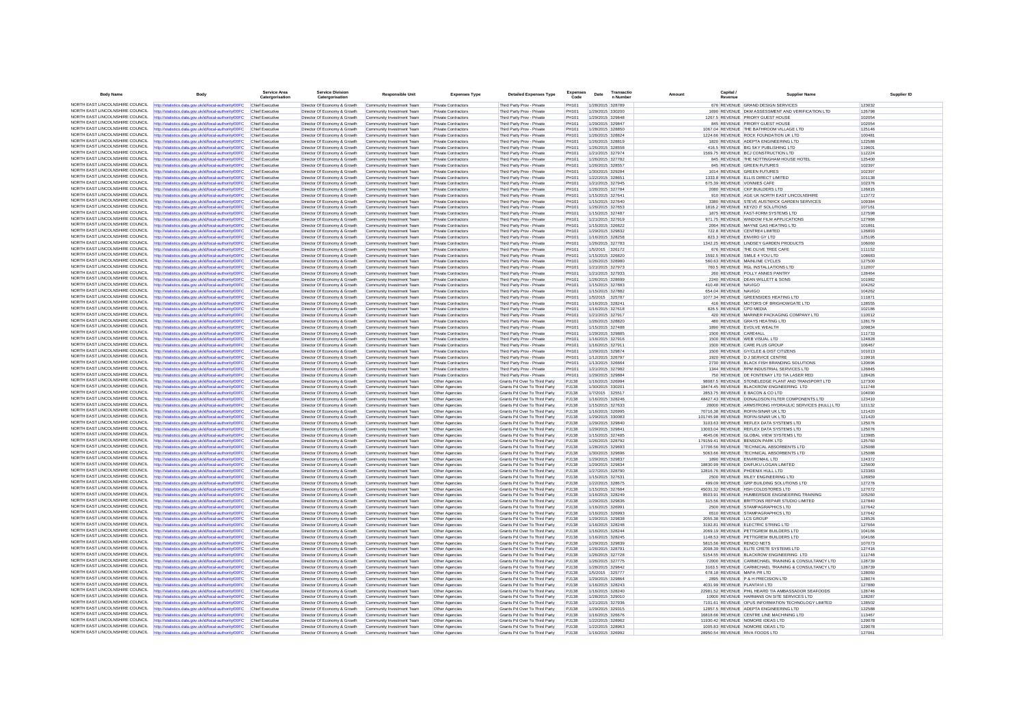| <b>Body Name</b>                                                   | Body                                                                                                           | <b>Service Area</b><br>Catergorisation | <b>Service Division</b><br>Catergorisation                   | <b>Responsible Unit</b>                                | <b>Expenses Type</b>                       | <b>Detailed Expenses Type</b>                                  | <b>Expenses</b><br>Code | Date | Transactic<br>n Numbe                | Canital<br>Amount<br>Revenue | <b>Supplier Name</b>                                                                | Supplier ID      |
|--------------------------------------------------------------------|----------------------------------------------------------------------------------------------------------------|----------------------------------------|--------------------------------------------------------------|--------------------------------------------------------|--------------------------------------------|----------------------------------------------------------------|-------------------------|------|--------------------------------------|------------------------------|-------------------------------------------------------------------------------------|------------------|
|                                                                    | NORTH EAST LINCOLNSHIRE COUNCIL http://statistics.data.gov.uk/id/local-authority/00FC Chief Executive          |                                        | Director Of Economy & Growth                                 | Community Investment Team                              | Private Contractors                        | Third Party Prov - Private                                     | PH101                   |      | 1/28/2015 328789                     |                              | 676 REVENUE GRAND DESIGN SERVICES                                                   | 123032           |
| NORTH FAST LINCOLNSHIRE COUNCIL                                    | http://statistics.data.gov.uk/id/local-authority/00FC                                                          |                                        | Director Of Economy & Growth                                 | Community Investment Team                              | Private Contractors                        | Third Party Prov - Private                                     | PH101                   |      | 1/29/2015 330200                     |                              | 1690 REVENUE DKM ASSESSMENT AND VERIFICATION LTD                                    | 126798           |
| NORTH EAST LINCOLNSHIRE COUNCIL                                    | http://statistics.data.gov.uk/id/local-authority/00FC                                                          | Chief Executive                        | Director Of Economy & Growth                                 | Community Investment Team                              | <b>Private Contractors</b>                 | Third Party Prov - Private                                     | PH101                   |      | 1/29/2015 329848                     |                              | 1267.5 REVENUE PRIORY GUEST HOUSE                                                   | 102054           |
| NORTH EAST LINCOLNSHIRE COUNCIL                                    | http://statistics.data.gov.uk/id/local-authority/00FC                                                          | Chief Executive                        | Director Of Economy & Growth                                 | Community Investment Team                              | Private Contractors                        | Third Party Prov - Private                                     | PH101                   |      | 1/29/2015 329847                     |                              | 845 REVENUE PRIORY GUEST HOUSE                                                      | 102054           |
| NORTH EAST LINCOLNSHIRE COUNCIL                                    | http://statistics.data.gov.uk/id/local-authority/00FC                                                          | Chief Executiv                         | Director Of Economy & Growth                                 | Community Investment Team                              | Private Contractor                         | Third Party Prov - Private                                     | PH101                   |      | 1/28/2015 328850                     |                              | 1067.04 REVENUE THE BATHROOM VILLAGE LTD                                            | 125146           |
| NORTH EAST LINCOLNSHIRE COUNCIL                                    | http://statistics.data.gov.uk/id/local-authority/00FC                                                          | Chief Executive                        | Director Of Economy & Growth                                 | Community Investment Team                              | Private Contractors                        | Third Party Prov - Private                                     | PH101                   |      | 1/26/2015 328824                     |                              | 1224.66 REVENUE ROCK FOUNDATION UK LTD                                              | 100481           |
| NORTH EAST LINCOLNSHIRE COUNCIL                                    | http://statistics.data.gov.uk/id/local-authority/00FC                                                          | Chief Executive                        | Director Of Economy & Growth                                 | Community Investment Team                              | <b>Private Contractors</b>                 | Third Party Prov - Private                                     | PH101                   |      | 1/26/2015 328819                     |                              | 1820 REVENUE ADEPTA ENGINEERING LTD                                                 | 122588           |
| NORTH EAST LINCOLNSHIRE COUNCIL                                    | http://statistics.data.gov.uk/id/local-authority/00FC                                                          | Chief Executiv                         | Director Of Economy & Growth                                 | Community Investment Team                              | <b>Private Contractors</b>                 | Third Party Prov - Private                                     | <b>PH101</b>            |      | 1/26/2015 328558                     |                              | 416.5 REVENUE BIG SKY PUBLISHING LTD                                                | 119601           |
| NORTH EAST LINCOLNSHIRE COUNCIL                                    | http://statistics.data.gov.uk/id/local-authority/00FC                                                          | Chief Executive                        | Director Of Economy & Growth                                 | Community Investment Team                              | Private Contractors                        | Third Party Prov - Private                                     | PH101                   |      | 1/21/2015 327974                     |                              | 1569.75 REVENUE BCJ CONSTRUCTION LTD                                                | 112224           |
| NORTH EAST LINCOLNSHIRE COUNCIL                                    | http://statistics.data.gov.uk/id/local-authority/00FC                                                          | Chief Executive                        | Director Of Economy & Growth                                 | Community Investment Team                              | <b>Private Contractors</b>                 | Third Party Prov - Private                                     | PH101                   |      | 1/26/2015 327782                     |                              | 845 REVENUE THE NOTTINGHAM HOUSE HOTEL                                              | 125400           |
| NORTH EAST LINCOLNSHIRE COUNCIL                                    | http://statistics.data.gov.uk/id/local-authority/00FC                                                          | Chief Executive                        | Director Of Economy & Growth                                 | Community Investment Team                              | Private Contractors                        | Third Party Prov - Private                                     | PH101                   |      | 1/26/2015 328557                     |                              | 845 REVENUE GREEN FUTURES                                                           | 102397           |
| NORTH EAST LINCOLNSHIRE COUNCIL                                    | http://statistics.data.gov.uk/id/local-authority/00FC                                                          | Chief Executiv                         | Director Of Economy & Growth                                 | Community Investment Team                              | Private Contractors                        | Third Party Prov - Private                                     | PH101                   |      | 1/30/2015 329284                     |                              | 1014 REVENUE GREEN FUTURES                                                          | 102397           |
| NORTH EAST LINCOLNSHIRE COUNCIL                                    | http://statistics.data.gov.uk/id/local-authority/00FC                                                          | Chief Executive                        | Director Of Economy & Growth                                 | Community Investment Team                              | <b>Private Contractors</b>                 | Third Party Prov - Private                                     | PH101                   |      | 1/22/2015 328651                     |                              | 1333.8 REVENUE ELLIS DIRECT LIMITED                                                 | 101138           |
| NORTH EAST LINCOLNSHIRE COUNCIL                                    | http://statistics.data.gov.uk/id/local-authority/00FC                                                          | Chief Executive                        | Director Of Economy & Growth                                 | Community Investment Team                              | <b>Private Contractors</b>                 | Third Party Prov - Private                                     | PH101                   |      | 1/21/2015 327945                     |                              | 675.39 REVENUE VONNIES CAFE                                                         | 102376           |
| NORTH EAST LINCOLNSHIRE COUNCIL                                    | http://statistics.data.gov.uk/id/local-authority/00FC                                                          | Chief Executiv                         | Director Of Economy & Growth                                 | Community Investment Team                              | <b>Private Contractors</b>                 | Third Party Prov - Private                                     | <b>PH101</b>            |      | 1/26/2015 327784                     |                              | 2080 REVENUE CKP BUILDERS LTD                                                       | 126815           |
| NORTH EAST LINCOLNSHIRE COUNCIL                                    | http://statistics.data.gov.uk/id/local-authority/00FC                                                          | Chief Executive                        | Director Of Economy & Growth                                 | Community Investment Team                              | <b>Private Contractors</b>                 | Third Party Prov - Private                                     | PH101                   |      | 1/15/2015 327641                     |                              | 910 REVENUE AGE UK NORTH EAST LINCOLNSHIRE                                          | 113772           |
| NORTH EAST LINCOLNSHIRE COUNCIL                                    | NORTH EAST LINCOLNSHIRE COUNCIL http://statistics.data.gov.uk/id/local-authority/00FC                          | Chief Executive                        | Director Of Economy & Growth                                 | Community Investment Team                              | <b>Private Contractors</b>                 | Third Party Prov - Private                                     | PH101                   |      | 1/15/2015 327640                     |                              | 3380 REVENUE STEVE AUSTWICK GARDEN SERVICES                                         | 109384           |
| NORTH EAST LINCOLNSHIRE COUNCIL                                    | http://statistics.data.gov.uk/id/local-authority/00FC<br>http://statistics.data.gov.uk/id/local-authority/00FC | Chief Executive<br>Chief Executiv      | Director Of Economy & Growth<br>Director Of Economy & Growth | Community Investment Team                              | Private Contractors<br>Private Contractors | Third Party Prov - Private<br>Third Party Prov - Private       | PH101<br>PH101          |      | 1/26/2015 327653<br>1/15/2015 327487 |                              | 1816.2 REVENUE KEYZO IT SOLUTIONS<br>1875 REVENUE FAST-FORM SYSTEMS LTD             | 107161<br>127598 |
| NORTH EAST LINCOLNSHIRE COUNCIL                                    | http://statistics.data.gov.uk/id/local-authority/00FC                                                          | Chief Executive                        | Director Of Economy & Growth                                 | Community Investment Team                              |                                            | Third Party Prov - Private                                     | PH101                   |      | 1/21/2015 327919                     |                              | 971.75 REVENUE WINDOW FILM APPLICATIONS                                             | 127966           |
| NORTH EAST LINCOLNSHIRE COUNCIL                                    | http://statistics.data.gov.uk/id/local-authority/00FC                                                          | Chief Executive                        | Director Of Economy & Growth                                 | Community Investment Team<br>Community Investment Team | Private Contractors<br>Private Contractors | Third Party Prov - Private                                     | PH101                   |      | 1/15/2015 326822                     |                              | 2064 REVENUE MAYNE GAS HEATING LTD                                                  | 101861           |
| NORTH EAST LINCOLNSHIRE COUNCIL                                    | http://statistics.data.gov.uk/id/local-authority/00FC                                                          | Chief Executiv                         | Director Of Economy & Growth                                 | Community Investment Tean                              | Private Contractor                         | Third Party Prov - Private                                     | PH101                   |      | 1/29/2015 329832                     |                              | 722.8 REVENUE CENTRE4 LIMITED                                                       | 126893           |
| NORTH EAST LINCOLNSHIRE COUNCIL                                    | http://statistics.data.gov.uk/id/local-authority/00FC                                                          | Chief Executive                        | Director Of Economy & Growth                                 | Community Investment Team                              | <b>Private Contractors</b>                 | Third Party Prov - Private                                     | PH101                   |      | 1/16/2015 328258                     |                              | 823.3 REVENUE ENVIRO GY LTD                                                         | 125195           |
| NORTH EAST LINCOLNSHIRE COUNCIL                                    | http://statistics.data.gov.uk/id/local-authority/00FC                                                          | Chief Executive                        | Director Of Economy & Growth                                 | Community Investment Team                              | Private Contractors                        | Third Party Prov - Private                                     | PH101                   |      | 1/26/2015 327783                     |                              | 1342.25 REVENUE LINDSEY GARDEN PRODUCTS                                             | 106060           |
| NORTH EAST LINCOLNSHIRE COUNCIL                                    | http://statistics.data.gov.uk/id/local-authority/00FC                                                          | Chief Executiv                         | Director Of Economy & Growth                                 | Community Investment Tean                              | Private Contractor                         | Third Party Prov - Private                                     | PH101                   |      | 1/5/2015 326172                      |                              | 676 REVENUE THE OLIVE TREE CAFE                                                     | 111152           |
| NORTH FAST LINCOLNSHIRE COUNCIL                                    | http://statistics.data.gov.uk/id/local-authority/00FC                                                          | Chief Executive                        | Director Of Economy & Growth                                 | Community Investment Team                              | Private Contractors                        | Third Party Prov - Private                                     | PH101                   |      | 1/15/2015 326820                     |                              | 1592.5 REVENUE SMILE 4 YOU LTD                                                      | 108683           |
| NORTH EAST LINCOLNSHIRE COUNCIL                                    | http://statistics.data.gov.uk/id/local-authority/00FC                                                          | Chief Executive                        | Director Of Economy & Growth                                 | Community Investment Team                              | <b>Private Contractors</b>                 | Third Party Prov - Private                                     | PH101                   |      | 1/26/2015 328980                     |                              | 560.63 REVENUE MAINLINE CYCLES                                                      | 127500           |
| NORTH EAST LINCOLNSHIRE COUNCIL                                    | http://statistics.data.gov.uk/id/local-authority/00FC                                                          | Chief Executive                        | Director Of Economy & Growth                                 | Community Investment Team                              | Private Contractors                        | Third Party Prov - Private                                     | PH101                   |      | 1/21/2015 327973                     |                              | 760.5 REVENUE RGL INSTALLATIONS LTD                                                 | 112007           |
| NORTH EAST LINCOLNSHIRE COUNCIL                                    | http://statistics.data.gov.uk/id/local-authority/00FC                                                          | Chief Executiv                         | Director Of Economy & Growth                                 | Community Investment Team                              | Private Contractors                        | Third Party Prov - Private                                     | PH101                   |      | 1/21/2015 327933                     |                              | 260 REVENUE POLLY ANNES PANTRY                                                      | 128464           |
| NORTH EAST LINCOLNSHIRE COUNCIL                                    | http://statistics.data.gov.uk/id/local-authority/00FC                                                          | Chief Executiv                         | Director Of Economy & Growth                                 | Community Investment Team                              | <b>Private Contractors</b>                 | Third Party Prov - Private                                     | <b>PH101</b>            |      | 1/26/2015 328699                     |                              | 2240 REVENUE DEAN WILLETT & SONS                                                    | 101982           |
| NORTH EAST LINCOLNSHIRE COUNCIL                                    | http://statistics.data.gov.uk/id/local-authority/00FC                                                          | Chief Executive                        | Director Of Economy & Growth                                 | Community Investment Team                              | Private Contractors                        | Third Party Prov - Private                                     | PH101                   |      | 1/15/2015 327883                     | 410.48 REVENUE NAVIGO        |                                                                                     | 104262           |
| NORTH EAST LINCOLNSHIRE COUNCIL                                    | http://statistics.data.gov.uk/id/local-authority/00FC                                                          | Chief Executiv                         | Director Of Economy & Growth                                 | Community Investment Team                              | Private Contractors                        | Third Party Prov - Private                                     | PH101                   |      | 1/15/2015 327882                     | 654.04 REVENUE NAVIGO        |                                                                                     | 104262           |
| NORTH EAST LINCOLNSHIRE COUNCIL                                    | http://statistics.data.gov.uk/id/local-authority/00FC                                                          | Chief Executive                        | Director Of Economy & Growth                                 | Community Investment Team                              | <b>Private Contractors</b>                 | Third Party Prov - Private                                     | <b>PH101</b>            |      | 1/5/2015 325787                      |                              | 1077.34 REVENUE GREENSIDES HEATING LTD                                              | 111871           |
|                                                                    | NORTH EAST LINCOLNSHIRE COUNCIL http://statistics.data.gov.uk/id/local-authority/00FC                          | Chief Executive                        | Director Of Economy & Growth                                 | Community Investment Team                              | <b>Private Contractors</b>                 | Third Party Prov - Private                                     | PH101                   |      | 1/16/2015 328241                     |                              | 416 REVENUE MOTORS OF BRIGHOWGATE LTD                                               | 128555           |
| NORTH EAST LINCOLNSHIRE COUNCIL                                    | http://statistics.data.gov.uk/id/local-authority/00FC                                                          | Chief Executive                        | Director Of Economy & Growth                                 | Community Investment Team                              | Private Contractors                        | Third Party Prov - Private                                     | PH101                   |      | 1/16/2015 327618                     |                              | 826.5 REVENUE CPO MEDIA                                                             | 102186           |
| NORTH EAST LINCOLNSHIRE COUNCIL                                    | http://statistics.data.gov.uk/id/local-authority/00FC                                                          | Chief Executiv                         | Director Of Economy & Growth                                 | Community Investment Team                              | Private Contractors                        | Third Party Prov - Private                                     | PH101                   |      | 1/21/2015 327917                     |                              | 420 REVENUE MARINER PACKAGING COMPANY LTD                                           | 110012           |
| NORTH EAST LINCOLNSHIRE COUNCIL                                    | http://statistics.data.gov.uk/id/local-authority/00FC                                                          | Chief Executive                        | Director Of Economy & Growth                                 | Community Investment Team                              | Private Contractors                        | Third Party Prov - Private                                     | PH101                   |      | 1/26/2015 328820                     |                              | 480 REVENUE GRAYS HEATING LTD                                                       | 128179           |
| NORTH EAST LINCOLNSHIRE COUNCIL                                    | http://statistics.data.gov.uk/id/local-authority/00FC                                                          | Chief Executive                        | Director Of Economy & Growth                                 | Community Investment Team                              | <b>Private Contractors</b>                 | Third Party Prov - Private                                     | PH101                   |      | 1/15/2015 327488                     |                              | 1890 REVENUE EVOLVE WEALTH                                                          | 109834           |
| NORTH EAST LINCOLNSHIRE COUNCIL                                    | http://statistics.data.gov.uk/id/local-authority/00FC                                                          | Chief Executiv                         | Director Of Economy & Growth                                 | Community Investment Team                              | <b>Private Contractors</b>                 | Third Party Prov - Private                                     | <b>PH101</b>            |      | 1/29/2015 329885                     | 1500 REVENUE CARE4ALL        |                                                                                     | 111733           |
| NORTH EAST LINCOLNSHIRE COUNCIL<br>NORTH EAST LINCOLNSHIRE COUNCIL | http://statistics.data.gov.uk/id/local-authority/00FC                                                          | Chief Executive                        | Director Of Economy & Growth                                 | Community Investment Team                              | Private Contractors                        | Third Party Prov - Private                                     | PH101                   |      | 1/16/2015 327916                     |                              | 1500 REVENUE WEB VISUAL LTD                                                         | 124828           |
| NORTH EAST LINCOLNSHIRE COUNCIL                                    | http://statistics.data.gov.uk/id/local-authority/00FC                                                          | Chief Executive                        | Director Of Economy & Growth                                 | Community Investment Team                              | <b>Private Contractors</b>                 | Third Party Prov - Private                                     | PH101                   |      | 1/16/2015 327911                     |                              | 1500 REVENUE CARE PLUS GROUP                                                        | 106467           |
| NORTH EAST LINCOLNSHIRE COUNCIL                                    | http://statistics.data.gov.uk/id/local-authority/00FC<br>http://statistics.data.gov.uk/id/local-authority/00FC | Chief Executiv<br>Chief Executiv       | Director Of Economy & Growth<br>Director Of Economy & Growth | Community Investment Team<br>Community Investment Team | Private Contractor<br>Private Contractors  | Third Party Prov - Private<br>Third Party Prov - Private       | PH101<br>PH101          |      | 1/29/2015 329874<br>1/12/2015 326797 |                              | 1500 REVENUE GY/CLEE & DIST CITIZENS<br>1920 REVENUE D J SERVICE CENTRE             | 101013<br>119916 |
| NORTH EAST LINCOLNSHIRE COUNCIL                                    | http://statistics.data.gov.uk/id/local-authority/00FC                                                          | Chief Executive                        | Director Of Economy & Growth                                 | Community Investment Team                              | <b>Private Contractors</b>                 | Third Party Prov - Private                                     | <b>PH101</b>            |      | 1/13/2015 326664                     |                              | 2730 REVENUE BLACK FISH BRANDING SOLUTIONS                                          | 120696           |
| NORTH EAST LINCOLNSHIRE COUNCIL                                    | http://statistics.data.gov.uk/id/local-authority/00FC                                                          | Chief Executive                        | Director Of Economy & Growth                                 | Community Investment Team                              | Private Contractors                        | Third Party Prov - Private                                     | PH101                   |      | 1/21/2015 327982                     |                              | 1344 REVENUE RPM INDUSTRIAL SERVICES LTD                                            | 126845           |
| NORTH EAST LINCOLNSHIRE COUNCIL                                    | http://statistics.data.gov.uk/id/local-authority/00FC                                                          | Chief Executive                        | Director Of Economy & Growth                                 | Community Investment Team                              | Private Contractors                        | Third Party Prov - Private                                     | PH101                   |      | 1/29/2015 329884                     |                              | 750 REVENUE DE FONTENAY LTD T/A LASER RED                                           | 128426           |
| NORTH EAST LINCOLNSHIRE COUNCIL                                    | http://statistics.data.gov.uk/id/local-authority/00FC                                                          | Chief Executive                        | Director Of Economy & Growth                                 | Community Investment Team                              | Other Agencies                             | Grants Pd Over To Third Party                                  | <b>PJ138</b>            |      | 1/16/2015 326994                     |                              | 98087.5 REVENUE STONELEDGE PLANT AND TRANSPORT LTD                                  | 127300           |
| NORTH EAST LINCOLNSHIRE COUNCIL                                    | http://statistics.data.gov.uk/id/local-authority/00FC                                                          | Chief Executive                        | Director Of Economy & Growth                                 | Community Investment Team                              | Other Agencies                             | Grants Pd Over To Third Party                                  | P.1138                  |      | 1/30/2015 330201                     |                              | 18474.45 REVENUE BLACKROW ENGINEERING LTD                                           | 111748           |
| NORTH EAST LINCOLNSHIRE COUNCIL                                    | http://statistics.data.gov.uk/id/local-authority/00FC                                                          | Chief Executiv                         | Director Of Economy & Growth                                 | Community Investment Team                              | Other Agencies                             | Grants Pd Over To Third Party                                  | PJ138                   |      | 1/7/2015 325517                      |                              | 2853.75 REVENUE E BACON & CO LTD                                                    | 104090           |
| NORTH EAST LINCOLNSHIRE COUNCIL                                    | ttp://statistics.data.gov.uk/id/local-authority/00FC                                                           | Chief Executiv                         | Director Of Economy & Growth                                 | Community Investment Team                              | Other Agencies                             | Grants Pd Over To Third Party                                  | PJ138                   |      | 1/16/2015 328246                     |                              | 48427.43 REVENUE DONALDSON FILTER COMPONENTS LTD                                    | 123410           |
|                                                                    | NORTH EAST LINCOLNSHIRE COUNCIL http://statistics.data.gov.uk/id/local-authority/00FC                          | Chief Executive                        | Director Of Economy & Growth                                 | Community Investment Team                              | Other Agencies                             | Grants Pd Over To Third Party                                  | PJ138                   |      | 1/15/2015 327633                     |                              | 28000 REVENUE ARMSTRONG HYDRAULIC SERVICES (HULL) LTD                               | 121132           |
| NORTH EAST LINCOLNSHIRE COUNCIL                                    | http://statistics.data.gov.uk/id/local-authority/00FC                                                          | Chief Executive                        | Director Of Economy & Growth                                 | Community Investment Team                              | Other Agencies                             | Grants Pd Over To Third Party                                  | PJ138                   |      | 1/16/2015 326995                     |                              | 70716.38 REVENUE ROFIN-SINAR UK LTD                                                 | 121420           |
| NORTH EAST LINCOLNSHIRE COUNCIL                                    | http://statistics.data.gov.uk/id/local-authority/00FC                                                          | Chief Executiv                         | Director Of Economy & Growth                                 | Community Investment Tean                              | Other Agencie                              | Grants Pd Over To Third Party                                  | PJ138                   |      | 1/29/2015 330083                     |                              | 101745.98 REVENUE ROFIN-SINAR UK LTD                                                | 121420           |
| NORTH EAST LINCOLNSHIRE COUNCIL                                    | http://statistics.data.gov.uk/id/local-authority/00FC                                                          | Chief Executive                        | Director Of Economy & Growth                                 | Community Investment Team                              | Other Agencies                             | Grants Pd Over To Third Party                                  | PJ138                   |      | 1/29/2015 329840                     |                              | 3103.63 REVENUE REFLEX DATA SYSTEMS LTD                                             | 125076           |
| NORTH EAST LINCOLNSHIRE COUNCIL                                    | http://statistics.data.gov.uk/id/local-authority/00FC                                                          | Chief Executive                        | Director Of Economy & Growth                                 | Community Investment Team                              | Other Agencies                             | Grants Pd Over To Third Party                                  | PJ138                   |      | 1/29/2015 329841                     |                              | 13003.04 REVENUE REFLEX DATA SYSTEMS LTD                                            | 125076           |
| NORTH EAST LINCOLNSHIRE COUNCIL                                    | http://statistics.data.gov.uk/id/local-authority/00FC                                                          | Chief Executiv                         | Director Of Economy & Growth                                 | Community Investment Team                              | Other Agencies                             | Grants Pd Over To Third Party                                  | PJ138                   |      | 1/15/2015 327485                     |                              | 4645.06 REVENUE GLOBAL VIEW SYSTEMS LTD                                             | 123985           |
| NORTH EAST LINCOLNSHIRE COUNCIL                                    | http://statistics.data.gov.uk/id/local-authority/00FC                                                          | Chief Executive                        | Director Of Economy & Growth                                 | Community Investment Team                              | Other Agencies                             | Grants Pd Over To Third Party                                  | <b>PJ138</b>            |      | 1/26/2015 328792                     |                              | 179159.41 REVENUE BENSON PARK LTD                                                   | 125760           |
| NORTH EAST LINCOLNSHIRE COUNCIL<br>NORTH EAST LINCOLNSHIRE COUNCIL | http://statistics.data.gov.uk/id/local-authority/00FC                                                          | Chief Executive                        | Director Of Economy & Growth                                 | Community Investment Team                              | Other Agencies                             | Grants Pd Over To Third Party                                  | <b>PJ138</b>            |      | 1/28/2015 329693                     |                              | 17706.56 REVENUE TECHNICAL ABSORBENTS LTD                                           | 125088           |
| NORTH EAST LINCOLNSHIRE COUNCIL                                    | http://statistics.data.gov.uk/id/local-authority/00FC                                                          | Chief Executive                        | Director Of Economy & Growth                                 | Community Investment Team                              | Other Agencies                             | Grants Pd Over To Third Party                                  | <b>PJ138</b>            |      | 1/30/2015 329696                     |                              | 5063.66 REVENUE TECHNICAL ABSORBENTS LTD                                            | 125088           |
| NORTH EAST LINCOLNSHIRE COUNCIL                                    | http://statistics.data.gov.uk/id/local-authority/00FC                                                          | Chief Executiv<br>Chief Executive      | Director Of Economy & Growth                                 | Community Investment Team                              | Other Agencies                             | Grants Pd Over To Third Party                                  | PJ138<br>PJ138          |      | 1/29/2015 329837                     |                              | 1890 REVENUE ENVIROMAIL LTD                                                         | 124372           |
| NORTH EAST LINCOLNSHIRE COUNCIL                                    | http://statistics.data.gov.uk/id/local-authority/00FC                                                          | Chief Executive                        | Director Of Economy & Growth<br>Director Of Economy & Growth | Community Investment Team<br>Community Investment Team | Other Agencies<br>Other Agencies           | Grants Pd Over To Third Party                                  | <b>PJ138</b>            |      | 1/29/2015 329834<br>1/27/2015 328790 |                              | 18830.99 REVENUE DAIFUKU LOGAN LIMITED<br>12816.76 REVENUE PHOENIX HULL LTD         | 125600<br>123383 |
| NORTH EAST LINCOLNSHIRE COUNCIL                                    | http://statistics.data.gov.uk/id/local-authority/00FC                                                          | Chief Executive                        | Director Of Economy & Growth                                 | Community Investment Team                              | Other Agencies                             | Grants Pd Over To Third Party<br>Grants Pd Over To Third Party | PJ138                   |      | 1/15/2015 327631                     |                              | 2500 REVENUE RILEY ENGINEERING LTD                                                  | 126959           |
| NORTH EAST LINCOLNSHIRE COUNCIL                                    | http://statistics.data.gov.uk/id/local-authority/00FC<br>http://statistics.data.gov.uk/id/local-authority/00FC | Chief Executive                        | Director Of Economy & Growth                                 | Community Investment Team                              | Other Agencies                             | Grants Pd Over To Third Party                                  | PJ138                   |      | 1/22/2015 328675                     |                              | 499.09 REVENUE GRP BUILDING SOLUTIONS LTD                                           | 127276           |
| NORTH EAST LINCOLNSHIRE COUNCIL                                    | http://statistics.data.gov.uk/id/local-authority/00FC                                                          | Chief Executive                        | Director Of Economy & Growth                                 | Community Investment Team                              | Other Agencies                             | Grants Pd Over To Third Party                                  | <b>PJ138</b>            |      | 1/15/2015 327684                     |                              | 45031.32 REVENUE HSH COLDSTORES LTD                                                 | 127072           |
| NORTH EAST LINCOLNSHIRE COUNCIL                                    | http://statistics.data.gov.uk/id/local-authority/00FC                                                          | Chief Executive                        | Director Of Economy & Growth                                 | Community Investment Team                              | Other Agencies                             | Grants Pd Over To Third Party                                  | PJ138                   |      | 1/16/2015 328249                     |                              | 8503.91 REVENUE HUMBERSIDE ENGINEERING TRAINING                                     | 105260           |
| NORTH FAST LINCOLNSHIRE COUNCIL                                    | ttp://statistics.data.gov.uk/id/local-authority/00FC                                                           | Chief Executiv                         | Director Of Economy & Growth                                 | Community Investment Team                              | Other Agencies                             | Grants Pd Over To Third Party                                  | PJ138                   |      | 1/29/2015 329836                     |                              | 315.56 REVENUE BRITTONS REPAIR STUDIO LIMITED                                       | 127840           |
|                                                                    | NORTH EAST LINCOLNSHIRE COUNCIL http://statistics.data.gov.uk/id/local-authority/00FC                          | Chief Executive                        | Director Of Economy & Growth                                 | Community Investment Team                              | Other Agencies                             | Grants Pd Over To Third Party                                  | PJ138                   |      | 1/16/2015 326991                     |                              | 2500 REVENUE STAMPAGRAPHICS LTD                                                     | 127642           |
| NORTH EAST LINCOLNSHIRE COUNCIL                                    | http://statistics.data.gov.uk/id/local-authority/00FC                                                          | Chief Executiv                         | Director Of Economy & Growth                                 | Community Investment Team                              | Other Agencies                             | Grants Pd Over To Third Party                                  | <b>PJ138</b>            |      | 1/16/2015 326993                     |                              | 6510 REVENUE STAMPAGRAPHICS LTD                                                     | 127642           |
| NORTH EAST LINCOLNSHIRE COUNCIL                                    | http://statistics.data.gov.uk/id/local-authority/00FC                                                          | Chief Executiv                         | Director Of Economy & Growth                                 | Community Investment Team                              | Other Agencies                             | Grants Pd Over To Third Party                                  | PJ138                   |      | 1/29/2015 329838                     | 2055.38 REVENUE LCS GROUP    |                                                                                     | 128526           |
| NORTH EAST LINCOLNSHIRE COUNCIL                                    | http://statistics.data.gov.uk/id/local-authority/00FC                                                          | Chief Executive                        | Director Of Economy & Growth                                 | Community Investment Team                              | Other Agencies                             | Grants Pd Over To Third Party                                  | PJ138                   |      | 1/16/2015 328248                     |                              | 3192.81 REVENUE ELECTRIC STRING LTD                                                 | 127664           |
| NORTH EAST LINCOLNSHIRE COUNCIL                                    | http://statistics.data.gov.uk/id/local-authority/00FC                                                          | Chief Executive                        | Director Of Economy & Growth                                 | Community Investment Team                              | Other Agencies                             | Grants Pd Over To Third Party                                  | P.1138                  |      | 1/16/2015 328244                     |                              | 2069.19 REVENUE PETTIGREW BUILDERS LTD                                              | 104166           |
| NORTH EAST LINCOLNSHIRE COUNCIL                                    | http://statistics.data.gov.uk/id/local-authority/00FC                                                          | Chief Executiv                         | Director Of Economy & Growth                                 | Community Investment Tean                              | Other Agencie                              | Grants Pd Over To Third Party                                  | PJ138                   |      | 1/16/2015 328245                     |                              | 1148.53 REVENUE PETTIGREW BUILDERS LTD                                              | 104166           |
| NORTH EAST LINCOLNSHIRE COUNCIL                                    | http://statistics.data.gov.uk/id/local-authority/00FC                                                          | Chief Executive                        | Director Of Economy & Growth                                 | Community Investment Team                              | Other Agencies                             | Grants Pd Over To Third Party                                  | <b>PJ138</b>            |      | 1/29/2015 329839                     |                              | 5815.56 REVENUE RENCO NETS                                                          | 107073           |
| NORTH EAST LINCOLNSHIRE COUNCIL                                    | http://statistics.data.gov.uk/id/local-authority/00FC                                                          | Chief Executive                        | Director Of Economy & Growth                                 | Community Investment Team                              | Other Agencies                             | Grants Pd Over To Third Party                                  | <b>PJ138</b>            |      | 1/26/2015 328791                     |                              | 2008.39 REVENUE ELITE CRETE SYSTEMS LTD                                             | 127416           |
| NORTH EAST LINCOLNSHIRE COUNCIL                                    | http://statistics.data.gov.uk/id/local-authority/00FC                                                          | Chief Executive                        | Director Of Economy & Growth                                 | Community Investment Team                              | Other Agencies                             | Grants Pd Over To Third Party                                  | P.1138                  |      | 1/26/2015 327728                     |                              | 5154.55 REVENUE BLACKROW ENGINEERING LTD                                            | 111748           |
| NORTH EAST LINCOLNSHIRE COUNCIL                                    | http://statistics.data.gov.uk/id/local-authority/00FC                                                          | Chief Executive                        | Director Of Economy & Growth                                 | Community Investment Team                              | Other Agencies                             | Grants Pd Over To Third Party                                  | PJ138                   |      | 1/26/2015 327775                     |                              | 72000 REVENUE CARMICHAEL TRAINING & CONSULTANCY LTD                                 | 128739           |
| NORTH EAST LINCOLNSHIRE COUNCIL                                    | http://statistics.data.gov.uk/id/local-authority/00FC                                                          | Chief Executive                        | Director Of Economy & Growth                                 | Community Investment Team                              | Other Agencies                             | Grants Pd Over To Third Party                                  | <b>PJ138</b>            |      | 1/28/2015 329842                     |                              | 3163.5 REVENUE CARMICHAEL TRAINING & CONSULTANCY LTD                                | 128739           |
| NORTH EAST LINCOLNSHIRE COUNCIL<br>NORTH EAST LINCOLNSHIRE COUNCIL | http://statistics.data.gov.uk/id/local-authority/00FC                                                          | Chief Executive                        | Director Of Economy & Growth                                 | Community Investment Team                              | Other Agencies                             | Grants Pd Over To Third Party                                  | <b>PJ138</b>            |      | 1/5/2015 325777                      |                              | 678.18 REVENUE MAPA PR LTD                                                          | 128060           |
| NORTH EAST LINCOLNSHIRE COUNCIL                                    | http://statistics.data.gov.uk/id/local-authority/00FC                                                          | Chief Executiv                         | Director Of Economy & Growth                                 | Community Investment Team                              | Other Agencies                             | Grants Pd Over To Third Party                                  | PJ138                   |      | 1/29/2015 329864                     |                              | 2895 REVENUE P & H PRECISION LTD                                                    | 128074<br>127880 |
| NORTH EAST LINCOLNSHIRE COUNCIL                                    | http://statistics.data.gov.uk/id/local-authority/00FC                                                          | Chief Executive                        | Director Of Economy & Growth                                 | Community Investment Team                              | Other Agencies                             | Grants Pd Over To Third Party                                  | PJ138                   |      | 1/16/2015 328243                     |                              | 4031.99 REVENUE PLANTAVI LTD<br>22981.52 REVENUE PHIL HEARD T/A AMBASSADOR SEAFOODS |                  |
| NORTH EAST LINCOLNSHIRE COUNCIL                                    | http://statistics.data.gov.uk/id/local-authority/00FC                                                          | Chief Executive<br>Chief Executive     | Director Of Economy & Growth<br>Director Of Economy & Growth | Community Investment Team<br>Community Investment Team | Other Agencies<br>Other Agencies           | Grants Pd Over To Third Party<br>Grants Pd Over To Third Party | <b>PJ138</b><br>PJ138   |      | 1/16/2015 328240<br>1/28/2015 329010 |                              | 10000 REVENUE HARMANS ON SITE SERVICES LTD                                          | 128746<br>128287 |
| NORTH EAST LINCOLNSHIRE COUNCIL                                    | http://statistics.data.gov.uk/id/local-authority/00FC<br>http://statistics.data.gov.uk/id/local-authority/00FC | Chief Executiv                         | Director Of Economy & Growth                                 | Community Investment Team                              | Other Agencies                             | Grants Pd Over To Third Party                                  | PJ138                   |      | 1/21/2015 327936                     |                              | 7101.61 REVENUE OPUS INFORMATION TECHNOLOGY LIMITED                                 | 128502           |
|                                                                    | NORTH EAST LINCOLNSHIRE COUNCIL http://statistics.data.gov.uk/id/local-authority/00FC                          | <b>Chief Executive</b>                 | Director Of Economy & Growth                                 | Community Investment Team                              | Other Agencies                             | Grants Pd Over To Third Party                                  | <b>PJ138</b>            |      | 1/29/2015 329315                     |                              | 12857.5 REVENUE ADEPTA ENGINEERING LTD                                              | 122588           |
|                                                                    | NORTH EAST LINCOLNSHIRE COUNCIL http://statistics.data.gov.uk/id/local-authority/00FC                          | Chief Executive                        | Director Of Economy & Growth                                 | Community Investment Team                              | Other Agencies                             | Grants Pd Over To Third Party                                  | <b>PJ138</b>            |      | 1/16/2015 326676                     |                              | 16818.66 REVENUE CENTRE LINE MACHINING LTD                                          | 113467           |
|                                                                    | NORTH EAST LINCOLNSHIRE COUNCIL http://statistics.data.gov.uk/id/local-authority/00FC                          | Chief Executiv                         | Director Of Economy & Growth                                 | Community Investment Team                              | Other Agencies                             | Grants Pd Over To Third Party                                  | PJ138                   |      | 1/22/2015 328962                     |                              | 11930.42 REVENUE NOMORE IDEAS LTD                                                   | 129078           |
|                                                                    | NORTH EAST LINCOLNSHIRE COUNCIL http://statistics.data.gov.uk/id/local-authority/00FC Chief Executive          |                                        | Director Of Economy & Growth Community Investment Team       |                                                        | Other Agencies                             | Grants Pd Over To Third Party                                  | PJ138                   |      | 1/22/2015 328963                     |                              | 1005.83 REVENUE NOMORE IDEAS LTD                                                    | 129078           |
|                                                                    | NORTH EAST LINCOLNSHIRE COUNCIL http://statistics.data.gov.uk/id/local-authority/00FC                          | Chief Executive                        | Director Of Economy & Growth                                 | Community Investment Team                              | Other Agencies                             | Grants Pd Over To Third Party                                  | <b>PJ138</b>            |      | 1/16/2015 326992                     |                              | 28950.54 REVENUE RIVA FOODS LTD                                                     | 127061           |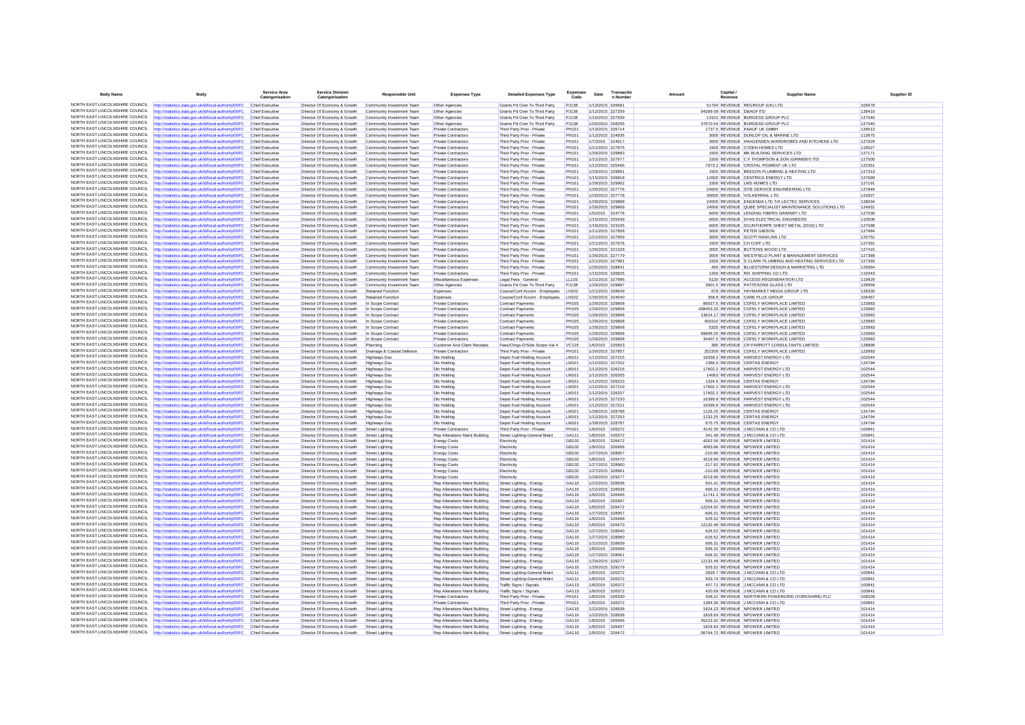| <b>Body Name</b>                                                   | <b>Body</b>                                                                                                    | Service Area<br>Catergorisation           | <b>Service Division</b><br>Catergorisation                   | <b>Responsible Unit</b>                                | <b>Expenses Type</b>                                             | <b>Detailed Expenses Type</b>                                  | <b>Expenses</b><br>Code | Date     | Transactio<br>n Number               | Capital.<br>Amount<br>Revenue    | <b>Supplier Name</b>                                                                     | Supplier ID      |
|--------------------------------------------------------------------|----------------------------------------------------------------------------------------------------------------|-------------------------------------------|--------------------------------------------------------------|--------------------------------------------------------|------------------------------------------------------------------|----------------------------------------------------------------|-------------------------|----------|--------------------------------------|----------------------------------|------------------------------------------------------------------------------------------|------------------|
|                                                                    | NORTH EAST LINCOLNSHIRE COUNCIL http://statistics.data.gov.uk/id/local-authority/00FC                          | Chief Executive                           | Director Of Economy & Growth                                 | Community Investment Team                              | Other Agencies                                                   | Grants Pd Over To Third Party                                  | <b>PJ138</b>            |          | 1/13/2015 326681                     |                                  | 51794 REVENUE REGROUP (UK) LTD                                                           | 105678           |
| NORTH FAST LINCOLNSHIRE COUNCIL.                                   | ttp://statistics.data.gov.uk/id/local-authority/00FC                                                           | <b>Chief Executive</b>                    | Director Of Economy & Growth                                 | nunity Investment Team                                 | Other Agencies                                                   | Grants Pd Over To Third Party                                  | PJ138                   |          | 1/12/2015 327259                     | 94289.08 REVENUE D&AGF ITD       |                                                                                          | 128410           |
| NORTH EAST LINCOLNSHIRE COUNCIL                                    | http://statistics.data.gov.uk/id/local-authority/00FC                                                          | Chief Executive                           | Director Of Economy & Growth                                 | Community Investment Team                              | Other Agencies                                                   | Grants Pd Over To Third Party                                  | PJ138                   |          | 1/16/2015 327939                     |                                  | 13101 REVENUE BURGESS GROUP PLO                                                          | 127540           |
| NORTH EAST LINCOLNSHIRE COUNCIL                                    | http://statistics.data.gov.uk/id/local-authority/00FC                                                          | Chief Executive                           | Director Of Economy & Growth                                 | Community Investment Team                              | Other Agencies                                                   | Grants Pd Over To Third Party                                  | PJ138                   |          | 1/26/2015 328255                     |                                  | 37670.54 REVENUE BURGESS GROUP PLC                                                       | 127540           |
| NORTH EAST LINCOLNSHIRE COUNCIL                                    | http://statistics.data.gov.uk/id/local-authority/00FC                                                          | Chief Executive                           | Director Of Economy & Growth                                 | Community Investment Tean                              | Private Contractor                                               | Third Party Prov - Private                                     | PH101                   |          | 1/13/2015 326714                     |                                  | 1737.5 REVENUE KNAUF UK GMBH                                                             | 126613           |
| NORTH EAST LINCOLNSHIRE COUNCIL                                    | http://statistics.data.gov.uk/id/local-authority/00FC                                                          | Chief Executive                           | Director Of Economy & Growth                                 | Community Investment Team                              | Private Contractors                                              | Third Party Prov - Private                                     | PH101                   |          | 1/12/2015 324936                     |                                  | 3000 REVENUE DUNLOP OIL & MARINE LTD                                                     | 113675           |
| NORTH EAST LINCOLNSHIRE COUNCIL<br>NORTH EAST LINCOLNSHIRE COUNCIL | http://statistics.data.gov.uk/id/local-authority/00FC                                                          | Chief Executive                           | Director Of Economy & Growth                                 | Community Investment Team                              | <b>Private Contractors</b>                                       | Third Party Prov - Private                                     | PH101                   |          | 1/7/2015 324617                      |                                  | 3000 REVENUE HAAGENSEN WARDROBES AND KITCHENS LTD                                        | 127029           |
| NORTH FAST LINCOLNSHIRE COUNCIL                                    | http://statistics.data.gov.uk/id/local-authority/00FC                                                          | Chief Executive                           | Director Of Economy & Growth                                 | Community Investment Tean                              | <b>Private Contractors</b>                                       | Third Party Prov - Private                                     | PH101                   |          | 1/21/2015 327975                     |                                  | 1500 REVENUE CYDEN HOMES LTD                                                             | 116527           |
| NORTH EAST LINCOLNSHIRE COUNCIL                                    | http://statistics.data.gov.uk/id/local-authority/00FC<br>http://statistics.data.gov.uk/id/local-authority/00FC | Chief Executive<br>Chief Executive        | Director Of Economy & Growth<br>Director Of Economy & Growth | Community Investment Team<br>Community Investment Team | Private Contractors<br><b>Private Contractors</b>                | Third Party Prov - Private<br>Third Party Prov - Private       | PH101<br>PH101          |          | 1/29/2015 329883<br>1/21/2015 327977 |                                  | 1500 REVENUE MK BUILDING SERVICES LTD<br>1500 REVENUE C F THOMPSON & SON (GRIMSBY) ITD   | 127171<br>127505 |
| NORTH EAST LINCOLNSHIRE COUNCIL                                    | http://statistics.data.gov.uk/id/local-authority/00FC                                                          | Chief Executive                           | Director Of Economy & Growth                                 | Community Investment Team                              | Private Contractors                                              | Third Party Prov - Private                                     | PH101                   |          | 1/12/2015 325466                     |                                  | 7973.2 REVENUE CRISTAL PIGMENT UK LTD                                                    | 122351           |
| NORTH EAST LINCOLNSHIRE COUNCIL                                    | http://statistics.data.gov.uk/id/local-authority/00FC                                                          | Chief Executive                           | Director Of Economy & Growth                                 | Community Investment Team                              | Private Contractors                                              | Third Party Prov - Private                                     | PH101                   |          | 1/29/2015 329891                     |                                  | 1500 REVENUE BEESON PLUMBING & HEATING LTD                                               | 127313           |
| NORTH EAST LINCOLNSHIRE COUNCIL                                    | ttp://statistics.data.gov.uk/id/local-authority/00FC                                                           | Chief Executive                           | Director Of Economy & Growth                                 | Community Investment Team                              | Private Contractors                                              | Third Party Prov - Private                                     | PH101                   |          | 1/15/2015 326818                     |                                  | 12000 REVENUE CENTRICA ENERGY LTD                                                        | 127699           |
| NORTH EAST LINCOLNSHIRE COUNCIL                                    | http://statistics.data.gov.uk/id/local-authority/00FC                                                          | Chief Executive                           | Director Of Economy & Growth                                 | Community Investment Team                              | <b>Private Contractors</b>                                       | Third Party Prov - Private                                     | PH101                   |          | 1/29/2015 329902                     |                                  | 1500 REVENUE LMS HOMES LTD                                                               | 127191           |
| NORTH EAST LINCOLNSHIRE COUNCIL                                    | http://statistics.data.gov.uk/id/local-authority/00FC                                                          | Chief Executive                           | Director Of Economy & Growth                                 | Community Investment Team                              | <b>Private Contractors</b>                                       | Third Party Prov - Private                                     | <b>PH101</b>            |          | 1/26/2015 327776                     |                                  | 24000 REVENUE SITE SERVICE ENGINEERING LTD                                               | 127849           |
| NORTH EAST LINCOLNSHIRE COUNCIL                                    | http://statistics.data.gov.uk/id/local-authority/00FC                                                          | Chief Executive                           | Director Of Economy & Growth                                 | Community Investment Team                              | <b>Private Contractors</b>                                       | Third Party Prov - Private                                     | PH101                   |          | 1/26/2015 327778                     |                                  | 30000 REVENUE VOLKERRAIL LTD                                                             | 122927           |
| NORTH EAST LINCOLNSHIRE COUNCIL                                    | http://statistics.data.gov.uk/id/local-authority/00FC                                                          | Chief Executive                           | Director Of Economy & Growth                                 | Community Investment Team                              | <b>Private Contractors</b>                                       | Third Party Prov - Private                                     | PH101                   |          | 1/29/2015 329868                     |                                  | 24000 REVENUE ENGENDA LTD T/A LECTEC SERVICES                                            | 128034           |
| NORTH EAST LINCOLNSHIRE COUNCIL<br>NORTH EAST LINCOLNSHIRE COUNCIL | http://statistics.data.gov.uk/id/local-authority/00FC                                                          | Chief Executive                           | Director Of Economy & Growth                                 | Community Investment Team                              | Private Contractors                                              | Third Party Prov - Private                                     | PH101                   |          | 1/29/2015 329869                     |                                  | 24000 REVENUE QUBE SPECIALIST MAINTENANCE SOLUTIONS LTD                                  | 124931           |
| NORTH EAST LINCOLNSHIRE COUNCIL                                    | http://statistics.data.gov.uk/id/local-authority/00FC                                                          | Chief Executiv                            | Director Of Economy & Growth                                 | nunity Investment Tean                                 | Private Contractors                                              | Third Party Prov - Private                                     | PH101                   |          | 1/5/2015 324776                      |                                  | 6000 REVENUE LENZING FIBERS GRIMSBY LTD                                                  | 127539           |
| NORTH EAST LINCOLNSHIRE COUNCIL                                    | http://statistics.data.gov.uk/id/local-authority/00FC<br>http://statistics.data.gov.uk/id/local-authority/00FC | Chief Executive<br>Chief Executive        | Director Of Economy & Growth<br>Director Of Economy & Growth | Community Investment Team<br>Community Investment Team | Private Contractors<br><b>Private Contractors</b>                | Third Party Prov - Private<br>Third Party Prov - Private       | PH101<br>PH101          |          | 1/15/2015 325439<br>1/16/2015 323105 |                                  | 6000 REVENUE DYAS ELECTRICAL ENGINEERS<br>6000 REVENUE SCUNTHORPE SHEET METAL (2010) LTD | 110508<br>127588 |
| NORTH EAST LINCOLNSHIRE COUNCIL                                    | http://statistics.data.gov.uk/id/local-authority/00FC                                                          | <b>Chief Executive</b>                    | Director Of Economy & Growth                                 | Community Investment Tean                              | Private Contractors                                              | Third Party Prov - Private                                     | PH101                   |          | 1/21/2015 327958                     |                                  | 3000 REVENUE PETER GIBSON                                                                | 127984           |
| NORTH EAST LINCOLNSHIRE COUNCIL                                    | http://statistics.data.gov.uk/id/local-authority/00FC                                                          | Chief Executive                           | Director Of Economy & Growth                                 | Community Investment Team                              | <b>Private Contractors</b>                                       | Third Party Prov - Private                                     | <b>PH101</b>            |          | 1/21/2015 327959                     |                                  | 3000 REVENUE SCOTT RAWLINS LTD                                                           | 125752           |
| NORTH EAST LINCOLNSHIRE COUNCIL                                    | http://statistics.data.gov.uk/id/local-authority/00FC                                                          | Chief Executive                           | Director Of Economy & Growth                                 | Community Investment Team                              | <b>Private Contractors</b>                                       | Third Party Prov - Private                                     | PH101                   |          | 1/21/2015 327976                     | 1500 REVENUE CH CUFF LTD         |                                                                                          | 127391           |
| NORTH EAST LINCOLNSHIRE COUNCIL                                    | http://statistics.data.gov.uk/id/local-authority/00FC                                                          | <b>Chief Executive</b>                    | Director Of Economy & Growth                                 | Community Investment Team                              | Private Contractors                                              | Third Party Prov - Private                                     | PH101                   |          | 1/26/2015 321328                     |                                  | 3000 REVENUE BUTTONS WOOD LTD                                                            | 127415           |
| NORTH EAST LINCOLNSHIRE COUNCIL                                    | http://statistics.data.gov.uk/id/local-authority/00FC                                                          | Chief Executive                           | Director Of Economy & Growth                                 | Community Investment Team                              | Private Contractors                                              | Third Party Prov - Private                                     | PH101                   |          | 1/26/2015 327779                     |                                  | 3000 REVENUE WESTFIELD PLANT & MANAGEMENT SERVICES                                       | 127389           |
| NORTH EAST LINCOLNSHIRE COUNCIL                                    | http://statistics.data.gov.uk/id/local-authority/00FC                                                          | Chief Executive                           | Director Of Economy & Growth                                 | Community Investment Team                              | <b>Private Contractors</b>                                       | Third Party Prov - Private                                     | PH101                   |          | 1/21/2015 327981                     |                                  | 1500 REVENUE S CLARK PLUMBING AND HEATING SERVICES LTD                                   | 127393           |
| NORTH EAST LINCOLNSHIRE COUNCIL                                    | http://statistics.data.gov.uk/id/local-authority/00FC                                                          | Chief Executive                           | Director Of Economy & Growth                                 | Community Investment Team                              | <b>Private Contractors</b>                                       | Third Party Prov - Private                                     | PH101                   |          | 1/26/2015 328841                     |                                  | 450 REVENUE BLUESTORM DESIGN & MARKETING LTD                                             | 125864           |
| NORTH EAST LINCOLNSHIRE COUNCIL                                    | http://statistics.data.gov.uk/id/local-authority/00FC                                                          | Chief Executive                           | Director Of Economy & Growth                                 | Community Investment Tean                              | Private Contractors                                              | Third Party Prov - Private                                     | PH101                   |          | 1/15/2015 326825                     |                                  | 1200 REVENUE RIX SHIPPING CO LTD                                                         | 119343           |
| NORTH EAST LINCOLNSHIRE COUNCIL<br>NORTH EAST LINCOLNSHIRE COUNCIL | http://statistics.data.gov.uk/id/local-authority/00FC                                                          | Chief Executive                           | Director Of Economy & Growth                                 | Community Investment Team                              | Miscellaneous Expenses                                           | Legal Fees - General                                           | LL103                   |          | 1/21/2015 327996                     |                                  | 5130 REVENUE ACCESS REGENERATION LTD                                                     | 119929           |
| NORTH EAST LINCOLNSHIRE COUNCIL                                    | http://statistics.data.gov.uk/id/local-authority/00FC                                                          | Chief Executive                           | Director Of Economy & Growth                                 | Community Investment Team                              | Other Agencies                                                   | Grants Pd Over To Third Party                                  | P.1138                  |          | 1/29/2015 329887                     |                                  | 3901 5 REVENUE PATTESONS GLASS LTD                                                       | 128959           |
| NORTH FAST LINCOLNSHIRE COUNCIL                                    | http://statistics.data.gov.uk/id/local-authority/00FC<br>ttp://statistics.data.gov.uk/id/local-authority/00FC  | Chief Executive<br>Chief Executive        | Director Of Economy & Growth<br>Director Of Economy & Growth | Retained Function                                      | Expenses                                                         | Course/Conf Accom - Employees<br>Course/Conf Accom - Employees | LH102<br>LH102          |          | 1/21/2015 328649<br>1/26/2015 324540 |                                  | 678 REVENUE HAYMARKET MEDIA GROUP LTD<br>358.8 REVENUE CARE PLUS GROUP                   | 128330<br>106467 |
| NORTH EAST LINCOLNSHIRE COUNCIL                                    | http://statistics.data.gov.uk/id/local-authority/00FC                                                          | Chief Executive                           | Director Of Economy & Growth                                 | <b>Retained Function</b><br>In Scope Contract          | Expenses<br><b>Private Contractors</b>                           | <b>Contract Payments</b>                                       | PH105                   |          | 1/29/2015 329808                     |                                  | 86927.5 REVENUE COFELY WORKPLACE LIMITED                                                 | 123983           |
| NORTH EAST LINCOLNSHIRE COUNCIL                                    | http://statistics.data.gov.uk/id/local-authority/00FC                                                          | Chief Executive                           | Director Of Economy & Growth                                 | In Scope Contract                                      | <b>Private Contractors</b>                                       | <b>Contract Payments</b>                                       | <b>PH105</b>            |          | 1/29/2015 329808                     |                                  | 288453.33 REVENUE COFELY WORKPLACE LIMITED                                               | 123983           |
| NORTH EAST LINCOLNSHIRE COUNCIL                                    | http://statistics.data.gov.uk/id/local-authority/00F0                                                          | Chief Executive                           | Director Of Economy & Growth                                 | In Scope Contrac                                       | Private Contractors                                              | <b>Contract Payments</b>                                       | PH105                   |          | 1/29/2015 329808                     |                                  | 13624.17 REVENUE COFELY WORKPLACE LIMITED                                                | 123983           |
| NORTH EAST LINCOLNSHIRE COUNCIL                                    | http://statistics.data.gov.uk/id/local-authority/00FC                                                          | Chief Executive                           | Director Of Economy & Growth                                 | In Scope Contract                                      | Private Contractors                                              | <b>Contract Payments</b>                                       | PH105                   |          | 1/29/2015 329808                     |                                  | 459310 REVENUE COFELY WORKPLACE LIMITED                                                  | 123983           |
| NORTH EAST LINCOLNSHIRE COUNCIL                                    | http://statistics.data.gov.uk/id/local-authority/00FC                                                          | Chief Executive                           | Director Of Economy & Growth                                 | In Scope Contract                                      | <b>Private Contractors</b>                                       | <b>Contract Payments</b>                                       | PH105                   |          | 1/29/2015 329808                     |                                  | 5325 REVENUE COFELY WORKPLACE LIMITED                                                    | 123983           |
| NORTH EAST LINCOLNSHIRE COUNCIL                                    | http://statistics.data.gov.uk/id/local-authority/00FC                                                          | Chief Executive                           | Director Of Economy & Growth                                 | In Scope Contract                                      | <b>Private Contractors</b>                                       | <b>Contract Payments</b>                                       | PH105                   |          | 1/29/2015 329808                     |                                  | 69896.25 REVENUE COFELY WORKPLACE LIMITED                                                | 123983           |
| NORTH FAST LINCOLNSHIRE COUNCIL                                    | http://statistics.data.gov.uk/id/local-authority/00FC                                                          | Chief Executive                           | Director Of Economy & Growth                                 | In Scope Contract                                      | Private Contractors                                              | Contract Payments                                              | PH105                   |          | 1/29/2015 329808                     |                                  | 34407.5 REVENUE COFELY WORKPLACE LIMITED                                                 | 123983           |
| NORTH EAST LINCOLNSHIRE COUNCIL                                    | http://statistics.data.gov.uk/id/local-authority/00FC                                                          | Chief Executive                           | Director Of Economy & Growth                                 | Planning                                               | <b>Customer And Client Receipts</b>                              | Fees/Chros-O/Side Scope Vat 4                                  | VC125                   |          | 1/6/2015 325653                      |                                  | 385 REVENUE CR PARROTT CONSULTANTS LIMITED                                               | 128899           |
| NORTH EAST LINCOLNSHIRE COUNCIL                                    | http://statistics.data.gov.uk/id/local-authority/00FC                                                          | Chief Executive                           | Director Of Economy & Growth                                 | Drainage & Coastal Defence                             | Private Contractors                                              | Third Party Prov - Private                                     | PH101                   |          | 1/20/2015 327857                     |                                  | 252200 REVENUE COFELY WORKPLACE LIMITED                                                  | 123983           |
| NORTH EAST LINCOLNSHIRE COUNCIL                                    | http://statistics.data.gov.uk/id/local-authority/00FC                                                          | Chief Executive                           | Director Of Economy & Growth                                 | Highways Dso                                           | Dlo Holding                                                      | Depot Fuel Holding Account                                     | LM101                   |          | 1/12/2015 327215                     |                                  | 18358.2 REVENUE HARVEST ENERGY LTD                                                       | 102544           |
| NORTH EAST LINCOLNSHIRE COUNCIL<br>NORTH EAST LINCOLNSHIRE COUNCIL | ttp://statistics.data.gov.uk/id/local-authority/00FC                                                           | Chief Executive                           | Director Of Economy & Growth                                 | <b>Highways Dsg</b>                                    | Dlo Holding                                                      | Depot Fuel Holding Account                                     | LM101                   |          | 1/12/2015 327252                     |                                  | 1366.5 REVENUE CERTAS ENERGY                                                             | 124794           |
| NORTH EAST LINCOLNSHIRE COUNCIL                                    | http://statistics.data.gov.uk/id/local-authority/00FC                                                          | Chief Executive                           | Director Of Economy & Growth                                 | <b>Highways Dsg</b>                                    | Dio Holding                                                      | Depot Fuel Holding Account                                     | LM101                   |          | 1/12/2015 326216                     |                                  | 17602.2 REVENUE HARVEST ENERGY LTD                                                       | 102544           |
| NORTH EAST LINCOLNSHIRE COUNCIL                                    | http://statistics.data.gov.uk/id/local-authority/00FC<br>http://statistics.data.gov.uk/id/local-authority/00FC | Chief Executive<br>Chief Executive        | Director Of Economy & Growth<br>Director Of Economy & Growth | <b>Highways Dsg</b><br><b>Highways Dsg</b>             | Dio Holding<br>Dio Holding                                       | Depot Fuel Holding Account<br>Depot Fuel Holding Account       | LM101<br>LM101          |          | 1/12/2015 326205<br>1/12/2015 326223 |                                  | 14063 REVENUE HARVEST ENERGY LTD<br>1324.5 REVENUE CERTAS ENERGY                         | 102544<br>124794 |
| NORTH EAST LINCOLNSHIRE COUNCIL                                    | http://statistics.data.gov.uk/id/local-authority/00FC                                                          | Chief Executive                           | Director Of Economy & Growth                                 | <b>Highways Dsg</b>                                    | Dio Holding                                                      | Depot Fuel Holding Account                                     | LM101                   |          | 1/12/2015 327219                     |                                  | 17602.2 REVENUE HARVEST ENERGY LTD                                                       | 102544           |
| NORTH EAST LINCOLNSHIRE COUNCIL                                    | http://statistics.data.gov.uk/id/local-authority/00FC                                                          | Chief Executive                           | Director Of Economy & Growth                                 | <b>Highways Dsg</b>                                    | Dlo Holding                                                      | Depot Fuel Holding Account                                     | LM101                   |          | 1/12/2015 326207                     |                                  | 17602.2 REVENUE HARVEST ENERGY LTD                                                       | 102544           |
| NORTH EAST LINCOLNSHIRE COUNCIL                                    | http://statistics.data.gov.uk/id/local-authority/00FC                                                          | Chief Executive                           | Director Of Economy & Growth                                 | <b>Highways Dso</b>                                    | Dlo Holding                                                      | Depot Fuel Holding Account                                     | LM101                   |          | 1/12/2015 327220                     |                                  | 16399.8 REVENUE HARVEST ENERGY LTD                                                       | 102544           |
| NORTH EAST LINCOLNSHIRE COUNCIL                                    | http://statistics.data.gov.uk/id/local-authority/00FC                                                          | Chief Executive                           | Director Of Economy & Growth                                 | <b>Highways Dso</b>                                    | Dlo Holding                                                      | Depot Fuel Holding Account                                     | LM101                   |          | 1/12/2015 327221                     |                                  | 16399.8 REVENUE HARVEST ENERGY LTD                                                       | 102544           |
| NORTH EAST LINCOLNSHIRE COUNCIL                                    | http://statistics.data.gov.uk/id/local-authority/00FC                                                          | Chief Executive                           | Director Of Economy & Growth                                 | <b>Highways Dsg</b>                                    | Dio Holding                                                      | Depot Fuel Holding Account                                     | LM101                   |          | 1/28/2015 328788                     |                                  | 1126.25 REVENUE CERTAS ENERGY                                                            | 124794           |
| NORTH EAST LINCOLNSHIRE COUNCIL                                    | http://statistics.data.gov.uk/id/local-authority/00FC                                                          | Chief Executive                           | Director Of Economy & Growth                                 | <b>Highways Dso</b>                                    | Dlo Holding                                                      | Depot Fuel Holding Account                                     | LM101                   |          | 1/12/2015 327253                     |                                  | 1232.25 REVENUE CERTAS ENERGY                                                            | 124794           |
| NORTH EAST LINCOLNSHIRE COUNCIL                                    | http://statistics.data.gov.uk/id/local-authority/00FC                                                          | Chief Executive                           | Director Of Economy & Growth                                 | <b>Highways Dso</b>                                    | Dio Holding                                                      | Depot Fuel Holding Account                                     | LM101                   |          | 1/28/2015 328787                     |                                  | 675.75 REVENUE CERTAS ENERGY                                                             | 124794           |
| NORTH EAST LINCOLNSHIRE COUNCIL<br>NORTH EAST LINCOLNSHIRE COUNCIL | http://statistics.data.gov.uk/id/local-authority/00FC                                                          | Chief Executive                           | Director Of Economy & Growth                                 | Street Lighting                                        | <b>Private Contractors</b>                                       | Third Party Prov - Private                                     | PH101                   |          | 1/8/2015 326372                      |                                  | 4142.35 REVENUE J MCCANN & CO LTD                                                        | 100841           |
| NORTH EAST LINCOLNSHIRE COUNCIL                                    | http://statistics.data.gov.uk/id/local-authority/00FC                                                          | Chief Executive                           | Director Of Economy & Growth                                 | Street Lighting                                        | Rep Alterations Maint Building                                   | Street Lighting-General Maint                                  | GA111                   |          | 1/8/2015 326372                      |                                  | 341.49 REVENUE J MCCANN & CO LTD                                                         | 100841           |
| NORTH EAST LINCOLNSHIRE COUNCIL                                    | http://statistics.data.gov.uk/id/local-authority/00FC<br>http://statistics.data.gov.uk/id/local-authority/00FC | Chief Executive<br>Chief Executive        | Director Of Economy & Growth<br>Director Of Economy & Growth | <b>Street Lighting</b><br>Street Lighting              | <b>Energy Costs</b><br><b>Energy Costs</b>                       | Electricity<br>Electricity                                     | GB102<br>GB102          |          | 1/8/2015 326472<br>1/8/2015 326466   |                                  | -4262.56 REVENUE NPOWER LIMITED<br>4083.86 REVENUE NPOWER LIMITED                        | 101414<br>101414 |
| NORTH EAST LINCOLNSHIRE COUNCIL                                    | http://statistics.data.gov.uk/id/local-authority/00FC                                                          | Chief Executive                           | Director Of Economy & Growth                                 | Street Lighting                                        | <b>Energy Costs</b>                                              | Flectricity                                                    | GR102                   |          | 1/27/2015 328957                     |                                  | -210 89 REVENUE NPOWER LIMITED                                                           | 101414           |
| NORTH EAST LINCOLNSHIRE COUNCIL                                    | http://statistics.data.gov.uk/id/local-authority/00FC                                                          | Chief Executive                           | Director Of Economy & Growth                                 | Street Lighting                                        | <b>Energy Costs</b>                                              | Electricity                                                    | GB102                   |          | 1/8/2015 326470                      |                                  | 4219.99 REVENUE NPOWER LIMITED                                                           | 101414           |
| NORTH EAST LINCOLNSHIRE COUNCIL                                    | ttp://statistics.data.gov.uk/id/local-authority/00FC                                                           | Chief Executive                           | Director Of Economy & Growth                                 | Street Lighting                                        | <b>Energy Costs</b>                                              | Electricity                                                    | GB102                   |          | 1/27/2015 328960                     |                                  | -217.92 REVENUE NPOWER LIMITED                                                           | 101414           |
| NORTH EAST LINCOLNSHIRE COUNCIL                                    | http://statistics.data.gov.uk/id/local-authority/00FC                                                          | Chief Executive                           | Director Of Economy & Growth                                 | Street Lighting                                        | <b>Energy Costs</b>                                              | Flectricity                                                    | GB102                   |          | 1/27/2015 328961                     |                                  | -210 89 REVENUE NPOWER LIMITED                                                           | 101414           |
| NORTH EAST LINCOLNSHIRE COUNCIL                                    | http://statistics.data.gov.uk/id/local-authority/00FC                                                          | Chief Executive                           | Director Of Economy & Growth                                 | <b>Street Lighting</b>                                 | <b>Energy Costs</b>                                              | Electricity                                                    | GB102                   |          | 1/29/2015 329277                     |                                  | 4219.99 REVENUE NPOWER LIMITED                                                           | 101414           |
| NORTH FAST LINCOLNSHIRE COUNCIL                                    | ttp://statistics.data.gov.uk/id/local-authority/00FC                                                           | Chief Executive                           | Director Of Economy & Growth                                 | Street Lighting                                        | Rep Alterations Maint Building                                   | Street Lighting - Energy                                       | GA110                   |          | 1/22/2015 328936                     |                                  | 641.41 REVENUE NPOWER LIMITED                                                            | 101414           |
| NORTH EAST LINCOLNSHIRE COUNCIL                                    | http://statistics.data.gov.uk/id/local-authority/00FC                                                          | Chief Executive                           | Director Of Economy & Growth                                 | Street Lighting                                        | Rep Alterations Maint Building                                   | Street Lighting - Energy                                       | GA110                   |          | 1/22/2015 328938                     |                                  | 606.31 REVENUE NPOWER LIMITED                                                            | 101414           |
| NORTH EAST LINCOLNSHIRE COUNCIL<br>NORTH EAST LINCOLNSHIRE COUNCIL | http://statistics.data.gov.uk/id/local-authority/00FC                                                          | Chief Executive                           | Director Of Economy & Growth                                 | Street Lighting                                        | Ren Alterations Maint Building                                   | Street Lighting - Energy                                       | GA110                   |          | 1/8/2015 326466                      |                                  | 11741 1 REVENUE NPOWER LIMITED                                                           | 101414           |
| NORTH EAST LINCOLNSHIRE COUNCIL                                    | http://statistics.data.gov.uk/id/local-authority/00F0                                                          | Chief Executive<br>Chief Executive        | Director Of Economy & Growth                                 | Street Lighting                                        | Rep Alterations Maint Building<br>Rep Alterations Maint Building | Street Lighting - Energy                                       | GA110<br>GA110          | 1/8/2015 | 326467<br>1/8/2015 326472            |                                  | 606.31 REVENUE NPOWER LIMITED<br>-12254.92 REVENUE NPOWER LIMITED                        | 101414<br>101414 |
| NORTH EAST LINCOLNSHIRE COUNCIL                                    | http://statistics.data.gov.uk/id/local-authority/00FC                                                          |                                           | Director Of Economy & Growth                                 | <b>Street Lighting</b>                                 |                                                                  | Street Lighting - Energy                                       | GA110                   |          |                                      |                                  | -606.31 REVENUE NPOWER LIMITED                                                           | 101414           |
| NORTH EAST LINCOLNSHIRE COUNCIL                                    | http://statistics.data.gov.uk/id/local-authority/00FC<br>http://statistics.data.gov.uk/id/local-authority/00FC | Chief Executive<br><b>Chief Executive</b> | Director Of Economy & Growth<br>Director Of Economy & Growth | Street Lighting<br><b>Street Lighting</b>              | Rep Alterations Maint Building<br>Rep Alterations Maint Building | Street Lighting - Energy<br>Street Lighting - Energy           | GA110                   |          | 1/27/2015 328957<br>1/8/2015 326468  |                                  | 626.52 REVENUE NPOWER LIMITED                                                            | 101414           |
| NORTH FAST LINCOLNSHIRE COUNCIL                                    | http://statistics.data.gov.uk/id/local-authority/00FC                                                          | Chief Executive                           | Director Of Economy & Growth                                 | Street Lighting                                        | Rep Alterations Maint Building                                   | Street Lighting - Energy                                       | GA110                   |          | 1/8/2015 326470                      |                                  | 12132.48 REVENUE NPOWER LIMITED                                                          | 101414           |
| NORTH EAST LINCOLNSHIRE COUNCIL                                    | http://statistics.data.gov.uk/id/local-authority/00FC                                                          | Chief Executive                           | Director Of Economy & Growth                                 | Street Lighting                                        | Rep Alterations Maint Building                                   | Street Lighting - Energy                                       | GA110                   |          | 1/27/2015 328940                     |                                  | 626.52 REVENUE NPOWER LIMITED                                                            | 101414           |
| NORTH EAST LINCOLNSHIRE COUNCIL                                    | http://statistics.data.gov.uk/id/local-authority/00FC                                                          | Chief Executive                           | Director Of Economy & Growth                                 | Street Lighting                                        | Rep Alterations Maint Building                                   | Street Lighting - Energy                                       | GA110                   |          | 1/27/2015 328960                     |                                  | -626.52 REVENUE NPOWER LIMITED                                                           | 101414           |
| NORTH EAST LINCOLNSHIRE COUNCIL                                    | http://statistics.data.gov.uk/id/local-authority/00FC                                                          | Chief Executive                           | Director Of Economy & Growth                                 | Street Lighting                                        | Rep Alterations Maint Building                                   | Street Lighting - Energy                                       | GA110                   |          | 1/22/2015 328939                     |                                  | 606.31 REVENUE NPOWER LIMITED                                                            | 101414           |
| NORTH EAST LINCOLNSHIRE COUNCIL                                    | ttp://statistics.data.gov.uk/id/local-authority/00FC                                                           | Chief Executive                           | Director Of Economy & Growth                                 | Street Lighting                                        | Rep Alterations Maint Building                                   | Street Lighting - Energy                                       | GA110                   |          | 1/8/2015 326469                      |                                  | 606.31 REVENUE NPOWER LIMITED                                                            | 101414           |
| NORTH EAST LINCOLNSHIRE COUNCIL                                    | http://statistics.data.gov.uk/id/local-authority/00FC                                                          | Chief Executive                           | Director Of Economy & Growth                                 | Street Lighting                                        | Rep Alterations Maint Building                                   | Street Lighting - Energy                                       | GA110                   |          | 1/27/2015 328961                     |                                  | -606.31 REVENUE NPOWER LIMITED                                                           | 101414           |
| NORTH EAST LINCOLNSHIRE COUNCIL                                    | http://statistics.data.gov.uk/id/local-authority/00FC                                                          | Chief Executive                           | Director Of Economy & Growth                                 | <b>Street Lighting</b>                                 | Rep Alterations Maint Building                                   | Street Lighting - Energy                                       | GA110                   |          | 1/29/2015 329277                     |                                  | 12132.48 REVENUE NPOWER LIMITED                                                          | 101414           |
| NORTH EAST LINCOLNSHIRE COUNCIL                                    | ttp://statistics.data.gov.uk/id/local-authority/00FC                                                           | Chief Executive                           | Director Of Economy & Growth                                 | <b>Street Lighting</b>                                 | Rep Alterations Maint Building                                   | Street Lighting - Energy                                       | GA110                   |          | 1/29/2015 329279                     |                                  | 626.52 REVENUE NPOWER LIMITED                                                            | 101414           |
| NORTH EAST LINCOLNSHIRE COUNCIL                                    | http://statistics.data.gov.uk/id/local-authority/00FC                                                          | Chief Executive                           | Director Of Economy & Growth                                 | Street Lighting                                        | Rep Alterations Maint Building                                   | Street Lighting-General Maint                                  | GA111                   |          | 1/8/2015 326372                      |                                  | 2829.7 REVENUE J MCCANN & CO LTD                                                         | 100841           |
| NORTH EAST LINCOLNSHIRE COUNCIL<br>NORTH EAST LINCOLNSHIRE COUNCIL | http://statistics.data.gov.uk/id/local-authority/00FC                                                          | Chief Executive                           | Director Of Economy & Growth                                 | Street Lighting                                        | Rep Alterations Maint Building                                   | Street Lighting-General Maint                                  | GA111                   |          | 1/8/2015 326372                      |                                  | 933.74 REVENUE J MCCANN & CO LTD                                                         | 100841           |
| NORTH EAST LINCOLNSHIRE COUNCIL                                    | http://statistics.data.gov.uk/id/local-authority/00FC<br>http://statistics.data.gov.uk/id/local-authority/00FC | Chief Executive<br>Chief Executive        | Director Of Economy & Growth<br>Director Of Economy & Growth | Street Lighting<br><b>Street Lighting</b>              | Rep Alterations Maint Building<br>Rep Alterations Maint Building | Traffic Signs / Signals<br>Traffic Signs / Signals             | GA113<br>GA113          | 1/8/2015 | 326372<br>1/8/2015 326372            |                                  | 407.71 REVENUE J MCCANN & CO LTD<br>420.69 REVENUE J MCCANN & CO LTD                     | 100841<br>100841 |
| NORTH EAST LINCOLNSHIRE COUNCIL                                    | http://statistics.data.gov.uk/id/local-authority/00FC                                                          | Chief Executive                           | Director Of Economy & Growth                                 | Street Lighting                                        | <b>Private Contractors</b>                                       | Third Party Prov - Private                                     | PH101                   |          | 1/8/2015 326330                      |                                  | 348.21 REVENUE NORTHERN POWERGRID (YORKSHIRE) PLC                                        | 108328           |
| NORTH EAST LINCOLNSHIRE COUNCIL                                    | http://statistics.data.gov.uk/id/local-authority/00FC                                                          | <b>Chief Executive</b>                    | Director Of Economy & Growth                                 | Street Lighting                                        | Private Contractors                                              | Third Party Prov - Private                                     | PH101                   | 1/8/2015 | 326372                               |                                  | 1384.36 REVENUE J MCCANN & CO LTD                                                        | 100841           |
| NORTH EAST LINCOLNSHIRE COUNCIL                                    | http://statistics.data.gov.uk/id/local-authority/00FC                                                          | Chief Executive                           | Director Of Economy & Growth                                 | Street Lighting                                        | Rep Alterations Maint Building                                   | Street Lighting - Energy                                       | GA110                   |          | 1/22/2015 328936                     |                                  | 1924.23 REVENUE NPOWER LIMITED                                                           | 101414           |
| NORTH EAST LINCOLNSHIRE COUNCIL                                    | http://statistics.data.gov.uk/id/local-authority/00FC                                                          | Chief Executive                           | Director Of Economy & Growth                                 | <b>Street Lighting</b>                                 | Rep Alterations Maint Building                                   | Street Lighting - Energy                                       | GA110                   |          | 1/22/2015 328938                     |                                  | 1818.93 REVENUE NPOWER LIMITED                                                           | 101414           |
| NORTH EAST LINCOLNSHIRE COUNCIL                                    | http://statistics.data.gov.uk/id/local-authority/00FC                                                          | Chief Executive                           | Director Of Economy & Growth                                 | Street Lighting                                        | Rep Alterations Maint Building                                   | Street Lighting - Energy                                       | GA110                   |          | 1/8/2015 326466                      |                                  | 35223.32 REVENUE NPOWER LIMITED                                                          | 101414           |
| NORTH EAST LINCOLNSHIRE COUNCIL                                    | http://statistics.data.gov.uk/id/local-authority/00FC                                                          | Chief Executive                           | Director Of Economy & Growth                                 | Street Lighting                                        | Rep Alterations Maint Building                                   | Street Lighting - Energy                                       | GA110                   |          | 1/8/2015 326467                      |                                  | 1818.93 REVENUE NPOWER LIMITED                                                           | 101414           |
| NORTH EAST LINCOLNSHIRE COUNCIL                                    | http://statistics.data.gov.uk/id/local-authority/00FC                                                          | Chief Executive                           | Director Of Economy & Growth                                 | Street Lighting                                        | Rep Alterations Maint Building                                   | Street Lighting - Energy                                       | GA110                   | 1/8/2015 | 326472                               | -36764.72 REVENUE NPOWER LIMITED |                                                                                          | 101414           |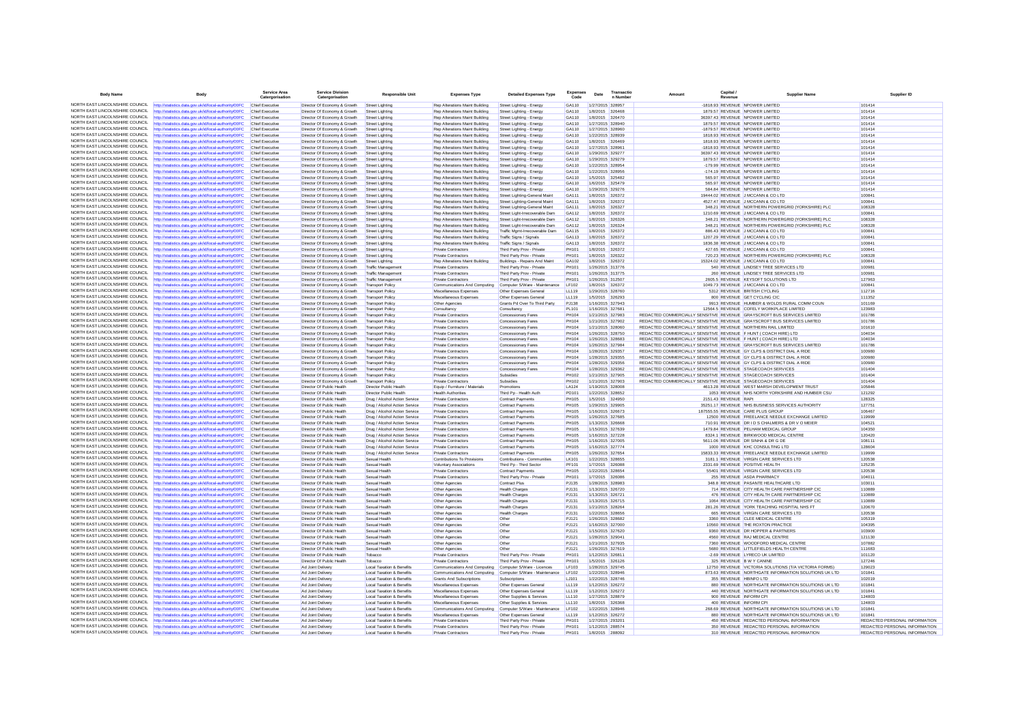| <b>Body Name</b>                                                   | Body                                                                                                           | Service Area<br>Catergorisation    | <b>Service Division</b><br>Catergorisation                   | Responsible Unit                                                  | <b>Expenses Type</b>                                             | <b>Detailed Expenses Type</b>                                 | Expense<br>Code       | Date                                 | Transactio<br>n Number | Amoun                                                                                                                                            | Capital<br>Revenue   | <b>Supplier Name</b>                                                                                                | Supplier ID                             |
|--------------------------------------------------------------------|----------------------------------------------------------------------------------------------------------------|------------------------------------|--------------------------------------------------------------|-------------------------------------------------------------------|------------------------------------------------------------------|---------------------------------------------------------------|-----------------------|--------------------------------------|------------------------|--------------------------------------------------------------------------------------------------------------------------------------------------|----------------------|---------------------------------------------------------------------------------------------------------------------|-----------------------------------------|
| NORTH FAST LINCOLNSHIRE COLINCIL                                   | http://statistics.data.gov.uk/id/local-authority/00FC                                                          | Chief Executive                    | Director Of Economy & Growth                                 | Street Lighting                                                   | Rep Alterations Maint Building                                   | Street Lighting - Energy                                      | GA110                 | 1/27/2015 328957                     |                        |                                                                                                                                                  |                      | -1818.93 REVENUE NPOWER LIMITED                                                                                     | 101414                                  |
| NORTH EAST LINCOLNSHIRE COUNCIL                                    | http://statistics.data.gov.uk/id/local-authority/00FC                                                          | Chief Executive                    | Director Of Economy & Growth                                 | Street Lighting                                                   | Rep Alterations Maint Building                                   | Street Lighting - Energy                                      | GA110                 | 1/8/2015 326468                      |                        |                                                                                                                                                  |                      | 1879.57 REVENUE NPOWER LIMITED                                                                                      | 101414                                  |
| NORTH EAST LINCOLNSHIRE COUNCIL<br>NORTH EAST LINCOLNSHIRE COUNCIL | http://statistics.data.gov.uk/id/local-authority/00FC                                                          | Chief Executive                    | Director Of Economy & Growth                                 | Street Lighting                                                   | Rep Alterations Maint Building                                   | Street Lighting - Energy                                      | GA110<br>GA110        | 1/8/2015 326470                      |                        |                                                                                                                                                  |                      | 36397 43 REVENUE NPOWER LIMITED<br>1879.57 REVENUE NPOWER LIMITED                                                   | 101414<br>101414                        |
| NORTH FAST LINCOLNSHIRE COUNCIL                                    | http://statistics.data.gov.uk/id/local-authority/00FC<br>ttp://statistics.data.gov.uk/id/local-authority/00FC  | Chief Executive<br>Chief Executive | Director Of Economy & Growth<br>Director Of Economy & Growth | Street Lighting<br><b>Street Lighting</b>                         | Rep Alterations Maint Building<br>Rep Alterations Maint Building | Street Lighting - Energy<br>Street Lighting - Energy          | GA110                 | 1/27/2015 328940<br>1/27/2015 328960 |                        |                                                                                                                                                  |                      | -1879.57 REVENUE NPOWER LIMITED                                                                                     | 101414                                  |
| NORTH EAST LINCOLNSHIRE COUNCIL                                    | http://statistics.data.gov.uk/id/local-authority/00FC                                                          | Chief Executive                    | Director Of Economy & Growth                                 | Street Lighting                                                   | Rep Alterations Maint Building                                   | Street Lighting - Energy                                      | GA110                 | 1/22/2015 328939                     |                        |                                                                                                                                                  |                      | 1818.93 REVENUE NPOWER LIMITED                                                                                      | 101414                                  |
| NORTH EAST LINCOLNSHIRE COUNCIL                                    | http://statistics.data.gov.uk/id/local-authority/00FC                                                          | Chief Executive                    | Director Of Economy & Growth                                 | Street Lighting                                                   | Rep Alterations Maint Building                                   | Street Lighting - Energy                                      | GA110                 | 1/8/2015 326469                      |                        |                                                                                                                                                  |                      | 1818.93 REVENUE NPOWER LIMITED                                                                                      | 101414                                  |
| NORTH EAST LINCOLNSHIRE COUNCIL                                    | ttp://statistics.data.gov.uk/id/local-authority/00FC                                                           | Chief Executive                    | Director Of Economy & Growth                                 | Street Lighting                                                   | Rep Alterations Maint Building                                   | Street Lighting - Energy                                      | GA110                 | 1/27/2015 328961                     |                        |                                                                                                                                                  |                      | -1818.93 REVENUE NPOWER LIMITED                                                                                     | 101414                                  |
| NORTH EAST LINCOLNSHIRE COUNCIL<br>NORTH EAST LINCOLNSHIRE COUNCIL | http://statistics.data.gov.uk/id/local-authority/00FC                                                          | Chief Executive                    | Director Of Economy & Growth                                 | Street Lighting                                                   | Rep Alterations Maint Building                                   | Street Lighting - Energy                                      | GA110                 | 1/29/2015 329277                     |                        |                                                                                                                                                  |                      | 36397.43 REVENUE NPOWER LIMITED                                                                                     | 101414<br>101414                        |
| NORTH EAST LINCOLNSHIRE COUNCIL                                    | http://statistics.data.gov.uk/id/local-authority/00FC<br>http://statistics.data.gov.uk/id/local-authority/00FC | Chief Executive<br>Chief Executiv  | Director Of Economy & Growth<br>Director Of Economy & Growth | Street Lighting<br>Street Lighting                                | Rep Alterations Maint Building<br>Rep Alterations Maint Building | Street Lighting - Energy<br>Street Lighting - Energy          | GA110<br>GA110        | 1/29/2015 329279<br>1/22/2015 328954 |                        |                                                                                                                                                  |                      | 1879.57 REVENUE NPOWER LIMITED<br>-179.99 REVENUE NPOWER LIMITED                                                    | 101414                                  |
| NORTH EAST LINCOLNSHIRE COUNCIL                                    | http://statistics.data.gov.uk/id/local-authority/00FC                                                          | Chief Executive                    | Director Of Economy & Growth                                 | Street Lighting                                                   | Rep Alterations Maint Building                                   | Street Lighting - Energy                                      | GA110                 | 1/22/2015 328956                     |                        |                                                                                                                                                  |                      | -174.19 REVENUE NPOWER LIMITED                                                                                      | 101414                                  |
| NORTH EAST LINCOLNSHIRE COUNCIL                                    | http://statistics.data.gov.uk/id/local-authority/00FC                                                          | Chief Executive                    | Director Of Economy & Growth                                 | Street Lighting                                                   | Rep Alterations Maint Building                                   | Street Lighting - Energy                                      | GA110                 | 1/5/2015 325482                      |                        |                                                                                                                                                  |                      | 565.97 REVENUE NPOWER LIMITED                                                                                       | 101414                                  |
| NORTH EAST LINCOLNSHIRE COUNCIL                                    | http://statistics.data.gov.uk/id/local-authority/00FC                                                          | Chief Executive                    | Director Of Economy & Growth                                 | Street Lighting                                                   | Rep Alterations Maint Building                                   | Street Lighting - Energy                                      | GA110                 | 1/6/2015 325479                      |                        |                                                                                                                                                  |                      | 565.97 REVENUE NPOWER LIMITED                                                                                       | 101414                                  |
| NORTH EAST LINCOLNSHIRE COUNCIL<br>NORTH EAST LINCOLNSHIRE COUNCIL | http://statistics.data.gov.uk/id/local-authority/00FC                                                          | Chief Executive                    | Director Of Economy & Growth                                 | Street Lighting                                                   | Rep Alterations Maint Building                                   | Street Lighting - Energy                                      | GA110                 | 1/29/2015 329276                     |                        |                                                                                                                                                  |                      | 584.84 REVENUE NPOWER LIMITED                                                                                       | 101414                                  |
| NORTH EAST LINCOLNSHIRE COUNCIL                                    | http://statistics.data.gov.uk/id/local-authority/00FC<br>http://statistics.data.gov.uk/id/local-authority/00FC | Chief Executive<br>Chief Executive | Director Of Economy & Growth<br>Director Of Economy & Growth | Street Lighting<br>Street Lighting                                | Rep Alterations Maint Building<br>Rep Alterations Maint Building | Street Lighting-General Maint<br>Street Lighting-General Main | GA111<br>GA111        | 1/8/2015 326372<br>1/8/2015 326372   |                        |                                                                                                                                                  |                      | 19444.02 REVENUE J MCCANN & CO LTD<br>4527.47 REVENUE J MCCANN & CO LTD                                             | 100841<br>100841                        |
| NORTH EAST LINCOLNSHIRE COUNCIL                                    | http://statistics.data.gov.uk/id/local-authority/00FC                                                          | Chief Executive                    | Director Of Economy & Growth                                 | Street Lighting                                                   | Rep Alterations Maint Building                                   | Street Lighting-General Maint                                 | GA111                 | 1/8/2015 326327                      |                        |                                                                                                                                                  |                      | 348.21 REVENUE NORTHERN POWERGRID (YORKSHIRE) PLC                                                                   | 108328                                  |
| NORTH EAST LINCOLNSHIRE COUNCIL                                    | http://statistics.data.gov.uk/id/local-authority/00FC                                                          | Chief Executive                    | Director Of Economy & Growth                                 | Street Lighting                                                   | Rep Alterations Maint Building                                   | Street Light-Irrecoverable Dam                                | GA112                 | 1/8/2015 326372                      |                        |                                                                                                                                                  |                      | 1210.69 REVENUE J MCCANN & CO LTD                                                                                   | 100841                                  |
| NORTH EAST LINCOLNSHIRE COUNCIL                                    | http://statistics.data.gov.uk/id/local-authority/00FC                                                          | Chief Executive                    | Director Of Economy & Growth                                 | Street Lighting                                                   | Rep Alterations Maint Building                                   | Street Light-Irrecoverable Dam                                | GA112                 | 1/8/2015 326326                      |                        |                                                                                                                                                  |                      | 348.21 REVENUE NORTHERN POWERGRID (YORKSHIRE) PLC                                                                   | 108328                                  |
| NORTH EAST LINCOLNSHIRE COUNCIL<br>NORTH EAST LINCOLNSHIRE COUNCIL | http://statistics.data.gov.uk/id/local-authority/00FC                                                          | Chief Executive                    | Director Of Economy & Growth                                 | Street Lighting                                                   | Rep Alterations Maint Building                                   | Street Light-Irrecoverable Dam                                | GA112                 | 1/8/2015 326324                      |                        |                                                                                                                                                  |                      | 348.21 REVENUE NORTHERN POWERGRID (YORKSHIRE) PLC                                                                   | 108328                                  |
| NORTH EAST LINCOLNSHIRE COUNCIL                                    | ttp://statistics.data.gov.uk/id/local-authority/00FC<br>http://statistics.data.gov.uk/id/local-authority/00FC  | Chief Executive<br>Chief Executive | Director Of Economy & Growth<br>Director Of Economy & Growth | <b>Street Lighting</b><br>Street Lighting                         | Rep Alterations Maint Building<br>Rep Alterations Maint Building | Traffic Momt-Irrecoverable Dam<br>Traffic Signs / Signals     | GA115<br>GA113        | 1/8/2015 326372<br>1/8/2015 326372   |                        |                                                                                                                                                  |                      | 886.43 REVENUE J MCCANN & CO LTD<br>1207.29 REVENUE J MCCANN & CO LTD                                               | 100841<br>100841                        |
| NORTH EAST LINCOLNSHIRE COUNCIL                                    | http://statistics.data.gov.uk/id/local-authority/00FC                                                          | Chief Executive                    | Director Of Economy & Growth                                 | Street Lighting                                                   | Rep Alterations Maint Building                                   | Traffic Signs / Signals                                       | GA113                 | 1/8/2015 326372                      |                        |                                                                                                                                                  |                      | 1836.38 REVENUE J MCCANN & CO LTD                                                                                   | 100841                                  |
| NORTH FAST LINCOLNSHIRE COLINCIL                                   | ttp://statistics.data.gov.uk/id/local-authority/00FC                                                           | Chief Executive                    | Director Of Economy & Growth                                 | Street Lighting                                                   | Private Contractors                                              | Third Party Prov - Private                                    | PH101                 | 1/8/2015 326372                      |                        |                                                                                                                                                  |                      | 427.65 REVENUE J MCCANN & CO LTD                                                                                    | 10084                                   |
| NORTH EAST LINCOLNSHIRE COUNCIL                                    | http://statistics.data.gov.uk/id/local-authority/00FC                                                          | Chief Executive                    | Director Of Economy & Growth                                 | Street Lighting                                                   | <b>Private Contractors</b>                                       | Third Party Prov - Private                                    | PH101                 | 1/8/2015 326322                      |                        |                                                                                                                                                  |                      | 720.23 REVENUE NORTHERN POWERGRID (YORKSHIRE) PLC                                                                   | 108328                                  |
| NORTH EAST LINCOLNSHIRE COUNCIL<br>NORTH EAST LINCOLNSHIRE COUNCIL | http://statistics.data.gov.uk/id/local-authority/00FC                                                          | Chief Executive                    | Director Of Economy & Growth                                 | Street Lighting                                                   | Rep Alterations Maint Building                                   | Buildings - Repairs And Maint                                 | GA102                 | 1/8/2015 326372                      |                        |                                                                                                                                                  |                      | 15324.02 REVENUE J MCCANN & CO LTD                                                                                  | 100841                                  |
| NORTH EAST LINCOLNSHIRE COUNCIL                                    | http://statistics.data.gov.uk/id/local-authority/00FC<br>http://statistics.data.gov.uk/id/local-authority/00FC | Chief Executiv<br>Chief Executive  | Director Of Economy & Growth<br>Director Of Economy & Growth | Traffic Managemen<br><b>Traffic Management</b>                    | Private Contractor<br>Private Contractors                        | Third Party Prov - Private<br>Third Party Prov - Private      | PH101<br>PH101        | 1/26/2015 313776<br>1/26/2015 313775 |                        |                                                                                                                                                  |                      | 540 REVENUE LINDSEY TREE SERVICES LTD<br>260 REVENUE LINDSEY TREE SERVICES LTD                                      | 100981<br>100981                        |
| NORTH EAST LINCOLNSHIRE COUNCIL                                    | http://statistics.data.gov.uk/id/local-authority/00FC                                                          | Chief Executive                    | Director Of Economy & Growth                                 | <b>Traffic Management</b>                                         | <b>Private Contractors</b>                                       | Third Party Prov - Private                                    | PH101                 | 1/26/2015 312507                     |                        |                                                                                                                                                  |                      | 2605.5 REVENUE KEYSOFT SOLUTIONS LTD                                                                                | 127963                                  |
| NORTH EAST LINCOLNSHIRE COUNCIL                                    | http://statistics.data.gov.uk/id/local-authority/00FC                                                          | Chief Executiv                     | Director Of Economy & Growth                                 | <b>Transport Policy</b>                                           | Communications And Computing                                     | Computer S/Ware - Maintenance                                 | LF102                 | 1/8/2015 326372                      |                        |                                                                                                                                                  |                      | 1049.73 REVENUE J MCCANN & CO LTD                                                                                   | 100841                                  |
| NORTH FAST LINCOLNSHIRE COUNCIL                                    | http://statistics.data.gov.uk/id/local-authority/00FC                                                          | Chief Executive                    | Director Of Economy & Growth                                 | <b>Transport Policy</b>                                           | Miscellaneous Expenses                                           | Other Expenses General                                        | LL119                 |                                      | 1/29/2015 328760       |                                                                                                                                                  |                      | 5312 REVENUE BRITISH CYCLING                                                                                        | 112716                                  |
| NORTH EAST LINCOLNSHIRE COUNCIL                                    | http://statistics.data.gov.uk/id/local-authority/00FC                                                          | Chief Executive                    | Director Of Economy & Growth                                 | <b>Transport Policy</b>                                           | Miscellaneous Expenses                                           | Other Expenses General                                        | LL119                 | 1/5/2015 326293                      |                        |                                                                                                                                                  |                      | 800 REVENUE GET CYCLING CIC                                                                                         | 111352                                  |
| NORTH EAST LINCOLNSHIRE COUNCIL<br>NORTH EAST LINCOLNSHIRE COUNCIL | http://statistics.data.gov.uk/id/local-authority/00FC                                                          | Chief Executive                    | Director Of Economy & Growth                                 | <b>Transport Policy</b>                                           | Other Agencies                                                   | Grants Pd Over To Third Party                                 | <b>PJ138</b>          | 1/16/2015 327943                     |                        |                                                                                                                                                  |                      | 9913 REVENUE HUMBER & WOLDS RURAL COMM COUN                                                                         | 101169                                  |
| NORTH EAST LINCOLNSHIRE COUNCIL                                    | http://statistics.data.gov.uk/id/local-authority/00FC<br>http://statistics.data.gov.uk/id/local-authority/00FC | Chief Executive<br>Chief Executive | Director Of Economy & Growth<br>Director Of Economy & Growth | <b>Transport Policy</b><br><b>Transport Policy</b>                | Consultancy<br>Private Contractors                               | Consultancy                                                   | PL101<br>PH104        | 1/16/2015 327681                     | 1/21/2015 327983       |                                                                                                                                                  |                      | 12564.5 REVENUE COFELY WORKPLACE LIMITED<br>REDACTED COMMERCIALLY SENSITIVE REVENUE GRAYSCROFT BUS SERVICES LIMITED | 123983<br>101786                        |
| NORTH EAST LINCOLNSHIRE COUNCIL                                    | http://statistics.data.gov.uk/id/local-authority/00FC                                                          | Chief Executive                    | Director Of Economy & Growth                                 | <b>Transport Policy</b>                                           | <b>Private Contractors</b>                                       | Concessionary Fares<br>Concessionary Fares                    | <b>PH104</b>          | 1/21/2015 327902                     |                        |                                                                                                                                                  |                      | REDACTED COMMERCIALLY SENSITIVE REVENUE GRAYSCROFT BUS SERVICES LIMITED                                             | 101786                                  |
| NORTH EAST LINCOLNSHIRE COUNCIL                                    | http://statistics.data.gov.uk/id/local-authority/00FC                                                          | Chief Executive                    | Director Of Economy & Growth                                 | <b>Transport Policy</b>                                           | Private Contractors                                              | Concessionary Fares                                           | PH104                 | 1/21/2015 328060                     |                        | REDACTED COMMERCIALLY SENSITIVE REVENUE NORTHERN RAIL LIMITED                                                                                    |                      |                                                                                                                     | 101610                                  |
| NORTH EAST LINCOLNSHIRE COUNCIL                                    | ttp://statistics.data.gov.uk/id/local-authority/00FC                                                           | Chief Executive                    | Director Of Economy & Growth                                 | <b>Transport Policy</b>                                           | <b>Private Contractors</b>                                       | Concessionary Fares                                           | PH104                 | 1/26/2015 328750                     |                        | REDACTED COMMERCIALLY SENSITIVE REVENUE F HUNT ( COACH HIRE) LTD                                                                                 |                      |                                                                                                                     | 104034                                  |
| NORTH EAST LINCOLNSHIRE COUNCIL                                    | http://statistics.data.gov.uk/id/local-authority/00FC                                                          | Chief Executive                    | Director Of Economy & Growth                                 | <b>Transport Policy</b>                                           | <b>Private Contractors</b>                                       | Concessionary Fares                                           | <b>PH104</b>          | 1/26/2015 328683                     |                        | REDACTED COMMERCIALLY SENSITIVE REVENUE F HUNT ( COACH HIRE) LTD                                                                                 |                      |                                                                                                                     | 104034                                  |
| NORTH EAST LINCOLNSHIRE COUNCIL<br>NORTH EAST LINCOLNSHIRE COUNCIL | http://statistics.data.gov.uk/id/local-authority/00FC                                                          | Chief Executive                    | Director Of Economy & Growth                                 | <b>Transport Policy</b>                                           | Private Contractors                                              | Concessionary Fares                                           | PH104                 | 1/26/2015 327984                     |                        |                                                                                                                                                  |                      | REDACTED COMMERCIALLY SENSITIVE REVENUE GRAYSCROFT BUS SERVICES LIMITED                                             | 101786                                  |
| NORTH EAST LINCOLNSHIRE COUNCIL                                    | http://statistics.data.gov.uk/id/local-authority/00FC<br>http://statistics.data.gov.uk/id/local-authority/00FC | Chief Executiv<br>Chief Executive  | Director Of Economy & Growth<br>Director Of Economy & Growth | <b>Transport Policy</b><br><b>Transport Policy</b>                | Private Contractors<br><b>Private Contractors</b>                | Concessionary Fares<br>Concessionary Fares                    | PH104<br>PH104        | 1/28/2015 329357<br>1/28/2015 329355 |                        | REDACTED COMMERCIALLY SENSITIVE REVENUE GY CLPS & DISTRICT DIAL A RIDE<br>REDACTED COMMERCIALLY SENSITIVE REVENUE GY CLPS & DISTRICT DIAL A RIDE |                      |                                                                                                                     | 100980<br>100980                        |
| NORTH EAST LINCOLNSHIRE COUNCIL                                    | http://statistics.data.gov.uk/id/local-authority/00FC                                                          | Chief Executive                    | Director Of Economy & Growth                                 | <b>Transport Policy</b>                                           | Private Contractors                                              | Concessionary Fares                                           | PH104                 | 1/28/2015 329356                     |                        | REDACTED COMMERCIALLY SENSITIVE REVENUE GY CLPS & DISTRICT DIAL A RIDE                                                                           |                      |                                                                                                                     | 100980                                  |
| NORTH EAST LINCOLNSHIRE COUNCIL                                    | http://statistics.data.gov.uk/id/local-authority/00FC                                                          | Chief Executive                    | Director Of Economy & Growth                                 | <b>Transport Policy</b>                                           | Private Contractor                                               | Concessionary Fares                                           | PH104                 | 1/28/2015 329362                     |                        | REDACTED COMMERCIALLY SENSITIVE REVENUE STAGECOACH SERVICES                                                                                      |                      |                                                                                                                     | 101404                                  |
| NORTH EAST LINCOLNSHIRE COUNCIL                                    | http://statistics.data.gov.uk/id/local-authority/00FC                                                          | Chief Executive                    | Director Of Economy & Growth                                 | <b>Transport Policy</b>                                           | <b>Private Contractors</b>                                       | Subsidies                                                     | PH102                 | 1/21/2015 327905                     |                        | REDACTED COMMERCIALLY SENSITIVE REVENUE STAGECOACH SERVICES                                                                                      |                      |                                                                                                                     | 101404                                  |
| NORTH EAST LINCOLNSHIRE COUNCIL<br>NORTH EAST LINCOLNSHIRE COUNCIL | http://statistics.data.gov.uk/id/local-authority/00FC                                                          | Chief Executive                    | Director Of Economy & Growth                                 | Transport Policy                                                  | Private Contractors                                              | Subsidies                                                     | PH102                 | 1/21/2015 327903                     |                        | REDACTED COMMERCIALLY SENSITIVE REVENUE STAGECOACH SERVICES                                                                                      |                      |                                                                                                                     | 101404                                  |
| NORTH FAST LINCOLNSHIRE COUNCIL                                    | http://statistics.data.gov.uk/id/local-authority/00FC<br>http://statistics.data.gov.uk/id/local-authority/00FC | Chief Executiv<br>Chief Executive  | Director Of Public Health<br>Director Of Public Health       | <b>Director Public Health</b><br><b>Director Public Health</b>    | Equip / Furniture / Material<br><b>Health Authorities</b>        | Promotions                                                    | LA124<br>PD101        | 1/19/2015 328008<br>1/22/2015 328652 |                        |                                                                                                                                                  |                      | 4613.28 REVENUE WEST MARSH DEVELOPMENT TRUST<br>1053 REVENUE NHS NORTH YORKSHIRE AND HUMBER CSU                     | 105846<br>121292                        |
| NORTH EAST LINCOLNSHIRE COUNCIL                                    | http://statistics.data.gov.uk/id/local-authority/00FC                                                          | Chief Executive                    | Director Of Public Health                                    | Drug / Alcohol Action Service                                     | <b>Private Contractors</b>                                       | Third Pp - Health Auth<br><b>Contract Payments</b>            | PH105                 | 1/5/2015 324950                      |                        |                                                                                                                                                  | 2151.43 REVENUE RAPt |                                                                                                                     | 128325                                  |
| NORTH EAST LINCOLNSHIRE COUNCIL                                    | http://statistics.data.gov.uk/id/local-authority/00FC                                                          | Chief Executive                    | Director Of Public Health                                    | Drug / Alcohol Action Service                                     | Private Contractors                                              | <b>Contract Payments</b>                                      | <b>PH105</b>          | 1/29/2015 329905                     |                        |                                                                                                                                                  |                      | 35251.17 REVENUE NHS BUSINESS SERVICES AUTHORITY                                                                    | 127751                                  |
| NORTH EAST LINCOLNSHIRE COUNCIL                                    | http://statistics.data.gov.uk/id/local-authority/00FC                                                          | Chief Executiv                     | Director Of Public Health                                    | Drug / Alcohol Action Service                                     | Private Contractors                                              | Contract Payments                                             | PH105                 | 1/16/2015 326673                     |                        |                                                                                                                                                  |                      | 187555.55 REVENUE CARE PLUS GROUP                                                                                   | 106467                                  |
| NORTH EAST LINCOLNSHIRE COUNCIL                                    | http://statistics.data.gov.uk/id/local-authority/00FC                                                          | Chief Executive                    | Director Of Public Health                                    | Drug / Alcohol Action Service                                     | <b>Private Contractors</b>                                       | Contract Payments                                             | PH105                 | 1/26/2015 327685                     |                        |                                                                                                                                                  |                      | 12500 REVENUE FREELANCE NEEDLE EXCHANGE LIMITED                                                                     | 119999                                  |
| NORTH EAST LINCOLNSHIRE COUNCIL<br>NORTH EAST LINCOLNSHIRE COUNCIL | http://statistics.data.gov.uk/id/local-authority/00FC                                                          | Chief Executive                    | Director Of Public Health                                    | Drug / Alcohol Action Service                                     | Private Contractors                                              | <b>Contract Payments</b>                                      | <b>PH105</b>          | 1/13/2015 326668                     |                        |                                                                                                                                                  |                      | 710.91 REVENUE DR I D S CHALMERS & DR V O MEIER                                                                     | 104521<br>104350                        |
| NORTH EAST LINCOLNSHIRE COUNCIL                                    | http://statistics.data.gov.uk/id/local-authority/00FC<br>http://statistics.data.gov.uk/id/local-authority/00FC | Chief Executive<br>Chief Executive | Director Of Public Health<br>Director Of Public Health       | Drug / Alcohol Action Service<br>Drug / Alcohol Action Service    | <b>Private Contractors</b><br>Private Contractors                | <b>Contract Payments</b><br>Contract Payments                 | <b>PH105</b><br>PH105 | 1/15/2015 327639                     | 1/16/2015 327228       |                                                                                                                                                  |                      | 1479.84 REVENUE PELHAM MEDICAL GROUP<br>8324.1 REVENUE BIRKWOOD MEDICAL CENTRE                                      | 120420                                  |
| NORTH EAST LINCOLNSHIRE COUNCIL                                    | http://statistics.data.gov.uk/id/local-authority/00FC                                                          | Chief Executive                    | Director Of Public Health                                    | Drug / Alcohol Action Service                                     | <b>Private Contractors</b>                                       | <b>Contract Payments</b>                                      | PH105                 | 1/16/2015 327005                     |                        |                                                                                                                                                  |                      | 5611.06 REVENUE DR SINHA & DR G DE                                                                                  | 108111                                  |
| NORTH EAST LINCOLNSHIRE COUNCIL                                    | http://statistics.data.gov.uk/id/local-authority/00FC                                                          | Chief Executive                    | Director Of Public Health                                    | Drug / Alcohol Action Service                                     | <b>Private Contractors</b>                                       | <b>Contract Payments</b>                                      | PH105                 | 1/16/2015 327774                     |                        |                                                                                                                                                  |                      | 1000 REVENUE KHC CONSULTING LTD                                                                                     | 128604                                  |
| NORTH EAST LINCOLNSHIRE COUNCIL                                    | http://statistics.data.gov.uk/id/local-authority/00FC                                                          | Chief Executiv                     | Director Of Public Health                                    | Drug / Alcohol Action Service                                     | Private Contractors                                              | Contract Payments                                             | PH105                 | 1/26/2015 327654                     |                        |                                                                                                                                                  |                      | 15833.33 REVENUE FREELANCE NEEDLE EXCHANGE LIMITED                                                                  | 119999                                  |
| NORTH EAST LINCOLNSHIRE COUNCIL<br>NORTH EAST LINCOLNSHIRE COUNCIL | http://statistics.data.gov.uk/id/local-authority/00FC                                                          | Chief Executive                    | Director Of Public Health                                    | Sexual Health                                                     | Contributions To Provisions                                      | Contributions - Communities                                   | LK101                 | 1/22/2015 328655                     |                        |                                                                                                                                                  |                      | 3181.1 REVENUE VIRGIN CARE SERVICES LTD                                                                             | 120538                                  |
| NORTH EAST LINCOLNSHIRE COUNCIL                                    | http://statistics.data.gov.uk/id/local-authority/00FC<br>http://statistics.data.gov.uk/id/local-authority/00FC | Chief Executive<br>Chief Executiv  | Director Of Public Health<br>Director Of Public Health       | Sexual Health<br>Sexual Health                                    | Voluntary Associations<br><b>Private Contractors</b>             | Third Pp - Third Sector<br><b>Contract Payments</b>           | PF101<br><b>PH105</b> | 1/7/2015 326088<br>1/22/2015 328654  |                        |                                                                                                                                                  |                      | 2331.69 REVENUE POSITIVE HEALTH<br>55401 REVENUE VIRGIN CARE SERVICES LTD                                           | 125235<br>120538                        |
| NORTH EAST LINCOLNSHIRE COUNCIL                                    | http://statistics.data.gov.uk/id/local-authority/00FC                                                          | Chief Executive                    | Director Of Public Health                                    | Sexual Health                                                     | <b>Private Contractors</b>                                       | Third Party Prov - Private                                    | <b>PH101</b>          | 1/7/2015 326086                      |                        |                                                                                                                                                  |                      | 255 REVENUE ASDA PHARMACY                                                                                           | 104011                                  |
| NORTH EAST LINCOLNSHIRE COUNCIL                                    | http://statistics.data.gov.uk/id/local-authority/00FC                                                          | Chief Executive                    | Director Of Public Health                                    | Sexual Health                                                     | Other Agencies                                                   | <b>Contract Plus</b>                                          | PJ135                 | 1/28/2015 328983                     |                        |                                                                                                                                                  |                      | 348.8 REVENUE PASANTE HEALTHCARE LTD                                                                                | 103011                                  |
| NORTH EAST LINCOLNSHIRE COUNCIL                                    | http://statistics.data.gov.uk/id/local-authority/00FC                                                          | Chief Executive                    | Director Of Public Health                                    | Sexual Health                                                     | Other Agencies                                                   | Health Charges                                                | PJ131                 | 1/13/2015 326720                     |                        |                                                                                                                                                  |                      | 714 REVENUE CITY HEALTH CARE PARTNERSHIP CIC                                                                        | 110889                                  |
| NORTH EAST LINCOLNSHIRE COUNCIL<br>NORTH EAST LINCOLNSHIRE COUNCIL | http://statistics.data.gov.uk/id/local-authority/00FC                                                          | Chief Executive                    | Director Of Public Health                                    | Sexual Health                                                     | Other Agencies                                                   | <b>Health Charges</b>                                         | PJ131                 | 1/13/2015 326721                     |                        |                                                                                                                                                  |                      | 476 REVENUE CITY HEALTH CARE PARTNERSHIP CIC                                                                        | 110889                                  |
| NORTH EAST LINCOLNSHIRE COUNCIL                                    | http://statistics.data.gov.uk/id/local-authority/00FC<br>http://statistics.data.gov.uk/id/local-authority/00FC | Chief Executive<br>Chief Executive | Director Of Public Health<br>Director Of Public Health       | Sexual Health<br>Sexual Health                                    | Other Agencies<br>Other Agencies                                 | <b>Health Charges</b><br><b>Health Charges</b>                | PJ131<br>P.1131       | 1/13/2015 326715<br>1/21/2015 328264 |                        |                                                                                                                                                  |                      | 1064 REVENUE CITY HEALTH CARE PARTNERSHIP CIC<br>281.26 REVENUE YORK TEACHING HOSPITAL NHS FT                       | 110889<br>120670                        |
| NORTH FAST LINCOLNSHIRE COUNCIL                                    | http://statistics.data.gov.uk/id/local-authority/00FC                                                          | Chief Executive                    | Director Of Public Health                                    | Sexual Health                                                     | Other Agencies                                                   | <b>Health Charges</b>                                         | PJ131                 | 1/22/2015 328656                     |                        |                                                                                                                                                  |                      | 665 REVENUE VIRGIN CARE SERVICES LTD                                                                                | 120538                                  |
| NORTH EAST LINCOLNSHIRE COUNCIL                                    | http://statistics.data.gov.uk/id/local-authority/00FC                                                          | Chief Executive                    | Director Of Public Health                                    | Sexual Health                                                     | Other Agencies                                                   | Other                                                         | PJ121                 | 1/26/2015 328682                     |                        |                                                                                                                                                  |                      | 3360 REVENUE CLEE MEDICAL CENTRE                                                                                    | 105319                                  |
| NORTH EAST LINCOLNSHIRE COUNCIL                                    | http://statistics.data.gov.uk/id/local-authority/00FC                                                          | Chief Executive                    | Director Of Public Health                                    | Sexual Health                                                     | Other Agencies                                                   | Other                                                         | P.1121                | 1/16/2015 327000                     |                        |                                                                                                                                                  |                      | 10560 REVENUE THE ROXTON PRACTICE                                                                                   | 104395                                  |
| NORTH EAST LINCOLNSHIRE COUNCIL<br>NORTH FAST LINCOLNSHIRE COUNCIL | http://statistics.data.gov.uk/id/local-authority/00FC                                                          | Chief Executive                    | Director Of Public Health                                    | Sexual Health                                                     | Other Agencies                                                   | Other                                                         | PJ121                 | 1/15/2015 327620                     |                        |                                                                                                                                                  |                      | 9360 REVENUE DR HOPPER & PARTNERS                                                                                   | 103900                                  |
| NORTH EAST LINCOLNSHIRE COUNCIL                                    | ttp://statistics.data.gov.uk/id/local-authority/00FC<br>http://statistics.data.gov.uk/id/local-authority/00FC  | Chief Executive<br>Chief Executive | Director Of Public Health<br>Director Of Public Health       | Sexual Health<br>Sexual Health                                    | Other Agencies<br>Other Agencies                                 | Other<br>Other                                                | PJ121<br>PJ121        | 1/28/2015 329041<br>1/21/2015 327935 |                        |                                                                                                                                                  |                      | 4560 REVENUE RAJ MEDICAL CENTRE<br>7360 REVENUE WOODFORD MEDICAL CENTRE                                             | 121130<br>107882                        |
| NORTH EAST LINCOLNSHIRE COUNCIL                                    | http://statistics.data.gov.uk/id/local-authority/00FC                                                          | Chief Executive                    | Director Of Public Health                                    | Sexual Health                                                     | Other Agencies                                                   | Other                                                         | PJ121                 | 1/26/2015 327619                     |                        |                                                                                                                                                  |                      | 5680 REVENUE LITTLEFIELDS HEALTH CENTRE                                                                             | 111683                                  |
| NORTH FAST LINCOLNSHIRE COUNCIL                                    | http://statistics.data.gov.uk/id/local-authority/00FC                                                          | Chief Executiv                     | Director Of Public Health                                    | Tobacco                                                           | Private Contractors                                              | Third Party Prov - Private                                    | PH101                 | 1/12/2015 326811                     |                        |                                                                                                                                                  |                      | -2.69 REVENUE LYRECO UK LIMITED                                                                                     | 101120                                  |
| NORTH EAST LINCOLNSHIRE COUNCIL                                    | http://statistics.data.gov.uk/id/local-authority/00FC                                                          | Chief Executive                    | Director Of Public Health                                    | Tobacco                                                           | <b>Private Contractors</b>                                       | Third Party Prov - Private                                    | PH101                 | 1/5/2015 326126                      |                        |                                                                                                                                                  |                      | 325 REVENUE B W Y CANINE                                                                                            | 127246                                  |
| NORTH EAST LINCOLNSHIRE COUNCIL                                    | http://statistics.data.gov.uk/id/local-authority/00FC                                                          | Chief Executive                    | Ad Joint Delivery                                            | <b>Local Taxation &amp; Benefits</b>                              | Communications And Computing Computer S/Ware - Licences          |                                                               | <b>IF103</b>          | 1/28/2015 329745                     |                        |                                                                                                                                                  |                      | 12750 REVENUE VICTORIA SOLUTIONS (T/A VICTORIA FORMS)                                                               | 129023                                  |
| NORTH EAST LINCOLNSHIRE COUNCIL<br>NORTH EAST LINCOLNSHIRE COUNCIL | http://statistics.data.gov.uk/id/local-authority/00FC                                                          | Chief Executiv                     | Ad Joint Deliver                                             | Local Taxation & Benefits                                         | Communications And Computing Computer S/Ware - Maintenance       |                                                               | LF102                 | 1/22/2015 328946                     |                        |                                                                                                                                                  |                      | 873.63 REVENUE NORTHGATE INFORMATION SOLUTIONS UK LTD<br>355 REVENUE HBINFO LTD                                     | 101841<br>102019                        |
| NORTH EAST LINCOLNSHIRE COUNCIL                                    | http://statistics.data.gov.uk/id/local-authority/00FC<br>http://statistics.data.gov.uk/id/local-authority/00FC | Chief Executive<br>Chief Executive | Ad Joint Delivery<br>Ad Joint Delivery                       | Local Taxation & Benefits<br><b>Local Taxation &amp; Benefits</b> | Grants And Subscriptions<br>Miscellaneous Expenses               | Subscriptions<br>Other Expenses General                       | LJ101<br>LL119        | 1/22/2015 328746<br>1/12/2015 326272 |                        |                                                                                                                                                  |                      | 880 REVENUE NORTHGATE INFORMATION SOLUTIONS UK LTD                                                                  | 101841                                  |
| NORTH EAST LINCOLNSHIRE COUNCIL                                    | http://statistics.data.gov.uk/id/local-authority/00FC                                                          | Chief Executive                    | Ad Joint Delivery                                            | Local Taxation & Benefits                                         | Miscellaneous Expenses                                           | Other Expenses General                                        | LL119                 | 1/12/2015 326272                     |                        |                                                                                                                                                  |                      | 440 REVENUE NORTHGATE INFORMATION SOLUTIONS UK LTD                                                                  | 101841                                  |
| NORTH EAST LINCOLNSHIRE COUNCIL                                    | http://statistics.data.gov.uk/id/local-authority/00FC                                                          | Chief Executive                    | Ad Joint Delivery                                            | Local Taxation & Benefits                                         | Miscellaneous Expenses                                           | Other Supplies & Services                                     | LL110                 | 1/27/2015 328879                     |                        |                                                                                                                                                  |                      | 900 REVENUE INFORM CP                                                                                               | 124803                                  |
| NORTH EAST LINCOLNSHIRE COUNCIL                                    | http://statistics.data.gov.uk/id/local-authority/00FC                                                          | Chief Executive                    | Ad Joint Delivery                                            | Local Taxation & Benefits                                         | Miscellaneous Expenses                                           | Other Supplies & Services                                     | LL110                 | 1/8/2015 326368                      |                        |                                                                                                                                                  |                      | 400 REVENUE INFORM CP                                                                                               | 124803                                  |
| NORTH EAST LINCOLNSHIRE COUNCIL<br>NORTH EAST LINCOLNSHIRE COUNCIL | http://statistics.data.gov.uk/id/local-authority/00FC                                                          | Chief Executive                    | Ad Joint Deliver                                             | <b>Local Taxation &amp; Benefits</b>                              | Communications And Computing                                     | Computer S/Ware - Maintenance                                 | LF102                 | 1/22/2015 328946                     |                        |                                                                                                                                                  |                      | 268.69 REVENUE NORTHGATE INFORMATION SOLUTIONS UK LTD                                                               | 101841                                  |
| NORTH EAST LINCOLNSHIRE COUNCIL                                    | http://statistics.data.gov.uk/id/local-authority/00FC<br>http://statistics.data.gov.uk/id/local-authority/00FC | Chief Executive<br>Chief Executive | Ad Joint Delivery<br>Ad Joint Delivery                       | <b>Local Taxation &amp; Benefits</b>                              | Miscellaneous Expenses                                           | Other Expenses General                                        | LL119<br>PH101        | 1/12/2015 326272<br>1/27/2015 293201 |                        |                                                                                                                                                  |                      | 880 REVENUE NORTHGATE INFORMATION SOLUTIONS UK LTD<br>450 REVENUE REDACTED PERSONAL INFORMATION                     | 101841<br>REDACTED PERSONAL INFORMATION |
| NORTH EAST LINCOLNSHIRE COUNCIL                                    | http://statistics.data.gov.uk/id/local-authority/00FC                                                          | Chief Executive                    | Ad Joint Delivery                                            | Local Taxation & Benefits<br><b>Local Taxation &amp; Benefits</b> | <b>Private Contractors</b><br><b>Private Contractors</b>         | Third Party Prov - Private<br>Third Party Prov - Private      | PH101                 | 1/12/2015 288574                     |                        |                                                                                                                                                  |                      | 350 REVENUE REDACTED PERSONAL INFORMATION                                                                           | REDACTED PERSONAL INFORMATION           |
| NORTH EAST LINCOLNSHIRE COUNCIL                                    | http://statistics.data.gov.uk/id/local-authority/00F                                                           | Chief Executive                    | Ad Joint Deliver                                             | Local Taxation & Benefits                                         | Private Contractor                                               | Third Party Prov - Private                                    | PH101                 | 1/8/2015 288092                      |                        |                                                                                                                                                  |                      | 310 REVENUE REDACTED PERSONAL INFORMATION                                                                           | REDACTED PERSONAL INFORMATION           |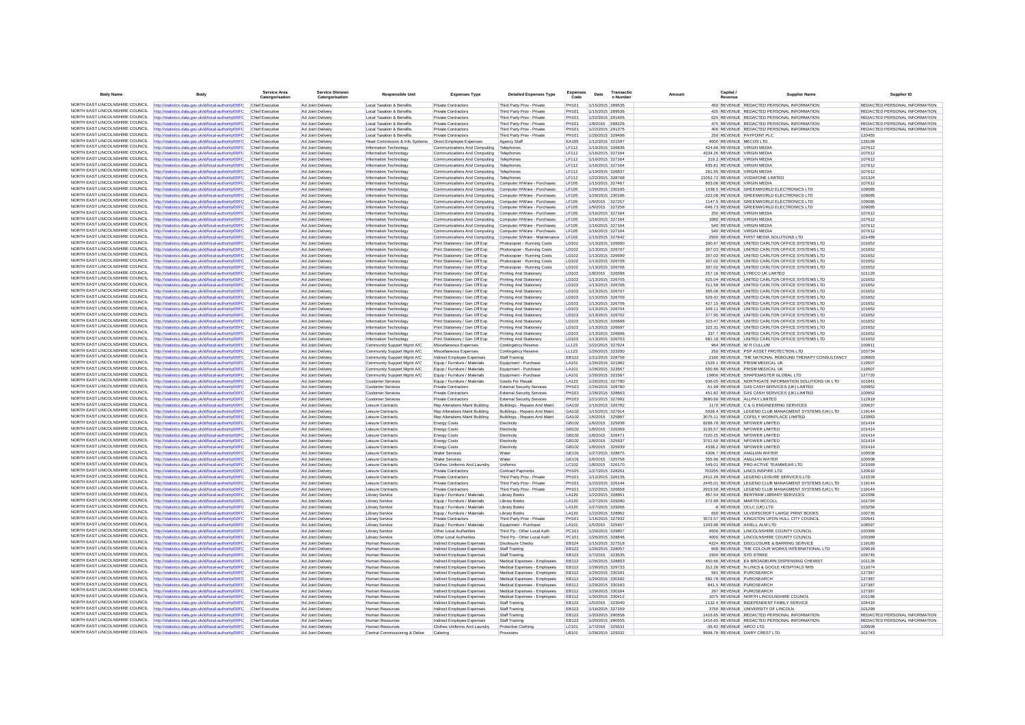| <b>Body Name</b>                                                   | <b>Body</b>                                                                                                    | Service Area<br>Catergorisation           | Service Division<br>Catergorisation    | <b>Responsible Unit</b>                              | <b>Expenses Type</b>                                                                     | <b>Detailed Expenses Type</b>                                          | <b>Expenses</b><br>Code      | Date | Transactio<br>n Number               | Amount | Canital<br>Revenue | <b>Supplier Name</b>                                                                                   | Supplier ID                   |
|--------------------------------------------------------------------|----------------------------------------------------------------------------------------------------------------|-------------------------------------------|----------------------------------------|------------------------------------------------------|------------------------------------------------------------------------------------------|------------------------------------------------------------------------|------------------------------|------|--------------------------------------|--------|--------------------|--------------------------------------------------------------------------------------------------------|-------------------------------|
|                                                                    | NORTH EAST LINCOLNSHIRE COUNCIL http://statistics.data.gov.uk/id/local-authority/00FC                          | Chief Executive                           | Ad Joint Delivery                      | Local Taxation & Benefits                            | Private Contractors                                                                      | Third Party Prov - Private                                             | PH101                        |      | 1/15/2015 289535                     |        |                    | 450 REVENUE REDACTED PERSONAL INFORMATION                                                              | REDACTED PERSONAL INFORMATION |
| NORTH FAST LINCOLNSHIRE COUNCIL                                    | ttp://statistics.data.gov.uk/id/local-authority/00FC                                                           | <b>Chief Executive</b>                    | Ad Joint Delivery                      | Local Taxation & Benefits                            | Private Contractors                                                                      | Third Party Prov - Private                                             | PH101                        |      | 1/15/2015 289536                     |        |                    | 425 REVENUE REDACTED PERSONAL INFORMATION                                                              | REDACTED PERSONAL INFORMATION |
| NORTH EAST LINCOLNSHIRE COUNCIL                                    | http://statistics.data.gov.uk/id/local-authority/00FC                                                          | Chief Executive                           | Ad Joint Delivery                      | Local Taxation & Benefits                            | <b>Private Contractors</b>                                                               | Third Party Prov - Private                                             | <b>PH101</b>                 |      | 1/22/2015 291405                     |        |                    | 625 REVENUE REDACTED PERSONAL INFORMATION                                                              | REDACTED PERSONAL INFORMATION |
| NORTH EAST LINCOLNSHIRE COUNCIL                                    | http://statistics.data.gov.uk/id/local-authority/00FC                                                          | Chief Executive                           | Ad Joint Delivery                      | Local Taxation & Benefits                            | Private Contractors                                                                      | Third Party Prov - Private                                             | <b>PH101</b>                 |      | 1/8/2015 288225                      |        |                    | 475 REVENUE REDACTED PERSONAL INFORMATION                                                              | REDACTED PERSONAL INFORMATION |
| NORTH EAST LINCOLNSHIRE COUNCIL                                    | http://statistics.data.gov.uk/id/local-authority/00FC                                                          | <b>Chief Executive</b>                    | Ad Joint Deliver                       | Local Taxation & Benefits                            | Private Contractors                                                                      | Third Party Prov - Private                                             | <b>PH101</b>                 |      | 1/22/2015 291375                     |        |                    | 400 REVENUE REDACTED PERSONAL INFORMATION                                                              | REDACTED PERSONAL INFORMATION |
| NORTH EAST LINCOLNSHIRE COUNCIL                                    | http://statistics.data.gov.uk/id/local-authority/00FC                                                          | Chief Executive                           | Ad Joint Delivery                      | Local Taxation & Benefits                            | Private Contractors                                                                      | Third Party Prov - Private                                             | PH101                        |      | 1/26/2015 329498                     |        |                    | 250 REVENUE PAYPOINT PLC                                                                               | 120455                        |
| NORTH EAST LINCOLNSHIRE COUNCIL<br>NORTH EAST LINCOLNSHIRE COUNCIL | http://statistics.data.gov.uk/id/local-authority/00FC                                                          | Chief Executive                           | Ad Joint Delivery                      | Head Commission & Info Systems                       | Direct Employee Expenses                                                                 | Agency Staff                                                           | EA105                        |      | 1/12/2015 321597                     |        |                    | 4000 REVENUE MECOS LTD                                                                                 | 128199                        |
| NORTH FAST LINCOLNSHIRE COUNCIL                                    | http://statistics.data.gov.uk/id/local-authority/00FC<br>http://statistics.data.gov.uk/id/local-authority/00FC | Chief Executive<br>Chief Executive        | Ad Joint Deliver<br>Ad Joint Delivery  | Information Technology<br>Information Technology     | Communications And Computing<br>Communications And Computing                             | Telephones<br>Telephones                                               | <b>LF112</b><br><b>LF112</b> |      | 1/19/2015 326836<br>1/16/2015 327164 |        |                    | 424.66 REVENUE VIRGIN MEDIA<br>4334.26 REVENUE VIRGIN MEDIA                                            | 107612<br>107612              |
| NORTH EAST LINCOLNSHIRE COUNCIL                                    | http://statistics.data.gov.uk/id/local-authority/00FC                                                          | Chief Executive                           | Ad Joint Delivery                      | Information Technology                               | Communications And Computing                                                             | Telephones                                                             | LF112                        |      | 1/16/2015 327164                     |        |                    | 319.2 REVENUE VIRGIN MEDIA                                                                             | 107612                        |
| NORTH EAST LINCOLNSHIRE COUNCIL                                    | http://statistics.data.gov.uk/id/local-authority/00FC                                                          | Chief Executive                           | Ad Joint Delivery                      | Information Technology                               | Communications And Computing                                                             | Telephones                                                             | LF112                        |      | 1/16/2015 327164                     |        |                    | 835.81 REVENUE VIRGIN MEDIA                                                                            | 107612                        |
| NORTH EAST LINCOLNSHIRE COUNCIL                                    | http://statistics.data.gov.uk/id/local-authority/00FC                                                          | Chief Executive                           | Ad Joint Delivery                      | Information Technology                               | Communications And Computing Telephones                                                  |                                                                        | LF112                        |      | 1/19/2015 326837                     |        |                    | 261.55 REVENUE VIRGIN MEDIA                                                                            | 107612                        |
| NORTH EAST LINCOLNSHIRE COUNCIL                                    | ttp://statistics.data.gov.uk/id/local-authority/00FC                                                           | Chief Executive                           | Ad Joint Delivery                      | Information Technology                               | Communications And Computing                                                             | Telephones                                                             | <b>LF112</b>                 |      | 1/22/2015 328768                     |        |                    | 11052.72 REVENUE VODAFONE LIMITED                                                                      | 101324                        |
| NORTH EAST LINCOLNSHIRE COUNCIL                                    | http://statistics.data.gov.uk/id/local-authority/00FC                                                          | Chief Executive                           | Ad Joint Delivery                      | Information Technology                               | Communications And Computing Computer H/Ware - Purchases                                 |                                                                        | LF105                        |      | 1/15/2015 327467                     |        |                    | 803.06 REVENUE VIRGIN MEDIA                                                                            | 107612                        |
| NORTH EAST LINCOLNSHIRE COUNCIL                                    | http://statistics.data.gov.uk/id/local-authority/00FC                                                          | Chief Executive                           | Ad Joint Delivery                      | Information Technology                               | Communications And Computing Computer H/Ware - Purchases                                 |                                                                        | LF105                        |      | 1/29/2015 330195                     |        |                    | 1038.5 REVENUE GREENWORLD ELECTRONICS LTD                                                              | 109085                        |
| NORTH EAST LINCOLNSHIRE COUNCIL                                    | http://statistics.data.gov.uk/id/local-authority/00FC                                                          | Chief Executive                           | Ad Joint Delivery                      | Information Technology                               | Communications And Computing                                                             | Computer H/Ware - Purchases                                            | LF105                        |      | 1/29/2015 330196                     |        |                    | -322.08 REVENUE GREENWORLD ELECTRONICS LTD                                                             | 109085                        |
| NORTH EAST LINCOLNSHIRE COUNCIL<br>NORTH EAST LINCOLNSHIRE COUNCIL | http://statistics.data.gov.uk/id/local-authority/00FC                                                          | Chief Executive                           | Ad Joint Delivery                      | Information Technology                               | Communications And Computing                                                             | Computer H/Ware - Purchases                                            | LF105<br>LF105               |      | 1/9/2015 327257                      |        |                    | 1147.5 REVENUE GREENWORLD ELECTRONICS LTD                                                              | 109085<br>109085              |
| NORTH EAST LINCOLNSHIRE COUNCIL                                    | http://statistics.data.gov.uk/id/local-authority/00FC<br>http://statistics.data.gov.uk/id/local-authority/00FC | <b>Chief Executive</b><br>Chief Executiv  | Ad Joint Delivery<br>Ad Joint Delivery | Information Technology<br>Information Technology     | Communications And Computing Computer H/Ware - Purchases<br>Communications And Computing | Computer H/Ware - Purchases                                            | LF105                        |      | 1/9/2015 327258<br>1/16/2015 327164  |        |                    | -646.73 REVENUE GREENWORLD ELECTRONICS LTD<br>250 REVENUE VIRGIN MEDIA                                 | 107612                        |
| NORTH EAST LINCOLNSHIRE COUNCIL                                    | http://statistics.data.gov.uk/id/local-authority/00FC                                                          | Chief Executive                           | Ad Joint Delivery                      | Information Technology                               | Communications And Computing Computer H/Ware - Purchases                                 |                                                                        | LF105                        |      | 1/16/2015 327164                     |        |                    | 1080 REVENUE VIRGIN MEDIA                                                                              | 107612                        |
| NORTH EAST LINCOLNSHIRE COUNCIL                                    | http://statistics.data.gov.uk/id/local-authority/00FC                                                          | Chief Executive                           | Ad Joint Delivery                      | Information Technology                               | Communications And Computing Computer H/Ware - Purchases                                 |                                                                        | LF105                        |      | 1/16/2015 327164                     |        |                    | 540 REVENUE VIRGIN MEDIA                                                                               | 107612                        |
| NORTH EAST LINCOLNSHIRE COUNCIL                                    | http://statistics.data.gov.uk/id/local-authority/00FC                                                          | <b>Chief Executive</b>                    | Ad Joint Delivery                      | Information Technology                               | Communications And Computing                                                             | Computer H/Ware - Purchases                                            | LF105                        |      | 1/16/2015 327164                     |        |                    | 540 REVENUE VIRGIN MEDIA                                                                               | 107612                        |
| NORTH EAST LINCOLNSHIRE COUNCIL                                    | http://statistics.data.gov.uk/id/local-authority/00FC                                                          | Chief Executive                           | Ad Joint Delivery                      | Information Technology                               |                                                                                          | Communications And Computing Computer S/Ware - Maintenance LF102       |                              |      | 1/15/2015 327642                     |        |                    | 2500 REVENUE FIRST MEDIA SOLUTIONS LTD                                                                 | 101489                        |
| NORTH EAST LINCOLNSHIRE COUNCIL                                    | http://statistics.data.gov.uk/id/local-authority/00FC                                                          | Chief Executive                           | Ad Joint Delivery                      | Information Technology                               | Print Stationery / Gen Off Exp                                                           | Photocopier - Running Costs                                            | LD102                        |      | 1/13/2015 326690                     |        |                    | 300.47 REVENUE UNITED CARLTON OFFICE SYSTEMS LTD                                                       | 101652                        |
| NORTH EAST LINCOLNSHIRE COUNCIL<br>NORTH EAST LINCOLNSHIRE COUNCIL | http://statistics.data.gov.uk/id/local-authority/00FC                                                          | <b>Chief Executive</b>                    | Ad Joint Delivery                      | Information Technology                               | Print Stationery / Gen Off Exp                                                           | Photocopier - Running Costs                                            | LD102                        |      | 1/13/2015 326707                     |        |                    | 307.03 REVENUE UNITED CARLTON OFFICE SYSTEMS LTD                                                       | 101652                        |
| NORTH EAST LINCOLNSHIRE COUNCIL                                    | http://statistics.data.gov.uk/id/local-authority/00FC                                                          | Chief Executive                           | Ad Joint Delivery                      | Information Technology                               | Print Stationery / Gen Off Exp                                                           | Photocopier - Running Costs                                            | LD102                        |      | 1/13/2015 326699                     |        |                    | 307.02 REVENUE UNITED CARLTON OFFICE SYSTEMS LTD                                                       | 101652                        |
| NORTH EAST LINCOLNSHIRE COUNCIL                                    | http://statistics.data.gov.uk/id/local-authority/00FC<br>http://statistics.data.gov.uk/id/local-authority/00FC | <b>Chief Executive</b><br>Chief Executive | Ad Joint Delivery<br>Ad Joint Delivery | Information Technology<br>Information Technology     | Print Stationery / Gen Off Exp<br>Print Stationery / Gen Off Exp                         | Photocopier - Running Costs<br>Photocopier - Running Costs             | LD102<br>LD102               |      | 1/13/2015 326708<br>1/13/2015 326706 |        |                    | 307.02 REVENUE UNITED CARLTON OFFICE SYSTEMS LTD<br>307.02 REVENUE UNITED CARLTON OFFICE SYSTEMS LTD   | 101652<br>101652              |
| NORTH EAST LINCOLNSHIRE COUNCIL                                    | http://statistics.data.gov.uk/id/local-authority/00FC                                                          | <b>Chief Executive</b>                    | Ad Joint Delivery                      | Information Technology                               | Print Stationery / Gen Off Exp                                                           | <b>Printing And Stationer</b>                                          | LD103                        |      | 1/8/2015 326598                      |        |                    | 257.16 REVENUE LYRECO UK LIMITED                                                                       | 101120                        |
| NORTH EAST LINCOLNSHIRE COUNCIL                                    | http://statistics.data.gov.uk/id/local-authority/00FC                                                          | Chief Executive                           | Ad Joint Delivery                      | Information Technology                               | Print Stationery / Gen Off Exp                                                           | Printing And Stationery                                                | LD103                        |      | 1/13/2015 326705                     |        |                    | 625.04 REVENUE UNITED CARLTON OFFICE SYSTEMS LTD                                                       | 101652                        |
| NORTH EAST LINCOLNSHIRE COUNCIL                                    | http://statistics.data.gov.uk/id/local-authority/00FC                                                          | Chief Executive                           | Ad Joint Delivery                      | Information Technology                               | Print Stationery / Gen Off Exp                                                           | Printing And Stationery                                                | <b>ID103</b>                 |      | 1/13/2015 326708                     |        |                    | 311 58 REVENUE LINITED CARLTON OFFICE SYSTEMS LTD                                                      | 101652                        |
| NORTH EAST LINCOLNSHIRE COUNCIL                                    | http://statistics.data.gov.uk/id/local-authority/00FC                                                          | Chief Executive                           | Ad Joint Delivery                      | Information Technology                               | Print Stationery / Gen Off Exp                                                           | Printing And Stationery                                                | LD103                        |      | 1/13/2015 326707                     |        |                    | 385.08 REVENUE UNITED CARLTON OFFICE SYSTEMS LTD                                                       | 101652                        |
| NORTH EAST LINCOLNSHIRE COUNCIL                                    | ttp://statistics.data.gov.uk/id/local-authority/00FC                                                           | Chief Executive                           | Ad Joint Delivery                      | Information Technology                               | Print Stationery / Gen Off Exp                                                           | Printing And Stationery                                                | LD103                        |      | 1/13/2015 326709                     |        |                    | 529.42 REVENUE UNITED CARLTON OFFICE SYSTEMS LTD                                                       | 101652                        |
| NORTH EAST LINCOLNSHIRE COUNCIL                                    | http://statistics.data.gov.uk/id/local-authority/00FC                                                          | Chief Executive                           | Ad Joint Delivery                      | Information Technology                               | Print Stationery / Gen Off Exp                                                           | Printing And Stationery                                                | LD103                        |      | 1/13/2015 326706                     |        |                    | 427.15 REVENUE UNITED CARLTON OFFICE SYSTEMS LTD                                                       | 101652                        |
| NORTH EAST LINCOLNSHIRE COUNCIL<br>NORTH EAST LINCOLNSHIRE COUNCIL | http://statistics.data.gov.uk/id/local-authority/00FC                                                          | Chief Executive                           | Ad Joint Delivery                      | Information Technology                               | Print Stationery / Gen Off Exp                                                           | Printing And Stationery                                                | <b>ID103</b>                 |      | 1/13/2015 326704                     |        |                    | 349 11 REVENUE LINITED CARLTON OFFICE SYSTEMS LTD                                                      | 101652                        |
| NORTH EAST LINCOLNSHIRE COUNCIL                                    | http://statistics.data.gov.uk/id/local-authority/00FC                                                          | Chief Executiv                            | Ad Joint Deliver                       | Information Technology                               | Print Stationery / Gen Off Exp                                                           | Printing And Stationer                                                 | LD103                        |      | 1/13/2015 326702                     |        |                    | 377.95 REVENUE UNITED CARLTON OFFICE SYSTEMS LTD                                                       | 101652                        |
| NORTH EAST LINCOLNSHIRE COUNCIL                                    | http://statistics.data.gov.uk/id/local-authority/00FC<br>http://statistics.data.gov.uk/id/local-authority/00FC | Chief Executive<br>Chief Executive        | Ad Joint Delivery<br>Ad Joint Delivery | Information Technology<br>Information Technology     | Print Stationery / Gen Off Exp<br>Print Stationery / Gen Off Exp                         | Printing And Stationery<br>Printing And Stationery                     | LD103<br>LD103               |      | 1/13/2015 326698<br>1/13/2015 326697 |        |                    | 323.47 REVENUE UNITED CARLTON OFFICE SYSTEMS LTD<br>322.31 REVENUE UNITED CARLTON OFFICE SYSTEMS LTD   | 101652<br>101652              |
| NORTH EAST LINCOLNSHIRE COUNCIL                                    | http://statistics.data.gov.uk/id/local-authority/00FC                                                          | Chief Executiv                            | Ad Joint Delivery                      | Information Technology                               | Print Stationery / Gen Off Exp                                                           | Printing And Stationery                                                | LD103                        |      | 1/13/2015 326696                     |        |                    | 337.7 REVENUE UNITED CARLTON OFFICE SYSTEMS LTD                                                        | 101652                        |
| NORTH EAST LINCOLNSHIRE COUNCIL                                    | http://statistics.data.gov.uk/id/local-authority/00FC                                                          | Chief Executive                           | Ad Joint Delivery                      | Information Technology                               | Print Stationery / Gen Off Exp                                                           | Printing And Stationery                                                | LD103                        |      | 1/13/2015 326703                     |        |                    | 681.18 REVENUE UNITED CARLTON OFFICE SYSTEMS LTD                                                       | 101652                        |
| NORTH EAST LINCOLNSHIRE COUNCIL                                    | http://statistics.data.gov.uk/id/local-authority/00FC                                                          | Chief Executive                           | Ad Joint Delivery                      | Community Support Mamt A/C                           | Miscellaneous Expenses                                                                   | Contingency Reserve                                                    | LL123                        |      | 1/22/2015 327924                     |        |                    | 964 REVENUE W R CULLUM                                                                                 | 100811                        |
| NORTH EAST LINCOLNSHIRE COUNCIL                                    | http://statistics.data.gov.uk/id/local-authority/00FC                                                          | Chief Executive                           | Ad Joint Delivery                      | Community Support Mgmt A/C                           | Miscellaneous Expenses                                                                   | Contingency Reserve                                                    | LL123                        |      | 1/26/2015 323280                     |        |                    | 250 REVENUE PSP ASSET PROTECTION LTD                                                                   | 103734                        |
| NORTH EAST LINCOLNSHIRE COUNCIL                                    | http://statistics.data.gov.uk/id/local-authority/00FC                                                          | Chief Executiv                            | Ad Joint Delivery                      | Community Support Mgmt A/C                           | Indirect Employee Expenses                                                               | Staff Training                                                         | EB122                        |      | 1/21/2015 328758                     |        |                    | 2160 REVENUE THE NATIONAL REBOUND THERAPY CONSULTANCY                                                  | 108893                        |
| NORTH EAST LINCOLNSHIRE COUNCIL                                    | http://statistics.data.gov.uk/id/local-authority/00FC                                                          | <b>Chief Executive</b>                    | Ad Joint Delivery                      | Community Support Mgmt A/C                           | Equip / Furniture / Materials                                                            | Equipment - Purchase                                                   | LA101                        |      | 1/26/2015 321982                     |        |                    | 1529.1 REVENUE PRISM MEDICAL UK                                                                        | 119507                        |
| NORTH EAST LINCOLNSHIRE COUNCIL                                    | http://statistics.data.gov.uk/id/local-authority/00FC                                                          | Chief Executive                           | Ad Joint Delivery                      | Community Support Mamt A/C                           | Equip / Furniture / Materials                                                            | Equipment - Purchase                                                   | LA101                        |      | 1/28/2015 323567                     |        |                    | 500.86 REVENUE PRISM MEDICAL UK                                                                        | 119507                        |
| NORTH EAST LINCOLNSHIRE COUNCIL<br>NORTH EAST LINCOLNSHIRE COUNCIL | http://statistics.data.gov.uk/id/local-authority/00FC                                                          | Chief Executive                           | Ad Joint Delivery                      | Community Support Mamt A/C                           | Equip / Furniture / Materials                                                            | Equipment - Purchase                                                   | <b>LA101</b>                 |      | 1/26/2015 321587                     |        |                    | 19800 REVENUE SHAPEMASTER GLOBAL LTD                                                                   | 127720                        |
| NORTH EAST LINCOLNSHIRE COUNCIL                                    | http://statistics.data.gov.uk/id/local-authority/00FC                                                          | Chief Executive                           | Ad Joint Delivery                      | <b>Customer Services</b>                             | Equip / Furniture / Materials                                                            | Goods For Resale                                                       | LA123                        |      | 1/26/2015 327780                     |        |                    | 936.05 REVENUE NORTHGATE INFORMATION SOLUTIONS UK LTD<br>-51.99 REVENUE G4S CASH SERVICES (UK) LIMITED | 101841                        |
| NORTH EAST LINCOLNSHIRE COUNCIL                                    | http://statistics.data.gov.uk/id/local-authority/00FC<br>http://statistics.data.gov.uk/id/local-authority/00FC | Chief Executive<br><b>Chief Executive</b> | Ad Joint Delivery<br>Ad Joint Delivery | <b>Customer Services</b><br><b>Customer Services</b> | <b>Private Contractors</b><br>Private Contractors                                        | <b>External Security Services</b><br><b>External Security Services</b> | <b>PH103</b><br>PH103        |      | 1/26/2015 328780<br>1/26/2015 328663 |        |                    | 451.82 REVENUE G4S CASH SERVICES (UK) LIMITED                                                          | 100952<br>100952              |
| NORTH EAST LINCOLNSHIRE COUNCIL                                    | http://statistics.data.gov.uk/id/local-authority/00FC                                                          | Chief Executiv                            | Ad Joint Delivery                      | Customer Services                                    | Private Contractors                                                                      | <b>External Security Services</b>                                      | PH103                        |      | 1/21/2015 327992                     |        |                    | 3680.66 REVENUE ALLPAY LIMITED                                                                         | 112919                        |
| NORTH EAST LINCOLNSHIRE COUNCIL                                    | http://statistics.data.gov.uk/id/local-authority/00FC                                                          | Chief Executive                           | Ad Joint Delivery                      | Leisure Contracts                                    | Rep Alterations Maint Building                                                           | Buildings - Repairs And Maint                                          | GA102                        |      | 1/15/2015 326782                     |        |                    | 1170 REVENUE C & G ENGINEERING SERVICES                                                                | 100637                        |
| NORTH EAST LINCOLNSHIRE COUNCIL                                    | http://statistics.data.gov.uk/id/local-authority/00FC                                                          | Chief Executive                           | Ad Joint Delivery                      | Leisure Contracts                                    | Rep Alterations Maint Building                                                           | Buildings - Repairs And Maint                                          | GA102                        |      | 1/15/2015 327914                     |        |                    | 5026.4 REVENUE LEGEND CLUB MANAGMENT SYSTEMS (UK) LTD                                                  | 119144                        |
| NORTH EAST LINCOLNSHIRE COUNCIL                                    | http://statistics.data.gov.uk/id/local-authority/00FC                                                          | <b>Chief Executive</b>                    | Ad Joint Delivery                      | Leisure Contracts                                    | Rep Alterations Maint Building                                                           | Buildings - Repairs And Maint                                          | GA102                        |      | 1/6/2015 325887                      |        |                    | 3075.11 REVENUE COFELY WORKPLACE LIMITED                                                               | 123983                        |
| NORTH EAST LINCOLNSHIRE COUNCIL                                    | http://statistics.data.gov.uk/id/local-authority/00FC                                                          | Chief Executive                           | Ad Joint Delivery                      | Leisure Contracts                                    | <b>Energy Costs</b>                                                                      | Electricity                                                            | GB102                        |      | 1/6/2015 325938                      |        |                    | 8288.78 REVENUE NPOWER LIMITED                                                                         | 101414                        |
| NORTH EAST LINCOLNSHIRE COUNCIL<br>NORTH EAST LINCOLNSHIRE COUNCIL | http://statistics.data.gov.uk/id/local-authority/00FC                                                          | Chief Executive                           | Ad Joint Delivery                      | Leisure Contracts                                    | <b>Energy Costs</b>                                                                      | Electricity                                                            | GB102                        |      | 1/8/2015 326369                      |        |                    | 3135.57 REVENUE NPOWER LIMITED                                                                         | 101414                        |
| NORTH EAST LINCOLNSHIRE COUNCIL                                    | http://statistics.data.gov.uk/id/local-authority/00FC<br>http://statistics.data.gov.uk/id/local-authority/00FC | Chief Executive<br>Chief Executive        | Ad Joint Delivery<br>Ad Joint Delivery | Leisure Contracts<br>Leisure Contracts               | <b>Energy Costs</b><br><b>Energy Costs</b>                                               | Electricity<br>Electricity                                             | GB102<br>GB102               |      | 1/8/2015 326471<br>1/8/2015 325937   |        |                    | 7220.25 REVENUE NPOWER LIMITED<br>3701.59 REVENUE NPOWER LIMITED                                       | 101414<br>101414              |
| NORTH EAST LINCOLNSHIRE COUNCIL                                    | http://statistics.data.gov.uk/id/local-authority/00FC                                                          | Chief Executive                           | Ad Joint Delivery                      | Leisure Contracts                                    | <b>Energy Costs</b>                                                                      | Electricity                                                            | GB102                        |      | 1/8/2015 325939                      |        |                    | 4338.2 REVENUE NPOWER LIMITED                                                                          | 101414                        |
| NORTH EAST LINCOLNSHIRE COUNCIL                                    | http://statistics.data.gov.uk/id/local-authority/00FC                                                          | Chief Executive                           | Ad Joint Delivery                      | Leisure Contracts                                    | <b>Water Services</b>                                                                    | Water                                                                  | GF101                        |      | 1/27/2015 328875                     |        |                    | 4308 7 REVENUE ANGLIAN WATER                                                                           | 100508                        |
| NORTH EAST LINCOLNSHIRE COUNCIL                                    | http://statistics.data.gov.uk/id/local-authority/00FC                                                          | Chief Executive                           | Ad Joint Delivery                      | Leisure Contracts                                    | Water Services                                                                           | Water                                                                  | GE101                        |      | 1/6/2015 325758                      |        |                    | 355.96 REVENUE ANGLIAN WATER                                                                           | 100508                        |
| NORTH EAST LINCOLNSHIRE COUNCIL                                    | http://statistics.data.gov.uk/id/local-authority/00FC                                                          | Chief Executive                           | Ad Joint Delivery                      | Leisure Contracts                                    | Clothes Uniforms And Laundry                                                             | Uniforms                                                               | LC102                        |      | 1/8/2015 326170                      |        |                    | 549.01 REVENUE PRO-ACTIVE TEAMWEAR LTD                                                                 | 101069                        |
| NORTH EAST LINCOLNSHIRE COUNCIL                                    | http://statistics.data.gov.uk/id/local-authority/00FC                                                          | Chief Executive                           | Ad Joint Delivery                      | Leisure Contracts                                    | Private Contractors                                                                      | Contract Payments                                                      | <b>PH105</b>                 |      | 1/27/2015 328261                     |        |                    | 703255 REVENUE LINCS INSPIRE LTD                                                                       | 120610                        |
| NORTH EAST LINCOLNSHIRE COUNCIL                                    | http://statistics.data.gov.uk/id/local-authority/00FC                                                          | Chief Executive                           | Ad Joint Delivery                      | Leisure Contracts                                    | <b>Private Contractors</b>                                                               | Third Party Prov - Private                                             | <b>PH101</b>                 |      | 1/12/2015 326136                     |        |                    | 2412.28 REVENUE LEGEND LEISURE SERVICES LTD                                                            | 121539                        |
| NORTH FAST LINCOLNSHIRE COUNCIL<br>NORTH EAST LINCOLNSHIRE COUNCIL | http://statistics.data.gov.uk/id/local-authority/00FC                                                          | Chief Executive                           | Ad Joint Delivery                      | Leisure Contracts                                    | <b>Private Contractors</b>                                                               | Third Party Prov - Private                                             | <b>PH101</b>                 |      | 1/22/2015 326144                     |        |                    | 2445.01 REVENUE LEGEND CLUB MANAGMENT SYSTEMS (UK) LTD                                                 | 119144                        |
| NORTH EAST LINCOLNSHIRE COUNCIL                                    | http://statistics.data.gov.uk/id/local-authority/00FC                                                          | Chief Executive<br>Chief Executive        | Ad Joint Delivery<br>Ad Joint Delivery | Leisure Contracts<br><b>Library Service</b>          | <b>Private Contractors</b><br>Equip / Furniture / Materials                              | Third Party Prov - Private<br>Library Books                            | <b>PH101</b><br>LA120        |      | 1/22/2015 326658<br>1/22/2015 328861 |        |                    | 2919.58 REVENUE LEGEND CLUB MANAGMENT SYSTEMS (UK) LTD<br>457.54 REVENUE BERTRAM LIBRARY SERVICES      | 119144<br>101586              |
| NORTH EAST LINCOLNSHIRE COUNCIL                                    | http://statistics.data.gov.uk/id/local-authority/00FC<br>http://statistics.data.gov.uk/id/local-authority/00FC | Chief Executiv                            | Ad Joint Deliver                       | Library Service                                      | Equip / Furniture / Materials                                                            | <b>Library Books</b>                                                   | LA120                        |      | 1/27/2015 329280                     |        |                    | 272.89 REVENUE MARTIN MCCOLL                                                                           | 101794                        |
| NORTH EAST LINCOLNSHIRE COUNCIL                                    | http://statistics.data.gov.uk/id/local-authority/00FC                                                          | Chief Executive                           | Ad Joint Delivery                      | Library Service                                      | Equip / Furniture / Materials                                                            | <b>Library Books</b>                                                   | LA120                        |      | 1/27/2015 329266                     |        |                    | 6 REVENUE OCLC (UK) LTD                                                                                | 103256                        |
| NORTH EAST LINCOLNSHIRE COUNCIL                                    | http://statistics.data.gov.uk/id/local-authority/00FC                                                          | Chief Executive                           | Ad Joint Delivery                      | Library Service                                      | Equip / Furniture / Materials                                                            | <b>Library Books</b>                                                   | LA120                        |      | 1/22/2015 328862                     |        |                    | 650 REVENUE ULVERSCROFT LARGE PRINT BOOKS                                                              | 100735                        |
| NORTH EAST LINCOLNSHIRE COUNCIL                                    | http://statistics.data.gov.uk/id/local-authority/00FC                                                          | Chief Executive                           | Ad Joint Deliver                       | <b>Library Service</b>                               | <b>Private Contractors</b>                                                               | Third Party Prov - Private                                             | <b>PH101</b>                 |      | 1/16/2015 327932                     |        |                    | 3572.57 REVENUE KINGSTON UPON HULL CITY COUNCIL                                                        | 100541                        |
| NORTH EAST LINCOLNSHIRE COUNCIL                                    | http://statistics.data.gov.uk/id/local-authority/00FC                                                          | Chief Executive                           | Ad Joint Delivery                      | Library Service                                      | Equip / Furniture / Materials                                                            | Equipment - Purchase                                                   | LA101                        |      | 1/5/2015 325407                      |        |                    | 1343.96 REVENUE AXIELL ALM LTD                                                                         | 108597                        |
| NORTH EAST LINCOLNSHIRE COUNCIL                                    | http://statistics.data.gov.uk/id/local-authority/00FC                                                          | Chief Executive                           | Ad Joint Delivery                      | <b>Library Service</b>                               | Other Local Authorities                                                                  | Third Po - Other Local Auth                                            | PC101                        |      | 1/29/2015 329807                     |        |                    | 4000 REVENUE LINCOLNSHIRE COUNTY COUNCIL                                                               | 100389                        |
| NORTH EAST LINCOLNSHIRE COUNCIL                                    | http://statistics.data.gov.uk/id/local-authority/00FC                                                          | Chief Executive                           | Ad Joint Delivery                      | <b>Library Service</b>                               | Other Local Authorities                                                                  | Third Pp - Other Local Auth                                            | PC101                        |      | 1/26/2015 328846                     |        |                    | 4000 REVENUE LINCOLNSHIRE COUNTY COUNCIL                                                               | 100389                        |
| NORTH EAST LINCOLNSHIRE COUNCIL<br>NORTH EAST LINCOLNSHIRE COUNCIL | http://statistics.data.gov.uk/id/local-authority/00FC                                                          | Chief Executive                           | Ad Joint Delivery                      | Human Resources                                      | Indirect Employee Expenses                                                               | <b>Disclosure Checks</b>                                               | EB124                        |      | 1/15/2015 327518                     |        |                    | 4224 REVENUE DISCLOSURE & BARRING SERVICE                                                              | 119180                        |
| NORTH EAST LINCOLNSHIRE COUNCIL                                    | http://statistics.data.gov.uk/id/local-authority/00FC<br>http://statistics.data.gov.uk/id/local-authority/00FC | <b>Chief Executive</b><br>Chief Executive | Ad Joint Delivery<br>Ad Joint Delivery | Human Resources<br>Human Resources                   | Indirect Employee Expenses<br>Indirect Employee Expenses                                 | Staff Training<br>Staff Training                                       | EB122<br><b>EB122</b>        |      | 1/26/2015 328057<br>1/7/2015 323535  |        |                    | 608 REVENUE THE COLOUR WORKS INTERNATIONAL LTD<br>1500 REVENUE SYD STRIKE                              | 109018<br>109745              |
| NORTH EAST LINCOLNSHIRE COUNCIL                                    | http://statistics.data.gov.uk/id/local-authority/00FC                                                          | Chief Executive                           | Ad Joint Delivery                      | Human Resources                                      | Indirect Employee Expenses                                                               | Medical Expenses - Employees                                           | EB112                        |      | 1/26/2015 328803                     |        |                    | 450.66 REVENUE EA BROADBURN DISPENSING CHEMIST                                                         | 101135                        |
| NORTH EAST LINCOLNSHIRE COUNCIL                                    | http://statistics.data.gov.uk/id/local-authority/00FC                                                          | Chief Executive                           | Ad Joint Delivery                      | Human Resources                                      | Indirect Employee Expenses                                                               | Medical Expenses - Employees                                           | EB112                        |      | 1/28/2015 329733                     |        |                    | 312.26 REVENUE N LINCS & GOOLE HOSPITALS NHS                                                           | 111074                        |
| NORTH EAST LINCOLNSHIRE COUNCIL                                    | http://statistics.data.gov.uk/id/local-authority/00FC                                                          | Chief Executive                           | Ad Joint Delivery                      | Human Resources                                      | Indirect Employee Expenses                                                               | Medical Expenses - Employees                                           | EB112                        |      | 1/29/2015 330181                     |        |                    | 561 REVENUE PUROSEARCH                                                                                 | 127387                        |
| NORTH EAST LINCOLNSHIRE COUNCIL                                    | http://statistics.data.gov.uk/id/local-authority/00FC                                                          | <b>Chief Executive</b>                    | Ad Joint Delivery                      | Human Resources                                      | Indirect Employee Expenses                                                               | Medical Expenses - Employees                                           | EB112                        |      | 1/29/2015 330182                     |        |                    | 582.78 REVENUE PUROSEARCH                                                                              | 127387                        |
| NORTH EAST LINCOLNSHIRE COUNCIL                                    | http://statistics.data.gov.uk/id/local-authority/00FC                                                          | Chief Executiv                            | Ad Joint Delivery                      | Human Resources                                      | Indirect Employee Expenses                                                               | Medical Expenses - Employees                                           | EB112                        |      | 1/29/2015 330183                     |        |                    | 841.5 REVENUE PUROSEARCH                                                                               | 127387                        |
| NORTH EAST LINCOLNSHIRE COUNCIL                                    | http://statistics.data.gov.uk/id/local-authority/00FC                                                          | Chief Executive                           | Ad Joint Delivery                      | Human Resources                                      | Indirect Employee Expenses                                                               | Medical Expenses - Employees                                           | EB112                        |      | 1/29/2015 330184                     |        |                    | 297 REVENUE PUROSEARCH                                                                                 | 127387                        |
| NORTH EAST LINCOLNSHIRE COUNCIL<br>NORTH EAST LINCOLNSHIRE COUNCIL | http://statistics.data.gov.uk/id/local-authority/00FC                                                          | Chief Executive                           | Ad Joint Delivery                      | Human Resources                                      | Indirect Employee Expenses                                                               | Medical Expenses - Employees                                           | EB112                        |      | 1/30/2015 330412                     |        |                    | 1075 REVENUE NORTH LINCOLNSHIRE COUNCIL                                                                | 101186                        |
| NORTH EAST LINCOLNSHIRE COUNCIL                                    | http://statistics.data.gov.uk/id/local-authority/00FC                                                          | <b>Chief Executive</b><br>Chief Executive | Ad Joint Deliver                       | Human Resource                                       | Indirect Employee Expenses                                                               | Staff Training                                                         | EB122<br><b>EB122</b>        |      | 1/5/2015 323040                      |        |                    | 1132.4 REVENUE INDEPENDENT FAMILY SERVICE                                                              | 104410<br>101299              |
| NORTH EAST LINCOLNSHIRE COUNCIL                                    | http://statistics.data.gov.uk/id/local-authority/00FC<br>http://statistics.data.gov.uk/id/local-authority/00FC | Chief Executive                           | Ad Joint Delivery<br>Ad Joint Delivery | Human Resources<br>Human Resources                   | Indirect Employee Expenses<br>Indirect Employee Expenses                                 | Staff Training<br>Staff Training                                       | <b>EB122</b>                 |      | 1/16/2015 327159<br>1/20/2015 290556 |        |                    | 3750 REVENUE UNIVERSITY OF LINCOLN<br>1416.65 REVENUE REDACTED PERSONAL INFORMATION                    | REDACTED PERSONAL INFORMATION |
| NORTH EAST LINCOLNSHIRE COUNCIL                                    | http://statistics.data.gov.uk/id/local-authority/00FC                                                          | <b>Chief Executive</b>                    | Ad Joint Deliver                       | Human Resources                                      | Indirect Employee Expenses                                                               | Staff Training                                                         | EB122                        |      | 1/20/2015 290555                     |        |                    | 1416.65 REVENUE REDACTED PERSONAL INFORMATION                                                          | REDACTED PERSONAL INFORMATION |
|                                                                    | NORTH EAST LINCOLNSHIRE COUNCIL http://statistics.data.gov.uk/id/local-authority/00FC                          | Chief Executive                           | Ad Joint Delivery                      | Human Resources                                      | Clothes Uniforms And Laundry                                                             | Protective Clothing                                                    | LC101                        |      | 1/7/2015 325531                      |        |                    | -35.42 REVENUE ARCO LTD                                                                                | 100509                        |
| NORTH EAST LINCOLNSHIRE COUNCIL                                    | http://statistics.data.gov.uk/id/local-authority/00FC                                                          | Chief Executive                           | Ad Joint Delivery                      | Central Commissioning & Delive                       | Caterino                                                                                 | Provisions                                                             | LB101                        |      | 1/28/2015 329332                     |        |                    | 9908.78 REVENUE DAIRY CREST LTD                                                                        | 101743                        |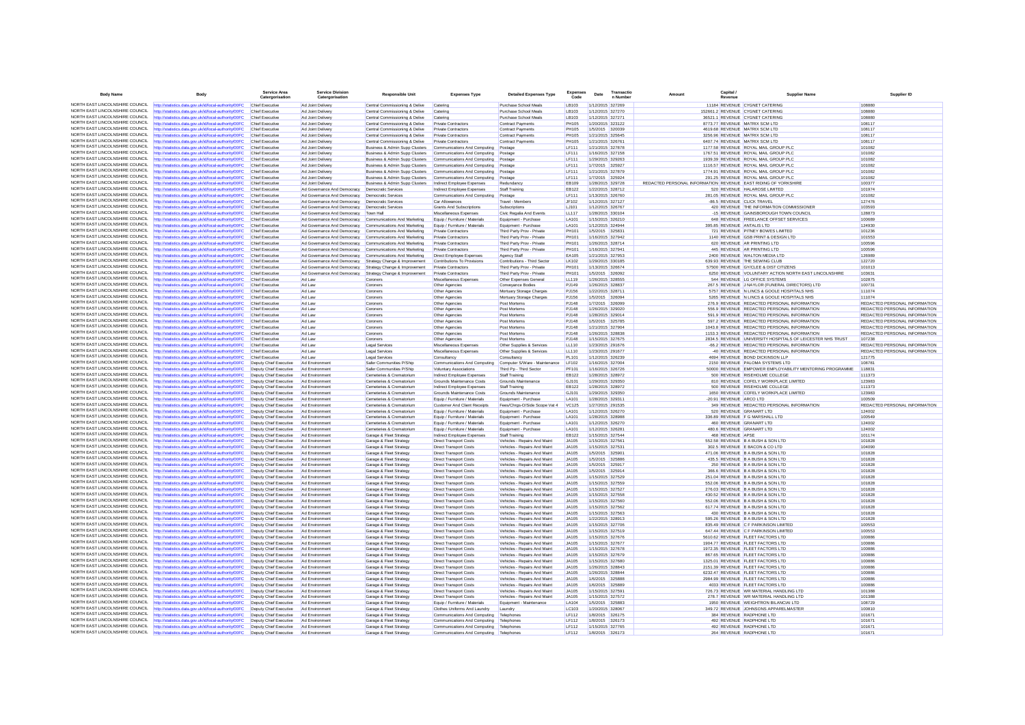| <b>Body Name</b>                                                   | Body                                                                                                           | Service Area<br>Catergorisation                  | <b>Service Division</b><br>Catergorisation               | <b>Responsible Unit</b>                                                                  | <b>Expenses Type</b>                                           | <b>Detailed Expenses Type</b>                                | <b>Expenses</b><br>Code | Date             | Transactic<br>n Numbe                | Canital<br>Amount<br>Revenu                                    | <b>Supplier Name</b>                                                   | Supplier ID                   |
|--------------------------------------------------------------------|----------------------------------------------------------------------------------------------------------------|--------------------------------------------------|----------------------------------------------------------|------------------------------------------------------------------------------------------|----------------------------------------------------------------|--------------------------------------------------------------|-------------------------|------------------|--------------------------------------|----------------------------------------------------------------|------------------------------------------------------------------------|-------------------------------|
|                                                                    | NORTH EAST LINCOLNSHIRE COUNCIL http://statistics.data.gov.uk/id/local-authority/00FC                          | Chief Executive                                  | Ad Joint Delivery                                        | Central Commissioning & Delive                                                           | Catering                                                       | Purchase School Meals                                        | LB103                   |                  | 1/12/2015 327269                     |                                                                | 11184 REVENUE CYGNET CATERING                                          | 108880                        |
| NORTH FAST LINCOLNSHIRE COUNCIL                                    | ttp://statistics.data.gov.uk/id/local-authority/00FC                                                           |                                                  | Ad Joint Delivery                                        | Central Commissioning & Delive                                                           | Catering                                                       | Purchase School Meals                                        | LB103                   |                  | 1/12/2015 327270                     |                                                                | 152661.2 REVENUE CYGNET CATERING                                       | 108880                        |
| NORTH EAST LINCOLNSHIRE COUNCIL                                    | http://statistics.data.gov.uk/id/local-authority/00FC                                                          | Chief Executive                                  | Ad Joint Delivery                                        | Central Commissioning & Delive                                                           | Catering                                                       | Purchase School Meals                                        | LB103                   | 1/12/2015 327271 |                                      |                                                                | 36521.1 REVENUE CYGNET CATERING                                        | 108880                        |
| NORTH EAST LINCOLNSHIRE COUNCIL                                    | http://statistics.data.gov.uk/id/local-authority/00FC                                                          | Chief Executive                                  | Ad Joint Delivery                                        | Central Commissioning & Delive                                                           | Private Contractors                                            | <b>Contract Payments</b>                                     | <b>PH105</b>            |                  | 1/20/2015 323122                     |                                                                | 8773 77 REVENUE MATRIX SCM LTD                                         | 108117                        |
| NORTH EAST LINCOLNSHIRE COUNCIL                                    | http://statistics.data.gov.uk/id/local-authority/00FC                                                          | Chief Executiv                                   | Ad Joint Deliver                                         | Central Commissioning & Delive                                                           | Private Contractor                                             | Contract Payments                                            | <b>PH105</b>            |                  | 1/5/2015 320039                      |                                                                | 4619.68 REVENUE MATRIX SCM LTD                                         | 108117                        |
| NORTH EAST LINCOLNSHIRE COUNCIL                                    | http://statistics.data.gov.uk/id/local-authority/00FC                                                          | Chief Executive                                  | Ad Joint Delivery                                        | Central Commissioning & Delive                                                           | Private Contractors                                            | <b>Contract Payments</b>                                     | <b>PH105</b>            |                  | 1/21/2015 325645                     |                                                                | 3256.96 REVENUE MATRIX SCM LTD                                         | 108117                        |
| NORTH EAST LINCOLNSHIRE COUNCIL                                    | http://statistics.data.gov.uk/id/local-authority/00FC                                                          | Chief Executive                                  | Ad Joint Delivery                                        | Central Commissioning & Delive                                                           | <b>Private Contractors</b>                                     | <b>Contract Payments</b>                                     | PH105                   |                  | 1/21/2015 326761                     |                                                                | 6407.74 REVENUE MATRIX SCM LTD                                         | 108117                        |
| NORTH EAST LINCOLNSHIRE COUNCIL                                    | http://statistics.data.gov.uk/id/local-authority/00FC                                                          | Chief Executiv                                   | Ad Joint Delivery                                        | Business & Admin Supp Clusters                                                           | Communications And Computing Postage                           |                                                              | LF111                   | 1/21/2015 327878 |                                      |                                                                | 1177.58 REVENUE ROYAL MAIL GROUP PLC                                   | 101082                        |
| NORTH FAST LINCOLNSHIRE COUNCIL                                    | http://statistics.data.gov.uk/id/local-authority/00FC                                                          | Chief Executive                                  | Ad Joint Delivery                                        | Business & Admin Supp Clusters                                                           | Communications And Computing Postage                           |                                                              | <b>LF111</b>            | 1/16/2015 327158 |                                      |                                                                | 1767.51 REVENUE ROYAL MAIL GROUP PLC                                   | 101082                        |
| NORTH EAST LINCOLNSHIRE COUNCIL                                    | http://statistics.data.gov.uk/id/local-authority/00FC                                                          | Chief Executive                                  | Ad Joint Delivery                                        | Business & Admin Supp Clusters                                                           | Communications And Computing Postage                           |                                                              | <b>LF111</b>            |                  | 1/29/2015 329263                     |                                                                | 1939.39 REVENUE ROYAL MAIL GROUP PLC                                   | 101082                        |
| NORTH EAST LINCOLNSHIRE COUNCIL                                    | http://statistics.data.gov.uk/id/local-authority/00FC                                                          | Chief Executive                                  | Ad Joint Delivery                                        | Business & Admin Supp Clusters                                                           | Communications And Computing                                   | Postage                                                      | <b>IF111</b>            |                  | 1/7/2015 325927                      |                                                                | 1116.57 REVENUE ROYAL MAIL GROUP PLC                                   | 101082                        |
| NORTH EAST LINCOLNSHIRE COUNCIL                                    | http://statistics.data.gov.uk/id/local-authority/00FC                                                          | Chief Executiv                                   | Ad Joint Delivery                                        | Business & Admin Supp Clusters                                                           | Communications And Computing Postage                           |                                                              | LF111                   | 1/21/2015 327879 |                                      |                                                                | 1774.91 REVENUE ROYAL MAIL GROUP PLC                                   | 101082                        |
| NORTH EAST LINCOLNSHIRE COUNCIL                                    | ttp://statistics.data.gov.uk/id/local-authority/00FC                                                           | Chief Executive                                  | Ad Joint Delivery                                        | Business & Admin Supp Clusters                                                           | Communications And Computing                                   | Postage                                                      | <b>LF111</b>            |                  | 1/7/2015 325924                      |                                                                | 291.25 REVENUE ROYAL MAIL GROUP PLC                                    | 101082                        |
| NORTH EAST LINCOLNSHIRE COUNCIL                                    | http://statistics.data.gov.uk/id/local-authority/00FC                                                          | Chief Executive                                  | Ad Joint Delivery                                        | Business & Admin Supp Clusters                                                           | Indirect Employee Expenses                                     | Redundancy                                                   | EB109                   | 1/28/2015 329728 |                                      | REDACTED PERSONAL INFORMATION REVENUE EAST RIDING OF YORKSHIRE |                                                                        | 100377                        |
| NORTH EAST LINCOLNSHIRE COUNCIL                                    | http://statistics.data.gov.uk/id/local-authority/00FC                                                          | Chief Executiv                                   | Ad Governance And Democracy Democratic Services          |                                                                                          | Indirect Employee Expenses                                     | Staff Training                                               | EB122                   |                  | 1/22/2015 328712                     |                                                                | 520 REVENUE HALAROSE LIMITED                                           | 101974                        |
| NORTH EAST LINCOLNSHIRE COUNCIL                                    | ttp://statistics.data.gov.uk/id/local-authority/00FC                                                           | Chief Executive                                  | Ad Governance And Democracy                              | <b>Democratic Services</b>                                                               | Communications And Computing Postage                           |                                                              | <b>LF111</b>            |                  | 1/13/2015 326760                     |                                                                | 281.05 REVENUE ROYAL MAIL GROUP PLC                                    | 101082                        |
| NORTH EAST LINCOLNSHIRE COUNCIL                                    | NORTH EAST LINCOLNSHIRE COUNCIL http://statistics.data.gov.uk/id/local-authority/00FC                          | Chief Executive                                  | Ad Governance And Democracy                              | <b>Democratic Services</b>                                                               | Car Allowances                                                 | Travel - Members                                             | JF102                   |                  | 1/12/2015 327127                     |                                                                | -86.5 REVENUE CLICK TRAVEL                                             | 127476                        |
| NORTH EAST LINCOLNSHIRE COUNCIL                                    | http://statistics.data.gov.uk/id/local-authority/00FC                                                          | Chief Executive                                  | Ad Governance And Democracy  Democratic Services         |                                                                                          | <b>Grants And Subscriptions</b>                                | Subscriptions                                                | <b>LJ101</b>            |                  | 1/12/2015 326767                     |                                                                | 420 REVENUE THE INFORMATION COMMISSIONER                               | 103593                        |
| NORTH EAST LINCOLNSHIRE COUNCIL                                    | http://statistics.data.gov.uk/id/local-authority/00F0                                                          | Chief Executiv                                   | Ad Governance And Democracy                              | Town Hal                                                                                 | Miscellaneous Expenses                                         | Civic Regalia And Events                                     | LL117                   |                  | 1/28/2015 330104                     |                                                                | -15 REVENUE GAINSBOROUGH TOWN COUNCIL                                  | 128873                        |
| NORTH EAST LINCOLNSHIRE COUNCIL                                    | http://statistics.data.gov.uk/id/local-authority/00FC                                                          | Chief Executive                                  |                                                          | Ad Governance And Democracy Communications And Marketing                                 | Equip / Furniture / Materials                                  | Equipment - Purchase                                         | LA101                   | 1/15/2015 326210 |                                      |                                                                | 648 REVENUE FREELANCE OFFSET SERVICES                                  | 100689                        |
| NORTH EAST LINCOLNSHIRE COUNCIL                                    | http://statistics.data.gov.uk/id/local-authority/00FC                                                          | Chief Executive                                  | Ad Governance And Democracy Communications And Marketing |                                                                                          | Equip / Furniture / Materials                                  | Equipment - Purchase                                         | LA101                   |                  | 1/12/2015 324944                     |                                                                | 395.85 REVENUE ANTALIS LTD                                             | 124930                        |
| NORTH EAST LINCOLNSHIRE COUNCIL                                    | http://statistics.data.gov.uk/id/local-authority/00FC                                                          | Chief Executiv                                   | Ad Governance And Democracy                              | Communications And Marketing                                                             | <b>Private Contractors</b>                                     | Third Party Prov - Private                                   | PH101                   |                  | 1/5/2015 325831                      |                                                                | 721 REVENUE PITNEY BOWES LIMITED                                       | 101236<br>101553              |
| NORTH EAST LINCOLNSHIRE COUNCIL                                    | http://statistics.data.gov.uk/id/local-authority/00FC                                                          | Chief Executive                                  |                                                          | Ad Governance And Democracy Communications And Marketing                                 | <b>Private Contractors</b>                                     | Third Party Prov - Private                                   | <b>PH101</b>            | 1/16/2015 327942 |                                      |                                                                | 1140 REVENUE GSB PRINT & DESIGN LTD                                    |                               |
| NORTH EAST LINCOLNSHIRE COUNCIL                                    | http://statistics.data.gov.uk/id/local-authority/00FC                                                          | Chief Executive<br>Chief Executiv                | Ad Governance And Democracy Communications And Marketing |                                                                                          | <b>Private Contractors</b>                                     | Third Party Prov - Private<br>Third Party Prov - Private     | PH101<br>PH101          |                  | 1/26/2015 328714<br>1/16/2015 327941 |                                                                | 620 REVENUE AR PRINTING LTD<br>445 REVENUE AR PRINTING LTD             | 100596<br>100596              |
| NORTH EAST LINCOLNSHIRE COUNCIL                                    | http://statistics.data.gov.uk/id/local-authority/00FC<br>http://statistics.data.gov.uk/id/local-authority/00FC | Chief Executiv                                   | Ad Governance And Democracy                              | Communications And Marketing<br>Ad Governance And Democracy Communications And Marketing | Private Contractors<br>Direct Employee Expenses                | Agency Staf                                                  | EA105                   |                  | 1/21/2015 327953                     |                                                                | 2400 REVENUE WALTON MEDIA LTD                                          | 126989                        |
| NORTH EAST LINCOLNSHIRE COUNCIL                                    | ttp://statistics.data.gov.uk/id/local-authoritv/00FC                                                           | Chief Executive                                  | Ad Governance And Democracy                              | Strategy Change & Improvement                                                            | Contributions To Provisions                                    | Contributions - Third Sector                                 | LK102                   |                  | 1/29/2015 330185                     |                                                                | 639.93 REVENUE THE SEWING CLUB                                         | 122720                        |
| NORTH EAST LINCOLNSHIRE COUNCIL                                    | http://statistics.data.gov.uk/id/local-authority/00FC                                                          | Chief Executive                                  |                                                          | Ad Governance And Democracy Strategy Change & Improvement                                | <b>Private Contractors</b>                                     | Third Party Prov - Private                                   | <b>PH101</b>            |                  | 1/13/2015 326674                     |                                                                | 57500 REVENUE GY/CLEE & DIST CITIZENS                                  | 101013                        |
| NORTH EAST LINCOLNSHIRE COUNCIL                                    | http://statistics.data.gov.uk/id/local-authority/00FC                                                          | Chief Executiv                                   | Ad Governance And Democracy                              | Strategy Change & Improvement                                                            | Private Contractors                                            | Third Party Prov - Private                                   | <b>PH101</b>            |                  | 1/5/2015 326092                      |                                                                | 6250 REVENUE VOLUNTARY ACTION NORTH EAST LINCOLNSHIRE                  | 103631                        |
| NORTH EAST LINCOLNSHIRE COUNCIL                                    | http://statistics.data.gov.uk/id/local-authority/00FC                                                          | Chief Executiv                                   | Ad Law                                                   | Coroners                                                                                 | Miscellaneous Expenses                                         | Other Expenses General                                       | LL119                   |                  | 1/26/2015 328555                     |                                                                | 544 REVENUE LG OFFICE SYSTEMS                                          | 102875                        |
| NORTH EAST LINCOLNSHIRE COUNCIL                                    | http://statistics.data.gov.uk/id/local-authority/00FC                                                          | Chief Executive                                  | Ad Law                                                   | Coroners                                                                                 | Other Agencies                                                 | Conveyance Bodies                                            | P.1149                  |                  | 1/26/2015 328837                     |                                                                | 267 5 REVENUE JINAYLOR (FUNERAL DIRECTORS) LTD                         | 100731                        |
| NORTH EAST LINCOLNSHIRE COUNCIL                                    | http://statistics.data.gov.uk/id/local-authority/00FC                                                          | Chief Executiv                                   | Ad Law                                                   | Coroners                                                                                 | Other Agencies                                                 | Mortuary Storage Charges                                     | <b>PJ156</b>            | 1/22/2015 328711 |                                      |                                                                | 5757 REVENUE N LINCS & GOOLE HOSPITALS NHS                             | 111074                        |
| NORTH FAST LINCOLNSHIRE COUNCIL                                    | ttp://statistics.data.gov.uk/id/local-authority/00FC                                                           | Chief Executiv                                   | Ad Law                                                   | Coroners                                                                                 | Other Agencies                                                 | Mortuary Storage Charges                                     | PJ156                   | 1/5/2015 326094  |                                      |                                                                | 5265 REVENUE N LINCS & GOOLE HOSPITALS NHS                             | 111074                        |
| NORTH EAST LINCOLNSHIRE COUNCIL                                    | http://statistics.data.gov.uk/id/local-authority/00FC                                                          | Chief Executive                                  | Ad Law                                                   | Coroners                                                                                 | Other Agencies                                                 | Post Mortems                                                 | <b>PJ148</b>            |                  | 1/7/2015 326099                      |                                                                | 276.9 REVENUE REDACTED PERSONAL INFORMATION                            | REDACTED PERSONAL INFORMATION |
| NORTH EAST LINCOLNSHIRE COUNCIL                                    | http://statistics.data.gov.uk/id/local-authority/00FC                                                          | Chief Executive                                  | Ad Law                                                   | Coroners                                                                                 | Other Agencies                                                 | Post Mortems                                                 | P.1148                  |                  | 1/26/2015 329020                     |                                                                | 556 9 REVENUE REDACTED PERSONAL INFORMATION                            | REDACTED PERSONAL INFORMATION |
| NORTH EAST LINCOLNSHIRE COUNCIL                                    | http://statistics.data.gov.uk/id/local-authority/00F0                                                          | Chief Executiv                                   | Ad Law                                                   | Coroners                                                                                 | Other Agencies                                                 | Post Mortems                                                 | PJ148                   |                  | 1/28/2015 329014                     |                                                                | 591.9 REVENUE REDACTED PERSONAL INFORMATION                            | REDACTED PERSONAL INFORMATION |
| NORTH EAST LINCOLNSHIRE COUNCIL                                    | http://statistics.data.gov.uk/id/local-authority/00FC                                                          | Chief Executive                                  | Ad Law                                                   | Coroners                                                                                 | Other Agencies                                                 | Post Mortems                                                 | <b>PJ148</b>            |                  | 1/5/2015 325785                      |                                                                | 597.2 REVENUE REDACTED PERSONAL INFORMATION                            | REDACTED PERSONAL INFORMATION |
| NORTH EAST LINCOLNSHIRE COUNCIL                                    | http://statistics.data.gov.uk/id/local-authority/00FC                                                          | Chief Executive                                  | Ad Law                                                   | Coroners                                                                                 | Other Agencies                                                 | Post Mortems                                                 | <b>PJ148</b>            |                  | 1/21/2015 327904                     |                                                                | 1043.8 REVENUE REDACTED PERSONAL INFORMATION                           | REDACTED PERSONAL INFORMATION |
| NORTH EAST LINCOLNSHIRE COUNCIL                                    | http://statistics.data.gov.uk/id/local-authority/00FC                                                          | Chief Executiv                                   | Ad Law                                                   | Coroners                                                                                 | Other Agencies                                                 | Post Mortems                                                 | <b>PJ148</b>            |                  | 1/26/2015 328838                     |                                                                | 1153.3 REVENUE REDACTED PERSONAL INFORMATION                           | REDACTED PERSONAL INFORMATION |
| NORTH EAST LINCOLNSHIRE COUNCIL                                    | http://statistics.data.gov.uk/id/local-authority/00FC                                                          | Chief Executive                                  | Ad Law                                                   | Coroners                                                                                 | Other Agencies                                                 | Post Mortems                                                 | <b>PJ148</b>            |                  | 1/15/2015 327675                     |                                                                | 2834.5 REVENUE UNIVERSITY HOSPITALS OF LEICESTER NHS TRUST             | 107238                        |
| NORTH EAST LINCOLNSHIRE COUNCIL                                    | http://statistics.data.gov.uk/id/local-authority/00FC                                                          | Chief Executive                                  | Ad Law                                                   | Legal Services                                                                           | Miscellaneous Expenses                                         | Other Supplies & Services                                    | LL110                   |                  | 1/23/2015 291676                     |                                                                | -66.2 REVENUE REDACTED PERSONAL INFORMATION                            | REDACTED PERSONAL INFORMATION |
| NORTH EAST LINCOLNSHIRE COUNCIL                                    | http://statistics.data.gov.uk/id/local-authority/00FC                                                          | Chief Executive                                  | Ad Law                                                   | <b>Legal Services</b>                                                                    | Miscellaneous Expenses                                         | Other Supplies & Services                                    | LL110                   |                  | 1/23/2015 291677                     |                                                                | -40 REVENUE REDACTED PERSONAL INFORMATION                              | REDACTED PERSONAL INFORMATION |
| NORTH EAST LINCOLNSHIRE COUNCIL                                    | http://statistics.data.gov.uk/id/local-authority/00FC                                                          | Chief Executiv                                   | Ad Law                                                   | <b>Legal Services</b>                                                                    | Consultancy                                                    | Consultancy                                                  | PL101                   |                  | 1/12/2015 326239                     |                                                                | 4694 REVENUE BOND DICKINSON LLP                                        | 121775                        |
| NORTH EAST LINCOLNSHIRE COUNCIL                                    | ttp://statistics.data.gov.uk/id/local-authority/00FC                                                           | Deputy Chief Executive                           | Ad Environmen                                            | Safer Communities P/Ship                                                                 | Communications And Computing                                   | Computer S/Ware - Maintenance                                | LF102                   |                  | 1/16/2015 327004                     |                                                                | 2150 REVENUE PALOMA SYSTEMS LTD                                        | 108781                        |
| NORTH EAST LINCOLNSHIRE COUNCIL                                    | http://statistics.data.gov.uk/id/local-authority/00FC                                                          | Deputy Chief Executive                           | Ad Environment                                           | Safer Communities P/Ship                                                                 | <b>Voluntary Associations</b>                                  | Third Pp - Third Sector                                      | PF101                   | 1/16/2015 326726 |                                      |                                                                | 50000 REVENUE EMPOWER EMPLOYABILITY MENTORING PROGRAMME                | 118831                        |
| NORTH EAST LINCOLNSHIRE COUNCIL                                    | http://statistics.data.gov.uk/id/local-authority/00FC                                                          | Deputy Chief Executive                           | Ad Environmen                                            | Cemeteries & Crematorium                                                                 | Indirect Employee Expenses                                     | Staff Training                                               | EB122                   |                  | 1/28/2015 328972                     |                                                                | 500 REVENUE RISEHOLME COLLEGE                                          | 111373                        |
| NORTH EAST LINCOLNSHIRE COUNCIL                                    | ttp://statistics.data.gov.uk/id/local-authority/00FC                                                           | Deputy Chief Executive                           | Ad Environmen                                            | Cemeteries & Crematorium                                                                 | Grounds Maintenance Costs                                      | Grounds Maintenance                                          | GJ101                   |                  | 1/29/2015 329350                     |                                                                | 810 REVENUE COFELY WORKPLACE LIMITED                                   | 123983                        |
| NORTH EAST LINCOLNSHIRE COUNCIL                                    | http://statistics.data.gov.uk/id/local-authority/00FC                                                          | Deputy Chief Executive                           | Ad Environment                                           | Cemeteries & Crematorium                                                                 | Indirect Employee Expenses                                     | Staff Training                                               | EB122                   |                  | 1/28/2015 328972                     |                                                                | 500 REVENUE RISEHOLME COLLEGE                                          | 111373                        |
| NORTH EAST LINCOLNSHIRE COUNCIL                                    | http://statistics.data.gov.uk/id/local-authority/00FC                                                          | Deputy Chief Executive                           | Ad Environment                                           | Cemeteries & Crematorium                                                                 | Grounds Maintenance Costs                                      | Grounds Maintenance                                          | GJ101                   |                  | 1/29/2015 329350                     |                                                                | 1650 REVENUE COFELY WORKPLACE LIMITED                                  | 123983                        |
| NORTH EAST LINCOLNSHIRE COUNCIL                                    | ttp://statistics.data.gov.uk/id/local-authority/00FC                                                           | Deputy Chief Executive                           | Ad Environmen                                            | Cemeteries & Crematorium                                                                 | Equip / Furniture / Materials                                  | Equipment - Purchase                                         | LA101                   | 1/28/2015 329311 |                                      | 20.91 REVENUE ARCO LTD                                         |                                                                        | 100509                        |
| NORTH EAST LINCOLNSHIRE COUNCIL                                    | http://statistics.data.gov.uk/id/local-authority/00FC                                                          | Deputy Chief Executive                           | Ad Environment                                           | Cemeteries & Crematorium                                                                 | Customer And Client Receipts                                   | Fees/Chrgs-O/Side Scope Vat 4                                | VC125                   |                  | 1/27/2015 291535                     |                                                                | 349 REVENUE REDACTED PERSONAL INFORMATION                              | REDACTED PERSONAL INFORMATION |
| NORTH EAST LINCOLNSHIRE COUNCIL                                    | http://statistics.data.gov.uk/id/local-authority/00FC                                                          | Deputy Chief Executive                           | Ad Environment                                           | Cemeteries & Crematorium                                                                 | Equip / Furniture / Materials                                  | Equipment - Purchase                                         | LA101                   |                  | 1/12/2015 326270                     |                                                                | 520 REVENUE GRANART LTD                                                | 124002                        |
| NORTH EAST LINCOLNSHIRE COUNCIL                                    | http://statistics.data.gov.uk/id/local-authority/00FC                                                          | Deputy Chief Executive                           | Ad Environmen                                            | Cemeteries & Crematorium                                                                 | Equip / Furniture / Materials                                  | Equipment - Purchase                                         | LA101                   |                  | 1/28/2015 328988                     |                                                                | 336.89 REVENUE F G MARSHALL LTD                                        | 100549                        |
| NORTH EAST LINCOLNSHIRE COUNCIL                                    | http://statistics.data.gov.uk/id/local-authority/00FC                                                          | Deputy Chief Executive                           | Ad Environment                                           | Cemeteries & Crematorium                                                                 | Equip / Furniture / Materials                                  | Equipment - Purchase                                         | LA101                   |                  | 1/12/2015 326270                     |                                                                | 460 REVENUE GRANART LTD                                                | 124002                        |
| NORTH EAST LINCOLNSHIRE COUNCIL<br>NORTH EAST LINCOLNSHIRE COUNCIL | http://statistics.data.gov.uk/id/local-authority/00FC                                                          | Deputy Chief Executive                           | Ad Environment                                           | Cemeteries & Crematorium                                                                 | Equip / Furniture / Materials                                  | Equipment - Purchase                                         | LA101                   |                  | 1/12/2015 326281                     |                                                                | 480.6 REVENUE GRANART LTD                                              | 124002                        |
| NORTH EAST LINCOLNSHIRE COUNCIL                                    | http://statistics.data.gov.uk/id/local-authority/00FC                                                          | Deputy Chief Executive                           | Ad Environmen                                            | Garage & Fleet Strategy                                                                  | Indirect Employee Expenses                                     | Staff Training                                               | EB122                   |                  | 1/15/2015 327544                     | 468 REVENUE APSE                                               |                                                                        | 101174                        |
| NORTH EAST LINCOLNSHIRE COUNCIL                                    | http://statistics.data.gov.uk/id/local-authority/00FC                                                          | Deputy Chief Executive                           | Ad Environmen                                            | Garage & Fleet Strategy                                                                  | <b>Direct Transport Costs</b>                                  | Vehicles - Repairs And Maint                                 | JA105                   | 1/15/2015 327561 |                                      |                                                                | 552.58 REVENUE B A BUSH & SON LTD                                      | 101828                        |
| NORTH EAST LINCOLNSHIRE COUNCIL                                    | http://statistics.data.gov.uk/id/local-authority/00FC                                                          | Deputy Chief Executive                           | Ad Environmen                                            | Garage & Fleet Strategy                                                                  | <b>Direct Transport Costs</b>                                  | Vehicles - Repairs And Maint                                 | JA105                   |                  | 1/15/2015 327531                     |                                                                | 302.5 REVENUE E BACON & CO LTD                                         | 104090                        |
| NORTH EAST LINCOLNSHIRE COUNCIL                                    | http://statistics.data.gov.uk/id/local-authority/00FC<br>http://statistics.data.gov.uk/id/local-authority/00FC | Deputy Chief Executive<br>Deputy Chief Executive | Ad Environment<br>Ad Environmen                          | Garage & Fleet Strategy<br>Garage & Fleet Strategy                                       | <b>Direct Transport Costs</b><br><b>Direct Transport Costs</b> | Vehicles - Repairs And Maint<br>Vehicles - Repairs And Maint | .14105<br>JA105         |                  | 1/5/2015 325901                      |                                                                | 471 06 REVENUE B A BUSH & SON LTD.<br>435.5 REVENUE B A BUSH & SON LTD | 101828<br>101828              |
| NORTH EAST LINCOLNSHIRE COUNCIL                                    | ttp://statistics.data.gov.uk/id/local-authority/00FC                                                           | Deputy Chief Executive                           | Ad Environmen                                            | Garage & Fleet Strategy                                                                  | <b>Direct Transport Costs</b>                                  | Vehicles - Repairs And Maint                                 | <b>JA105</b>            | 1/5/2015 325917  | 1/5/2015 325886                      |                                                                | 250 REVENUE B A BUSH & SON LTD                                         | 101828                        |
| NORTH EAST LINCOLNSHIRE COUNCIL                                    | http://statistics.data.gov.uk/id/local-authority/00FC                                                          | Deputy Chief Executive                           | Ad Environment                                           | Garage & Fleet Strategy                                                                  | Direct Transport Costs                                         | Vehicles - Renairs And Maint                                 | <b>JA105</b>            |                  | 1/5/2015 325914                      |                                                                | 366 6 REVENUE B A BUSH & SON LTD                                       | 101828                        |
| NORTH EAST LINCOLNSHIRE COUNCIL                                    | http://statistics.data.gov.uk/id/local-authority/00FC                                                          | Deputy Chief Executive                           | Ad Environment                                           | Garage & Fleet Strategy                                                                  | <b>Direct Transport Costs</b>                                  | Vehicles - Repairs And Maint                                 | JA105                   |                  | 1/15/2015 327529                     |                                                                | 251.04 REVENUE B A BUSH & SON LTD                                      | 101828                        |
| NORTH FAST LINCOLNSHIRE COUNCIL                                    | ttp://statistics.data.gov.uk/id/local-authority/00FC                                                           | Deputy Chief Executive                           | Ad Environmen                                            | Garage & Fleet Strategy                                                                  | <b>Direct Transport Costs</b>                                  | Vehicles - Repairs And Maint                                 | <b>JA105</b>            |                  | 1/15/2015 327559                     |                                                                | 552.06 REVENUE B A BUSH & SON LTD                                      | 101828                        |
| NORTH EAST LINCOLNSHIRE COUNCIL                                    | http://statistics.data.gov.uk/id/local-authority/00FC                                                          | Deputy Chief Executive                           | Ad Environment                                           | Garage & Fleet Strategy                                                                  | <b>Direct Transport Costs</b>                                  | Vehicles - Repairs And Maint                                 | JA105                   | 1/15/2015 327527 |                                      |                                                                | 276.03 REVENUE B A BUSH & SON LTD                                      | 101828                        |
| NORTH EAST LINCOLNSHIRE COUNCIL                                    | http://statistics.data.gov.uk/id/local-authority/00FC                                                          | Deputy Chief Executive                           | Ad Environment                                           | Garage & Fleet Strategy                                                                  | <b>Direct Transport Costs</b>                                  | Vehicles - Repairs And Maint                                 | JA105                   |                  | 1/15/2015 327558                     |                                                                | 430 52 REVENUE B A BUSH & SON LTD                                      | 101828                        |
| NORTH EAST LINCOLNSHIRE COUNCIL                                    | http://statistics.data.gov.uk/id/local-authority/00FC                                                          | Deputy Chief Executive                           | Ad Environmen                                            | Garage & Fleet Strategy                                                                  | Direct Transport Cost                                          | Vehicles - Repairs And Maint                                 | JA105                   |                  | 1/15/2015 327560                     |                                                                | 552.06 REVENUE B A BUSH & SON LTD                                      | 101828                        |
| NORTH EAST LINCOLNSHIRE COUNCIL                                    | http://statistics.data.gov.uk/id/local-authority/00FC                                                          | Deputy Chief Executive                           | Ad Environment                                           | Garage & Fleet Strategy                                                                  | <b>Direct Transport Costs</b>                                  | Vehicles - Repairs And Maint                                 | JA105                   |                  | 1/15/2015 327562                     |                                                                | 617.74 REVENUE B A BUSH & SON LTD                                      | 101828                        |
| NORTH EAST LINCOLNSHIRE COUNCIL                                    | http://statistics.data.gov.uk/id/local-authority/00FC                                                          | Deputy Chief Executive                           | Ad Environment                                           | Garage & Fleet Strategy                                                                  | <b>Direct Transport Costs</b>                                  | Vehicles - Repairs And Maint                                 | IAA105                  |                  | 1/15/2015 327563                     |                                                                | 430 REVENUE B A BUSH & SON LTD                                         | 101828                        |
| NORTH EAST LINCOLNSHIRE COUNCIL                                    | http://statistics.data.gov.uk/id/local-authority/00FC                                                          | Deputy Chief Executive                           | Ad Environmen                                            | Garage & Fleet Strategy                                                                  | <b>Direct Transport Costs</b>                                  | Vehicles - Repairs And Maint                                 | JA105                   |                  | 1/22/2015 328913                     |                                                                | 595.26 REVENUE B A BUSH & SON LTD                                      | 101828                        |
| NORTH FAST LINCOLNSHIRE COUNCIL                                    | http://statistics.data.gov.uk/id/local-authority/00FC                                                          | Deputy Chief Executive                           | Ad Environment                                           | Garage & Fleet Strategy                                                                  | <b>Direct Transport Costs</b>                                  | Vehicles - Repairs And Maint                                 | JA105                   | 1/15/2015 327706 |                                      |                                                                | 835.49 REVENUE C F PARKINSON LIMITED                                   | 100553                        |
| NORTH EAST LINCOLNSHIRE COUNCIL                                    | http://statistics.data.gov.uk/id/local-authority/00FC                                                          | Deputy Chief Executive                           | Ad Environment                                           | Garage & Fleet Strategy                                                                  | <b>Direct Transport Costs</b>                                  | Vehicles - Repairs And Maint                                 | JA105                   |                  | 1/15/2015 327519                     |                                                                | 647.44 REVENUE C F PARKINSON LIMITED                                   | 100553                        |
| NORTH EAST LINCOLNSHIRE COUNCIL                                    | http://statistics.data.gov.uk/id/local-authority/00FC                                                          | Deputy Chief Executive                           | Ad Environmen                                            | Garage & Fleet Strategy                                                                  | <b>Direct Transport Costs</b>                                  | Vehicles - Repairs And Maint                                 | JA105                   |                  | 1/15/2015 327676                     |                                                                | 5610.62 REVENUE FLEET FACTORS LTD                                      | 100886                        |
| NORTH EAST LINCOLNSHIRE COUNCIL                                    | http://statistics.data.gov.uk/id/local-authority/00FC                                                          | Deputy Chief Executive                           | Ad Environmen                                            | Garage & Fleet Strategy                                                                  | <b>Direct Transport Costs</b>                                  | Vehicles - Repairs And Maint                                 | JA105                   |                  | 1/15/2015 327677                     |                                                                | 1904.77 REVENUE FLEET FACTORS LTD                                      | 100886                        |
| NORTH EAST LINCOLNSHIRE COUNCIL                                    | ttp://statistics.data.gov.uk/id/local-authority/00FC                                                           | Deputy Chief Executive                           | Ad Environmen                                            | Garage & Fleet Strategy                                                                  | <b>Direct Transport Costs</b>                                  | Vehicles - Repairs And Maint                                 | <b>JA105</b>            |                  | 1/15/2015 327678                     |                                                                | 1972.35 REVENUE FLEET FACTORS LTD                                      | 100886                        |
| NORTH EAST LINCOLNSHIRE COUNCIL                                    | http://statistics.data.gov.uk/id/local-authority/00FC                                                          | Deputy Chief Executive                           | Ad Environment                                           | Garage & Fleet Strategy                                                                  | <b>Direct Transport Costs</b>                                  | Vehicles - Repairs And Maint                                 | JA105                   | 1/15/2015 327679 |                                      |                                                                | 867.65 REVENUE FLEET FACTORS LTD                                       | 100886                        |
| NORTH EAST LINCOLNSHIRE COUNCIL                                    | http://statistics.data.gov.uk/id/local-authority/00FC                                                          | Deputy Chief Executive                           | Ad Environmen                                            | Garage & Fleet Strategy                                                                  | <b>Direct Transport Costs</b>                                  | Vehicles - Repairs And Maint                                 | <b>JA105</b>            |                  | 1/15/2015 327680                     |                                                                | 1325.01 REVENUE FLEET FACTORS LTD                                      | 100886                        |
| NORTH EAST LINCOLNSHIRE COUNCIL                                    | ttp://statistics.data.gov.uk/id/local-authority/00FC                                                           | Deputy Chief Executive                           | Ad Environmen                                            | Garage & Fleet Strategy                                                                  | <b>Direct Transport Costs</b>                                  | Vehicles - Repairs And Maint                                 | <b>JA105</b>            |                  | 1/26/2015 328843                     |                                                                | 2151.39 REVENUE FLEET FACTORS LTD                                      | 100886                        |
| NORTH EAST LINCOLNSHIRE COUNCIL                                    | http://statistics.data.gov.uk/id/local-authority/00FC                                                          | Deputy Chief Executive                           | Ad Environment                                           | Garage & Fleet Strategy                                                                  | <b>Direct Transport Costs</b>                                  | Vehicles - Repairs And Maint                                 | JA105                   |                  | 1/26/2015 328844                     |                                                                | 6232.47 REVENUE FLEET FACTORS LTD                                      | 100886                        |
| NORTH EAST LINCOLNSHIRE COUNCIL                                    | http://statistics.data.gov.uk/id/local-authority/00FC                                                          | Deputy Chief Executive                           | Ad Environment                                           | Garage & Fleet Strategy                                                                  | <b>Direct Transport Costs</b>                                  | Vehicles - Repairs And Maint                                 | JA105                   |                  | 1/6/2015 325888                      |                                                                | 2984.99 REVENUE FLEET FACTORS LTD                                      | 100886                        |
| NORTH EAST LINCOLNSHIRE COUNCIL                                    | http://statistics.data.gov.uk/id/local-authority/00FC                                                          | Deputy Chief Executive                           | Ad Environmen                                            | Garage & Fleet Strategy                                                                  | Direct Transport Costs                                         | Vehicles - Repairs And Maint                                 | JA105                   |                  | 1/6/2015 325889                      |                                                                | 4033 REVENUE FLEET FACTORS LTD                                         | 100886                        |
| NORTH EAST LINCOLNSHIRE COUNCIL                                    | http://statistics.data.gov.uk/id/local-authority/00FC                                                          | Deputy Chief Executive                           | Ad Environment                                           | Garage & Fleet Strategy                                                                  | <b>Direct Transport Costs</b>                                  | Vehicles - Repairs And Maint                                 | JA105                   |                  | 1/15/2015 327591                     |                                                                | 726.73 REVENUE WR MATERIAL HANDLING LTD                                | 101388                        |
| NORTH EAST LINCOLNSHIRE COUNCIL                                    | http://statistics.data.gov.uk/id/local-authority/00FC                                                          | Deputy Chief Executive                           | Ad Environment                                           | Garage & Fleet Strategy                                                                  | <b>Direct Transport Costs</b>                                  | Vehicles - Repairs And Maint                                 | JA105                   |                  | 1/15/2015 327572                     |                                                                | 278.7 REVENUE WR MATERIAL HANDLING LTD                                 | 101388                        |
| NORTH EAST LINCOLNSHIRE COUNCIL                                    | http://statistics.data.gov.uk/id/local-authority/00FC                                                          | Deputy Chief Executive                           | Ad Environmen                                            | Garage & Fleet Strateg                                                                   | Equip / Furniture / Materials                                  | Equipment - Maintenance                                      | LA104                   |                  | 1/5/2015 325883                      |                                                                | 1950 REVENUE WEIGHTRON BILANCIAI LTD                                   | 108729                        |
| NORTH EAST LINCOLNSHIRE COUNCIL                                    | http://statistics.data.gov.uk/id/local-authority/00FC                                                          | Deputy Chief Executive                           | Ad Environment                                           | Garage & Fleet Strategy                                                                  | Clothes Uniforms And Laundry                                   | Laundry                                                      | LC103                   |                  | 1/20/2015 328067                     |                                                                | 349.72 REVENUE JOHNSONS APPARELMASTER                                  | 100810                        |
| NORTH EAST LINCOLNSHIRE COUNCIL<br>NORTH EAST LINCOLNSHIRE COUNCIL | http://statistics.data.gov.uk/id/local-authority/00FC                                                          | Deputy Chief Executive                           | Ad Environment                                           | Garage & Fleet Strategy                                                                  | Communications And Computing                                   | Telephones                                                   | LF112                   |                  | 1/8/2015 326175                      |                                                                | 384 REVENUE RADPHONE LTD                                               | 101671                        |
|                                                                    | http://statistics.data.gov.uk/id/local-authority/00FC                                                          | Deputy Chief Executive                           | Ad Environmen                                            | Garage & Fleet Strateg                                                                   | Communications And Computing                                   | Telephone                                                    | LF112                   |                  | 1/8/2015 326173                      |                                                                | 492 REVENUE RADPHONE LTD                                               | 101671                        |
| NORTH EAST LINCOLNSHIRE COUNCIL                                    | NORTH EAST LINCOLNSHIRE COUNCIL http://statistics.data.gov.uk/id/local-authority/00FC Deputy Chief Executive   |                                                  | Ad Environment                                           | Garage & Fleet Strategy                                                                  | Communications And Computing Telephones                        |                                                              | LF112                   |                  | 1/15/2015 327765                     |                                                                | 492 REVENUE RADPHONE LTD                                               | 101671                        |
|                                                                    | http://statistics.data.gov.uk/id/local-authority/00FC                                                          | Deputy Chief Executive                           | Ad Environmen                                            | Garage & Fleet Strategy                                                                  | Communications And Computing                                   | Telephones                                                   | LF112                   |                  | 1/8/2015 326173                      |                                                                | 264 REVENUE RADPHONE LTD                                               | 101671                        |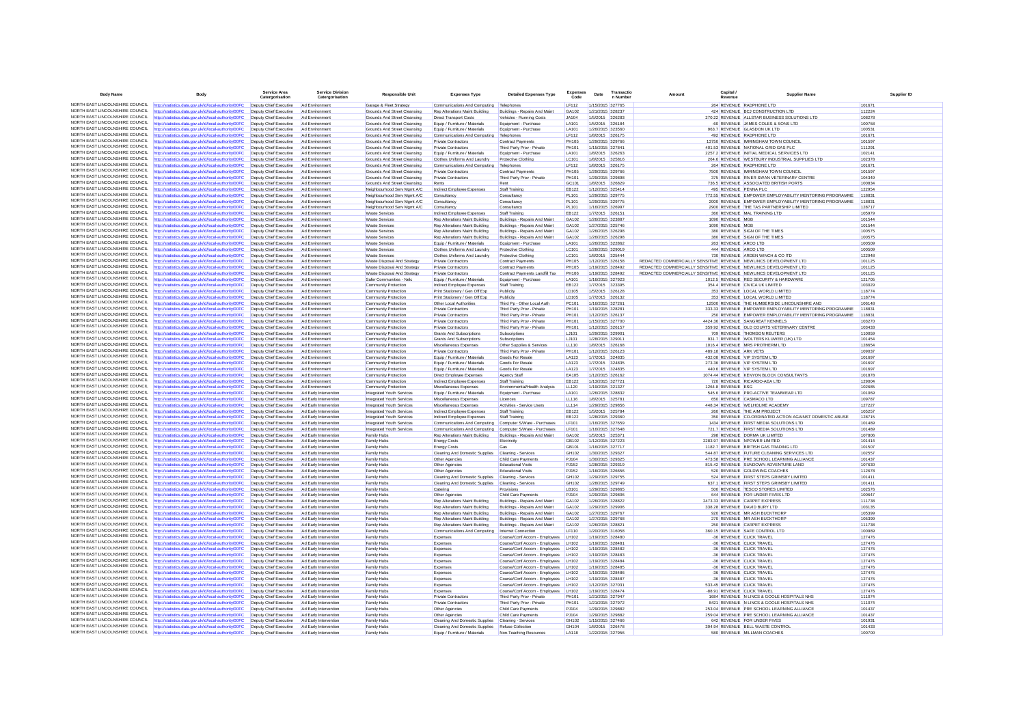| <b>Body Name</b>                                                   | Body                                                                                                                               | Service Area<br>Catergorisation                  | Service Division<br>Catergorisation            | <b>Responsible Unit</b>                                      | <b>Expenses Type</b>                                    | <b>Detailed Expenses Type</b>                                              | Expenses<br>Code             | Date | Transactio<br>n Number               | Canital.<br>Amount<br>Revenue                                                                                                        | <b>Supplier Name</b>                                                                | Supplier ID      |
|--------------------------------------------------------------------|------------------------------------------------------------------------------------------------------------------------------------|--------------------------------------------------|------------------------------------------------|--------------------------------------------------------------|---------------------------------------------------------|----------------------------------------------------------------------------|------------------------------|------|--------------------------------------|--------------------------------------------------------------------------------------------------------------------------------------|-------------------------------------------------------------------------------------|------------------|
|                                                                    | NORTH EAST LINCOLNSHIRE COUNCIL http://statistics.data.gov.uk/id/local-authority/00FC                                              | Deputy Chief Executive                           | Ad Environment                                 | Garage & Fleet Strategy                                      | Communications And Computing                            | Telephones                                                                 | LF112                        |      | 1/15/2015 327765                     |                                                                                                                                      | 264 REVENUE RADPHONE LTD                                                            | 10167            |
| NORTH FAST LINCOLNSHIRE COUNCIL                                    | http://statistics.data.gov.uk/id/local-authority/00FC                                                                              | Deputy Chief Executive                           |                                                | Grounds And Street Cleansing                                 | Rep Alterations Maint Building                          | Buildings - Repairs And Maint                                              | GA102                        |      | 1/21/2015 328237                     |                                                                                                                                      | 424 REVENUE BCJ CONSTRUCTION LTD                                                    | 112224           |
| NORTH EAST LINCOLNSHIRE COUNCIL                                    | http://statistics.data.gov.uk/id/local-authority/00FC                                                                              | Deputy Chief Executive                           | Ad Environment                                 | Grounds And Street Cleansing                                 | <b>Direct Transport Costs</b>                           | Vehicles - Running Costs                                                   | JA104                        |      | 1/5/2015 326283                      |                                                                                                                                      | 270.22 REVENUE ALLSTAR BUSINESS SOLUTIONS LTD                                       | 108278           |
| NORTH EAST LINCOLNSHIRE COUNCIL                                    | http://statistics.data.gov.uk/id/local-authority/00FC                                                                              | Deputy Chief Executive                           | Ad Environment                                 | Grounds And Street Cleansing                                 | Fouin / Furniture / Materials                           | Foujoment - Purchase                                                       | <b>LA101</b>                 |      | 1/5/2015 326184                      |                                                                                                                                      | -60 REVENUE JAMES COLES & SONS LTD                                                  | 100758           |
| NORTH EAST LINCOLNSHIRE COUNCIL                                    | http://statistics.data.gov.uk/id/local-authority/00FC                                                                              | Deputy Chief Executive                           | Ad Environmen                                  | Grounds And Street Cleansing                                 | Equip / Furniture / Materials                           | Equipment - Purchase                                                       | LA101                        |      | 1/26/2015 323560                     |                                                                                                                                      | 963.7 REVENUE GLASDON UK LTD                                                        | 100531           |
| NORTH EAST LINCOLNSHIRE COUNCIL<br>NORTH EAST LINCOLNSHIRE COUNCIL | http://statistics.data.gov.uk/id/local-authority/00FC                                                                              | Deputy Chief Executive                           | Ad Environment                                 | Grounds And Street Cleansing                                 | Communications And Computing Telephones                 |                                                                            | <b>LF112</b>                 |      | 1/8/2015 326175                      |                                                                                                                                      | 492 REVENUE RADPHONE LTD                                                            | 101671           |
| NORTH EAST LINCOLNSHIRE COUNCIL                                    | http://statistics.data.gov.uk/id/local-authority/00FC                                                                              | Deputy Chief Executive                           | Ad Environment                                 | Grounds And Street Cleansing                                 | <b>Private Contractors</b><br>Private Contractors       | <b>Contract Payments</b>                                                   | <b>PH105</b>                 |      | 1/29/2015 329766                     |                                                                                                                                      | 13750 REVENUE IMMINGHAM TOWN COUNCIL                                                | 101597           |
| NORTH EAST LINCOLNSHIRE COUNCIL                                    | http://statistics.data.gov.uk/id/local-authority/00FC<br>http://statistics.data.gov.uk/id/local-authority/00FC                     | Deputy Chief Executive<br>Deputy Chief Executive | Ad Environmen<br>Ad Environment                | Grounds And Street Cleansing<br>Grounds And Street Cleansing | Equip / Furniture / Materials                           | Third Party Prov - Private<br>Equipment - Purchase                         | <b>PH101</b><br>LA101        |      | 1/15/2015 327841<br>1/8/2015 326263  |                                                                                                                                      | 401.53 REVENUE NATIONAL GRID GAS PLC<br>2257.2 REVENUE INITIAL MEDICAL SERVICES LTD | 111291<br>102141 |
| NORTH EAST LINCOLNSHIRE COUNCIL                                    | http://statistics.data.gov.uk/id/local-authority/00FC                                                                              | Deputy Chief Executive                           | Ad Environment                                 | Grounds And Street Cleansing                                 | Clothes Uniforms And Laundry                            | <b>Protective Clothing</b>                                                 | LC101                        |      | 1/8/2015 325816                      |                                                                                                                                      | 264.6 REVENUE WESTBURY INDUSTRIAL SUPPLIES LTD                                      | 102378           |
| NORTH EAST LINCOLNSHIRE COUNCIL                                    | http://statistics.data.gov.uk/id/local-authority/00FC                                                                              | Deputy Chief Executive                           | Ad Environment                                 | Grounds And Street Cleansing                                 | Communications And Computing                            | Telephones                                                                 | LF112                        |      | 1/8/2015 326175                      |                                                                                                                                      | 264 REVENUE RADPHONE LTD                                                            | 101671           |
| NORTH EAST LINCOLNSHIRE COUNCIL                                    | http://statistics.data.gov.uk/id/local-authority/00FC                                                                              | Deputy Chief Executive                           | Ad Environment                                 | Grounds And Street Cleansing                                 | Private Contractors                                     | Contract Payments                                                          | PH105                        |      | 1/29/2015 329766                     |                                                                                                                                      | 7500 REVENUE IMMINGHAM TOWN COUNCIL                                                 | 101597           |
| NORTH EAST LINCOLNSHIRE COUNCIL                                    | http://statistics.data.gov.uk/id/local-authority/00FC                                                                              | Deputy Chief Executive                           | Ad Environment                                 | Grounds And Street Cleansing                                 | <b>Private Contractors</b>                              | Third Party Prov - Private                                                 | <b>PH101</b>                 |      | 1/29/2015 329898                     |                                                                                                                                      | 375 REVENUE RIVER SWAN VETERINARY CENTRE                                            | 104349           |
| NORTH EAST LINCOLNSHIRE COUNCIL                                    | http://statistics.data.gov.uk/id/local-authority/00FC                                                                              | Deputy Chief Executive                           | Ad Environment                                 | Grounds And Street Cleansing                                 | Rents                                                   | Rent                                                                       | GC101                        |      | 1/8/2015 326829                      |                                                                                                                                      | 736.5 REVENUE ASSOCIATED BRITISH PORTS                                              | 100834           |
| NORTH EAST LINCOLNSHIRE COUNCIL                                    | http://statistics.data.gov.uk/id/local-authority/00FC                                                                              | Deputy Chief Executive                           | Ad Environment                                 | Neighbourhood Serv Mamt A/C                                  | Indirect Employee Expenses                              | Staff Training                                                             | EB122                        |      | 1/12/2015 325414                     | 495 REVENUE PENNA PLC                                                                                                                |                                                                                     | 122954           |
| NORTH EAST LINCOLNSHIRE COUNCIL                                    | http://statistics.data.gov.uk/id/local-authority/00FC                                                                              | Deputy Chief Executive                           | Ad Environment                                 | Neighbourhood Serv Mamt A/C                                  | Consultancy                                             | Consultancy                                                                | <b>PL101</b>                 |      | 1/29/2015 329775                     |                                                                                                                                      | 772.55 REVENUE EMPOWER EMPLOYABILITY MENTORING PROGRAMME                            | 118831           |
| NORTH EAST LINCOLNSHIRE COUNCIL                                    | NORTH EAST LINCOLNSHIRE COUNCIL http://statistics.data.gov.uk/id/local-authority/00FC                                              | Deputy Chief Executive<br>Deputy Chief Executive | Ad Environment                                 | Neighbourhood Serv Mgmt A/C                                  | Consultancy                                             | Consultancy<br>Consultancy                                                 | <b>PL101</b><br>PL101        |      | 1/29/2015 329775<br>1/16/2015 326997 |                                                                                                                                      | 2000 REVENUE EMPOWER EMPLOYABILITY MENTORING PROGRAMME                              | 118831<br>128717 |
| NORTH EAST LINCOLNSHIRE COUNCIL                                    | http://statistics.data.gov.uk/id/local-authority/00FC<br>ttp://statistics.data.gov.uk/id/local-authority/00FC                      | Deputy Chief Executive                           | Ad Environment<br>Ad Environment               | Neighbourhood Serv Mgmt A/C<br><b>Waste Services</b>         | Consultancy<br>Indirect Employee Expenses               | Staff Training                                                             | EB122                        |      | 1/7/2015 326151                      |                                                                                                                                      | 2900 REVENUE THE TAS PARTNERSHIP LIMITED<br>360 REVENUE MAL TRAINING LTD            | 105979           |
| NORTH EAST LINCOLNSHIRE COUNCIL                                    | http://statistics.data.gov.uk/id/local-authority/00FC                                                                              | Deputy Chief Executive                           | Ad Environment                                 | <b>Waste Services</b>                                        | Rep Alterations Maint Building                          | Buildings - Repairs And Maint                                              | GA102                        |      | 1/26/2015 323887                     | 1090 REVENUE MGB                                                                                                                     |                                                                                     | 101544           |
| NORTH EAST LINCOLNSHIRE COUNCIL                                    | http://statistics.data.gov.uk/id/local-authority/00FC                                                                              | Deputy Chief Executive                           | Ad Environment                                 | <b>Waste Services</b>                                        | Rep Alterations Maint Building                          | Buildings - Renairs And Maint                                              | GA102                        |      | 1/27/2015 325746                     | 1090 REVENUE MGB                                                                                                                     |                                                                                     | 101544           |
| NORTH EAST LINCOLNSHIRE COUNCIL                                    | http://statistics.data.gov.uk/id/local-authority/00FC                                                                              | Deputy Chief Executive                           | Ad Environmen                                  | Waste Service                                                | Rep Alterations Maint Building                          | Buildings - Repairs And Maint                                              | GA102                        |      | 1/26/2015 326298                     |                                                                                                                                      | 380 REVENUE SIGN OF THE TIMES                                                       | 100575           |
| NORTH EAST LINCOLNSHIRE COUNCIL                                    | http://statistics.data.gov.uk/id/local-authority/00FC                                                                              | Deputy Chief Executive Ad Environment            |                                                | <b>Waste Services</b>                                        | Rep Alterations Maint Building                          | Buildings - Repairs And Maint                                              | GA102                        |      | 1/26/2015 326298                     |                                                                                                                                      | 380 REVENUE SIGN OF THE TIMES                                                       | 100575           |
| NORTH EAST LINCOLNSHIRE COUNCIL                                    | http://statistics.data.gov.uk/id/local-authority/00FC                                                                              | Deputy Chief Executive                           | Ad Environment                                 | <b>Waste Services</b>                                        | Equip / Furniture / Materials                           | Foujoment - Purchase                                                       | <b>IA101</b>                 |      | 1/26/2015 322862                     | 263 REVENUE ARCO LTD                                                                                                                 |                                                                                     | 100509           |
| NORTH EAST LINCOLNSHIRE COUNCIL<br>NORTH FAST LINCOLNSHIRE COUNCIL | http://statistics.data.gov.uk/id/local-authority/00FC                                                                              | Deputy Chief Executive                           | Ad Environmen                                  | <b>Waste Servicer</b>                                        | Clothes Uniforms And Laundry                            | Protective Clothing                                                        | LC101                        |      | 1/28/2015 329019                     | 444 REVENUE ARCO LTD                                                                                                                 |                                                                                     | 100509           |
| NORTH EAST LINCOLNSHIRE COUNCIL                                    | http://statistics.data.gov.uk/id/local-authority/00FC                                                                              | Deputy Chief Executive                           | Ad Environment                                 | <b>Waste Services</b>                                        | Clothes Uniforms And Laundry                            | Protective Clothing                                                        | LC101                        |      | 1/8/2015 325444                      |                                                                                                                                      | 730 REVENUE ARDEN WINCH & CO ITD                                                    | 122948           |
| NORTH EAST LINCOLNSHIRE COUNCIL                                    | http://statistics.data.gov.uk/id/local-authority/00FC<br>http://statistics.data.gov.uk/id/local-authority/00FC                     | Deputy Chief Executive<br>Deputy Chief Executive | Ad Environment<br>Ad Environment               | Waste Disposal And Strategy<br>Waste Disposal And Strategy   | <b>Private Contractors</b><br>Private Contractors       | <b>Contract Payments</b><br><b>Contract Payments</b>                       | <b>PH105</b><br><b>PH105</b> |      | 1/12/2015 326158<br>1/19/2015 328492 | REDACTED COMMERCIALLY SENSITIVE REVENUE NEWLINCS DEVELOPMENT LTD<br>REDACTED COMMERCIALLY SENSITIVE REVENUE NEWLINCS DEVELOPMENT LTD |                                                                                     | 101125<br>101125 |
| NORTH EAST LINCOLNSHIRE COUNCIL                                    | http://statistics.data.gov.uk/id/local-authority/00FC                                                                              | Deputy Chief Executive                           | Ad Environment                                 | Waste Disposal And Strategy                                  | Private Contractors                                     | Contract Payments Landfill Tax                                             | <b>PH106</b>                 |      | 1/19/2015 328492                     | REDACTED COMMERCIALLY SENSITIVE REVENUE NEWLINCS DEVELOPMENT LTD                                                                     |                                                                                     | 101125           |
| NORTH EAST LINCOLNSHIRE COUNCIL                                    | http://statistics.data.gov.uk/id/local-authority/00FC                                                                              | Deputy Chief Executive                           | Ad Environment                                 | Safer Communities - Nelc                                     | Equip / Furniture / Materials                           | Equipment - Purchase                                                       | LA101                        |      | 1/16/2015 327923                     |                                                                                                                                      | 1012.5 REVENUE RED SECURITY & HARDWARE                                              | 121705           |
| NORTH EAST LINCOLNSHIRE COUNCIL                                    | http://statistics.data.gov.uk/id/local-authority/00FC                                                                              | Deputy Chief Executive                           | Ad Environment                                 | Community Protection                                         | Indirect Employee Expenses                              | Staff Training                                                             | <b>EB122</b>                 |      | 1/7/2015 323395                      |                                                                                                                                      | 354.4 REVENUE CIVICA UK LIMITED                                                     | 103029           |
| NORTH EAST LINCOLNSHIRE COUNCIL                                    | http://statistics.data.gov.uk/id/local-authority/00FC                                                                              | Deputy Chief Executive                           | Ad Environment                                 | <b>Community Protection</b>                                  | Print Stationery / Gen Off Exp                          | Publicity                                                                  | LD105                        |      | 1/5/2015 326128                      |                                                                                                                                      | 353 REVENUE LOCAL WORLD LIMITED                                                     | 118774           |
| NORTH EAST LINCOLNSHIRE COUNCIL                                    | http://statistics.data.gov.uk/id/local-authority/00FC                                                                              | Deputy Chief Executive                           | Ad Environment                                 | Community Protection                                         | Print Stationery / Gen Off Exp                          | Publicity                                                                  | LD105                        |      | 1/7/2015 326132                      |                                                                                                                                      | 353 REVENUE LOCAL WORLD LIMITED                                                     | 118774           |
| NORTH EAST LINCOLNSHIRE COUNCIL                                    | http://statistics.data.gov.uk/id/local-authority/00FC                                                                              | Deputy Chief Executive                           | Ad Environment                                 | Community Protection                                         | Other Local Authorities                                 | Third Po - Other Local Auth                                                | PC101                        |      | 1/16/2015 327261                     |                                                                                                                                      | 12500 REVENUE THE HUMBERSIDE LINCOLNSHIRE AND                                       | 106148           |
| NORTH EAST LINCOLNSHIRE COUNCIL                                    | http://statistics.data.gov.uk/id/local-authority/00FC                                                                              | Deputy Chief Executive                           | Ad Environment                                 | <b>Community Protection</b>                                  | Private Contractors                                     | Third Party Prov - Private                                                 | PH101                        |      | 1/19/2015 328281                     |                                                                                                                                      | 333.33 REVENUE EMPOWER EMPLOYABILITY MENTORING PROGRAMME                            | 118831           |
| NORTH EAST LINCOLNSHIRE COUNCIL<br>NORTH EAST LINCOLNSHIRE COUNCIL | http://statistics.data.gov.uk/id/local-authority/00FC                                                                              | Deputy Chief Executive                           |                                                | Community Protection                                         | Private Contractors                                     | Third Party Prov - Private                                                 | <b>PH101</b>                 |      | 1/12/2015 326137                     |                                                                                                                                      | 250 REVENUE EMPOWER EMPLOYABILITY MENTORING PROGRAMME                               | 118831           |
| NORTH EAST LINCOLNSHIRE COUNCIL                                    | http://statistics.data.gov.uk/id/local-authority/00FC<br>http://statistics.data.gov.uk/id/local-authority/00FC                     | Deputy Chief Executive<br>Deputy Chief Executive | Ad Environment<br>Ad Environment               | Community Protection<br>Community Protection                 | Private Contractors<br><b>Private Contractors</b>       | Third Party Prov - Private<br>Third Party Prov - Private                   | <b>PH101</b><br><b>PH101</b> |      | 1/15/2015 327700<br>1/12/2015 326157 |                                                                                                                                      | 4424.36 REVENUE SANGREAT KENNELS<br>359.92 REVENUE OLD COURTS VETERINARY CENTRE     | 103270<br>103433 |
| NORTH EAST LINCOLNSHIRE COUNCIL                                    | http://statistics.data.gov.uk/id/local-authority/00FC                                                                              | Deputy Chief Executive                           | Ad Environment                                 | <b>Community Protection</b>                                  | <b>Grants And Subscriptions</b>                         | Subscriptions                                                              | LJ101                        |      | 1/29/2015 329901                     |                                                                                                                                      | 709 REVENUE THOMSON REUTERS                                                         | 110059           |
| NORTH EAST LINCOLNSHIRE COUNCIL                                    | http://statistics.data.gov.uk/id/local-authority/00FC                                                                              | Deputy Chief Executive                           | Ad Environment                                 | Community Protection                                         | Grants And Subscriptions                                | Subscriptions                                                              | LJ101                        |      | 1/28/2015 329011                     |                                                                                                                                      | 931.7 REVENUE WOLTERS KLUWER (UK) LTD                                               | 101454           |
| NORTH EAST LINCOLNSHIRE COUNCIL                                    | http://statistics.data.gov.uk/id/local-authority/00FC                                                                              | Deputy Chief Executive                           | Ad Environment                                 | Community Protection                                         | Miscellaneous Expenses                                  | Other Supplies & Services                                                  | LL110                        |      | 1/8/2015 326168                      |                                                                                                                                      | 1016.4 REVENUE MRS PROTHERM LTD                                                     | 128654           |
| NORTH EAST LINCOLNSHIRE COUNCIL                                    | http://statistics.data.gov.uk/id/local-authority/00FC                                                                              | Deputy Chief Executive                           | Ad Environment                                 | <b>Community Protection</b>                                  | Private Contractors                                     | Third Party Prov - Private                                                 | <b>PH101</b>                 |      | 1/12/2015 326123                     | 489.18 REVENUE ARK VETS                                                                                                              |                                                                                     | 109037           |
| NORTH EAST LINCOLNSHIRE COUNCIL                                    | http://statistics.data.gov.uk/id/local-authority/00FC                                                                              | Deputy Chief Executive                           | Ad Environment                                 | Community Protection                                         | Equip / Furniture / Materials                           | Goods For Resale                                                           | LA123                        |      | 1/7/2015 324835                      |                                                                                                                                      | 432.08 REVENUE VIP SYSTEM LTD                                                       | 101697           |
| NORTH EAST LINCOLNSHIRE COUNCIL                                    | ttp://statistics.data.gov.uk/id/local-authority/00FC                                                                               | Deputy Chief Executive                           | Ad Environment                                 | Community Protection                                         | Equip / Furniture / Materials                           | Goods For Resale                                                           | LA123                        |      | 1/7/2015 324835                      |                                                                                                                                      | 273.36 REVENUE VIP SYSTEM LTD                                                       | 101697           |
| NORTH EAST LINCOLNSHIRE COUNCIL                                    | http://statistics.data.gov.uk/id/local-authority/00FC                                                                              | Deputy Chief Executive                           | Ad Environment                                 | Community Protection                                         | Equip / Furniture / Materials                           | <b>Goods For Resale</b>                                                    | LA123                        |      | 1/7/2015 324835                      |                                                                                                                                      | 440.6 REVENUE VIP SYSTEM LTD                                                        | 101697           |
| NORTH FAST LINCOLNSHIRE COUNCIL<br>NORTH EAST LINCOLNSHIRE COUNCIL | http://statistics.data.gov.uk/id/local-authority/00FC                                                                              | Deputy Chief Executive                           | Ad Environment                                 | Community Protection                                         | Direct Employee Expenses                                | Agency Staff                                                               | EA105                        |      | 1/12/2015 326162                     |                                                                                                                                      | 1074.44 REVENUE KENYON BLOCK CONSULTANTS                                            | 101878           |
| NORTH EAST LINCOLNSHIRE COUNCIL                                    | http://statistics.data.gov.uk/id/local-authority/00FC                                                                              | Deputy Chief Executive<br>Deputy Chief Executive | Ad Environment<br>Ad Environment               | Community Protection                                         | Indirect Employee Expenses                              | Staff Training<br>Environmental/Health Analysis                            | <b>EB122</b><br>LL120        |      | 1/13/2015 327721<br>1/19/2015 321327 |                                                                                                                                      | 720 REVENUE RICARDO-AEA LTD                                                         | 129004<br>102685 |
| NORTH EAST LINCOLNSHIRE COUNCIL                                    | http://statistics.data.gov.uk/id/local-authority/00FC<br>http://statistics.data.gov.uk/id/local-authority/00FC                     | Deputy Chief Executive                           | Ad Early Intervention                          | <b>Community Protection</b><br>Integrated Youth Services     | Miscellaneous Expenses<br>Equip / Furniture / Materials | Equipment - Purchase                                                       | LA101                        |      | 1/26/2015 328832                     | 1264.8 REVENUE ESG                                                                                                                   | 545.6 REVENUE PRO-ACTIVE TEAMWEAR LTD                                               | 101069           |
| NORTH EAST LINCOLNSHIRE COUNCIL                                    | ttp://statistics.data.gov.uk/id/local-authority/00FC                                                                               | Deputy Chief Executive                           | Ad Early Intervention                          | Integrated Youth Services                                    | Miscellaneous Expenses                                  | Licences                                                                   | LL116                        |      | 1/8/2015 325781                      |                                                                                                                                      | 650 REVENUE CASMACO LTD                                                             | 109787           |
| NORTH EAST LINCOLNSHIRE COUNCIL                                    | http://statistics.data.gov.uk/id/local-authority/00FC                                                                              | Deputy Chief Executive                           | Ad Early Intervention                          | Integrated Youth Services                                    | Miscellaneous Expenses                                  | Activities - Service Users                                                 | <b>LL114</b>                 |      | 1/29/2015 329856                     |                                                                                                                                      | 448.34 REVENUE WELHOLME ACADEMY                                                     | 127227           |
| NORTH EAST LINCOLNSHIRE COUNCIL                                    | http://statistics.data.gov.uk/id/local-authority/00FC                                                                              | Deputy Chief Executive                           | Ad Early Intervention                          | Integrated Youth Services                                    | Indirect Employee Expenses                              | Staff Training                                                             | FR122                        |      | 1/5/2015 325784                      |                                                                                                                                      | 260 REVENUE THE AIM PROJECT                                                         | 105257           |
| NORTH EAST LINCOLNSHIRE COUNCIL                                    | http://statistics.data.gov.uk/id/local-authority/00FC                                                                              | Deputy Chief Executive                           | Ad Early Intervention                          | Integrated Youth Services                                    | Indirect Employee Expenses                              | Staff Training                                                             | <b>EB122</b>                 |      | 1/28/2015 329360                     |                                                                                                                                      | 350 REVENUE CO-ORDINATED ACTION AGAINST DOMESTIC ABUSE                              | 128715           |
| NORTH EAST LINCOLNSHIRE COUNCIL                                    | http://statistics.data.gov.uk/id/local-authority/00FC                                                                              | Deputy Chief Executive                           | Ad Early Intervention                          | Integrated Youth Services                                    | Communications And Computing                            | Computer S/Ware - Purchases                                                | LF101                        |      | 1/16/2015 327659                     |                                                                                                                                      | 1434 REVENUE FIRST MEDIA SOLUTIONS LTD                                              | 101489           |
| NORTH EAST LINCOLNSHIRE COUNCIL<br>NORTH EAST LINCOLNSHIRE COUNCIL | http://statistics.data.gov.uk/id/local-authority/00FC                                                                              | Deputy Chief Executive                           | Ad Early Intervention                          | Integrated Youth Services                                    | Communications And Computing                            | Computer S/Ware - Purchases                                                | <b>IF101</b>                 |      | 1/16/2015 327648                     |                                                                                                                                      | 721.7 REVENUE FIRST MEDIA SOLUTIONS LTD                                             | 101489           |
| NORTH EAST LINCOLNSHIRE COUNCIL                                    | http://statistics.data.gov.uk/id/local-authority/00FC                                                                              | Deputy Chief Executive<br>Deputy Chief Executive | Ad Early Intervention                          | Family Hubs<br>Family Hubs                                   | Rep Alterations Maint Building                          | Buildings - Repairs And Maint<br>Electricity                               | GA102<br>GB102               |      | 1/5/2015 325371                      |                                                                                                                                      | 298 REVENUE DORMA UK LIMITED                                                        | 107806<br>101414 |
| NORTH EAST LINCOLNSHIRE COUNCIL                                    | http://statistics.data.gov.uk/id/local-authority/00FC<br>http://statistics.data.gov.uk/id/local-authority/00FC                     | Deputy Chief Executive                           | Ad Early Intervention<br>Ad Early Intervention | Family Hubs                                                  | <b>Energy Costs</b><br><b>Energy Costs</b>              |                                                                            | GB101                        |      | 1/12/2015 327223<br>1/16/2015 327717 |                                                                                                                                      | 2283.97 REVENUE NPOWER LIMITED<br>1182.7 REVENUE BRITISH GAS TRADING LTD            | 101507           |
| NORTH EAST LINCOLNSHIRE COUNCIL                                    | http://statistics.data.gov.uk/id/local-authority/00FC                                                                              | Deputy Chief Executive                           | Ad Early Intervention                          | Family Hubs                                                  | Cleaning And Domestic Supplies                          | Cleaning - Services                                                        | GH102                        |      | 1/30/2015 329327                     |                                                                                                                                      | 544.87 REVENUE FUTURE CLEANING SERVICES LTD                                         | 102557           |
| NORTH EAST LINCOLNSHIRE COUNCIL                                    | http://statistics.data.gov.uk/id/local-authority/00FC                                                                              | Deputy Chief Executive                           | Ad Early Intervention                          | Family Hubs                                                  | Other Agencies                                          | Child Care Payments                                                        | PJ104                        |      | 1/30/2015 329325                     |                                                                                                                                      | 473.58 REVENUE PRE SCHOOL LEARNING ALLIANCE                                         | 101437           |
| NORTH EAST LINCOLNSHIRE COUNCIL                                    | http://statistics.data.gov.uk/id/local-authority/00FC                                                                              | Deputy Chief Executive                           | Ad Early Intervention                          | Family Hubs                                                  | Other Agencies                                          | <b>Educational Visits</b>                                                  | <b>PJ152</b>                 |      | 1/28/2015 329319                     |                                                                                                                                      | 815.42 REVENUE SUNDOWN ADVENTURE LAND                                               | 107630           |
| NORTH EAST LINCOLNSHIRE COUNCIL                                    | http://statistics.data.gov.uk/id/local-authority/00FC                                                                              | Deputy Chief Executive                           | Ad Early Intervention                          | Family Hubs                                                  | Other Agencies                                          | <b>Educational Visits</b>                                                  | PJ152                        |      | 1/16/2015 326656                     |                                                                                                                                      | 520 REVENUE GOLDWING COACHES                                                        | 112678           |
| NORTH EAST LINCOLNSHIRE COUNCIL                                    | http://statistics.data.gov.uk/id/local-authority/00FC                                                                              | Deputy Chief Executive                           | Ad Early Intervention                          | Family Hubs                                                  | Cleaning And Domestic Supplies Cleaning - Services      |                                                                            | GH102                        |      | 1/29/2015 329755                     |                                                                                                                                      | 524 REVENUE FIRST STEPS GRIMSBY LIMITED                                             | 101411           |
| NORTH EAST LINCOLNSHIRE COUNCIL                                    | http://statistics.data.gov.uk/id/local-authority/00FC                                                                              | Deputy Chief Executive                           | Ad Early Intervention                          | Family Hubs                                                  | Cleaning And Domestic Supplies                          | Cleaning - Services                                                        | GH102                        |      | 1/28/2015 329749                     |                                                                                                                                      | 637.1 REVENUE FIRST STEPS GRIMSBY LIMITED                                           | 101411           |
| NORTH EAST LINCOLNSHIRE COUNCIL<br>NORTH EAST LINCOLNSHIRE COUNCIL | http://statistics.data.gov.uk/id/local-authority/00FC                                                                              | Deputy Chief Executive<br>Deputy Chief Executive | Ad Early Intervention                          | Family Hubs                                                  | Catering                                                | Provisions                                                                 | LB101<br>PJ104               |      | 1/29/2015 329865                     |                                                                                                                                      | 500 REVENUE TESCO STORES LIMITED<br>644 REVENUE FOR UNDER FIVES LTD                 | 102576<br>100647 |
| NORTH FAST LINCOLNSHIRE COUNCIL                                    | http://statistics.data.gov.uk/id/local-authority/00FC<br>ttp://statistics.data.gov.uk/id/local-authority/00FC                      | Deputy Chief Executive                           | Ad Early Intervention<br>Ad Early Intervention | Family Hubs<br>Family Hubs                                   | Other Agencies<br>Rep Alterations Maint Building        | Child Care Payments<br>Buildings - Repairs And Maint                       | GA102                        |      | 1/29/2015 329806<br>1/26/2015 328822 |                                                                                                                                      | 2473.33 REVENUE CARPET EXPRESS                                                      | 111738           |
| NORTH EAST LINCOLNSHIRE COUNCIL                                    | http://statistics.data.gov.uk/id/local-authority/00FC                                                                              | Deputy Chief Executive                           | Ad Early Intervention                          | Family Hubs                                                  | Rep Alterations Maint Building                          | Buildings - Repairs And Maint                                              | GA102                        |      | 1/29/2015 329906                     |                                                                                                                                      | 338.28 REVENUE DAVID BURY LTD                                                       | 103135           |
| NORTH EAST LINCOLNSHIRE COUNCIL                                    | http://statistics.data.gov.uk/id/local-authority/00FC                                                                              | Deputy Chief Executive                           | Ad Early Intervention                          | Family Hubs                                                  | Rep Alterations Maint Building                          | Buildings - Repairs And Maint                                              | GA102                        |      | 1/27/2015 329767                     |                                                                                                                                      | 920 REVENUE MR ASH BUCKTHORE                                                        | 105399           |
| NORTH EAST LINCOLNSHIRE COUNCIL                                    | http://statistics.data.gov.uk/id/local-authority/00FC                                                                              | Deputy Chief Executive                           | Ad Early Intervention                          | Family Hubs                                                  | Rep Alterations Maint Building                          | Buildings - Repairs And Maint                                              | GA102                        |      | 1/27/2015 329768                     |                                                                                                                                      | 270 REVENUE MR ASH BUCKTHORE                                                        | 105399           |
| NORTH EAST LINCOLNSHIRE COUNCIL                                    | http://statistics.data.gov.uk/id/local-authority/00FC                                                                              | Deputy Chief Executive                           | Ad Early Intervention                          | Family Hubs                                                  | Rep Alterations Maint Building                          | Buildings - Repairs And Maint                                              | GA102                        |      | 1/26/2015 328821                     |                                                                                                                                      | 250 REVENUE CARPET EXPRESS                                                          | 111738           |
| NORTH EAST LINCOLNSHIRE COUNCIL                                    | http://statistics.data.gov.uk/id/local-authority/00FC                                                                              | Deputy Chief Executive                           | Ad Farly Intervention                          | Family Hubs                                                  | Communications And Computing                            | Internet Connection                                                        | I F110                       |      | 1/20/2015 316058                     |                                                                                                                                      | 360.15 REVENUE SAFE CONTROL LTD                                                     | 100989           |
| NORTH EAST LINCOLNSHIRE COUNCIL                                    | http://statistics.data.gov.uk/id/local-authority/00FC                                                                              | Deputy Chief Executive                           | Ad Early Intervention                          | Family Hubs                                                  | Expenses                                                | Course/Conf Accom - Employees                                              | LH102                        |      | 1/19/2015 328480                     |                                                                                                                                      | -36 REVENUE CLICK TRAVEL                                                            | 127476           |
| NORTH EAST LINCOLNSHIRE COUNCIL                                    | http://statistics.data.gov.uk/id/local-authority/00FC                                                                              | Deputy Chief Executive                           | Ad Early Intervention                          | Family Hubs                                                  | Expenses                                                | Course/Conf Accom - Employees LH102                                        |                              |      | 1/19/2015 328481                     |                                                                                                                                      | -36 REVENUE CLICK TRAVEL                                                            | 127476           |
| NORTH EAST LINCOLNSHIRE COUNCIL<br>NORTH EAST LINCOLNSHIRE COUNCIL | http://statistics.data.gov.uk/id/local-authority/00FC                                                                              | Deputy Chief Executive<br>Deputy Chief Executive | Ad Early Intervention                          | Family Hubs                                                  | Expenses                                                | Course/Conf Accom - Employees                                              | LH102                        |      | 1/19/2015 328482<br>1/19/2015 328483 |                                                                                                                                      | -36 REVENUE CLICK TRAVEL                                                            | 127476           |
| NORTH EAST LINCOLNSHIRE COUNCIL                                    | http://statistics.data.gov.uk/id/local-authority/00FC                                                                              | Deputy Chief Executive Ad Early Intervention     | Ad Farly Intervention                          | Family Hubs<br>Family Hubs                                   | Expenses                                                | Course/Conf Accom - Employees LH102                                        |                              |      | 1/19/2015 328484                     |                                                                                                                                      | -36 REVENUE CLICK TRAVEL                                                            | 127476<br>127476 |
| NORTH EAST LINCOLNSHIRE COUNCIL                                    | http://statistics.data.gov.uk/id/local-authority/00FC<br>http://statistics.data.gov.uk/id/local-authority/00FC                     | Deputy Chief Executive                           | Ad Early Intervention                          | Family Hubs                                                  | Expenses<br>Expenses                                    | Course/Conf Accom - Employees LH102<br>Course/Conf Accom - Employees LH102 |                              |      | 1/19/2015 328485                     |                                                                                                                                      | -36 REVENUE CLICK TRAVEL<br>-36 REVENUE CLICK TRAVEL                                | 127476           |
| NORTH EAST LINCOLNSHIRE COUNCIL                                    | http://statistics.data.gov.uk/id/local-authority/00FC                                                                              | Deputy Chief Executive                           | Ad Early Intervention                          | Family Hubs                                                  | Expenses                                                | Course/Conf Accom - Employees LH102                                        |                              |      | 1/19/2015 328486                     |                                                                                                                                      | -36 REVENUE CLICK TRAVEL                                                            | 127476           |
| NORTH EAST LINCOLNSHIRE COUNCIL                                    | http://statistics.data.gov.uk/id/local-authority/00FC                                                                              | Deputy Chief Executive                           | Ad Early Intervention                          | Family Hubs                                                  | Expenses                                                | Course/Conf Accom - Employees LH102                                        |                              |      | 1/19/2015 328487                     |                                                                                                                                      | -36 REVENUE CLICK TRAVEL                                                            | 127476           |
| NORTH EAST LINCOLNSHIRE COUNCIL                                    | ttp://statistics.data.gov.uk/id/local-authority/00FC                                                                               | Deputy Chief Executive                           | Ad Early Intervention                          | Family Hubs                                                  | Expenses                                                | Course/Conf Accom - Employees                                              | LH102                        |      | 1/12/2015 327031                     | 533.45 REVENUE CLICK TRAVEL                                                                                                          |                                                                                     | 127476           |
| NORTH EAST LINCOLNSHIRE COUNCIL                                    | http://statistics.data.gov.uk/id/local-authority/00FC                                                                              | Deputy Chief Executive                           | Ad Early Intervention                          | Family Hubs                                                  | Expenses                                                | Course/Conf Accom - Employees LH102                                        |                              |      | 1/19/2015 328474                     | -88.91 REVENUE CLICK TRAVEL                                                                                                          |                                                                                     | 127476           |
| NORTH EAST LINCOLNSHIRE COUNCIL                                    | http://statistics.data.gov.uk/id/local-authority/00FC                                                                              | Deputy Chief Executive                           | Ad Early Intervention                          | Family Hubs                                                  | Private Contractors                                     | Third Party Prov - Private                                                 | <b>PH101</b>                 |      | 1/21/2015 327947                     |                                                                                                                                      | 1684 REVENUE N LINCS & GOOLE HOSPITALS NHS                                          | 111074           |
| NORTH EAST LINCOLNSHIRE COUNCIL                                    | http://statistics.data.gov.uk/id/local-authority/00FC                                                                              | Deputy Chief Executive                           | Ad Early Intervention                          | Family Hubs                                                  | Private Contractors                                     | Third Party Prov - Private                                                 | <b>PH101</b>                 |      | 1/21/2015 327972                     |                                                                                                                                      | 8421 REVENUE N LINCS & GOOLE HOSPITALS NHS                                          | 111074           |
| NORTH EAST LINCOLNSHIRE COUNCIL                                    | NORTH EAST LINCOLNSHIRE COUNCIL http://statistics.data.gov.uk/id/local-authority/00FC                                              | Deputy Chief Executive Ad Early Intervention     |                                                | Family Hubs                                                  | Other Agencies                                          | Child Care Payments                                                        | PJ104                        |      | 1/29/2015 329882                     |                                                                                                                                      | 253.04 REVENUE PRE SCHOOL LEARNING ALLIANCE                                         | 101437           |
| NORTH EAST LINCOLNSHIRE COUNCIL                                    | http://statistics.data.gov.uk/id/local-authority/00FC<br>http://statistics.data.gov.uk/id/local-authority/00FC                     | Deputy Chief Executive<br>Deputy Chief Executive | Ad Early Intervention<br>Ad Early Intervention | Family Hubs<br>Family Hubs                                   | Other Agencies<br>Cleaning And Domestic Supplies        | Child Care Payments<br>Cleaning - Services                                 | PJ104<br>GH102               |      | 1/29/2015 329882<br>1/15/2015 327466 |                                                                                                                                      | 259.04 REVENUE PRE SCHOOL LEARNING ALLIANCE<br>642 REVENUE FOR UNDER FIVES          | 101437<br>10193  |
|                                                                    | NORTH EAST LINCOLNSHIRE COUNCIL http://statistics.data.gov.uk/id/local-authority/00FC Deputy Chief Executive Ad Early Intervention |                                                  |                                                | Family Hubs                                                  | Cleaning And Domestic Supplies                          | Refuse Collection                                                          | GH104                        |      | 1/8/2015 326478                      |                                                                                                                                      | 394.94 REVENUE BELL WASTE CONTROL                                                   | 101433           |
|                                                                    | NORTH EAST LINCOLNSHIRE COUNCIL http://statistics.data.gov.uk/id/local-authority/00FC                                              | Deputy Chief Executive                           | Ad Early Intervention                          | Family Hubs                                                  | Equip / Furniture / Materials                           | Non-Teaching Resources                                                     | LA118                        |      | 1/22/2015 327956                     |                                                                                                                                      | 580 REVENUE MILLMAN COACHES                                                         | 100700           |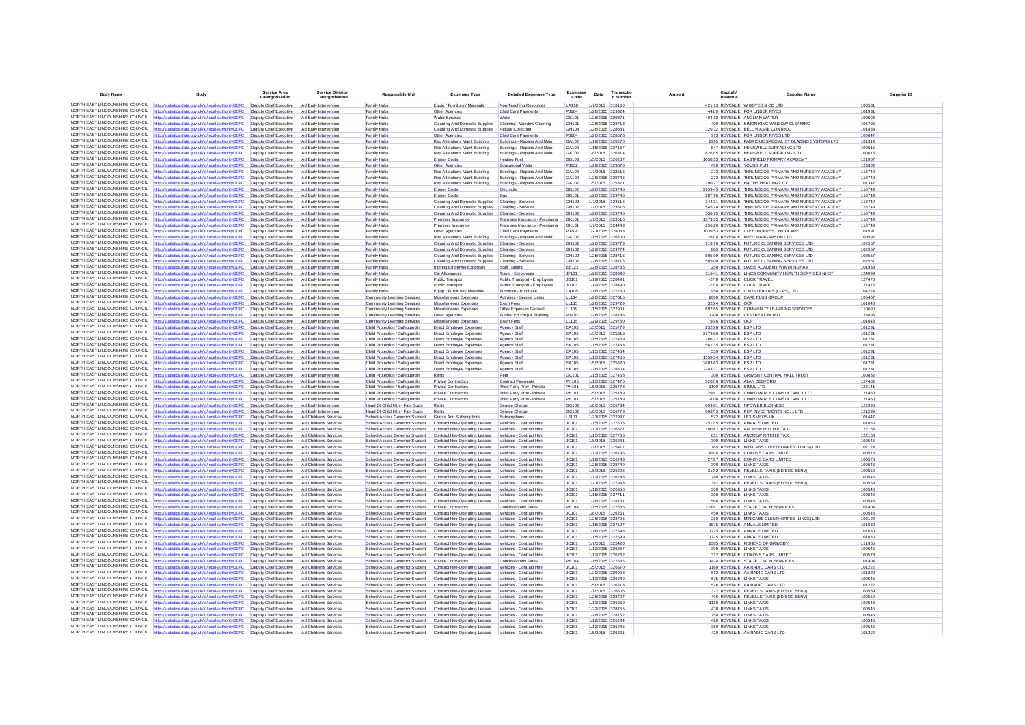| <b>Body Name</b>                                                   | <b>Body</b>                                                                                                    | <b>Service Area</b><br>Catergorisation                                 | <b>Service Division</b><br>Catergorisation     | <b>Responsible Unit</b>                                          | <b>Expenses Type</b>                                                                   | <b>Detailed Expenses Type</b>                            | Expens<br>Code        | Date                                 | Transactio<br>n Number               | Amoun | Capital<br>Revenue                            | <b>Supplier Name</b>                                                                                          | Supplier ID      |
|--------------------------------------------------------------------|----------------------------------------------------------------------------------------------------------------|------------------------------------------------------------------------|------------------------------------------------|------------------------------------------------------------------|----------------------------------------------------------------------------------------|----------------------------------------------------------|-----------------------|--------------------------------------|--------------------------------------|-------|-----------------------------------------------|---------------------------------------------------------------------------------------------------------------|------------------|
| NORTH FAST LINCOLNSHIRE COUNCIL                                    | http://statistics.data.gov.uk/id/local-authority/00FC                                                          | Deputy Chief Executive                                                 | Ad Early Intervention                          | Family Hubs                                                      | Equip / Furniture / Materials                                                          | Non-Teaching Resources                                   | LA118                 | 1/7/2015 318160                      |                                      |       |                                               | 421.13 REVENUE W BOYES & CO LTD                                                                               | 10058            |
| NORTH EAST LINCOLNSHIRE COUNCIL                                    | ttp://statistics.data.gov.uk/id/local-authority/00FC                                                           | Deputy Chief Executive                                                 | Ad Early Intervention                          | Family Hubs                                                      | Other Agencies                                                                         | Child Care Payments                                      | PJ104                 |                                      | 1/28/2015 329324                     |       |                                               | 441.9 REVENUE FOR UNDER FIVES                                                                                 | 101931           |
| NORTH EAST LINCOLNSHIRE COUNCIL                                    | http://statistics.data.gov.uk/id/local-authority/00FC                                                          | Deputy Chief Executive                                                 | Ad Farly Intervention                          | Family Hubs                                                      | <b>Water Services</b>                                                                  | Water                                                    | GF101                 | 1/26/2015 329371                     |                                      |       |                                               | 404 13 REVENUE ANGLIAN WATER                                                                                  | 100508           |
| NORTH EAST LINCOLNSHIRE COUNCIL                                    | http://statistics.data.gov.uk/id/local-authority/00FC                                                          | Deputy Chief Executive                                                 | Ad Early Intervention                          | Family Hubs                                                      | Cleaning And Domestic Supplies                                                         | Cleaning - Window Cleaning                               | GH101                 |                                      | 1/26/2015 328713                     |       |                                               | 400 REVENUE SIMON KING WINDOW CLEANING                                                                        | 106706           |
| NORTH FAST LINCOLNSHIRE COUNCIL<br>NORTH EAST LINCOLNSHIRE COUNCIL | tp://statistics.data.gov.uk/id/local-authority/00FC                                                            | Deputy Chief Executive                                                 | Ad Early Intervention                          | Family Hubs                                                      | Cleaning And Domestic Supplies                                                         | Refuse Collection                                        | GH104                 | 1/26/2015 328681                     |                                      |       |                                               | 320.32 REVENUE BELL WASTE CONTROL                                                                             | 101433           |
| NORTH EAST LINCOLNSHIRE COUNCIL                                    | http://statistics.data.gov.uk/id/local-authority/00FC<br>http://statistics.data.gov.uk/id/local-authority/00FC | Deputy Chief Executive<br>Deputy Chief Executive                       | Ad Early Intervention<br>Ad Early Intervention | Family Hubs<br>Family Hubs                                       | Other Agencies<br>Rep Alterations Maint Building                                       | Child Care Payments<br>Buildings - Repairs And Maint     | PJ104<br>GA102        | 1/26/2015 328678<br>1/19/2015 328276 |                                      |       |                                               | 973 REVENUE FOR UNDER FIVES LTD<br>2995 REVENUE FABRIQUE SPECIALIST GLAZING SYSTEMS LTD                       | 100647<br>101314 |
| NORTH FAST LINCOLNSHIRE COUNCIL                                    | tp://statistics.data.gov.uk/id/local-authority/00FC                                                            | Deputy Chief Executive                                                 | Ad Early Intervention                          | Family Hubs                                                      | Rep Alterations Maint Building                                                         | Buildings - Repairs And Maint                            | GA102                 |                                      | 1/15/2015 327167                     |       |                                               | -547 REVENUE HEMSWELL SURFACING LTD                                                                           | 100615           |
| NORTH EAST LINCOLNSHIRE COUNCIL                                    | http://statistics.data.gov.uk/id/local-authority/00FC                                                          | Deputy Chief Executive                                                 | Ad Early Intervention                          | Family Hubs                                                      | Rep Alterations Maint Building                                                         | Buildings - Repairs And Maint                            | GA102                 |                                      | 1/8/2015 326314                      |       |                                               | 8262.5 REVENUE HEMSWELL SURFACING LTD                                                                         | 100615           |
| NORTH EAST LINCOLNSHIRE COUNCIL                                    | ttp://statistics.data.gov.uk/id/local-authority/00FC                                                           | Deputy Chief Executive                                                 | Ad Early Intervention                          | Family Hubs                                                      | <b>Energy Costs</b>                                                                    | <b>Heating Fue</b>                                       | GR103                 | 1/5/2015 326267                      |                                      |       |                                               | 1058.53 REVENUE EASTFIELD PRIMARY ACADEMY                                                                     | 121907           |
| NORTH EAST LINCOLNSHIRE COUNCIL                                    | ttp://statistics.data.gov.uk/id/local-authority/00FC                                                           | Deputy Chief Executive                                                 | Ad Early Intervention                          | Family Hubs                                                      | Other Agencies                                                                         | Educational Visit:                                       | PJ152                 |                                      | 1/29/2015 329870                     |       |                                               | 450 REVENUE YOUNG FUN                                                                                         | 123302           |
| NORTH EAST LINCOLNSHIRE COUNCIL                                    | http://statistics.data.gov.uk/id/local-authority/00FC                                                          | Deputy Chief Executive                                                 | Ad Early Intervention                          | Family Hubs                                                      | Rep Alterations Maint Building                                                         | Buildings - Repairs And Maint                            | GA102                 | 1/7/2015 323516                      |                                      |       |                                               | 273 REVENUE THRUNSCOE PRIMARY AND NURSERY ACADEMY                                                             | 118749           |
| NORTH EAST LINCOLNSHIRE COUNCIL<br>NORTH EAST LINCOLNSHIRE COUNCIL | http://statistics.data.gov.uk/id/local-authority/00FC                                                          | Deputy Chief Executive                                                 | Ad Early Intervention                          | Family Hubs                                                      | Rep Alterations Maint Building                                                         | Buildings - Repairs And Maint                            | GA102                 |                                      | 1/28/2015 329746                     |       |                                               | 273 REVENUE THRUNSCOE PRIMARY AND NURSERY ACADEMY                                                             | 118749           |
| NORTH FAST LINCOLNSHIRE COUNCIL                                    | http://statistics.data.gov.uk/id/local-authority/00FC                                                          | Deputy Chief Executive                                                 | Ad Early Intervention                          | Family Hubs                                                      | Rep Alterations Maint Building                                                         | Buildings - Repairs And Maint                            | GA102                 | 1/5/2015 325871                      |                                      |       |                                               | 290.77 REVENUE HAITHS HEATING LTD                                                                             | 101342           |
| NORTH EAST LINCOLNSHIRE COUNCIL                                    | http://statistics.data.gov.uk/id/local-authority/00FC<br>http://statistics.data.gov.uk/id/local-authority/00FC | Deputy Chief Executive Ad Early Intervention<br>Deputy Chief Executive | Ad Early Intervention                          | Family Hubs<br>Family Hubs                                       | <b>Energy Costs</b><br><b>Energy Costs</b>                                             | Electricity<br>Gas                                       | GB102<br>GB101        | 1/28/2015 329746                     | 1/28/2015 329746                     |       |                                               | 2959.45 REVENUE THRUNSCOE PRIMARY AND NURSERY ACADEMY<br>287.96 REVENUE THRUNSCOE PRIMARY AND NURSERY ACADEMY | 118749<br>118749 |
| NORTH EAST LINCOLNSHIRE COUNCIL                                    | http://statistics.data.gov.uk/id/local-authority/00FC                                                          | Deputy Chief Executive                                                 | Ad Early Intervention                          | Family Hubs                                                      | Cleaning And Domestic Supplies Cleaning - Services                                     |                                                          | GH102                 | 1/7/2015 323516                      |                                      |       |                                               | 344.31 REVENUE THRUNSCOE PRIMARY AND NURSERY ACADEMY                                                          | 118749           |
| NORTH EAST LINCOLNSHIRE COUNCIL                                    | http://statistics.data.gov.uk/id/local-authority/00FC                                                          | Deputy Chief Executive                                                 | Ad Early Intervention                          | Family Hubs                                                      | Cleaning And Domestic Supplies Cleaning - Services                                     |                                                          | GH102                 | 1/7/2015 323516                      |                                      |       |                                               | 545.78 REVENUE THRUNSCOE PRIMARY AND NURSERY ACADEMY                                                          | 118749           |
| NORTH EAST LINCOLNSHIRE COUNCIL                                    | tp://statistics.data.gov.uk/id/local-authority/00FC                                                            | Deputy Chief Executive                                                 | Ad Early Intervention                          | Family Hubs                                                      | Cleaning And Domestic Supplies                                                         | Cleaning - Services                                      | GH102                 |                                      | 1/28/2015 329746                     |       |                                               | 550.75 REVENUE THRUNSCOE PRIMARY AND NURSERY ACADEMY                                                          | 118749           |
| NORTH EAST LINCOLNSHIRE COUNCIL                                    | http://statistics.data.gov.uk/id/local-authority/00FC                                                          | Deputy Chief Executive                                                 | Ad Early Intervention                          | Family Hubs                                                      | Premises Insurance                                                                     | Premises Insurance - Premiums                            | GK101                 | 1/7/2015 323516                      |                                      |       |                                               | 1373.35 REVENUE THRUNSCOE PRIMARY AND NURSERY ACADEMY                                                         | 118749           |
| NORTH EAST LINCOLNSHIRE COUNCIL<br>NORTH EAST LINCOLNSHIRE COUNCIL | http://statistics.data.gov.uk/id/local-authority/00FC                                                          | Deputy Chief Executive                                                 | Ad Early Intervention                          | Family Hubs                                                      | Premises Insurance                                                                     | Premises Insurance - Premiums                            | GK101                 |                                      | 1/7/2015 324443                      |       |                                               | -256.26 REVENUE THRUNSCOE PRIMARY AND NURSERY ACADEMY                                                         | 118749           |
| NORTH EAST LINCOLNSHIRE COUNCIL                                    | tp://statistics.data.gov.uk/id/local-authority/00FC                                                            | Deputy Chief Executive                                                 | Ad Early Intervention                          | Family Hubs                                                      | Other Agencies                                                                         | Child Care Payments                                      | PJ104                 |                                      | 1/21/2015 328058                     |       |                                               | 1039.53 REVENUE CLEETHORPES CHILDCARE                                                                         | 101591           |
| NORTH EAST LINCOLNSHIRE COUNCIL                                    | http://statistics.data.gov.uk/id/local-authority/00FC                                                          | Deputy Chief Executive Ad Early Intervention<br>Deputy Chief Executive |                                                | Family Hubs<br>Family Hubs                                       | Rep Alterations Maint Building                                                         | Buildings - Repairs And Maint<br>Cleaning - Services     | GA102<br>GH102        | 1/15/2015 326800                     |                                      |       |                                               | 261.4 REVENUE FRED MARGARSON LTD<br>710.78 REVENUE FUTURE CLEANING SERVICES LTD                               | 100592<br>102557 |
| NORTH EAST LINCOLNSHIRE COUNCIL                                    | http://statistics.data.gov.uk/id/local-authority/00FC<br>tp://statistics.data.gov.uk/id/local-authority/00FC   | Deputy Chief Executive                                                 | Ad Early Intervention<br>Ad Early Intervention | Family Hubs                                                      | Cleaning And Domestic Supplies<br>Cleaning And Domestic Supplies                       | Cleaning - Services                                      | GH102                 |                                      | 1/28/2015 329773<br>1/29/2015 329774 |       |                                               | 885 REVENUE FUTURE CLEANING SERVICES LTD                                                                      | 102557           |
| NORTH EAST LINCOLNSHIRE COUNCIL                                    | http://statistics.data.gov.uk/id/local-authority/00FC                                                          | Deputy Chief Executive                                                 | Ad Early Intervention                          | Family Hubs                                                      | Cleaning And Domestic Supplies Cleaning - Services                                     |                                                          | GH102                 | 1/26/2015 328716                     |                                      |       |                                               | 505.09 REVENUE FUTURE CLEANING SERVICES LTD                                                                   | 102557           |
| NORTH EAST LINCOLNSHIRE COUNCIL                                    | http://statistics.data.gov.uk/id/local-authority/00FC                                                          | Deputy Chief Executive                                                 | Ad Early Intervention                          | Family Hubs                                                      | Cleaning And Domestic Supplies Cleaning - Services                                     |                                                          | GH102                 |                                      | 1/26/2015 328715                     |       |                                               | 505.09 REVENUE FUTURE CLEANING SERVICES LTD                                                                   | 102557           |
| NORTH EAST LINCOLNSHIRE COUNCIL                                    | http://statistics.data.gov.uk/id/local-authority/00FC                                                          | Deputy Chief Executive                                                 | Ad Early Intervention                          | Family Hubs                                                      | Indirect Employee Expenses                                                             | Staff Training                                           | <b>EB122</b>          |                                      | 1/28/2015 328785                     |       |                                               | 250 REVENUE OASIS ACADEMY WINTRINGHAM                                                                         | 101939           |
| NORTH FAST LINCOLNSHIRE COUNCIL                                    | http://statistics.data.gov.uk/id/local-authority/00FC                                                          | Deputy Chief Executive                                                 | Ad Early Intervention                          | Family Hubs                                                      | Car Allowances                                                                         | Travel - Employees                                       | JF101                 | 1/28/2015 328990                     |                                      |       |                                               | 316.41 REVENUE LINCS COMMUNITY HEALTH SERVICES NHST                                                           | 124099           |
| NORTH EAST LINCOLNSHIRE COUNCIL                                    | http://statistics.data.gov.uk/id/local-authority/00FC                                                          | Deputy Chief Executive                                                 | Ad Early Intervention                          | Family Hubs                                                      | <b>Public Transport</b>                                                                | Public Transport - Employees                             | JD101                 | 1/19/2015 328491                     |                                      |       |                                               | -27.8 REVENUE CLICK TRAVEL                                                                                    | 127476           |
| NORTH EAST LINCOLNSHIRE COUNCIL<br>NORTH FAST LINCOLNSHIRE COUNCIL | http://statistics.data.gov.uk/id/local-authority/00FC                                                          | Deputy Chief Executive                                                 | Ad Early Intervention                          | Family Hubs                                                      | <b>Public Transport</b>                                                                | Public Transport - Employees                             | JD101                 |                                      | 1/19/2015 328490                     |       |                                               | -27.8 REVENUE CLICK TRAVEL                                                                                    | 127476           |
| NORTH EAST LINCOLNSHIRE COUNCIL                                    | http://statistics.data.gov.uk/id/local-authority/00FC<br>ttp://statistics.data.gov.uk/id/local-authority/00FC  | Deputy Chief Executive<br>Deputy Chief Executive                       | Ad Early Intervention<br>Ad Early Intervention | Family Hubs<br>Community Learning Services                       | Equip / Furniture / Materials<br>Miscellaneous Expenses                                | Fumiture - Purchase<br>Activities - Service Users        | LA105<br><b>LL114</b> |                                      | 1/16/2015 327260<br>1/26/2015 327615 |       |                                               | 950 REVENUE C M INTERIORS (CLPS) LTD<br>2000 REVENUE CARE PLUS GROUP                                          | 104224<br>106467 |
| NORTH EAST LINCOLNSHIRE COUNCIL                                    | http://statistics.data.gov.uk/id/local-authority/00FC                                                          | Deputy Chief Executive                                                 | Ad Early Intervention                          | Community Learning Services                                      | Miscellaneous Expenses                                                                 | <b>Fxam Fees</b>                                         | LL115                 |                                      | 1/28/2015 329729                     |       | 320.4 REVENUE OCR                             |                                                                                                               | 101048           |
| NORTH EAST LINCOLNSHIRE COUNCIL                                    | http://statistics.data.gov.uk/id/local-authority/00FC                                                          | Deputy Chief Executive                                                 | Ad Early Intervention                          | Community Learning Services                                      | Miscellaneous Expenses                                                                 | Other Expenses General                                   | LL119                 | 1/15/2015 327901                     |                                      |       |                                               | 892.85 REVENUE COMMUNITY LEARNING SERVICES                                                                    | 110690           |
| NORTH EAST LINCOLNSHIRE COUNCIL                                    | ttp://statistics.data.gov.uk/id/local-authority/00FC                                                           | Deputy Chief Executive                                                 | Ad Early Intervention                          | Community Learning Services                                      | Other Agencies                                                                         | Further Ed Emp & Training                                | PJ130                 |                                      | 1/28/2015 328786                     |       |                                               | 1200 REVENUE CENTRE4 LIMITED                                                                                  | 126893           |
| NORTH EAST LINCOLNSHIRE COUNCIL                                    | http://statistics.data.gov.uk/id/local-authority/00FC                                                          | Deputy Chief Executive                                                 | Ad Early Intervention                          | Community Learning Services                                      | Miscellaneous Expenses                                                                 | Exam Fees                                                | <b>LL115</b>          | 1/29/2015 329750                     |                                      |       | 756.6 REVENUE OCR                             |                                                                                                               | 101048           |
| NORTH EAST LINCOLNSHIRE COUNCIL                                    | http://statistics.data.gov.uk/id/local-authority/00FC                                                          | Deputy Chief Executive                                                 | Ad Early Intervention                          | Child Protection / Safeguardin                                   | Direct Employee Expenses                                                               | Agency Staff                                             | <b>FA105</b>          |                                      | 1/5/2015 325779                      |       | 2528.8 REVENUE ESP LTD                        |                                                                                                               | 101231           |
| NORTH EAST LINCOLNSHIRE COUNCIL                                    | ttp://statistics.data.gov.uk/id/local-authority/00FC                                                           | Deputy Chief Executive                                                 | Ad Early Intervention                          | Child Protection / Safeguardin                                   | Direct Employee Expenses                                                               | <b>Agency Staff</b>                                      | EA105                 |                                      | 1/5/2015 325815                      |       | 2779.86 REVENUE ESP LTD                       |                                                                                                               | 101231           |
| NORTH EAST LINCOLNSHIRE COUNCIL<br>NORTH EAST LINCOLNSHIRE COUNCIL | http://statistics.data.gov.uk/id/local-authority/00FC                                                          | Deputy Chief Executive Ad Early Intervention                           |                                                | Child Protection / Safeguardin                                   | <b>Direct Employee Expenses</b>                                                        | Agency Staff                                             | EA105                 | 1/15/2015 327459                     |                                      |       | 286.72 REVENUE ESP LTD                        |                                                                                                               | 101231           |
| NORTH EAST LINCOLNSHIRE COUNCIL                                    | http://statistics.data.gov.uk/id/local-authority/00FC<br>http://statistics.data.gov.uk/id/local-authority/00FC | Deputy Chief Executive<br>Deputy Chief Executive                       | Ad Early Intervention<br>Ad Early Intervention | Child Protection / Safeguardin<br>Child Protection / Safeguardin | Direct Employee Expenses<br>Direct Employee Expenses                                   | Agency Staff<br>Agency Staf                              | <b>FA105</b><br>EA105 | 1/15/2015 327464                     | 1/15/2015 327463                     |       | 561.15 REVENUE ESP LTD<br>339 REVENUE ESP LTD |                                                                                                               | 101231<br>101231 |
| NORTH FAST LINCOLNSHIRE COUNCIL                                    | http://statistics.data.gov.uk/id/local-authority/00FC                                                          | Deputy Chief Executive                                                 | Ad Early Intervention                          | Child Protection / Safeguardin                                   | Direct Employee Expenses                                                               | Agency Staff                                             | EA105                 |                                      | 1/15/2015 327465                     |       | 1358.54 REVENUE ESP LTD                       |                                                                                                               | 101231           |
| NORTH EAST LINCOLNSHIRE COUNCIL                                    | ttp://statistics.data.gov.uk/id/local-authority/00FC                                                           | Deputy Chief Executive                                                 | Ad Early Intervention                          | Child Protection / Safeguardin                                   | <b>Direct Employee Expenses</b>                                                        | Agency Staff                                             | EA105                 |                                      | 1/5/2015 325820                      |       | 2883.63 REVENUE ESP LTD                       |                                                                                                               | 101231           |
| NORTH EAST LINCOLNSHIRE COUNCIL                                    | http://statistics.data.gov.uk/id/local-authority/00FC                                                          | Deputy Chief Executive                                                 | Ad Early Intervention                          | Child Protection / Safeguardin                                   | Direct Employee Expenses                                                               | Agency Staff                                             | EA105                 |                                      | 1/26/2015 328804                     |       | 2243.31 REVENUE ESP LTD                       |                                                                                                               | 101231           |
| NORTH EAST LINCOLNSHIRE COUNCIL                                    | http://statistics.data.gov.uk/id/local-authority/00FC                                                          | Deputy Chief Executive Ad Early Intervention                           |                                                | Child Protection / Safeguardin                                   | Rents                                                                                  | Rent                                                     | GC101                 |                                      | 1/15/2015 327468                     |       |                                               | 300 REVENUE GRIMSBY CENTRAL HALL TRUST                                                                        | 100882           |
| NORTH EAST LINCOLNSHIRE COUNCIL                                    | http://statistics.data.gov.uk/id/local-authority/00FC                                                          | Deputy Chief Executive                                                 | Ad Early Intervention                          | Child Protection / Safeguardin                                   | <b>Private Contractors</b>                                                             | <b>Contract Payments</b>                                 | PH105                 |                                      | 1/15/2015 327475                     |       |                                               | 5202.6 REVENUE ALAN BEDFORD                                                                                   | 127402           |
| NORTH EAST LINCOLNSHIRE COUNCIL<br>NORTH EAST LINCOLNSHIRE COUNCIL | http://statistics.data.gov.uk/id/local-authority/00FC                                                          | Deputy Chief Executive                                                 | Ad Early Intervention                          | Child Protection / Safeguardin                                   | Private Contractors                                                                    | Third Party Prov - Private                               | <b>PH101</b>          |                                      | 1/5/2015 325778                      |       |                                               | 1100 REVENUE SIMUL LTD                                                                                        | 122141           |
| NORTH EAST LINCOLNSHIRE COUNCIL                                    | http://statistics.data.gov.uk/id/local-authority/00FC<br>ttp://statistics.data.gov.uk/id/local-authority/00FC  | Deputy Chief Executive<br>Deputy Chief Executive                       | Ad Early Intervention<br>Ad Early Intervention | Child Protection / Safeguardin<br>Child Protection / Safeguardin | Private Contractors<br>Private Contractors                                             | Third Party Prov - Private<br>Third Party Prov - Private | PH101<br><b>PH101</b> |                                      | 1/5/2015 325789<br>1/5/2015 325789   |       |                                               | 296.1 REVENUE CHANTMARLE CONSULTANCY LTD<br>2000 REVENUE CHANTMARLE CONSULTANCY LTD                           | 127460<br>127460 |
| NORTH EAST LINCOLNSHIRE COUNCIL                                    | http://statistics.data.gov.uk/id/local-authority/00FC                                                          | Deputy Chief Executive                                                 | Ad Early Intervention                          | Head Of Child Hith - Fam Supp                                    | Rents                                                                                  | Service Charge                                           | GC102                 |                                      | 1/8/2015 326734                      |       |                                               | 699.81 REVENUE NPOWER BUSINESS                                                                                | 122996           |
| NORTH EAST LINCOLNSHIRE COUNCIL                                    | http://statistics.data.gov.uk/id/local-authority/00FC                                                          | Deputy Chief Executive                                                 | Ad Early Intervention                          | Head Of Child Hlth - Fam Supp                                    | Rents                                                                                  | Service Charge                                           | GC102                 |                                      | 1/8/2015 326773                      |       |                                               | 6637.5 REVENUE PHP INVESTMENTS NO. 1 LTD                                                                      | 121299           |
| NORTH EAST LINCOLNSHIRE COUNCIL                                    | ttp://statistics.data.gov.uk/id/local-authority/00FC                                                           | Deputy Chief Executive                                                 | Ad Childrens Services                          | School Access Governor Student                                   | Grants And Subscriptions                                                               | Subscriptions                                            | LJ101                 |                                      | 1/21/2015 327937                     |       |                                               | 572 REVENUE LEXISNEXIS UK                                                                                     | 101447           |
| NORTH EAST LINCOLNSHIRE COUNCIL                                    | http://statistics.data.gov.uk/id/local-authority/00FC                                                          | Deputy Chief Executive Ad Childrens Services                           |                                                | School Access Governor Student                                   | Contract Hire-Operating Leases                                                         | Vehicles - Contract Hire                                 | JC101                 | 1/15/2015 327605                     |                                      |       |                                               | 2512.5 REVENUE AMVALE LIMITED                                                                                 | 101030           |
| NORTH EAST LINCOLNSHIRE COUNCIL<br>NORTH EAST LINCOLNSHIRE COUNCIL | http://statistics.data.gov.uk/id/local-authority/00FC                                                          | Deputy Chief Executive                                                 | Ad Childrens Services                          | School Access Governor Student                                   | Contract Hire-Operating Leases                                                         | Vehicles - Contract Hire                                 | JC101                 |                                      | 1/13/2015 326677                     |       |                                               | 1009.2 REVENUE ANDREW RITCHIE TAX                                                                             | 122163           |
| NORTH EAST LINCOLNSHIRE COUNCIL                                    | tp://statistics.data.gov.uk/id/local-authority/00FC                                                            | Deputy Chief Executive                                                 | Ad Childrens Services                          | School Access Governor Student                                   | Contract Hire-Operating Leases                                                         | Vehicles - Contract Hire                                 | JC101                 |                                      | 1/15/2015 327766                     |       |                                               | 831 REVENUE ANDREW RITCHIE TAXI                                                                               | 122163           |
| NORTH EAST LINCOLNSHIRE COUNCIL                                    | http://statistics.data.gov.uk/id/local-authority/00FC<br>http://statistics.data.gov.uk/id/local-authority/00FC | Deputy Chief Executive<br>Deputy Chief Executive                       | Ad Childrens Services<br>Ad Childrens Services | School Access Governor Student<br>School Access Governor Student | Contract Hire-Operating Leases<br>Contract Hire-Operating Leases                       | Vehicles - Contract Hire<br>Vehicles - Contract Hire     | JC101<br>JC101        | 1/8/2015 326241<br>1/7/2015 325417   |                                      |       |                                               | 300 REVENUE LINKS TAXIS<br>765 REVENUE MINICABS CLEETHORPES (LINCS) LTD                                       | 100546<br>102124 |
| NORTH EAST LINCOLNSHIRE COUNCIL                                    | http://statistics.data.gov.uk/id/local-authority/00FC                                                          | Deputy Chief Executive                                                 | Ad Childrens Services                          | School Access Governor Student                                   | Contract Hire-Operating Leases                                                         | Vehicles - Contract Hire                                 | JC101                 | 1/12/2015 326196                     |                                      |       |                                               | 302.4 REVENUE COXONS CARS LIMITED                                                                             | 100578           |
| NORTH FAST LINCOLNSHIRE COUNCIL                                    | ttp://statistics.data.gov.uk/id/local-authority/00FC                                                           | Deputy Chief Executive                                                 | Ad Childrens Services                          | School Access Governor Student                                   | Contract Hire-Operating Leases                                                         | Vehicles - Contract Hire                                 | JC101                 |                                      | 1/12/2015 326243                     |       |                                               | 273.7 REVENUE COXONS CARS LIMITED                                                                             | 100578           |
| NORTH EAST LINCOLNSHIRE COUNCIL                                    | ttp://statistics.data.gov.uk/id/local-authority/00FC                                                           | Deputy Chief Executive                                                 | Ad Childrens Services                          | School Access Governor Student                                   | Contract Hire-Operating Leases                                                         | Vehicles - Contract Hire                                 | JC101                 |                                      | 1/28/2015 328749                     |       |                                               | 300 REVENUE LINKS TAXIS                                                                                       | 100546           |
| NORTH EAST LINCOLNSHIRE COUNCIL                                    | http://statistics.data.gov.uk/id/local-authority/00FC                                                          | Deputy Chief Executive                                                 | Ad Childrens Services                          | School Access Governor Student                                   | Contract Hire-Operating Leases                                                         | Vehicles - Contract Hire                                 | JC101                 |                                      | 1/8/2015 326206                      |       |                                               | 319.2 REVENUE REVELLS TAXIS (ED/SOC SERV)                                                                     | 100559           |
| NORTH FAST LINCOLNSHIRE COUNCIL                                    | http://statistics.data.gov.uk/id/local-authority/00FC                                                          | Deputy Chief Executive                                                 | Ad Childrens Services                          | School Access Governor Student                                   | Contract Hire-Operating Leases                                                         | Vehicles - Contract Hire                                 | JC101                 | 1/12/2015 326248                     |                                      |       |                                               | 280 REVENUE LINKS TAXIS                                                                                       | 100546           |
| NORTH EAST LINCOLNSHIRE COUNCIL<br>NORTH EAST LINCOLNSHIRE COUNCIL | http://statistics.data.gov.uk/id/local-authority/00FC<br>http://statistics.data.gov.uk/id/local-authority/00FC | Deputy Chief Executive<br>Deputy Chief Executive                       | Ad Childrens Services<br>Ad Childrens Services | School Access Governor Student<br>School Access Governor Student | Contract Hire-Operating Leases<br>Contract Hire-Operating Leases                       | Vehicles - Contract Hire<br>Vehicles - Contract Hire     | JC101<br>IC101        | 1/12/2015 326356                     | 1/21/2015 327938                     |       |                                               | 392 REVENUE REVELLS TAXIS (ED/SOC SERV)<br>300 REVENUE LINKS TAXIS                                            | 100559<br>100546 |
| NORTH EAST LINCOLNSHIRE COUNCIL                                    | http://statistics.data.gov.uk/id/local-authority/00FC                                                          | Deputy Chief Executive                                                 | Ad Childrens Services                          | School Access Governor Student                                   | Contract Hire-Operating Leases                                                         | Vehicles - Contract Hire                                 | JC101                 | 1/15/2015 327711                     |                                      |       |                                               | 308 REVENUE LINKS TAXIS                                                                                       | 100546           |
| NORTH EAST LINCOLNSHIRE COUNCIL                                    | tp://statistics.data.gov.uk/id/local-authority/00FC                                                            | Deputy Chief Executive                                                 | Ad Childrens Services                          | School Access Governor Student                                   | Contract Hire-Operating Leases                                                         | Vehicles - Contract Hire                                 | JC101                 |                                      | 1/26/2015 328751                     |       |                                               | 560 REVENUE LINKS TAXIS                                                                                       | 100546           |
| NORTH EAST LINCOLNSHIRE COUNCIL                                    | http://statistics.data.gov.uk/id/local-authority/00FC                                                          | Deputy Chief Executive                                                 | Ad Childrens Services                          | School Access Governor Student                                   | <b>Private Contractors</b>                                                             | Concessionary Fares                                      | PH104                 | 1/15/2015 327635                     |                                      |       |                                               | 1283.1 REVENUE STAGECOACH SERVICES                                                                            | 101404           |
| NORTH EAST LINCOLNSHIRE COUNCIL                                    | http://statistics.data.gov.uk/id/local-authority/00FC                                                          | Deputy Chief Executive                                                 | Ad Childrens Services                          | School Access Governor Student                                   | Contract Hire-Operating Leases                                                         | Vehicles - Contract Hire                                 | <b>JC101</b>          | 1/8/2015 326261                      |                                      |       |                                               | 450 REVENUE LINKS TAXIS                                                                                       | 100546           |
| NORTH EAST LINCOLNSHIRE COUNCIL                                    | tp://statistics.data.gov.uk/id/local-authority/00FC                                                            | Deputy Chief Executive                                                 | Ad Childrens Services                          | School Access Governor Student                                   | Contract Hire-Operating Leases                                                         | Vehicles - Contract Hire                                 | JC101                 |                                      | 1/26/2015 328706                     |       |                                               | 260 REVENUE MINICABS CLEETHORPES (LINCS) LTD                                                                  | 102124           |
| NORTH EAST LINCOLNSHIRE COUNCIL<br>NORTH EAST LINCOLNSHIRE COUNCIL | http://statistics.data.gov.uk/id/local-authority/00FC                                                          | Deputy Chief Executive                                                 | Ad Childrens Services                          | School Access Governor Student                                   | Contract Hire-Operating Leases                                                         | Vehicles - Contract Hire                                 | JC101                 | 1/15/2015 327597                     |                                      |       |                                               | 1575 REVENUE AMVALE LIMITED                                                                                   | 101030           |
| NORTH EAST LINCOLNSHIRE COUNCIL                                    | ttp://statistics.data.gov.uk/id/local-authority/00FC                                                           | Deputy Chief Executive                                                 | Ad Childrens Services                          | School Access Governor Student                                   | Contract Hire-Operating Leases                                                         | Vehicles - Contract Hire                                 | JC101                 |                                      | 1/16/2015 327598                     |       |                                               | 1725 REVENUE AMVALE LIMITED                                                                                   | 101030           |
| NORTH EAST LINCOLNSHIRE COUNCIL                                    | ttp://statistics.data.gov.uk/id/local-authority/00FC<br>http://statistics.data.gov.uk/id/local-authority/00FC  | Deputy Chief Executive<br>Deputy Chief Executive                       | Ad Childrens Services<br>Ad Childrens Services | School Access Governor Student<br>School Access Governor Student | Contract Hire-Operating Leases<br>Contract Hire-Operating Leases                       | Vehicles - Contract Hire<br>Vehicles - Contract Hire     | JC101<br>JC101        |                                      | 1/15/2015 327599<br>1/7/2015 325420  |       |                                               | 1725 REVENUE AMVALE LIMITED<br>2385 REVENUE FISHERS OF GRIMSBY                                                | 101030<br>111965 |
| NORTH EAST LINCOLNSHIRE COUNCIL                                    | http://statistics.data.gov.uk/id/local-authority/00FC                                                          | Deputy Chief Executive                                                 | Ad Childrens Services                          | School Access Governor Student                                   | Contract Hire-Operating Leases                                                         | Vehicles - Contract Hire                                 | JC101                 | 1/12/2015 326257                     |                                      |       |                                               | 390 REVENUE LINKS TAXIS                                                                                       | 100546           |
| NORTH EAST LINCOLNSHIRE COUNCIL                                    | http://statistics.data.gov.uk/id/local-authority/00FC                                                          | Deputy Chief Executive                                                 | Ad Childrens Services                          | School Access Governor Student                                   | Contract Hire-Operating Leases                                                         | Vehicles - Contract Hire                                 | JC101                 |                                      | 1/12/2015 326262                     |       |                                               | 312 REVENUE COXONS CARS LIMITED                                                                               | 100578           |
| NORTH EAST LINCOLNSHIRE COUNCIL                                    | http://statistics.data.gov.uk/id/local-authority/00FC                                                          | Deputy Chief Executive                                                 | Ad Childrens Services                          | School Access Governor Student                                   | <b>Private Contractors</b>                                                             | Concessionary Fares                                      | <b>PH104</b>          |                                      | 1/15/2015 327635                     |       |                                               | 1424 REVENUE STAGECOACH SERVICES                                                                              | 101404           |
| NORTH EAST LINCOLNSHIRE COUNCIL                                    | http://statistics.data.gov.uk/id/local-authority/00FC                                                          | Deputy Chief Executive                                                 | Ad Childrens Services                          | School Access Governor Student                                   | Contract Hire-Operating Leases                                                         | Vehicles - Contract Hire                                 | JC101                 |                                      | 1/5/2015 326370                      |       |                                               | 1160 REVENUE AA RADIO CARS LTD                                                                                | 101222           |
| NORTH EAST LINCOLNSHIRE COUNCIL                                    | http://statistics.data.gov.uk/id/local-authority/00FC                                                          | Deputy Chief Executive                                                 | Ad Childrens Services                          | School Access Governor Student                                   | Contract Hire-Operating Leases                                                         | Vehicles - Contract Hire                                 | JC101                 |                                      | 1/29/2015 329908                     |       |                                               | 812 REVENUE AA RADIO CARS LTD                                                                                 | 101222           |
| NORTH EAST LINCOLNSHIRE COUNCIL<br>NORTH EAST LINCOLNSHIRE COUNCIL | http://statistics.data.gov.uk/id/local-authority/00FC                                                          | Deputy Chief Executive                                                 | Ad Childrens Services                          | School Access Governor Student                                   | Contract Hire-Operating Leases                                                         | Vehicles - Contract Hire                                 | JC101                 |                                      | 1/12/2015 326249                     |       |                                               | 675 REVENUE LINKS TAXIS                                                                                       | 100546           |
| NORTH EAST LINCOLNSHIRE COUNCIL                                    | ttp://statistics.data.gov.uk/id/local-authority/00FC<br>http://statistics.data.gov.uk/id/local-authority/00FC  | Deputy Chief Executive<br>Deputy Chief Executive                       | Ad Childrens Services<br>Ad Childrens Services | School Access Governor Student<br>School Access Governor Student | Contract Hire-Operating Leases<br>Contract Hire-Operating Leases                       | Vehicles - Contract Hire<br>Vehicles - Contract Hire     | JC101<br>JC101        | 1/7/2015 326606                      | 1/5/2015 326218                      |       |                                               | 576 REVENUE AA RADIO CARS LTD<br>372 REVENUE REVELLS TAXIS (ED/SOC SERV                                       | 101222<br>100559 |
| NORTH EAST LINCOLNSHIRE COUNCIL                                    | http://statistics.data.gov.uk/id/local-authority/00FC                                                          | Deputy Chief Executive                                                 | Ad Childrens Services                          | School Access Governor Student                                   | Contract Hire-Operating Leases                                                         | Vehicles - Contract Hire                                 | JC101                 |                                      | 1/26/2015 328707                     |       |                                               | 496 REVENUE REVELLS TAXIS (ED/SOC SERV                                                                        | 100559           |
| NORTH EAST LINCOLNSHIRE COUNCIL                                    | ttp://statistics.data.gov.uk/id/local-authority/00FC                                                           | Deputy Chief Executive                                                 | Ad Childrens Services                          | School Access Governor Student                                   | Contract Hire-Operating Leases                                                         | Vehicles - Contract Hire                                 | JC101                 |                                      | 1/12/2015 326250                     |       |                                               | 1110 REVENUE LINKS TAXIS                                                                                      | 100546           |
| NORTH EAST LINCOLNSHIRE COUNCIL                                    | http://statistics.data.gov.uk/id/local-authority/00FC                                                          | Deputy Chief Executive Ad Childrens Services                           |                                                | School Access Governor Student                                   | Contract Hire-Operating Leases                                                         | Vehicles - Contract Hire                                 | <b>JC101</b>          | 1/22/2015 328755                     |                                      |       |                                               | 430 REVENUE LINKS TAXIS                                                                                       | 100546           |
| NORTH EAST LINCOLNSHIRE COUNCIL                                    | http://statistics.data.gov.uk/id/local-authority/00FC                                                          | Deputy Chief Executive                                                 | Ad Childrens Services                          | School Access Governor Student                                   | Contract Hire-Operating Leases                                                         | Vehicles - Contract Hire                                 | JC101                 |                                      | 1/28/2015 328752                     |       |                                               | 750 REVENUE LINKS TAXIS                                                                                       | 100546           |
| NORTH EAST LINCOLNSHIRE COUNCIL                                    | http://statistics.data.gov.uk/id/local-authority/00FC                                                          | Deputy Chief Executive                                                 | Ad Childrens Services                          | School Access Governor Student                                   | Contract Hire-Operating Leases                                                         | Vehicles - Contract Hire                                 | JC101                 |                                      | 1/12/2015 326244                     |       |                                               | 420 REVENUE LINKS TAXIS                                                                                       | 100546           |
| NORTH EAST LINCOLNSHIRE COUNCIL<br>NORTH EAST LINCOLNSHIRE COUNCIL | http://statistics.data.gov.uk/id/local-authority/00FC  Deputy Chief Executive  Ad Childrens Services           |                                                                        |                                                |                                                                  | School Access Governor Student Contract Hire-Operating Leases Vehicles - Contract Hire |                                                          | JC101                 | 1/12/2015 326245                     |                                      |       |                                               | 360 REVENUE LINKS TAXIS                                                                                       | 100546           |
|                                                                    | http://statistics.data.gov.uk/id/local-authority/00FC                                                          | Deputy Chief Executive                                                 | Ad Childrens Services                          | School Access Governor Student                                   | Contract Hire-Operating Leases                                                         | Vehicles - Contract Hire                                 | JC101                 | 1/5/2015 326221                      |                                      |       |                                               | 420 REVENUE AA RADIO CARS LTD                                                                                 | 101222           |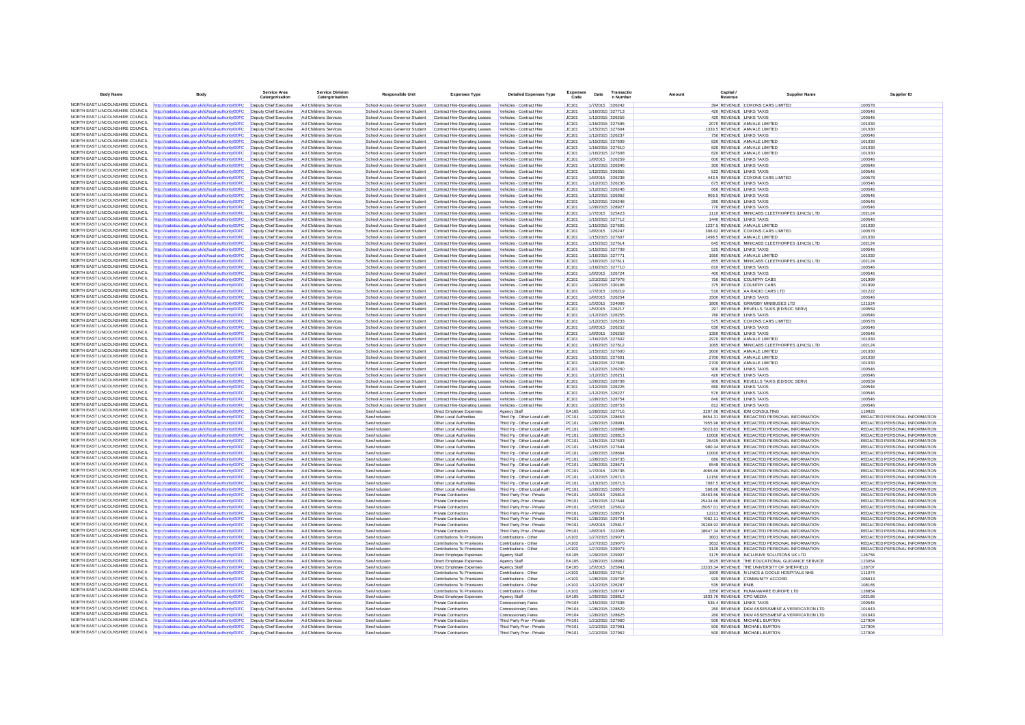| <b>Body Name</b>                                                   | <b>Body</b>                                                                                                                                    | Service Area<br>Catergorisation                                        | <b>Service Division</b><br>Catergorisation     | <b>Responsible Unit</b>                                          | <b>Expenses Type</b>                                             | <b>Detailed Expenses Type</b>                              | <b>Expenses</b><br>Code | Date | Transactic<br>n Number               | Capital<br>Amount<br>Revenue | <b>Supplier Name</b>                                                                             | Supplier ID                                                    |
|--------------------------------------------------------------------|------------------------------------------------------------------------------------------------------------------------------------------------|------------------------------------------------------------------------|------------------------------------------------|------------------------------------------------------------------|------------------------------------------------------------------|------------------------------------------------------------|-------------------------|------|--------------------------------------|------------------------------|--------------------------------------------------------------------------------------------------|----------------------------------------------------------------|
|                                                                    | NORTH EAST LINCOLNSHIRE COUNCIL http://statistics.data.gov.uk/id/local-authority/00FC                                                          | Deputy Chief Executive                                                 | Ad Childrens Services                          | School Access Governor Student                                   | Contract Hire-Operating Leases                                   | Vehicles - Contract Hire                                   | JC101                   |      | 1/7/2015 326242                      |                              | 394 REVENUE COXONS CARS LIMITED                                                                  | 100578                                                         |
| NORTH FAST LINCOLNSHIRE COUNCIL                                    | ttp://statistics.data.gov.uk/id/local-authority/00FC                                                                                           | Deputy Chief Executive                                                 | Ad Childrens Services                          | School Access Governor Student                                   | Contract Hire-Operating Leases                                   | Vehicles - Contract Hire                                   | JC101                   |      | 1/16/2015 327713                     |                              | 420 REVENUE LINKS TAXIS                                                                          | 100546                                                         |
| NORTH EAST LINCOLNSHIRE COUNCIL                                    | http://statistics.data.gov.uk/id/local-authority/00FC                                                                                          | Deputy Chief Executive                                                 | Ad Childrens Services                          | School Access Governor Student                                   | Contract Hire-Operating Leases                                   | Vehicles - Contract Hire                                   | JC101                   |      | 1/12/2015 326256                     |                              | 420 REVENUE LINKS TAXIS                                                                          | 100546                                                         |
| NORTH EAST LINCOLNSHIRE COUNCIL                                    | http://statistics.data.gov.uk/id/local-authority/00FC                                                                                          | Deputy Chief Executive                                                 | Ad Childrens Services                          | School Access Governor Student                                   | Contract Hire-Operating Leases                                   | Vehicles - Contract Hire                                   | JC101                   |      | 1/16/2015 327596                     |                              | 2070 REVENUE AMVALE LIMITED                                                                      | 101030                                                         |
| NORTH EAST LINCOLNSHIRE COUNCIL<br>NORTH EAST LINCOLNSHIRE COUNCIL | http://statistics.data.gov.uk/id/local-authority/00FC                                                                                          | Deputy Chief Executive                                                 | Ad Childrens Services                          | School Access Governor Student                                   | Contract Hire-Operating Leases                                   | Vehicles - Contract Hire                                   | JC101                   |      | 1/15/2015 327604                     |                              | 1333.5 REVENUE AMVALE LIMITED                                                                    | 101030                                                         |
| NORTH EAST LINCOLNSHIRE COUNCIL                                    | http://statistics.data.gov.uk/id/local-authority/00FC<br>http://statistics.data.gov.uk/id/local-authority/00FC                                 | Deputy Chief Executive<br>Deputy Chief Executive                       | Ad Childrens Services<br>Ad Childrens Services | School Access Governor Student<br>School Access Governor Student | Contract Hire-Operating Leases<br>Contract Hire-Operating Leases | Vehicles - Contract Hire<br>Vehicles - Contract Hire       | JC101<br>JC101          |      | 1/12/2015 326237<br>1/15/2015 327609 |                              | 750 REVENUE LINKS TAXIS<br>820 REVENUE AMVALE LIMITED                                            | 100546<br>101030                                               |
| NORTH EAST LINCOLNSHIRE COUNCIL                                    | http://statistics.data.gov.uk/id/local-authority/00FC                                                                                          | Deputy Chief Executive                                                 | Ad Childrens Services                          | School Access Governor Student                                   | Contract Hire-Operating Leases                                   | Vehicles - Contract Hire                                   | JC101                   |      | 1/16/2015 327610                     |                              | 820 REVENUE AMVALE LIMITED                                                                       | 101030                                                         |
| NORTH FAST LINCOLNSHIRE COUNCIL                                    | http://statistics.data.gov.uk/id/local-authority/00FC                                                                                          | Deputy Chief Executive                                                 | Ad Childrens Services                          | School Access Governor Student                                   | Contract Hire-Operating Leases                                   | Vehicles - Contract Hire                                   | JC101                   |      | 1/16/2015 327608                     |                              | 820 REVENUE AMVALE LIMITED                                                                       | 101030                                                         |
| NORTH EAST LINCOLNSHIRE COUNCIL                                    | http://statistics.data.gov.uk/id/local-authority/00FC                                                                                          | Deputy Chief Executive                                                 | Ad Childrens Services                          | School Access Governor Student                                   | Contract Hire-Operating Leases                                   | Vehicles - Contract Hire                                   | JC101                   |      | 1/8/2015 326259                      |                              | 600 REVENUE LINKS TAXIS                                                                          | 100546                                                         |
| NORTH EAST LINCOLNSHIRE COUNCIL                                    | http://statistics.data.gov.uk/id/local-authority/00FC                                                                                          | Deputy Chief Executive                                                 | Ad Childrens Services                          | School Access Governor Student                                   | Contract Hire-Operating Leases                                   | Vehicles - Contract Hire                                   | JC101                   |      | 1/12/2015 326346                     |                              | 300 REVENUE LINKS TAXIS                                                                          | 100546                                                         |
| NORTH EAST LINCOLNSHIRE COUNCIL                                    | http://statistics.data.gov.uk/id/local-authority/00FC                                                                                          | Deputy Chief Executive                                                 | Ad Childrens Services                          | School Access Governor Student                                   | Contract Hire-Operating Leases                                   | Vehicles - Contract Hire                                   | JC101                   |      | 1/12/2015 326355                     |                              | 522 REVENUE LINKS TAXIS                                                                          | 100546                                                         |
| NORTH EAST LINCOLNSHIRE COUNCIL                                    | http://statistics.data.gov.uk/id/local-authority/00FC                                                                                          | Deputy Chief Executive                                                 | Ad Childrens Services                          | School Access Governor Student                                   | Contract Hire-Operating Leases                                   | Vehicles - Contract Hire                                   | JC101                   |      | 1/8/2015 326238                      |                              | 443.5 REVENUE COXONS CARS LIMITED                                                                | 100578                                                         |
| NORTH EAST LINCOLNSHIRE COUNCIL<br>NORTH EAST LINCOLNSHIRE COUNCIL | http://statistics.data.gov.uk/id/local-authority/00FC                                                                                          | Deputy Chief Executive                                                 | Ad Childrens Services                          | School Access Governor Student                                   | Contract Hire-Operating Leases                                   | Vehicles - Contract Hire                                   | JC101                   |      | 1/12/2015 326236                     |                              | 675 REVENUE LINKS TAXIS                                                                          | 100546                                                         |
| NORTH EAST LINCOLNSHIRE COUNCIL                                    | http://statistics.data.gov.uk/id/local-authority/00FC<br>http://statistics.data.gov.uk/id/local-authority/00FC                                 | Deputy Chief Executive<br>Deputy Chief Executive                       | Ad Childrens Services<br>Ad Childrens Services | School Access Governor Student                                   | Contract Hire-Operating Leases                                   | Vehicles - Contract Hire                                   | JC101<br>JC101          |      | 1/12/2015 326246<br>1/12/2015 326362 |                              | 660 REVENUE LINKS TAXIS<br>903.5 REVENUE LINKS TAXIS                                             | 100546<br>100546                                               |
| NORTH EAST LINCOLNSHIRE COUNCIL                                    | http://statistics.data.gov.uk/id/local-authority/00FC                                                                                          | Deputy Chief Executive                                                 | Ad Childrens Services                          | School Access Governor Student<br>School Access Governor Student | Contract Hire-Operating Leases<br>Contract Hire-Operating Leases | Vehicles - Contract Hire<br>Vehicles - Contract Hire       | JC101                   |      | 1/12/2015 326248                     |                              | 280 REVENUE LINKS TAXIS                                                                          | 100546                                                         |
| NORTH EAST LINCOLNSHIRE COUNCIL                                    | http://statistics.data.gov.uk/id/local-authority/00FC                                                                                          | Deputy Chief Executive                                                 | Ad Childrens Services                          | School Access Governor Student                                   | Contract Hire-Operating Leases                                   | Vehicles - Contract Hire                                   | JC101                   |      | 1/26/2015 328927                     |                              | 770 REVENUE LINKS TAXIS                                                                          | 100546                                                         |
| NORTH EAST LINCOLNSHIRE COUNCIL                                    | ttp://statistics.data.gov.uk/id/local-authority/00FC                                                                                           | Deputy Chief Executive                                                 | Ad Childrens Services                          | School Access Governor Student                                   | Contract Hire-Operating Leases                                   | Vehicles - Contract Hire                                   | JC101                   |      | 1/7/2015 325423                      |                              | 1110 REVENUE MINICABS CLEETHORPES (LINCS) LTD                                                    | 102124                                                         |
| NORTH EAST LINCOLNSHIRE COUNCIL                                    | http://statistics.data.gov.uk/id/local-authority/00FC                                                                                          | Deputy Chief Executive                                                 | Ad Childrens Services                          | School Access Governor Student                                   | Contract Hire-Operating Leases                                   | Vehicles - Contract Hire                                   | JC101                   |      | 1/15/2015 327712                     |                              | 1440 REVENUE LINKS TAXIS                                                                         | 100546                                                         |
| NORTH EAST LINCOLNSHIRE COUNCIL<br>NORTH EAST LINCOLNSHIRE COUNCIL | http://statistics.data.gov.uk/id/local-authority/00FC                                                                                          | Deputy Chief Executive                                                 | Ad Childrens Services                          | School Access Governor Student                                   | Contract Hire-Operation Leases                                   | Vehicles - Contract Hire                                   | IC.101                  |      | 1/15/2015 327605                     |                              | 1237 5 REVENUE AMVALE LIMITED                                                                    | 101030                                                         |
| NORTH EAST LINCOLNSHIRE COUNCIL                                    | http://statistics.data.gov.uk/id/local-authority/00FC                                                                                          | Deputy Chief Executive                                                 | Ad Childrens Services                          | School Access Governor Student                                   | Contract Hire-Operating Leases                                   | Vehicles - Contract Hire                                   | JC101                   |      | 1/8/2015 326247                      |                              | 308.62 REVENUE COXONS CARS LIMITED                                                               | 100578                                                         |
| NORTH EAST LINCOLNSHIRE COUNCIL                                    | http://statistics.data.gov.uk/id/local-authority/00FC<br>http://statistics.data.gov.uk/id/local-authority/00FC                                 | Deputy Chief Executive<br>Deputy Chief Executive                       | Ad Childrens Services<br>Ad Childrens Services | School Access Governor Student<br>School Access Governor Student | Contract Hire-Operating Leases<br>Contract Hire-Operating Leases | Vehicles - Contract Hire<br>Vehicles - Contract Hire       | JC101<br>JC101          |      | 1/15/2015 327607<br>1/15/2015 327614 |                              | 1498.5 REVENUE AMVALE LIMITED<br>645 REVENUE MINICARS CLEETHORPES (LINCS) LTD                    | 101030<br>102124                                               |
| NORTH EAST LINCOLNSHIRE COUNCIL                                    | http://statistics.data.gov.uk/id/local-authority/00FC                                                                                          | Deputy Chief Executive                                                 | Ad Childrens Services                          | School Access Governor Student                                   | Contract Hire-Operating Leases                                   | Vehicles - Contract Hire                                   | JC101                   |      | 1/15/2015 327709                     |                              | 525 REVENUE LINKS TAXIS                                                                          | 100546                                                         |
| NORTH FAST LINCOLNSHIRE COUNCIL                                    | http://statistics.data.gov.uk/id/local-authority/00FC                                                                                          | Deputy Chief Executive                                                 | Ad Childrens Services                          | School Access Governor Student                                   | Contract Hire-Operating Leases                                   | Vehicles - Contract Hire                                   | JC101                   |      | 1/16/2015 327771                     |                              | 1950 REVENUE AMVALE LIMITED                                                                      | 101030                                                         |
| NORTH EAST LINCOLNSHIRE COUNCIL                                    | http://statistics.data.gov.uk/id/local-authority/00FC                                                                                          | Deputy Chief Executive                                                 | Ad Childrens Services                          | School Access Governor Student                                   | Contract Hire-Operating Leases                                   | Vehicles - Contract Hire                                   | JC101                   |      | 1/16/2015 327611                     |                              | 855 REVENUE MINICABS CLEETHORPES (LINCS) LTD                                                     | 102124                                                         |
| NORTH EAST LINCOLNSHIRE COUNCIL                                    | http://statistics.data.gov.uk/id/local-authority/00FC                                                                                          | Deputy Chief Executive                                                 | Ad Childrens Services                          | School Access Governor Student                                   | Contract Hire-Operating Leases                                   | Vehicles - Contract Hire                                   | JC101                   |      | 1/16/2015 327710                     |                              | 810 REVENUE LINKS TAXIS                                                                          | 100546                                                         |
| NORTH EAST LINCOLNSHIRE COUNCIL                                    | http://statistics.data.gov.uk/id/local-authority/00FC                                                                                          | Deputy Chief Executive                                                 | Ad Childrens Services                          | School Access Governor Student                                   | Contract Hire-Operating Leases                                   | Vehicles - Contract Hire                                   | JC101                   |      | 1/8/2015 326724                      |                              | 400 REVENUE LINKS TAXIS                                                                          | 100546                                                         |
| NORTH EAST LINCOLNSHIRE COUNCIL                                    | http://statistics.data.gov.uk/id/local-authority/00FC                                                                                          | Deputy Chief Executive                                                 | Ad Childrens Services                          | School Access Governor Student                                   | Contract Hire-Operating Leases                                   | Vehicles - Contract Hire                                   | JC101                   |      | 1/21/2015 327978                     |                              | 750 REVENUE COUNTRY CABS                                                                         | 101999                                                         |
| NORTH EAST LINCOLNSHIRE COUNCIL<br>NORTH EAST LINCOLNSHIRE COUNCIL | http://statistics.data.gov.uk/id/local-authority/00FC                                                                                          | Deputy Chief Executive                                                 | Ad Childrens Services                          | School Access Governor Student                                   | Contract Hire-Operating Leases                                   | Vehicles - Contract Hire                                   | JC101                   |      | 1/29/2015 330188                     |                              | 375 REVENUE COUNTRY CABS                                                                         | 101999                                                         |
| NORTH EAST LINCOLNSHIRE COUNCIL                                    | http://statistics.data.gov.uk/id/local-authority/00FC                                                                                          | Deputy Chief Executive                                                 | Ad Childrens Services                          | School Access Governor Student                                   | Contract Hire-Operating Leases                                   | Vehicles - Contract Hire                                   | JC101<br>JC101          |      | 1/7/2015 326219<br>1/8/2015 326254   |                              | 516 REVENUE AA RADIO CARS LTD<br>1500 REVENUE LINKS TAXIS                                        | 101222<br>100546                                               |
| NORTH EAST LINCOLNSHIRE COUNCIL                                    | http://statistics.data.gov.uk/id/local-authority/00FC<br>http://statistics.data.gov.uk/id/local-authority/00FC                                 | Deputy Chief Executive<br>Deputy Chief Executive                       | Ad Childrens Services<br>Ad Childrens Services | School Access Governor Student<br>School Access Governor Student | Contract Hire-Operating Leases<br>Contract Hire-Operating Leases | Vehicles - Contract Hire<br>Vehicles - Contract Hire       | JC101                   |      | 1/5/2015 324006                      |                              | 1800 REVENUE GRIMSBY MINIBUSES LTD                                                               | 121524                                                         |
| NORTH EAST LINCOLNSHIRE COUNCIL                                    | http://statistics.data.gov.uk/id/local-authority/00FC                                                                                          | Deputy Chief Executive                                                 | Ad Childrens Services                          | School Access Governor Student                                   | Contract Hire-Operating Leases                                   | Vehicles - Contract Hire                                   | JC101                   |      | 1/5/2015 326217                      |                              | 297 REVENUE REVELLS TAXIS (ED/SOC SERV)                                                          | 100559                                                         |
| NORTH EAST LINCOLNSHIRE COUNCIL                                    | http://statistics.data.gov.uk/id/local-authority/00FC                                                                                          | Deputy Chief Executive                                                 | Ad Childrens Services                          | School Access Governor Student                                   | Contract Hire-Operating Leases                                   | Vehicles - Contract Hire                                   | JC101                   |      | 1/12/2015 326255                     |                              | 780 REVENUE LINKS TAXIS                                                                          | 100546                                                         |
| NORTH EAST LINCOLNSHIRE COUNCIL                                    | http://statistics.data.gov.uk/id/local-authority/00FC                                                                                          | Deputy Chief Executive                                                 | Ad Childrens Services                          | School Access Governor Student                                   | Contract Hire-Operating Leases                                   | Vehicles - Contract Hire                                   | JC101                   |      | 1/12/2015 326233                     |                              | 575 REVENUE COXONS CARS LIMITED                                                                  | 100578                                                         |
| NORTH EAST LINCOLNSHIRE COUNCIL                                    | http://statistics.data.gov.uk/id/local-authority/00FC                                                                                          | Deputy Chief Executive                                                 | Ad Childrens Services                          | School Access Governor Student                                   | Contract Hire-Operating Leases                                   | Vehicles - Contract Hire                                   | JC101                   |      | 1/8/2015 326252                      |                              | 630 REVENUE LINKS TAXIS                                                                          | 100546                                                         |
| NORTH EAST LINCOLNSHIRE COUNCIL                                    | http://statistics.data.gov.uk/id/local-authority/00FC                                                                                          | Deputy Chief Executive                                                 | Ad Childrens Services                          | School Access Governor Student                                   | Contract Hire-Operating Leases                                   | Vehicles - Contract Hire                                   | JC101                   |      | 1/8/2015 326258                      |                              | 1350 REVENUE LINKS TAXIS                                                                         | 100546                                                         |
| NORTH EAST LINCOLNSHIRE COUNCIL                                    | http://statistics.data.gov.uk/id/local-authority/00FC                                                                                          | Deputy Chief Executive                                                 | Ad Childrens Services                          | School Access Governor Student                                   | Contract Hire-Operating Leases                                   | Vehicles - Contract Hire                                   | JC101                   |      | 1/16/2015 327602                     |                              | 2970 REVENUE AMVALE LIMITED                                                                      | 101030                                                         |
| NORTH EAST LINCOLNSHIRE COUNCIL<br>NORTH EAST LINCOLNSHIRE COUNCIL | http://statistics.data.gov.uk/id/local-authority/00FC                                                                                          | Deputy Chief Executive                                                 | Ad Childrens Services                          | School Access Governor Student                                   | Contract Hire-Operating Leases                                   | Vehicles - Contract Hire                                   | JC101                   |      | 1/16/2015 327612                     |                              | 1065 REVENUE MINICABS CLEETHORPES (LINCS) LTD                                                    | 102124                                                         |
| NORTH EAST LINCOLNSHIRE COUNCIL                                    | http://statistics.data.gov.uk/id/local-authority/00FC<br>http://statistics.data.gov.uk/id/local-authority/00FC                                 | Deputy Chief Executive<br>Deputy Chief Executive                       | Ad Childrens Services<br>Ad Childrens Services | School Access Governor Student<br>School Access Governor Student | Contract Hire-Operating Leases<br>Contract Hire-Operating Leases | Vehicles - Contract Hire<br>Vehicles - Contract Hire       | JC101<br>JC101          |      | 1/15/2015 327600<br>1/15/2015 327601 |                              | 3000 REVENUE AMVALE LIMITED<br>2700 REVENUE AMVALE LIMITED                                       | 101030<br>101030                                               |
| NORTH EAST LINCOLNSHIRE COUNCIL                                    | http://statistics.data.gov.uk/id/local-authority/00FC                                                                                          | Deputy Chief Executive                                                 | Ad Childrens Services                          | School Access Governor Student                                   | Contract Hire-Operating Leases                                   | Vehicles - Contract Hire                                   | JC101                   |      | 1/16/2015 327606                     |                              | 2700 REVENUE AMVALE LIMITED                                                                      | 101030                                                         |
| NORTH EAST LINCOLNSHIRE COUNCIL                                    | http://statistics.data.gov.uk/id/local-authority/00FC                                                                                          | Deputy Chief Executive                                                 | Ad Childrens Services                          | School Access Governor Student                                   | Contract Hire-Operating Leases                                   | Vehicles - Contract Hire                                   | IC:101                  |      | 1/12/2015 326260                     |                              | 900 REVENUE LINKS TAXIS                                                                          | 100546                                                         |
| NORTH FAST LINCOLNSHIRE COUNCIL                                    | http://statistics.data.gov.uk/id/local-authority/00FC                                                                                          | Deputy Chief Executive                                                 | Ad Childrens Services                          | School Access Governor Student                                   | Contract Hire-Operating Leases                                   | Vehicles - Contract Hire                                   | JC101                   |      | 1/12/2015 326251                     |                              | 420 REVENUE LINKS TAXIS                                                                          | 100546                                                         |
| NORTH EAST LINCOLNSHIRE COUNCIL                                    | http://statistics.data.gov.uk/id/local-authority/00FC                                                                                          | Deputy Chief Executive                                                 | Ad Childrens Services                          | School Access Governor Student                                   | Contract Hire-Operating Leases                                   | Vehicles - Contract Hire                                   | JC101                   |      | 1/26/2015 328708                     |                              | 900 REVENUE REVELLS TAXIS (ED/SOC SERV)                                                          | 100559                                                         |
| NORTH EAST LINCOLNSHIRE COUNCIL                                    | http://statistics.data.gov.uk/id/local-authority/00FC                                                                                          | Deputy Chief Executive                                                 | Ad Childrens Services                          | School Access Governor Student                                   | Contract Hire-Operating Leases                                   | Vehicles - Contract Hire                                   | JC101                   |      | 1/12/2015 326226                     |                              | 660 REVENUE LINKS TAXIS                                                                          | 100546                                                         |
| NORTH EAST LINCOLNSHIRE COUNCIL<br>NORTH FAST LINCOLNSHIRE COUNCIL | http://statistics.data.gov.uk/id/local-authority/00FC                                                                                          | Deputy Chief Executive                                                 | Ad Childrens Services                          | School Access Governor Student                                   | Contract Hire-Operating Leases                                   | Vehicles - Contract Hire                                   | JC101                   |      | 1/12/2015 326227                     |                              | 576 REVENUE LINKS TAXIS                                                                          | 100546                                                         |
| NORTH EAST LINCOLNSHIRE COUNCIL                                    | ttp://statistics.data.gov.uk/id/local-authority/00FC<br>http://statistics.data.gov.uk/id/local-authority/00FC                                  | Deputy Chief Executive<br>Deputy Chief Executive                       | Ad Childrens Services<br>Ad Childrens Services | School Access Governor Student<br>School Access Governor Student | Contract Hire-Operating Leases<br>Contract Hire-Operating Leases | Vehicles - Contract Hire<br>Vehicles - Contract Hire       | JC101<br>JC101          |      | 1/28/2015 328754<br>1/22/2015 328753 |                              | 840 REVENUE LINKS TAXIS<br>812 REVENUE LINKS TAXIS                                               | 100546<br>100546                                               |
| NORTH EAST LINCOLNSHIRE COUNCIL                                    | http://statistics.data.gov.uk/id/local-authority/00FC                                                                                          | Deputy Chief Executive                                                 | Ad Childrens Services                          | Sen/Inclusion                                                    | Direct Employee Expenses                                         | Agency Staff                                               | FA105                   |      | 1/26/2015 327716                     |                              | 3207.66 REVENUE IDM CONSULTING                                                                   | 119926                                                         |
| NORTH EAST LINCOLNSHIRE COUNCIL                                    | http://statistics.data.gov.uk/id/local-authority/00FC                                                                                          | Deputy Chief Executive                                                 | Ad Childrens Service                           | Sen/Inclusion                                                    | Other Local Authorities                                          | Third Pp - Other Local Auth                                | PC101                   |      | 1/22/2015 328653                     |                              | 8654.31 REVENUE REDACTED PERSONAL INFORMATION                                                    | REDACTED PERSONAL INFORMATION                                  |
| NORTH EAST LINCOLNSHIRE COUNCIL                                    | http://statistics.data.gov.uk/id/local-authority/00FC                                                                                          | Deputy Chief Executive Ad Childrens Services                           |                                                | Sen/Inclusion                                                    | <b>Other Local Authorities</b>                                   | Third Pp - Other Local Auth                                | PC101                   |      | 1/26/2015 328991                     |                              | 7955.98 REVENUE REDACTED PERSONAL INFORMATION                                                    | REDACTED PERSONAL INFORMATION                                  |
| NORTH EAST LINCOLNSHIRE COUNCIL                                    | http://statistics.data.gov.uk/id/local-authority/00FC                                                                                          | Deputy Chief Executive                                                 | Ad Childrens Services                          | Sen/Inclusion                                                    | Other Local Authorities                                          | Third Po - Other Local Auth                                | PC101                   |      | 1/28/2015 328986                     |                              | 5023 83 REVENUE REDACTED PERSONAL INFORMATION                                                    | REDACTED PERSONAL INFORMATION                                  |
| NORTH EAST LINCOLNSHIRE COUNCIL                                    | http://statistics.data.gov.uk/id/local-authority/00FC                                                                                          | Deputy Chief Executive                                                 | Ad Childrens Services                          | Sen/Inclusion                                                    | Other Local Authorities                                          | Third Pp - Other Local Auth                                | PC101                   |      | 1/26/2015 328813                     |                              | 10000 REVENUE REDACTED PERSONAL INFORMATION                                                      | REDACTED PERSONAL INFORMATION                                  |
| NORTH EAST LINCOLNSHIRE COUNCIL<br>NORTH EAST LINCOLNSHIRE COUNCIL | http://statistics.data.gov.uk/id/local-authority/00FC                                                                                          | Deputy Chief Executive                                                 | Ad Childrens Services                          | Sen/Inclusion                                                    | Other Local Authorities                                          | Third Pp - Other Local Auth                                | PC101                   |      | 1/15/2015 327603                     |                              | 26415 REVENUE REDACTED PERSONAL INFORMATION                                                      | REDACTED PERSONAL INFORMATION                                  |
| NORTH EAST LINCOLNSHIRE COUNCIL                                    | http://statistics.data.gov.uk/id/local-authority/00FC                                                                                          | Deputy Chief Executive<br>Deputy Chief Executive                       | Ad Childrens Services<br>Ad Childrens Services | Sen/Inclusion<br>Sen/Inclusion                                   | Other Local Authorities                                          | Third Po - Other Local Auth<br>Third Pp - Other Local Auth | PC101<br>PC101          |      | 1/15/2015 327644<br>1/26/2015 328664 |                              | 980.34 REVENUE REDACTED PERSONAL INFORMATION<br>10000 REVENUE REDACTED PERSONAL INFORMATION      | REDACTED PERSONAL INFORMATION<br>REDACTED PERSONAL INFORMATION |
| NORTH EAST LINCOLNSHIRE COUNCIL                                    | http://statistics.data.gov.uk/id/local-authority/00FC<br>http://statistics.data.gov.uk/id/local-authority/00FC                                 | Deputy Chief Executive                                                 | Ad Childrens Services                          | Sen/Inclusion                                                    | Other Local Authorities<br>Other Local Authorities               | Third Pp - Other Local Auth                                | PC101                   |      | 1/28/2015 329735                     |                              | 680 REVENUE REDACTED PERSONAL INFORMATION                                                        | REDACTED PERSONAL INFORMATION                                  |
| NORTH EAST LINCOLNSHIRE COUNCIL                                    | http://statistics.data.gov.uk/id/local-authority/00FC                                                                                          | Deputy Chief Executive                                                 | Ad Childrens Services                          | Sen/Inclusion                                                    | Other Local Authorities                                          | Third Pp - Other Local Auth                                | PC101                   |      | 1/26/2015 328671                     |                              | 6548 REVENUE REDACTED PERSONAL INFORMATION                                                       | REDACTED PERSONAL INFORMATION                                  |
| NORTH EAST LINCOLNSHIRE COUNCIL                                    | http://statistics.data.gov.uk/id/local-authority/00FC                                                                                          | Deputy Chief Executive                                                 | Ad Childrens Services                          | Sen/Inclusion                                                    | <b>Other Local Authorities</b>                                   | Third Po - Other Local Auth                                | PC101                   |      | 1/7/2015 325736                      |                              | 4065.66 REVENUE REDACTED PERSONAL INFORMATION                                                    | REDACTED PERSONAL INFORMATION                                  |
| NORTH EAST LINCOLNSHIRE COUNCIL                                    | http://statistics.data.gov.uk/id/local-authority/00FC                                                                                          | Deputy Chief Executive                                                 | Ad Childrens Services                          | Sen/Inclusion                                                    | Other Local Authorities                                          | Third Po - Other Local Auth                                | PC101                   |      | 1/13/2015 326713                     |                              | 12150 REVENUE REDACTED PERSONAL INFORMATION                                                      | REDACTED PERSONAL INFORMATION                                  |
| NORTH EAST LINCOLNSHIRE COUNCIL                                    | http://statistics.data.gov.uk/id/local-authority/00FC                                                                                          | Deputy Chief Executive                                                 | Ad Childrens Services                          | Sen/Inclusion                                                    | Other Local Authorities                                          | Third Pp - Other Local Auth                                | PC101                   |      | 1/13/2015 326713                     |                              | 7087.5 REVENUE REDACTED PERSONAL INFORMATION                                                     | REDACTED PERSONAL INFORMATION                                  |
| NORTH EAST LINCOLNSHIRE COUNCIL                                    | http://statistics.data.gov.uk/id/local-authority/00FC                                                                                          | Deputy Chief Executive                                                 | Ad Childrens Services                          | Sen/Inclusion                                                    | Other Local Authorities                                          | Third Pp - Other Local Auth                                | PC101                   |      | 1/26/2015 328679                     |                              | 568.66 REVENUE REDACTED PERSONAL INFORMATION                                                     | <b>REDACTED PERSONAL INFORMATION</b>                           |
| NORTH EAST LINCOLNSHIRE COUNCIL<br>NORTH FAST LINCOLNSHIRE COUNCIL | http://statistics.data.gov.uk/id/local-authority/00FC                                                                                          | Deputy Chief Executive                                                 | Ad Childrens Services                          | Sen/Inclusion                                                    | <b>Private Contractors</b>                                       | Third Party Prov - Private                                 | PH101                   |      | 1/5/2015 325818                      |                              | 19463.56 REVENUE REDACTED PERSONAL INFORMATION                                                   | REDACTED PERSONAL INFORMATION                                  |
| NORTH EAST LINCOLNSHIRE COUNCIL                                    | ttp://statistics.data.gov.uk/id/local-authority/00FC<br>http://statistics.data.gov.uk/id/local-authority/00FC                                  | Deputy Chief Executive<br>Deputy Chief Executive                       | Ad Childrens Services<br>Ad Childrens Services | Sen/Inclusion<br>Sen/Inclusion                                   | <b>Private Contractors</b><br><b>Private Contractors</b>         | Third Party Prov - Private<br>Third Party Prov - Private   | PH101<br>PH101          |      | 1/15/2015 327644<br>1/5/2015 325819  |                              | 25434.66 REVENUE REDACTED PERSONAL INFORMATION<br>15057.01 REVENUE REDACTED PERSONAL INFORMATION | REDACTED PERSONAL INFORMATION<br>REDACTED PERSONAL INFORMATION |
| NORTH EAST LINCOLNSHIRE COUNCIL                                    | http://statistics.data.gov.uk/id/local-authority/00FC                                                                                          | Deputy Chief Executive                                                 | Ad Childrens Services                          | Sen/Inclusion                                                    | <b>Private Contractors</b>                                       | Third Party Prov - Private                                 | PH101                   |      | 1/26/2015 328671                     |                              | 12213 REVENUE REDACTED PERSONAL INFORMATION                                                      | REDACTED PERSONAL INFORMATION                                  |
| NORTH FAST LINCOLNSHIRE COUNCIL                                    | ttp://statistics.data.gov.uk/id/local-authority/00FC                                                                                           | Deputy Chief Executive                                                 | Ad Childrens Services                          | Sen/Inclusion                                                    | <b>Private Contractors</b>                                       | Third Party Prov - Private                                 | PH101                   |      | 1/28/2015 329734                     |                              | 7082.11 REVENUE REDACTED PERSONAL INFORMATION                                                    | REDACTED PERSONAL INFORMATION                                  |
| NORTH EAST LINCOLNSHIRE COUNCIL                                    | http://statistics.data.gov.uk/id/local-authority/00FC                                                                                          | Deputy Chief Executive                                                 | Ad Childrens Services                          | Sen/Inclusion                                                    | <b>Private Contractors</b>                                       | Third Party Prov - Private                                 | PH101                   |      | 1/5/2015 325817                      |                              | 19268.92 REVENUE REDACTED PERSONAL INFORMATION                                                   | REDACTED PERSONAL INFORMATION                                  |
| NORTH EAST LINCOLNSHIRE COUNCIL                                    | http://statistics.data.gov.uk/id/local-authority/00FC                                                                                          | Deputy Chief Executive                                                 | Ad Childrens Services                          | Sen/Inclusion                                                    | Private Contractors                                              | Third Party Prov - Private                                 | PH101                   |      | 1/8/2015 322035                      |                              | 18647 34 REVENUE REDACTED PERSONAL INFORMATION                                                   | REDACTED PERSONAL INFORMATION                                  |
| NORTH EAST LINCOLNSHIRE COUNCIL                                    | http://statistics.data.gov.uk/id/local-authority/00FC                                                                                          | Deputy Chief Executive                                                 | Ad Childrens Services                          | Sen/Inclusion                                                    | Contributions To Provisions                                      | Contributions - Other                                      | LK103                   |      | 1/27/2015 329071                     |                              | 3003 REVENUE REDACTED PERSONAL INFORMATION                                                       | REDACTED PERSONAL INFORMATION                                  |
| NORTH EAST LINCOLNSHIRE COUNCIL                                    | http://statistics.data.gov.uk/id/local-authority/00FC                                                                                          | Deputy Chief Executive                                                 | Ad Childrens Services                          | Sen/Inclusion                                                    | Contributions To Provisions                                      | Contributions - Other                                      | LK103                   |      | 1/27/2015 329070                     |                              | 3632 REVENUE REDACTED PERSONAL INFORMATION                                                       | REDACTED PERSONAL INFORMATION                                  |
| NORTH EAST LINCOLNSHIRE COUNCIL<br>NORTH EAST LINCOLNSHIRE COUNCIL | http://statistics.data.gov.uk/id/local-authority/00FC                                                                                          | Deputy Chief Executive<br>Deputy Chief Executive                       | Ad Childrens Services<br>Ad Childrens Services | Sen/Inclusion<br>Sen/Inclusion                                   | Contributions To Provisions                                      | Contributions - Other                                      | LK103                   |      | 1/27/2015 329073                     |                              | 3129 REVENUE REDACTED PERSONAL INFORMATION                                                       | REDACTED PERSONAL INFORMATION<br>126756                        |
| NORTH FAST LINCOLNSHIRE COUNCIL                                    | http://statistics.data.gov.uk/id/local-authority/00FC<br>http://statistics.data.gov.uk/id/local-authority/00FC                                 | Deputy Chief Executive                                                 | Ad Childrens Services                          | Sen/Inclusion                                                    | Direct Employee Expenses<br>Direct Employee Expenses             | Agency Staff<br>Agency Staff                               | EA105<br>EA105          |      | 1/29/2015 329907<br>1/28/2015 328982 |                              | 3175 REVENUE INCLUSIVE SOLUTIONS UK LTD<br>3625 REVENUE THE EDUCATIONAL GUIDANCE SERVICE         | 123054                                                         |
| NORTH EAST LINCOLNSHIRE COUNCIL                                    | http://statistics.data.gov.uk/id/local-authority/00FC                                                                                          | Deputy Chief Executive                                                 | Ad Childrens Services                          | Sen/Inclusion                                                    | <b>Direct Employee Expenses</b>                                  | Agency Staff                                               | EA105                   |      | 1/5/2015 325841                      |                              | 13333.34 REVENUE THE UNIVERSITY OF SHEFFIELD                                                     | 128707                                                         |
| NORTH EAST LINCOLNSHIRE COUNCIL                                    | http://statistics.data.gov.uk/id/local-authority/00FC                                                                                          | Deputy Chief Executive                                                 | Ad Childrens Services                          | Sen/Inclusion                                                    | Contributions To Provisions                                      | Contributions - Other                                      | LK103                   |      | 1/16/2015 327617                     |                              | 1900 REVENUE N LINCS & GOOLE HOSPITALS NHS                                                       | 111074                                                         |
| NORTH EAST LINCOLNSHIRE COUNCIL                                    | http://statistics.data.gov.uk/id/local-authority/00FC                                                                                          | Deputy Chief Executive                                                 | Ad Childrens Services                          | Sen/Inclusion                                                    | Contributions To Provisions                                      | Contributions - Other                                      | LK103                   |      | 1/28/2015 329736                     |                              | 929 REVENUE COMMUNITY ACCORD                                                                     | 106613                                                         |
| NORTH EAST LINCOLNSHIRE COUNCIL                                    | http://statistics.data.gov.uk/id/local-authority/00FC                                                                                          | Deputy Chief Executive                                                 | Ad Childrens Services                          | Sen/Inclusion                                                    | Contributions To Provisions                                      | Contributions - Other                                      | LK103                   |      | 1/12/2015 326287                     | 535 REVENUE RNIB             |                                                                                                  | 108165                                                         |
| NORTH EAST LINCOLNSHIRE COUNCIL                                    | http://statistics.data.gov.uk/id/local-authority/00FC                                                                                          | Deputy Chief Executive                                                 | Ad Childrens Services                          | Sen/Inclusion                                                    | Contributions To Provisions                                      | Contributions - Other                                      | LK103                   |      | 1/26/2015 328747                     |                              | 3350 REVENUE HUMANWARE EUROPE LTD                                                                | 128854                                                         |
| NORTH EAST LINCOLNSHIRE COUNCIL<br>NORTH EAST LINCOLNSHIRE COUNCIL | http://statistics.data.gov.uk/id/local-authority/00FC                                                                                          | Deputy Chief Executive                                                 | Ad Childrens Services                          | Sen/Inclusion                                                    | Direct Employee Expenses                                         | <b>Agency Staff</b>                                        | EA105                   |      | 1/29/2015 328812                     | 1833.76 REVENUE CPO MEDIA    |                                                                                                  | 102186                                                         |
|                                                                    | http://statistics.data.gov.uk/id/local-authority/00FC<br>NORTH EAST LINCOLNSHIRE COUNCIL http://statistics.data.gov.uk/id/local-authority/00FC | Deputy Chief Executive                                                 | Ad Childrens Services                          | Sen/Inclusion                                                    | Private Contractors                                              | Concessionary Fares                                        | PH104                   |      | 1/15/2015 327638                     |                              | 535.4 REVENUE LINKS TAXIS<br>260 REVENUE DKM ASSESSMENT & VERIFICATION LTD                       | 100546                                                         |
| NORTH EAST LINCOLNSHIRE COUNCIL                                    | http://statistics.data.gov.uk/id/local-authority/00FC                                                                                          | Deputy Chief Executive Ad Childrens Services<br>Deputy Chief Executive | Ad Childrens Services                          | Sen/Inclusion<br>Sen/Inclusion                                   | <b>Private Contractors</b><br><b>Private Contractors</b>         | Concessionary Fares<br>Concessionary Fares                 | PH104<br>PH104          |      | 1/26/2015 328829<br>1/26/2015 328825 |                              | 260 REVENUE DKM ASSESSMENT & VERIFICATION LTD                                                    | 101643<br>101643                                               |
| NORTH EAST LINCOLNSHIRE COUNCIL                                    | http://statistics.data.gov.uk/id/local-authority/00FC                                                                                          | Deputy Chief Executive                                                 | Ad Childrens Services                          | Sen/Inclusion                                                    | Private Contractors                                              | Third Party Prov - Private                                 | PH101                   |      | 1/21/2015 327960                     |                              | 500 REVENUE MICHAEL BURTON                                                                       | 127904                                                         |
|                                                                    | NORTH EAST LINCOLNSHIRE COUNCIL http://statistics.data.gov.uk/id/local-authority/00FC Deputy Chief Executive Ad Childrens Services             |                                                                        |                                                | Sen/Inclusion                                                    | Private Contractors                                              | Third Party Prov - Private                                 | PH101                   |      | 1/21/2015 327961                     |                              | 500 REVENUE MICHAEL BURTON                                                                       | 127904                                                         |
| NORTH EAST LINCOLNSHIRE COUNCIL                                    | http://statistics.data.gov.uk/id/local-authority/00FC                                                                                          | Deputy Chief Executive                                                 | Ad Childrens Services                          | Sen/Inclusion                                                    | <b>Private Contractors</b>                                       | Third Party Prov - Private                                 | PH101                   |      | 1/21/2015 327962                     |                              | 500 REVENUE MICHAEL BURTON                                                                       | 127904                                                         |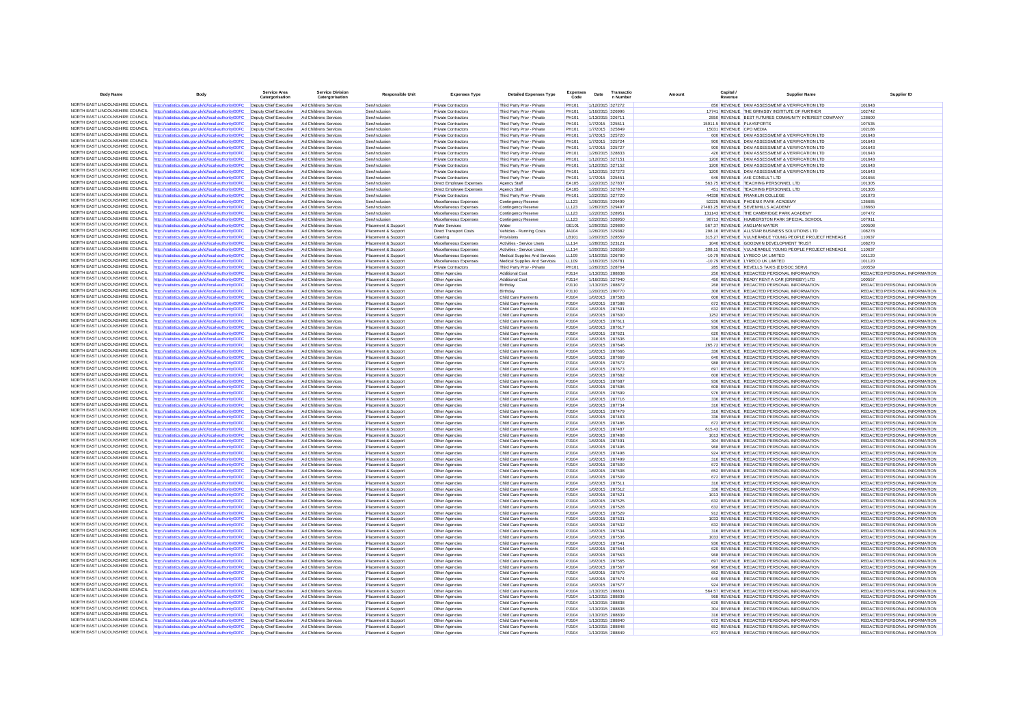| <b>Body Name</b>                                                   | <b>Body</b>                                                                                                     | Service Area<br>Catergorisation                  | Service Division<br>Catergorisation            | <b>Responsible Unit</b>                    | <b>Expenses Type</b>                                 | <b>Detailed Expenses Type</b>                                  | <b>Expenses</b><br>$\ddot{\text{Code}}$ | Date                                 | Transactio<br>n Number             | Amoun | Capital. | <b>Supplier Name</b>                                                                           | Supplier ID                                                    |
|--------------------------------------------------------------------|-----------------------------------------------------------------------------------------------------------------|--------------------------------------------------|------------------------------------------------|--------------------------------------------|------------------------------------------------------|----------------------------------------------------------------|-----------------------------------------|--------------------------------------|------------------------------------|-------|----------|------------------------------------------------------------------------------------------------|----------------------------------------------------------------|
| NORTH EAST LINCOLNSHIRE COUNCIL                                    | http://statistics.data.gov.uk/id/local-authority/00FC                                                           | Deputy Chief Executive                           | Ad Childrens Services                          | Sen/Inclusion                              | Private Contractors                                  | Third Party Prov - Private                                     | PH101                                   |                                      | 1/12/2015 327272                   |       |          | 850 REVENUE DKM ASSESSMENT & VERIFICATION LTD                                                  | 101643                                                         |
| NORTH FAST LINCOLNSHIRE COUNCIL                                    | ttp://statistics.data.gov.uk/id/local-authority/00FC                                                            | Deputy Chief Executive                           | Ad Childrens Services                          | Sen/Inclusion                              | Private Contractors                                  | Third Party Prov - Private                                     | PH101                                   |                                      | 1/16/2015 326996                   |       |          | 17741 REVENUE THE GRIMSBY INSTITUTE OF FURTHER                                                 | 102742                                                         |
| NORTH EAST LINCOLNSHIRE COUNCIL                                    | http://statistics.data.gov.uk/id/local-authority/00FC                                                           | Deputy Chief Executive                           | Ad Childrens Services                          | Sen/Inclusion                              | <b>Private Contractors</b>                           | Third Party Prov - Private                                     | PH101                                   | 1/13/2015 326711                     |                                    |       |          | 2850 REVENUE BEST FUTURES COMMUNITY INTEREST COMPANY                                           | 128600                                                         |
| NORTH EAST LINCOLNSHIRE COUNCIL                                    | http://statistics.data.gov.uk/id/local-authoritv/00FC                                                           | Deputy Chief Executive                           | Ad Childrens Services                          | Sen/Inclusion                              | <b>Private Contractors</b>                           | Third Party Prov - Private                                     | <b>PH101</b>                            | 1/7/2015 325511                      |                                    |       |          | 15911 5 REVENUE PLAYSPORTS                                                                     | 107535                                                         |
| NORTH EAST LINCOLNSHIRE COUNCIL<br>NORTH EAST LINCOLNSHIRE COUNCIL | http://statistics.data.gov.uk/id/local-authority/00FC                                                           | Deputy Chief Executive                           | Ad Childrens Services                          | Sen/Inclusion                              | Private Contractors                                  | Third Party Prov - Private                                     | PH101                                   |                                      | 1/7/2015 325849                    |       |          | 15031 REVENUE CPO MEDIA                                                                        | 102186                                                         |
| NORTH EAST LINCOLNSHIRE COUNCIL                                    | http://statistics.data.gov.uk/id/local-authority/00FC<br>http://statistics.data.gov.uk/id/local-authority/00FC  | Deputy Chief Executive<br>Deputy Chief Executive | Ad Childrens Services<br>Ad Childrens Services | Sen/Inclusion<br>Sen/Inclusion             | Private Contractors<br><b>Private Contractors</b>    | Third Party Prov - Private<br>Third Party Prov - Private       | <b>PH101</b><br>PH101                   | 1/7/2015 325720                      | 1/7/2015 325724                    |       |          | 600 REVENUE DKM ASSESSMENT & VERIFICATION LTD<br>900 REVENUE DKM ASSESSMENT & VERIFICATION LTD | 101643<br>101643                                               |
| NORTH EAST LINCOLNSHIRE COUNCIL                                    | http://statistics.data.gov.uk/id/local-authority/00FC                                                           | Deputy Chief Executive                           | Ad Childrens Services                          | Sen/Inclusion                              | Private Contractors                                  | Third Party Prov - Private                                     | PH101                                   |                                      | 1/7/2015 325727                    |       |          | 900 REVENUE DKM ASSESSMENT & VERIFICATION LTD                                                  | 101643                                                         |
| NORTH EAST LINCOLNSHIRE COUNCIL                                    | http://statistics.data.gov.uk/id/local-authority/00FC                                                           | Deputy Chief Executive                           | Ad Childrens Services                          | Sen/Inclusion                              | Private Contractors                                  | Third Party Prov - Private                                     | <b>PH101</b>                            |                                      | 1/26/2015 328833                   |       |          | 426 REVENUE DKM ASSESSMENT & VERIFICATION LTD                                                  | 101643                                                         |
| NORTH EAST LINCOLNSHIRE COUNCIL                                    | http://statistics.data.gov.uk/id/local-authority/00FC                                                           | Deputy Chief Executive                           | Ad Childrens Services                          | Sen/Inclusion                              | <b>Private Contractors</b>                           | Third Party Prov - Private                                     | PH101                                   | 1/12/2015 327151                     |                                    |       |          | 1200 REVENUE DKM ASSESSMENT & VERIFICATION LTD                                                 | 101643                                                         |
| NORTH EAST LINCOLNSHIRE COUNCIL                                    | http://statistics.data.gov.uk/id/local-authority/00FC                                                           | Deputy Chief Executive                           | Ad Childrens Services                          | Sen/Inclusion                              | Private Contractors                                  | Third Party Prov - Private                                     | <b>PH101</b>                            | 1/12/2015 327152                     |                                    |       |          | 1200 REVENUE DKM ASSESSMENT & VERIFICATION LTD                                                 | 101643                                                         |
| NORTH EAST LINCOLNSHIRE COUNCIL                                    | http://statistics.data.gov.uk/id/local-authority/00FC                                                           | Deputy Chief Executive                           | Ad Childrens Services                          | Sen/Inclusion                              | Private Contractors                                  | Third Party Prov - Private                                     | PH101                                   | 1/12/2015 327273                     |                                    |       |          | 1200 REVENUE DKM ASSESSMENT & VERIFICATION LTD                                                 | 101643                                                         |
| NORTH EAST LINCOLNSHIRE COUNCIL                                    | http://statistics.data.gov.uk/id/local-authority/00FC                                                           | Deputy Chief Executive                           | Ad Childrens Services                          | Sen/Inclusion                              | <b>Private Contractors</b>                           | Third Party Prov - Private                                     | PH101                                   |                                      | 1/7/2015 325451                    |       |          | 646 REVENUE A4E CONSULT LTD                                                                    | 101656                                                         |
| NORTH EAST LINCOLNSHIRE COUNCIL                                    | http://statistics.data.gov.uk/id/local-authority/00FC                                                           | Deputy Chief Executive                           | Ad Childrens Services                          | Sen/Inclusion                              | Direct Employee Expenses                             | Agency Staff                                                   | EA105                                   | 1/22/2015 327837                     |                                    |       |          | 563.75 REVENUE TEACHING PERSONNEL LTD                                                          | 101305                                                         |
| NORTH EAST LINCOLNSHIRE COUNCIL<br>NORTH EAST LINCOLNSHIRE COUNCIL | http://statistics.data.gov.uk/id/local-authority/00FC                                                           | Deputy Chief Executive                           | Ad Childrens Services                          | Sen/Inclusion                              | Direct Employee Expenses                             | <b>Agency Staff</b>                                            | EA105                                   | 1/20/2015 327874                     |                                    |       |          | 451 REVENUE TEACHING PERSONNEL LTD                                                             | 101305                                                         |
| NORTH EAST LINCOLNSHIRE COUNCIL                                    | http://statistics.data.gov.uk/id/local-authority/00FC<br>http://statistics.data.gov.uk/id/local-authority/00FC  | Deputy Chief Executive<br>Deputy Chief Executive | Ad Childrens Services<br>Ad Childrens Services | Sen/Inclusion<br>Sen/Inclusion             | <b>Private Contractors</b><br>Miscellaneous Expenses | Third Party Prov - Private<br>Contingency Reserve              | PH101<br>11 123                         | 1/22/2015 327720<br>1/26/2015 329499 |                                    |       |          | 44338 REVENUE FRANKLIN COLLEGE<br>52225 REVENUE PHOENIX PARK ACADEMY                           | 101073<br>126685                                               |
| NORTH EAST LINCOLNSHIRE COUNCIL                                    | http://statistics.data.gov.uk/id/local-authority/00FC                                                           | Deputy Chief Executive                           | Ad Childrens Services                          | Sen/Inclusion                              | Miscellaneous Expenses                               | Contingency Reserve                                            | LL123                                   | 1/26/2015 329497                     |                                    |       |          | 27483.25 REVENUE SEVENHILLS ACADEMY                                                            | 128660                                                         |
| NORTH FAST LINCOLNSHIRE COLINCIL                                   | ttp://statistics.data.gov.uk/id/local-authority/00FC                                                            | Deputy Chief Executive                           | Ad Childrens Services                          | Sen/Inclusion                              | Miscellaneous Expenses                               | Contingency Reserve                                            | LL123                                   |                                      | 1/22/2015 328951                   |       |          | 131143 REVENUE THE CAMBRIDGE PARK ACADEMY                                                      | 107472                                                         |
| NORTH EAST LINCOLNSHIRE COUNCIL                                    | http://statistics.data.gov.uk/id/local-authority/00FC                                                           | Deputy Chief Executive                           | Ad Childrens Services                          | Sen/Inclusion                              | Miscellaneous Expenses                               | <b>Contingency Reserve</b>                                     | LL123                                   | 1/22/2015 328950                     |                                    |       |          | 98713 REVENUE HUMBERSTON PARK SPECIAL SCHOOL                                                   | 107911                                                         |
| NORTH EAST LINCOLNSHIRE COUNCIL                                    | http://statistics.data.gov.uk/id/local-authority/00FC                                                           | Deputy Chief Executive                           | Ad Childrens Services                          | Placement & Support                        | <b>Water Services</b>                                | Water                                                          | GF101                                   | 1/29/2015 329800                     |                                    |       |          | 567 37 REVENUE ANGLIAN WATER                                                                   | 100508                                                         |
| NORTH EAST LINCOLNSHIRE COUNCIL                                    | http://statistics.data.gov.uk/id/local-authority/00FC                                                           | Deputy Chief Executive                           | Ad Childrens Services                          | Placement & Suppor                         | <b>Direct Transport Costs</b>                        | Vehicles - Running Costs                                       | JA104                                   |                                      | 1/26/2015 329382                   |       |          | 298.16 REVENUE ALLSTAR BUSINESS SOLUTIONS LTD                                                  | 108278                                                         |
| NORTH EAST LINCOLNSHIRE COUNCIL                                    | http://statistics.data.gov.uk/id/local-authority/00FC                                                           | Deputy Chief Executive                           | Ad Childrens Services                          | Placement & Support                        | Catering                                             | Provisions                                                     | LB101                                   | 1/20/2015 328559                     |                                    |       |          | 315.27 REVENUE VULNERABLE YOUNG PEOPLE PROJECT HENEAGE                                         | 110637                                                         |
| NORTH EAST LINCOLNSHIRE COUNCIL<br>NORTH EAST LINCOLNSHIRE COUNCIL | http://statistics.data.gov.uk/id/local-authority/00FC                                                           | Deputy Chief Executive                           | Ad Childrens Services                          | Placement & Support                        | Miscellaneous Expenses                               | Activities - Service Users                                     | <b>LL114</b>                            | 1/28/2015 323121                     |                                    |       |          | 1040 REVENUE GOODWIN DEVELOPMENT TRUST                                                         | 108270                                                         |
| NORTH FAST LINCOLNSHIRE COUNCIL                                    | http://statistics.data.gov.uk/id/local-authority/00FC                                                           | Deputy Chief Executive<br>Deputy Chief Executive | Ad Childrens Services                          | Placement & Suppor                         | Miscellaneous Expenses                               | Activities - Service Users                                     | <b>LL114</b>                            |                                      | 1/20/2015 328559                   |       |          | 308.15 REVENUE VULNERABLE YOUNG PEOPLE PROJECT HENEAGE                                         | 110637<br>101120                                               |
| NORTH EAST LINCOLNSHIRE COUNCIL                                    | http://statistics.data.gov.uk/id/local-authority/00FC<br>http://statistics.data.gov.uk/id/local-authority/00FC  | Deputy Chief Executive                           | Ad Childrens Services<br>Ad Childrens Services | Placement & Support<br>Placement & Support | Miscellaneous Expenses<br>Miscellaneous Expenses     | Medical Supplies And Services<br>Medical Supplies And Services | LL109<br>LL109                          | 1/16/2015 326781                     | 1/15/2015 326780                   |       |          | -10.79 REVENUE LYRECO UK LIMITED<br>-10.79 REVENUE LYRECO UK LIMITED                           | 101120                                                         |
| NORTH EAST LINCOLNSHIRE COUNCIL                                    | http://statistics.data.gov.uk/id/local-authority/00FC                                                           | Deputy Chief Executive                           | Ad Childrens Services                          | Placement & Support                        | Private Contractors                                  | Third Party Prov - Private                                     | <b>PH101</b>                            | 1/26/2015 328764                     |                                    |       |          | 285 REVENUE REVELLS TAXIS (ED/SOC SERV)                                                        | 100559                                                         |
| NORTH EAST LINCOLNSHIRE COUNCIL                                    | http://statistics.data.gov.uk/id/local-authority/00FC                                                           | Deputy Chief Executive                           | Ad Childrens Services                          | Placement & Support                        | Other Agencies                                       | Additional Cost                                                | PJ114                                   | 1/13/2015 288838                     |                                    |       |          | 250 REVENUE REDACTED PERSONAL INFORMATION                                                      | REDACTED PERSONAL INFORMATION                                  |
| NORTH EAST LINCOLNSHIRE COUNCIL                                    | http://statistics.data.gov.uk/id/local-authority/00FC                                                           | Deputy Chief Executive                           | Ad Childrens Services                          | Placement & Support                        | Other Agencies                                       | Additional Cost                                                | PJ114                                   |                                      | 1/16/2015 327940                   |       |          | 450 REVENUE READY RENT A CAR (GRIMSBY) LTD                                                     | 100557                                                         |
| NORTH EAST LINCOLNSHIRE COUNCIL                                    | http://statistics.data.gov.uk/id/local-authority/00FC                                                           | Deputy Chief Executive                           | Ad Childrens Services                          | Placement & Support                        | Other Agencies                                       | Birthday                                                       | PJ110                                   | 1/13/2015 288872                     |                                    |       |          | 268 REVENUE REDACTED PERSONAL INFORMATION                                                      | REDACTED PERSONAL INFORMATION                                  |
| NORTH EAST LINCOLNSHIRE COUNCIL                                    | http://statistics.data.gov.uk/id/local-authority/00FC                                                           | Deputy Chief Executive                           | Ad Childrens Services                          | Placement & Support                        | Other Agencies                                       | Birthday                                                       | PJ110                                   |                                      | 1/20/2015 290770                   |       |          | 308 REVENUE REDACTED PERSONAL INFORMATION                                                      | REDACTED PERSONAL INFORMATION                                  |
| NORTH EAST LINCOLNSHIRE COUNCIL                                    | http://statistics.data.gov.uk/id/local-authority/00FC                                                           | Deputy Chief Executive                           | Ad Childrens Services                          | Placement & Support                        | Other Agencies                                       | Child Care Payments                                            | PJ104                                   |                                      | 1/6/2015 287583                    |       |          | 608 REVENUE REDACTED PERSONAL INFORMATION                                                      | REDACTED PERSONAL INFORMATION                                  |
| NORTH EAST LINCOLNSHIRE COUNCIL                                    | http://statistics.data.gov.uk/id/local-authority/00FC                                                           | Deputy Chief Executive                           | Ad Childrens Services                          | Placement & Support                        | Other Agencies                                       | Child Care Payments                                            | PJ104                                   | 1/6/2015 287588                      |                                    |       |          | 672 REVENUE REDACTED PERSONAL INFORMATION                                                      | <b>REDACTED PERSONAL INFORMATION</b>                           |
| NORTH EAST LINCOLNSHIRE COUNCIL                                    | http://statistics.data.gov.uk/id/local-authority/00FC                                                           | Deputy Chief Executive                           | Ad Childrens Services                          | Placement & Suppor                         | Other Agencies                                       | Child Care Payments                                            | PJ104                                   | 1/6/2015 287591                      |                                    |       |          | 632 REVENUE REDACTED PERSONAL INFORMATION                                                      | REDACTED PERSONAL INFORMATION                                  |
| NORTH FAST LINCOLNSHIRE COUNCIL                                    | ttp://statistics.data.gov.uk/id/local-authority/00FC                                                            | Deputy Chief Executive                           | Ad Childrens Services                          | Placement & Support                        | Other Agencies                                       | Child Care Payments                                            | PJ104                                   |                                      | 1/6/2015 287600                    |       |          | 1252 REVENUE REDACTED PERSONAL INFORMATION                                                     | REDACTED PERSONAL INFORMATION                                  |
| NORTH EAST LINCOLNSHIRE COUNCIL<br>NORTH EAST LINCOLNSHIRE COUNCIL | http://statistics.data.gov.uk/id/local-authority/00FC<br>http://statistics.data.gov.uk/id/local-authority/00FC  | Deputy Chief Executive<br>Deputy Chief Executive | Ad Childrens Services<br>Ad Childrens Services | Placement & Support<br>Placement & Support | Other Agencies<br>Other Agencies                     | Child Care Payments<br>Child Care Payments                     | PJ104<br>PJ104                          | 1/6/2015 287611<br>1/6/2015 287617   |                                    |       |          | 936 REVENUE REDACTED PERSONAL INFORMATION<br>936 REVENUE REDACTED PERSONAL INFORMATION         | REDACTED PERSONAL INFORMATION<br>REDACTED PERSONAL INFORMATION |
| NORTH FAST LINCOLNSHIRE COUNCIL                                    | http://statistics.data.gov.uk/id/local-authority/00FC                                                           | Deputy Chief Executive                           | Ad Childrens Services                          | Placement & Support                        | Other Agencies                                       | Child Care Payments                                            | PJ104                                   |                                      | 1/6/2015 287621                    |       |          | 620 REVENUE REDACTED PERSONAL INFORMATION                                                      | REDACTED PERSONAL INFORMATION                                  |
| NORTH EAST LINCOLNSHIRE COUNCIL                                    | http://statistics.data.gov.uk/id/local-authority/00FC                                                           | Deputy Chief Executive                           | Ad Childrens Services                          | Placement & Support                        | Other Agencies                                       | Child Care Payments                                            | PJ104                                   | 1/6/2015 287636                      |                                    |       |          | 316 REVENUE REDACTED PERSONAL INFORMATION                                                      | REDACTED PERSONAL INFORMATION                                  |
| NORTH EAST LINCOLNSHIRE COUNCIL                                    | http://statistics.data.gov.uk/id/local-authority/00FC                                                           | Deputy Chief Executive                           | Ad Childrens Services                          | Placement & Support                        | Other Agencies                                       | Child Care Payments                                            | PJ104                                   |                                      | 1/6/2015 287646                    |       |          | 265.72 REVENUE REDACTED PERSONAL INFORMATION                                                   | REDACTED PERSONAL INFORMATION                                  |
| NORTH EAST LINCOLNSHIRE COUNCIL                                    | http://statistics.data.gov.uk/id/local-authority/00FC                                                           | Deputy Chief Executive                           | Ad Childrens Services                          | Placement & Suppor                         | Other Agencies                                       | Child Care Payments                                            | PJ104                                   |                                      | 1/6/2015 287666                    |       |          | 336 REVENUE REDACTED PERSONAL INFORMATION                                                      | REDACTED PERSONAL INFORMATION                                  |
| NORTH FAST LINCOLNSHIRE COUNCIL                                    | http://statistics.data.gov.uk/id/local-authority/00FC                                                           | Deputy Chief Executive                           | Ad Childrens Services                          | Placement & Support                        | Other Agencies                                       | Child Care Payments                                            | PJ104                                   |                                      | 1/6/2015 287669                    |       |          | 640 REVENUE REDACTED PERSONAL INFORMATION                                                      | REDACTED PERSONAL INFORMATION                                  |
| NORTH EAST LINCOLNSHIRE COUNCIL                                    | http://statistics.data.gov.uk/id/local-authority/00FC                                                           | Deputy Chief Executive                           | Ad Childrens Services                          | Placement & Support                        | Other Agencies                                       | Child Care Payments                                            | PJ104                                   |                                      | 1/6/2015 287672                    |       |          | 988 REVENUE REDACTED PERSONAL INFORMATION                                                      | REDACTED PERSONAL INFORMATION                                  |
| NORTH EAST LINCOLNSHIRE COUNCIL                                    | http://statistics.data.gov.uk/id/local-authority/00FC                                                           | Deputy Chief Executive                           | Ad Childrens Services                          | Placement & Support                        | Other Agencies                                       | Child Care Payments                                            | PJ104                                   |                                      | 1/6/2015 287673                    |       |          | 697 REVENUE REDACTED PERSONAL INFORMATION                                                      | REDACTED PERSONAL INFORMATION                                  |
| NORTH EAST LINCOLNSHIRE COUNCIL                                    | http://statistics.data.gov.uk/id/local-authority/00FC                                                           | Deputy Chief Executive                           | Ad Childrens Services                          | Placement & Support                        | Other Agencies                                       | Child Care Payments                                            | PJ104                                   | 1/6/2015 287682                      |                                    |       |          | 608 REVENUE REDACTED PERSONAL INFORMATION                                                      | REDACTED PERSONAL INFORMATION                                  |
| NORTH EAST LINCOLNSHIRE COUNCIL<br>NORTH EAST LINCOLNSHIRE COUNCIL | http://statistics.data.gov.uk/id/local-authority/00FC                                                           | Deputy Chief Executive                           | Ad Childrens Services                          | Placement & Support                        | Other Agencies                                       | Child Care Payments                                            | PJ104                                   |                                      | 1/6/2015 287687                    |       |          | 936 REVENUE REDACTED PERSONAL INFORMATION                                                      | REDACTED PERSONAL INFORMATION                                  |
| NORTH EAST LINCOLNSHIRE COUNCIL                                    | http://statistics.data.gov.uk/id/local-authority/00FC<br>http://statistics.data.gov.uk/id/local-authority/00FC  | Deputy Chief Executive<br>Deputy Chief Executive | Ad Childrens Services<br>Ad Childrens Services | Placement & Support<br>Placement & Support | Other Agencies<br>Other Agencies                     | Child Care Payments<br>Child Care Payments                     | PJ104<br>PJ104                          |                                      | 1/6/2015 287696<br>1/6/2015 287699 |       |          | 608 REVENUE REDACTED PERSONAL INFORMATION<br>976 REVENUE REDACTED PERSONAL INFORMATION         | REDACTED PERSONAL INFORMATION<br>REDACTED PERSONAL INFORMATION |
| NORTH EAST LINCOLNSHIRE COUNCIL                                    | http://statistics.data.gov.uk/id/local-authority/00FC                                                           | Deputy Chief Executive                           | Ad Childrens Services                          | Placement & Support                        | Other Agencies                                       | Child Care Payments                                            | PJ104                                   |                                      | 1/6/2015 287716                    |       |          | 336 REVENUE REDACTED PERSONAL INFORMATION                                                      | REDACTED PERSONAL INFORMATION                                  |
| NORTH EAST LINCOLNSHIRE COUNCIL                                    | http://statistics.data.gov.uk/id/local-authority/00FC                                                           | Deputy Chief Executive                           | Ad Childrens Services                          | Placement & Support                        | Other Agencies                                       | Child Care Payments                                            | PJ104                                   | 1/6/2015 287734                      |                                    |       |          | 316 REVENUE REDACTED PERSONAL INFORMATION                                                      | REDACTED PERSONAL INFORMATION                                  |
| NORTH EAST LINCOLNSHIRE COUNCIL                                    | http://statistics.data.gov.uk/id/local-authority/00FC                                                           | Deputy Chief Executive                           | Ad Childrens Services                          | Placement & Support                        | Other Agencies                                       | Child Care Payments                                            | PJ104                                   |                                      | 1/6/2015 287479                    |       |          | 316 REVENUE REDACTED PERSONAL INFORMATION                                                      | REDACTED PERSONAL INFORMATION                                  |
| NORTH EAST LINCOLNSHIRE COUNCIL                                    | http://statistics.data.gov.uk/id/local-authority/00FC                                                           | Deputy Chief Executive                           | Ad Childrens Services                          | Placement & Support                        | Other Agencies                                       | Child Care Payments                                            | PJ104                                   |                                      | 1/6/2015 287483                    |       |          | 336 REVENUE REDACTED PERSONAL INFORMATION                                                      | REDACTED PERSONAL INFORMATION                                  |
| NORTH EAST LINCOLNSHIRE COUNCIL                                    | http://statistics.data.gov.uk/id/local-authority/00FC                                                           | Deputy Chief Executive                           | Ad Childrens Services                          | Placement & Support                        | Other Agencies                                       | Child Care Payments                                            | P.1104                                  | 1/6/2015 287486                      |                                    |       |          | 672 REVENUE REDACTED PERSONAL INFORMATION                                                      | REDACTED PERSONAL INFORMATION                                  |
| NORTH EAST LINCOLNSHIRE COUNCIL                                    | http://statistics.data.gov.uk/id/local-authority/00FC                                                           | Deputy Chief Executive                           | Ad Childrens Services                          | Placement & Support                        | Other Agencies                                       | Child Care Payments                                            | PJ104                                   |                                      | 1/6/2015 287487                    |       |          | 615.43 REVENUE REDACTED PERSONAL INFORMATION                                                   | REDACTED PERSONAL INFORMATION                                  |
| NORTH FAST LINCOLNSHIRE COUNCIL                                    | ttp://statistics.data.gov.uk/id/local-authority/00FC                                                            | Deputy Chief Executive                           | Ad Childrens Services                          | Placement & Support                        | Other Agencies                                       | Child Care Payments                                            | PJ104                                   |                                      | 1/6/2015 287488                    |       |          | 1013 REVENUE REDACTED PERSONAL INFORMATION                                                     | REDACTED PERSONAL INFORMATION                                  |
| NORTH EAST LINCOLNSHIRE COUNCIL<br>NORTH EAST LINCOLNSHIRE COUNCIL | http://statistics.data.gov.uk/id/local-authority/00FC                                                           | Deputy Chief Executive                           | Ad Childrens Services                          | Placement & Support                        | Other Agencies                                       | Child Care Payments                                            | PJ104                                   | 1/6/2015 287491                      |                                    |       |          | 304 REVENUE REDACTED PERSONAL INFORMATION                                                      | REDACTED PERSONAL INFORMATION                                  |
| NORTH EAST LINCOLNSHIRE COUNCIL                                    | http://statistics.data.gov.uk/id/local-authority/00FC                                                           | Deputy Chief Executive                           | Ad Childrens Services                          | Placement & Support                        | Other Agencies                                       | Child Care Payments                                            | PJ104                                   |                                      | 1/6/2015 287496                    |       |          | 968 REVENUE REDACTED PERSONAL INFORMATION<br>924 REVENUE REDACTED PERSONAL INFORMATION         | REDACTED PERSONAL INFORMATION                                  |
| NORTH EAST LINCOLNSHIRE COUNCIL                                    | http://statistics.data.gov.uk/id/local-authority/00FC<br>http://statistics.data.gov.uk/id/local-authority/00FC  | Deputy Chief Executive<br>Deputy Chief Executive | Ad Childrens Services<br>Ad Childrens Services | Placement & Suppor<br>Placement & Support  | Other Agencies<br>Other Agencies                     | Child Care Payments<br>Child Care Payments                     | PJ104<br>PJ104                          |                                      | 1/6/2015 287498<br>1/6/2015 287499 |       |          | 316 REVENUE REDACTED PERSONAL INFORMATION                                                      | REDACTED PERSONAL INFORMATION<br>REDACTED PERSONAL INFORMATION |
| NORTH EAST LINCOLNSHIRE COUNCIL                                    | http://statistics.data.gov.uk/id/local-authority/00FC                                                           | Deputy Chief Executive                           | Ad Childrens Services                          | Placement & Support                        | Other Agencies                                       | Child Care Payments                                            | PJ104                                   |                                      | 1/6/2015 287500                    |       |          | 672 REVENUE REDACTED PERSONAL INFORMATION                                                      | REDACTED PERSONAL INFORMATION                                  |
| NORTH EAST LINCOLNSHIRE COUNCIL                                    | http://statistics.data.gov.uk/id/local-authority/00FC                                                           | Deputy Chief Executive                           | Ad Childrens Services                          | Placement & Support                        | Other Agencies                                       | Child Care Payments                                            | PJ104                                   |                                      | 1/6/2015 287508                    |       |          | 652 REVENUE REDACTED PERSONAL INFORMATION                                                      | REDACTED PERSONAL INFORMATION                                  |
| NORTH EAST LINCOLNSHIRE COUNCIL                                    | http://statistics.data.gov.uk/id/local-authority/00FC                                                           | Deputy Chief Executive                           | Ad Childrens Services                          | Placement & Support                        | Other Agencies                                       | Child Care Payments                                            | PJ104                                   | 1/6/2015 287509                      |                                    |       |          | 672 REVENUE REDACTED PERSONAL INFORMATION                                                      | REDACTED PERSONAL INFORMATION                                  |
| NORTH EAST LINCOLNSHIRE COUNCIL                                    | http://statistics.data.gov.uk/id/local-authority/00FC                                                           | Deputy Chief Executive                           | Ad Childrens Services                          | Placement & Support                        | Other Agencies                                       | Child Care Payments                                            | PJ104                                   |                                      | 1/6/2015 287511                    |       |          | 316 REVENUE REDACTED PERSONAL INFORMATION                                                      | REDACTED PERSONAL INFORMATION                                  |
| NORTH EAST LINCOLNSHIRE COUNCIL                                    | http://statistics.data.gov.uk/id/local-authority/00FC                                                           | Deputy Chief Executive                           | Ad Childrens Services                          | Placement & Support                        | Other Agencies                                       | Child Care Payments                                            | PJ104                                   |                                      | 1/6/2015 287512                    |       |          | 336 REVENUE REDACTED PERSONAL INFORMATION                                                      | REDACTED PERSONAL INFORMATION                                  |
| NORTH EAST LINCOLNSHIRE COUNCIL                                    | http://statistics.data.gov.uk/id/local-authority/00FC                                                           | Deputy Chief Executive                           | Ad Childrens Services                          | Placement & Support                        | Other Agencies                                       | Child Care Payments                                            | PJ104                                   |                                      | 1/6/2015 287521                    |       |          | 1013 REVENUE REDACTED PERSONAL INFORMATION                                                     | REDACTED PERSONAL INFORMATION                                  |
| NORTH EAST LINCOLNSHIRE COUNCIL                                    | http://statistics.data.gov.uk/id/local-authority/00FC                                                           | Deputy Chief Executive                           | Ad Childrens Services                          | Placement & Support                        | Other Agencies                                       | Child Care Payments                                            | PJ104                                   |                                      | 1/6/2015 287525                    |       |          | 632 REVENUE REDACTED PERSONAL INFORMATION                                                      | REDACTED PERSONAL INFORMATION                                  |
| NORTH EAST LINCOLNSHIRE COUNCIL                                    | http://statistics.data.gov.uk/id/local-authority/00FC                                                           | Deputy Chief Executive                           | Ad Childrens Services                          | Placement & Support                        | Other Agencies                                       | Child Care Payments                                            | PJ104                                   | 1/6/2015 287528                      |                                    |       |          | 632 REVENUE REDACTED PERSONAL INFORMATION                                                      | REDACTED PERSONAL INFORMATION                                  |
| NORTH EAST LINCOLNSHIRE COUNCIL<br>NORTH EAST LINCOLNSHIRE COUNCIL | http://statistics.data.gov.uk/id/local-authority/00FC                                                           | Deputy Chief Executive                           | Ad Childrens Services                          | Placement & Support                        | Other Agencies                                       | Child Care Payments                                            | PJ104                                   |                                      | 1/6/2015 287529                    |       |          | 912 REVENUE REDACTED PERSONAL INFORMATION                                                      | REDACTED PERSONAL INFORMATION                                  |
| NORTH EAST LINCOLNSHIRE COUNCIL                                    | http://statistics.data.gov.uk/id/local-authority/00FC<br>http://statistics.data.oov.uk/id/local-authority/00EC. | Deputy Chief Executive<br>Deputy Chief Executive | Ad Childrens Services<br>Ad Childrens Services | Placement & Support<br>Placement & Support | <b>Other Agencies</b><br>Other Anencies              | <b>Child Care Payments</b><br>Child Care Payments              | PJ104<br>P.1104                         | 1/6/2015 287532                      | 1/6/2015 287531                    |       |          | 1033 REVENUE REDACTED PERSONAL INFORMATION<br>632 REVENUE REDACTED PERSONAL INFORMATION        | REDACTED PERSONAL INFORMATION<br>REDACTED PERSONAL INFORMATION |
| NORTH EAST LINCOLNSHIRE COUNCIL                                    | http://statistics.data.gov.uk/id/local-authority/00FC                                                           | Deputy Chief Executive                           | Ad Childrens Services                          | Placement & Suppor                         | Other Agencies                                       | Child Care Payments                                            | PJ104                                   |                                      | 1/6/2015 287534                    |       |          | 316 REVENUE REDACTED PERSONAL INFORMATION                                                      | REDACTED PERSONAL INFORMATION                                  |
| NORTH FAST LINCOLNSHIRE COUNCIL                                    | ttp://statistics.data.gov.uk/id/local-authority/00FC                                                            | Deputy Chief Executive                           | Ad Childrens Services                          | Placement & Support                        | Other Agencies                                       | Child Care Payments                                            | PJ104                                   |                                      | 1/6/2015 287536                    |       |          | 1033 REVENUE REDACTED PERSONAL INFORMATION                                                     | REDACTED PERSONAL INFORMATION                                  |
| NORTH EAST LINCOLNSHIRE COUNCIL                                    | http://statistics.data.gov.uk/id/local-authority/00FC                                                           | Deputy Chief Executive                           | Ad Childrens Services                          | Placement & Support                        | Other Agencies                                       | Child Care Payments                                            | PJ104                                   | 1/6/2015 287541                      |                                    |       |          | 936 REVENUE REDACTED PERSONAL INFORMATION                                                      | REDACTED PERSONAL INFORMATION                                  |
| NORTH EAST LINCOLNSHIRE COUNCIL                                    | http://statistics.data.gov.uk/id/local-authority/00FC                                                           | Deputy Chief Executive                           | Ad Childrens Services                          | Placement & Support                        | Other Agencies                                       | Child Care Payments                                            | P.1104                                  |                                      | 1/6/2015 287554                    |       |          | 620 REVENUE REDACTED PERSONAL INFORMATION                                                      | REDACTED PERSONAL INFORMATION                                  |
| NORTH FAST LINCOLNSHIRE COUNCIL                                    | http://statistics.data.gov.uk/id/local-authority/00FC                                                           | Deputy Chief Executive                           | Ad Childrens Services                          | Placement & Suppor                         | Other Agencies                                       | Child Care Payments                                            | PJ104                                   |                                      | 1/6/2015 287563                    |       |          | 968 REVENUE REDACTED PERSONAL INFORMATION                                                      | REDACTED PERSONAL INFORMATION                                  |
| NORTH EAST LINCOLNSHIRE COUNCIL                                    | http://statistics.data.gov.uk/id/local-authority/00FC                                                           | Deputy Chief Executive                           | Ad Childrens Services                          | Placement & Support                        | Other Agencies                                       | Child Care Payments                                            | PJ104                                   | 1/6/2015 287565                      |                                    |       |          | 697 REVENUE REDACTED PERSONAL INFORMATION                                                      | REDACTED PERSONAL INFORMATION                                  |
| NORTH EAST LINCOLNSHIRE COUNCIL                                    | http://statistics.data.gov.uk/id/local-authority/00FC                                                           | Deputy Chief Executive                           | Ad Childrens Services                          | Placement & Support                        | Other Agencies                                       | Child Care Payments                                            | PJ104                                   | 1/6/2015 287567                      |                                    |       |          | 968 REVENUE REDACTED PERSONAL INFORMATION                                                      | REDACTED PERSONAL INFORMATION                                  |
| NORTH EAST LINCOLNSHIRE COUNCIL<br>NORTH EAST LINCOLNSHIRE COUNCIL | http://statistics.data.gov.uk/id/local-authority/00FC                                                           | Deputy Chief Executive                           | Ad Childrens Services                          | Placement & Suppor                         | Other Agencies                                       | Child Care Payments                                            | PJ104                                   |                                      | 1/6/2015 287570                    |       |          | 652 REVENUE REDACTED PERSONAL INFORMATION                                                      | REDACTED PERSONAL INFORMATION                                  |
| NORTH EAST LINCOLNSHIRE COUNCIL                                    | http://statistics.data.gov.uk/id/local-authority/00FC                                                           | Deputy Chief Executive                           | Ad Childrens Services                          | Placement & Support                        | Other Agencies                                       | Child Care Payments                                            | PJ104                                   |                                      | 1/6/2015 287574                    |       |          | 640 REVENUE REDACTED PERSONAL INFORMATION<br>924 REVENUE REDACTED PERSONAL INFORMATION         | REDACTED PERSONAL INFORMATION<br>REDACTED PERSONAL INFORMATION |
| NORTH EAST LINCOLNSHIRE COUNCIL                                    | http://statistics.data.gov.uk/id/local-authority/00FC<br>http://statistics.data.gov.uk/id/local-authority/00FC  | Deputy Chief Executive<br>Deputy Chief Executive | Ad Childrens Services<br>Ad Childrens Services | Placement & Support<br>Placement & Support | Other Agencies<br>Other Agencies                     | Child Care Payments<br>Child Care Payments                     | PJ104<br>PJ104                          | 1/13/2015 288831                     | 1/6/2015 287577                    |       |          | 564.57 REVENUE REDACTED PERSONAL INFORMATION                                                   | REDACTED PERSONAL INFORMATION                                  |
| NORTH EAST LINCOLNSHIRE COUNCIL                                    | http://statistics.data.gov.uk/id/local-authority/00FC                                                           | Deputy Chief Executive                           | Ad Childrens Services                          | Placement & Suppor                         | Other Agencies                                       | Child Care Payments                                            | PJ104                                   | 1/13/2015 288836                     |                                    |       |          | 968 REVENUE REDACTED PERSONAL INFORMATION                                                      | REDACTED PERSONAL INFORMATION                                  |
| NORTH EAST LINCOLNSHIRE COUNCIL                                    | http://statistics.data.gov.uk/id/local-authority/00FC                                                           | Deputy Chief Executive                           | Ad Childrens Services                          | Placement & Support                        | Other Agencies                                       | Child Care Payments                                            | PJ104                                   | 1/13/2015 288838                     |                                    |       |          | 620 REVENUE REDACTED PERSONAL INFORMATION                                                      | REDACTED PERSONAL INFORMATION                                  |
| NORTH EAST LINCOLNSHIRE COUNCIL                                    | http://statistics.data.gov.uk/id/local-authority/00FC                                                           | Deputy Chief Executive                           | Ad Childrens Services                          | Placement & Support                        | Other Agencies                                       | Child Care Payments                                            | PJ104                                   | 1/13/2015 288838                     |                                    |       |          | 304 REVENUE REDACTED PERSONAL INFORMATION                                                      | REDACTED PERSONAL INFORMATION                                  |
| NORTH EAST LINCOLNSHIRE COUNCIL                                    | http://statistics.data.gov.uk/id/local-authority/00FC                                                           | Deputy Chief Executive                           | Ad Childrens Services                          | Placement & Support                        | Other Agencies                                       | Child Care Payments                                            | PJ104                                   | 1/13/2015 288839                     |                                    |       |          | 316 REVENUE REDACTED PERSONAL INFORMATION                                                      | REDACTED PERSONAL INFORMATION                                  |
| NORTH EAST LINCOLNSHIRE COUNCIL                                    | http://statistics.data.gov.uk/id/local-authority/00FC                                                           | Deputy Chief Executive                           | Ad Childrens Services                          | Placement & Support                        | Other Agencies                                       | Child Care Payments                                            | PJ104                                   | 1/13/2015 288840                     |                                    |       |          | 672 REVENUE REDACTED PERSONAL INFORMATION                                                      | REDACTED PERSONAL INFORMATION                                  |
| NORTH EAST LINCOLNSHIRE COUNCIL                                    | http://statistics.data.gov.uk/id/local-authority/00FC                                                           | Deputy Chief Executive Ad Childrens Services     |                                                | Placement & Support                        | Other Agencies                                       | Child Care Payments                                            | PJ104                                   | 1/13/2015 288848                     |                                    |       |          | 652 REVENUE REDACTED PERSONAL INFORMATION                                                      | REDACTED PERSONAL INFORMATION                                  |
| NORTH EAST LINCOLNSHIRE COUNCIL                                    | http://statistics.data.gov.uk/id/local-authority/00FC                                                           | Deputy Chief Executive                           | Ad Childrens Services                          | Placement & Suppor                         | Other Agencies                                       | Child Care Payments                                            | PJ104                                   | 1/13/2015 288849                     |                                    |       |          | 672 REVENUE REDACTED PERSONAL INFORMATION                                                      | REDACTED PERSONAL INFORMATION                                  |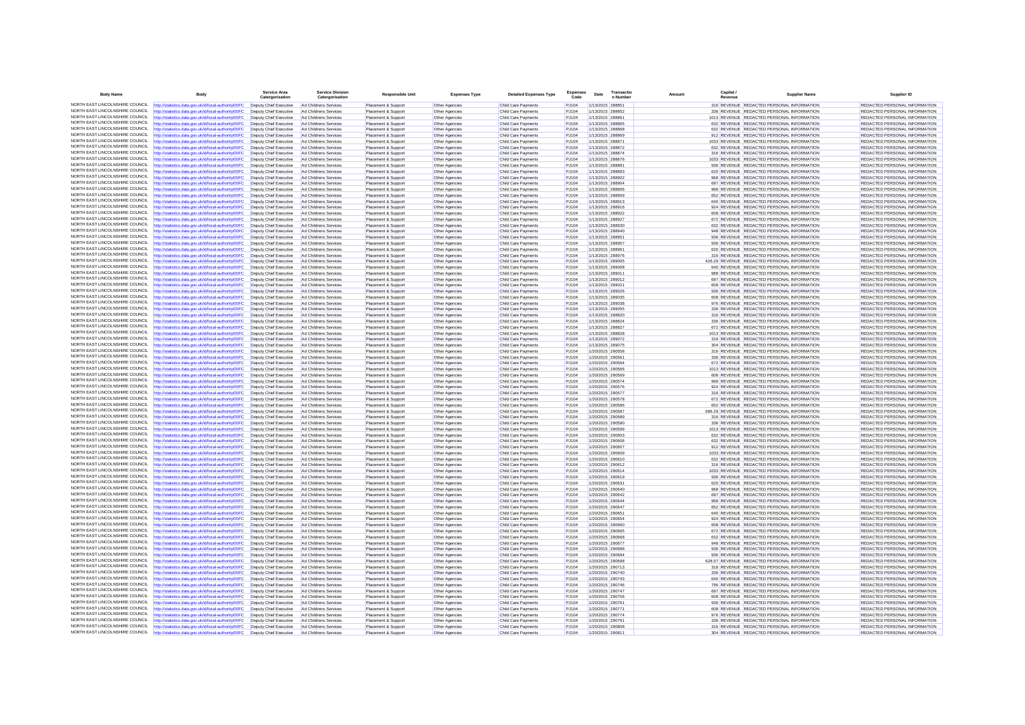| <b>Body Name</b>                                                   | <b>Body</b>                                                                                                                                                                    | <b>Service Area</b><br>Catergo                                         | <b>Service Division</b><br>Catergorisation     | <b>Responsible Unit</b>                    | <b>Expenses Type</b>                    | <b>Detailed Expenses Type</b>              | Expenses       | Date                                 | Transactio | Capital.<br>Amount | <b>Supplier Name</b>                                                                      | Supplier ID                                                    |
|--------------------------------------------------------------------|--------------------------------------------------------------------------------------------------------------------------------------------------------------------------------|------------------------------------------------------------------------|------------------------------------------------|--------------------------------------------|-----------------------------------------|--------------------------------------------|----------------|--------------------------------------|------------|--------------------|-------------------------------------------------------------------------------------------|----------------------------------------------------------------|
|                                                                    | NORTH EAST LINCOLNSHIRE COUNCIL http://statistics.data.gov.uk/id/local-authority/00FC                                                                                          | Deputy Chief Executive                                                 | Ad Childrens Services                          | Placement & Support                        | Other Agencies                          | Child Care Payments                        | P.1104         | 1/13/2015 288851                     |            |                    | 316 REVENUE REDACTED PERSONAL INFORMATION                                                 | REDACTED PERSONAL INFORMATION                                  |
|                                                                    | NORTH EAST LINCOLNSHIRE COUNCIL http://statistics.data.gov.uk/id/local-authority/00FC                                                                                          | Deputy Chief Executive                                                 | Ad Childrens Service                           | Placement & Suppor                         | Other Agencies                          | Child Care Payments                        | PJ104          | 1/13/2015 288852                     |            |                    | 336 REVENUE REDACTED PERSONAL INFORMATION                                                 | REDACTED PERSONAL INFORMATION                                  |
| NORTH FAST LINCOLNSHIRE COUNCIL                                    | http://statistics.data.gov.uk/id/local-authority/00FC                                                                                                                          | Deputy Chief Executive                                                 | Ad Childrens Services                          | Placement & Support                        | Other Agencies                          | Child Care Payments                        | PJ104          | 1/13/2015 288861                     |            |                    | 1013 REVENUE REDACTED PERSONAL INFORMATION                                                | REDACTED PERSONAL INFORMATION                                  |
| NORTH EAST LINCOLNSHIRE COUNCIL                                    | http://statistics.data.gov.uk/id/local-authority/00FC                                                                                                                          | Deputy Chief Executive                                                 | Ad Childrens Services                          | Placement & Support                        | Other Agencies                          | Child Care Payments                        | PJ104          | 1/13/2015 288865                     |            |                    | 632 REVENUE REDACTED PERSONAL INFORMATION                                                 | REDACTED PERSONAL INFORMATION                                  |
|                                                                    | NORTH EAST LINCOLNSHIRE COUNCIL http://statistics.data.gov.uk/id/local-authority/00FC<br>NORTH EAST LINCOLNSHIRE COUNCIL http://statistics.data.gov.uk/id/local-authority/00FC | Deputy Chief Executive<br>Deputy Chief Executive                       | Ad Childrens Services<br>Ad Childrens Services | Placement & Support<br>Placement & Support | Other Agencies<br>Other Agencies        | Child Care Payments<br>Child Care Payments | PJ104<br>PJ104 | 1/13/2015 288868<br>1/13/2015 288869 |            |                    | 632 REVENUE REDACTED PERSONAL INFORMATION<br>912 REVENUE REDACTED PERSONAL INFORMATION    | REDACTED PERSONAL INFORMATION<br>REDACTED PERSONAL INFORMATION |
| NORTH EAST LINCOLNSHIRE COUNCIL                                    | http://statistics.data.gov.uk/id/local-authority/00FC                                                                                                                          | Deputy Chief Executive                                                 | Ad Childrens Services                          | Placement & Support                        | Other Agencies                          | Child Care Payments                        | PJ104          | 1/13/2015 288871                     |            |                    | 1033 REVENUE REDACTED PERSONAL INFORMATION                                                | REDACTED PERSONAL INFORMATION                                  |
|                                                                    | NORTH EAST LINCOLNSHIRE COUNCIL http://statistics.data.gov.uk/id/local-authority/00FC                                                                                          | Deputy Chief Executive                                                 | Ad Childrens Services                          | Placement & Support                        | Other Agencies                          | Child Care Payments                        | PJ104          | 1/13/2015 288872                     |            |                    | 632 REVENUE REDACTED PERSONAL INFORMATION                                                 | REDACTED PERSONAL INFORMATION                                  |
|                                                                    | NORTH EAST LINCOLNSHIRE COUNCIL http://statistics.data.gov.uk/id/local-authority/00FC                                                                                          | Deputy Chief Executive                                                 | Ad Childrens Services                          | Placement & Support                        | Other Agencies                          | Child Care Payments                        | PJ104          | 1/13/2015 288874                     |            |                    | 316 REVENUE REDACTED PERSONAL INFORMATION                                                 | REDACTED PERSONAL INFORMATION                                  |
| NORTH EAST LINCOLNSHIRE COUNCIL                                    | http://statistics.data.gov.uk/id/local-authority/00FC                                                                                                                          | Deputy Chief Executive                                                 | Ad Childrens Services                          | Placement & Support                        | Other Agencies                          | Child Care Payments                        | PJ104          | 1/13/2015 288876                     |            |                    | 1033 REVENUE REDACTED PERSONAL INFORMATION                                                | REDACTED PERSONAL INFORMATION                                  |
|                                                                    | NORTH EAST LINCOLNSHIRE COUNCIL http://statistics.data.gov.uk/id/local-authority/00FC                                                                                          | Deputy Chief Executive                                                 | Ad Childrens Services                          | Placement & Support                        | Other Agencies                          | Child Care Payments                        | PJ104          | 1/13/2015 288881                     |            |                    | 936 REVENUE REDACTED PERSONAL INFORMATION                                                 | REDACTED PERSONAL INFORMATION                                  |
| NORTH EAST LINCOLNSHIRE COUNCIL                                    | NORTH EAST LINCOLNSHIRE COUNCIL http://statistics.data.gov.uk/id/local-authority/00FC                                                                                          | Deputy Chief Executive                                                 | Ad Childrens Services                          | Placement & Support                        | Other Agencies                          | Child Care Payments                        | PJ104          | 1/13/2015 288893                     |            |                    | 620 REVENUE REDACTED PERSONAL INFORMATION                                                 | REDACTED PERSONAL INFORMATION                                  |
| NORTH EAST LINCOLNSHIRE COUNCIL                                    | http://statistics.data.gov.uk/id/local-authority/00FC<br>http://statistics.data.gov.uk/id/local-authority/00FC                                                                 | Deputy Chief Executive<br>Deputy Chief Executive                       | Ad Childrens Services<br>Ad Childrens Services | Placement & Support<br>Placement & Support | Other Agencies<br>Other Agencies        | Child Care Payments<br>Child Care Payments | PJ104<br>PJ104 | 1/13/2015 288902<br>1/13/2015 288904 |            |                    | 968 REVENUE REDACTED PERSONAL INFORMATION<br>697 REVENUE REDACTED PERSONAL INFORMATION    | REDACTED PERSONAL INFORMATION<br>REDACTED PERSONAL INFORMATION |
| NORTH EAST LINCOLNSHIRE COUNCIL                                    | http://statistics.data.gov.uk/id/local-authority/00FC                                                                                                                          | Deputy Chief Executive                                                 | Ad Childrens Services                          | Placement & Support                        | Other Agencies                          | Child Care Payments                        | PJ104          | 1/13/2015 288906                     |            |                    | 968 REVENUE REDACTED PERSONAL INFORMATION                                                 | REDACTED PERSONAL INFORMATION                                  |
| NORTH EAST LINCOLNSHIRE COUNCIL                                    | http://statistics.data.gov.uk/id/local-authority/00FC                                                                                                                          | Deputy Chief Executive                                                 | Ad Childrens Services                          | Placement & Support                        | Other Agencies                          | Child Care Payments                        | PJ104          | 1/13/2015 288909                     |            |                    | 652 REVENUE REDACTED PERSONAL INFORMATION                                                 | REDACTED PERSONAL INFORMATION                                  |
|                                                                    | NORTH EAST LINCOLNSHIRE COUNCIL http://statistics.data.gov.uk/id/local-authority/00FC                                                                                          | Deputy Chief Executive                                                 | Ad Childrens Services                          | Placement & Support                        | Other Agencies                          | Child Care Payments                        | PJ104          | 1/13/2015 288913                     |            |                    | 640 REVENUE REDACTED PERSONAL INFORMATION                                                 | REDACTED PERSONAL INFORMATION                                  |
| NORTH EAST LINCOLNSHIRE COUNCIL                                    | http://statistics.data.gov.uk/id/local-authority/00FC                                                                                                                          | Deputy Chief Executive                                                 | Ad Childrens Services                          | Placement & Support                        | Other Agencies                          | Child Care Payments                        | PJ104          | 1/13/2015 288916                     |            |                    | 924 REVENUE REDACTED PERSONAL INFORMATION                                                 | REDACTED PERSONAL INFORMATION                                  |
| NORTH EAST LINCOLNSHIRE COUNCIL                                    | http://statistics.data.gov.uk/id/local-authority/00FC                                                                                                                          | Deputy Chief Executive                                                 | Ad Childrens Service                           | Placement & Support                        | Other Agencies                          | Child Care Payments                        | PJ104          | 1/13/2015 288922                     |            |                    | 608 REVENUE REDACTED PERSONAL INFORMATION                                                 | REDACTED PERSONAL INFORMATION                                  |
| NORTH FAST LINCOLNSHIRE COUNCIL                                    | http://statistics.data.gov.uk/id/local-authority/00FC                                                                                                                          | Deputy Chief Executive                                                 | Ad Childrens Services                          | Placement & Support                        | Other Agencies                          | Child Care Payments                        | PJ104          | 1/13/2015 288927                     |            |                    | 672 REVENUE REDACTED PERSONAL INFORMATION                                                 | REDACTED PERSONAL INFORMATION                                  |
| NORTH EAST LINCOLNSHIRE COUNCIL                                    | http://statistics.data.gov.uk/id/local-authority/00FC<br>NORTH EAST LINCOLNSHIRE COUNCIL http://statistics.data.gov.uk/id/local-authority/00FC                                 | Deputy Chief Executive                                                 | Ad Childrens Services                          | Placement & Support                        | Other Agencies                          | Child Care Payments                        | PJ104          | 1/13/2015 288930                     |            |                    | 632 REVENUE REDACTED PERSONAL INFORMATION                                                 | REDACTED PERSONAL INFORMATION                                  |
|                                                                    | NORTH EAST LINCOLNSHIRE COUNCIL http://statistics.data.gov.uk/id/local-authority/00FC                                                                                          | Deputy Chief Executive                                                 | Ad Childrens Services                          | Placement & Support                        | Other Agencies                          | Child Care Payments                        | PJ104<br>PJ104 | 1/13/2015 288940                     |            |                    | 948 REVENUE REDACTED PERSONAL INFORMATION                                                 | REDACTED PERSONAL INFORMATION                                  |
| NORTH EAST LINCOLNSHIRE COUNCIL                                    | http://statistics.data.gov.uk/id/local-authority/00FC                                                                                                                          | Deputy Chief Executive Ad Childrens Services<br>Deputy Chief Executive | Ad Childrens Services                          | Placement & Support<br>Placement & Support | Other Agencies<br>Other Agencies        | Child Care Payments<br>Child Care Payments | PJ104          | 1/13/2015 288951<br>1/13/2015 288957 |            |                    | 936 REVENUE REDACTED PERSONAL INFORMATION<br>936 REVENUE REDACTED PERSONAL INFORMATION    | REDACTED PERSONAL INFORMATION<br>REDACTED PERSONAL INFORMATION |
| NORTH EAST LINCOLNSHIRE COUNCIL                                    | http://statistics.data.gov.uk/id/local-authority/00FC                                                                                                                          | Deputy Chief Executive                                                 | Ad Childrens Service                           | Placement & Support                        | Other Agencies                          | Child Care Payments                        | PJ104          | 1/13/2015 288961                     |            |                    | 620 REVENUE REDACTED PERSONAL INFORMATION                                                 | REDACTED PERSONAL INFORMATION                                  |
| NORTH EAST LINCOLNSHIRE COUNCIL                                    | http://statistics.data.gov.uk/id/local-authority/00FC                                                                                                                          | Deputy Chief Executive                                                 | Ad Childrens Services                          | Placement & Support                        | Other Agencies                          | Child Care Payments                        | PJ104          | 1/13/2015 288976                     |            |                    | 316 REVENUE REDACTED PERSONAL INFORMATION                                                 | REDACTED PERSONAL INFORMATION                                  |
| NORTH EAST LINCOLNSHIRE COUNCIL                                    | http://statistics.data.gov.uk/id/local-authority/00FC                                                                                                                          | Deputy Chief Executive                                                 | Ad Childrens Services                          | Placement & Support                        | Other Agencies                          | Child Care Payments                        | PJ104          | 1/13/2015 289005                     |            |                    | 426.29 REVENUE REDACTED PERSONAL INFORMATION                                              | REDACTED PERSONAL INFORMATION                                  |
|                                                                    | NORTH EAST LINCOLNSHIRE COUNCIL http://statistics.data.gov.uk/id/local-authority/00FC                                                                                          | Deputy Chief Executive                                                 | Ad Childrens Services                          | Placement & Support                        | Other Agencies                          | Child Care Payments                        | PJ104          | 1/13/2015 289008                     |            |                    | 640 REVENUE REDACTED PERSONAL INFORMATION                                                 | REDACTED PERSONAL INFORMATION                                  |
|                                                                    | NORTH EAST LINCOLNSHIRE COUNCIL http://statistics.data.gov.uk/id/local-authority/00FC                                                                                          | Deputy Chief Executive                                                 | Ad Childrens Services                          | Placement & Suppor                         | Other Agencies                          | Child Care Payments                        | PJ104          | 1/13/2015 289011                     |            |                    | 988 REVENUE REDACTED PERSONAL INFORMATION                                                 | REDACTED PERSONAL INFORMATION                                  |
| NORTH EAST LINCOLNSHIRE COUNCIL                                    | http://statistics.data.gov.uk/id/local-authority/00FC                                                                                                                          | Deputy Chief Executive                                                 | Ad Childrens Services                          | Placement & Support                        | Other Agencies                          | Child Care Payments                        | PJ104          | 1/13/2015 289012                     |            |                    | 697 REVENUE REDACTED PERSONAL INFORMATION                                                 | REDACTED PERSONAL INFORMATION                                  |
| NORTH EAST LINCOLNSHIRE COUNCIL                                    | NORTH EAST LINCOLNSHIRE COUNCIL http://statistics.data.gov.uk/id/local-authority/00FC                                                                                          | Deputy Chief Executive                                                 | Ad Childrens Services                          | Placement & Support                        | Other Agencies                          | Child Care Payments                        | P.1104         | 1/13/2015 289021                     |            |                    | 608 REVENUE REDACTED PERSONAL INFORMATION                                                 | REDACTED PERSONAL INFORMATION                                  |
| NORTH EAST LINCOLNSHIRE COUNCIL                                    | http://statistics.data.gov.uk/id/local-authority/00FC                                                                                                                          | Deputy Chief Executive<br>Deputy Chief Executive                       | Ad Childrens Services                          | Placement & Support                        | Other Agencies                          | Child Care Payments                        | PJ104<br>PJ104 | 1/13/2015 289026<br>1/13/2015 289035 |            |                    | 936 REVENUE REDACTED PERSONAL INFORMATION<br>608 REVENUE REDACTED PERSONAL INFORMATION    | REDACTED PERSONAL INFORMATION<br>REDACTED PERSONAL INFORMATION |
|                                                                    | http://statistics.data.gov.uk/id/local-authority/00FC<br>NORTH EAST LINCOLNSHIRE COUNCIL http://statistics.data.gov.uk/id/local-authority/00FC                                 | Deputy Chief Executive                                                 | Ad Childrens Services<br>Ad Childrens Services | Placement & Support<br>Placement & Support | Other Agencies<br>Other Agencies        | Child Care Payments<br>Child Care Payments | PJ104          | 1/13/2015 289038                     |            |                    | 976 REVENUE REDACTED PERSONAL INFORMATION                                                 | REDACTED PERSONAL INFORMATION                                  |
| NORTH EAST LINCOLNSHIRE COUNCIL                                    | http://statistics.data.gov.uk/id/local-authority/00FC                                                                                                                          | Deputy Chief Executive                                                 | Ad Childrens Services                          | Placement & Support                        | Other Agencies                          | Child Care Payments                        | PJ104          | 1/13/2015 289055                     |            |                    | 336 REVENUE REDACTED PERSONAL INFORMATION                                                 | REDACTED PERSONAL INFORMATION                                  |
| NORTH EAST LINCOLNSHIRE COUNCIL                                    | http://statistics.data.gov.uk/id/local-authority/00FC                                                                                                                          | Deputy Chief Executive                                                 | Ad Childrens Services                          | Placement & Support                        | Other Agencies                          | Child Care Payments                        | PJ104          | 1/13/2015 288820                     |            |                    | 316 REVENUE REDACTED PERSONAL INFORMATION                                                 | REDACTED PERSONAL INFORMATION                                  |
| NORTH EAST LINCOLNSHIRE COUNCIL                                    | http://statistics.data.gov.uk/id/local-authority/00FC                                                                                                                          | Deputy Chief Executive                                                 | Ad Childrens Services                          | Placement & Support                        | Other Agencies                          | Child Care Payments                        | PJ104          | 1/13/2015 288824                     |            |                    | 336 REVENUE REDACTED PERSONAL INFORMATION                                                 | REDACTED PERSONAL INFORMATION                                  |
| NORTH EAST LINCOLNSHIRE COUNCIL                                    | http://statistics.data.gov.uk/id/local-authority/00FC                                                                                                                          | Deputy Chief Executive                                                 | Ad Childrens Services                          | Placement & Support                        | Other Agencies                          | Child Care Payments                        | PJ104          | 1/13/2015 288827                     |            |                    | 672 REVENUE REDACTED PERSONAL INFORMATION                                                 | REDACTED PERSONAL INFORMATION                                  |
| NORTH EAST LINCOLNSHIRE COUNCIL                                    | http://statistics.data.gov.uk/id/local-authority/00FC                                                                                                                          | Deputy Chief Executive                                                 | Ad Childrens Services                          | Placement & Support                        | Other Agencies                          | Child Care Payments                        | PJ104          | 1/13/2015 288828                     |            |                    | 1013 REVENUE REDACTED PERSONAL INFORMATION                                                | REDACTED PERSONAL INFORMATION                                  |
|                                                                    | NORTH EAST LINCOLNSHIRE COUNCIL http://statistics.data.gov.uk/id/local-authority/00FC                                                                                          | Deputy Chief Executive                                                 | Ad Childrens Services                          | Placement & Support                        | Other Agencies                          | Child Care Payments                        | PJ104          | 1/13/2015 289072                     |            |                    | 316 REVENUE REDACTED PERSONAL INFORMATION                                                 | REDACTED PERSONAL INFORMATION                                  |
| NORTH EAST LINCOLNSHIRE COUNCIL                                    | http://statistics.data.gov.uk/id/local-authority/00FC                                                                                                                          | Deputy Chief Executive                                                 | Ad Childrens Services                          | Placement & Support                        | Other Agencies                          | Child Care Payments                        | PJ104          | 1/13/2015 289075                     |            |                    | 304 REVENUE REDACTED PERSONAL INFORMATION                                                 | REDACTED PERSONAL INFORMATION                                  |
| NORTH EAST LINCOLNSHIRE COUNCIL<br>NORTH EAST LINCOLNSHIRE COUNCIL | http://statistics.data.gov.uk/id/local-authority/00FC                                                                                                                          | Deputy Chief Executive                                                 | Ad Childrens Service                           | Placement & Suppor                         | Other Agencies                          | Child Care Payments                        | PJ104          | 1/20/2015 290558                     |            |                    | 316 REVENUE REDACTED PERSONAL INFORMATION                                                 | REDACTED PERSONAL INFORMATION                                  |
| NORTH EAST LINCOLNSHIRE COUNCIL                                    | http://statistics.data.gov.uk/id/local-authority/00FC<br>http://statistics.data.gov.uk/id/local-authority/00FC                                                                 | Deputy Chief Executive<br>Deputy Chief Executive                       | Ad Childrens Services<br>Ad Childrens Services | Placement & Support<br>Placement & Support | Other Agencies<br>Other Agencies        | Child Care Payments<br>Child Care Payments | PJ104<br>PJ104 | 1/20/2015 290561<br>1/20/2015 290564 |            |                    | 336 REVENUE REDACTED PERSONAL INFORMATION<br>672 REVENUE REDACTED PERSONAL INFORMATION    | REDACTED PERSONAL INFORMATION<br>REDACTED PERSONAL INFORMATION |
|                                                                    | NORTH EAST LINCOLNSHIRE COUNCIL http://statistics.data.gov.uk/id/local-authority/00FC                                                                                          | Deputy Chief Executive                                                 | Ad Childrens Services                          | Placement & Support                        | Other Agencies                          | Child Care Payments                        | P.1104         | 1/20/2015 290566                     |            |                    | 1013 REVENUE REDACTED PERSONAL INFORMATION                                                | REDACTED PERSONAL INFORMATION                                  |
|                                                                    | NORTH EAST LINCOLNSHIRE COUNCIL http://statistics.data.gov.uk/id/local-authority/00FC                                                                                          | Deputy Chief Executive Ad Childrens Services                           |                                                | Placement & Support                        | Other Agencies                          | Child Care Payments                        | PJ104          | 1/20/2015 290569                     |            |                    | 608 REVENUE REDACTED PERSONAL INFORMATION                                                 | REDACTED PERSONAL INFORMATION                                  |
| NORTH EAST LINCOLNSHIRE COUNCIL                                    | http://statistics.data.gov.uk/id/local-authority/00FC                                                                                                                          | Deputy Chief Executive                                                 | Ad Childrens Services                          | Placement & Support                        | Other Agencies                          | Child Care Payments                        | PJ104          | 1/20/2015 290574                     |            |                    | 968 REVENUE REDACTED PERSONAL INFORMATION                                                 | REDACTED PERSONAL INFORMATION                                  |
|                                                                    | NORTH EAST LINCOLNSHIRE COUNCIL http://statistics.data.gov.uk/id/local-authority/00FC                                                                                          | Deputy Chief Executive                                                 | Ad Childrens Services                          | Placement & Support                        | Other Agencies                          | Child Care Payments                        | PJ104          | 1/20/2015 290576                     |            |                    | 924 REVENUE REDACTED PERSONAL INFORMATION                                                 | REDACTED PERSONAL INFORMATION                                  |
| NORTH EAST LINCOLNSHIRE COUNCIL                                    | http://statistics.data.gov.uk/id/local-authority/00FC                                                                                                                          | Deputy Chief Executive                                                 | Ad Childrens Services                          | Placement & Support                        | Other Agencies                          | Child Care Payments                        | PJ104          | 1/20/2015 290577                     |            |                    | 316 REVENUE REDACTED PERSONAL INFORMATION                                                 | REDACTED PERSONAL INFORMATION                                  |
| NORTH EAST LINCOLNSHIRE COUNCIL                                    | http://statistics.data.gov.uk/id/local-authority/00FC                                                                                                                          | Deputy Chief Executive                                                 | Ad Childrens Services                          | Placement & Support                        | Other Agencies                          | Child Care Payments                        | PJ104          | 1/20/2015 290578                     |            |                    | 672 REVENUE REDACTED PERSONAL INFORMATION                                                 | REDACTED PERSONAL INFORMATION                                  |
| NORTH EAST LINCOLNSHIRE COUNCIL                                    | NORTH EAST LINCOLNSHIRE COUNCIL http://statistics.data.gov.uk/id/local-authority/00FC                                                                                          | Deputy Chief Executive                                                 | Ad Childrens Services                          | Placement & Support                        | Other Agencies                          | Child Care Payments                        | PJ104          | 1/20/2015 290586                     |            |                    | 652 REVENUE REDACTED PERSONAL INFORMATION                                                 | REDACTED PERSONAL INFORMATION                                  |
| NORTH EAST LINCOLNSHIRE COUNCIL                                    | http://statistics.data.gov.uk/id/local-authority/00FC<br>http://statistics.data.gov.uk/id/local-authority/00FC                                                                 | Deputy Chief Executive<br>Deputy Chief Executive                       | Ad Childrens Services<br>Ad Childrens Services | Placement & Support<br>Placement & Support | Other Agencies<br>Other Agencies        | Child Care Payments<br>Child Care Payments | PJ104<br>PJ104 | 1/20/2015 290587<br>1/20/2015 290589 |            |                    | 686.29 REVENUE REDACTED PERSONAL INFORMATION<br>316 REVENUE REDACTED PERSONAL INFORMATION | REDACTED PERSONAL INFORMATION<br>REDACTED PERSONAL INFORMATION |
|                                                                    | NORTH EAST LINCOLNSHIRE COUNCIL http://statistics.data.gov.uk/id/local-authority/00FC                                                                                          | Deputy Chief Executive                                                 | Ad Childrens Services                          | Placement & Support                        | Other Agencies                          | <b>Child Care Payments</b>                 | PJ104          | 1/20/2015 290590                     |            |                    | 336 REVENUE REDACTED PERSONAL INFORMATION                                                 | REDACTED PERSONAL INFORMATION                                  |
| NORTH EAST LINCOLNSHIRE COUNCIL                                    | http://statistics.data.gov.uk/id/local-authority/00FC                                                                                                                          | Deputy Chief Executive                                                 | Ad Childrens Services                          | Placement & Support                        | Other Agencies                          | Child Care Payments                        | PJ104          | 1/20/2015 290599                     |            |                    | 1013 REVENUE REDACTED PERSONAL INFORMATION                                                | REDACTED PERSONAL INFORMATION                                  |
| NORTH EAST LINCOLNSHIRE COUNCIL                                    | http://statistics.data.gov.uk/id/local-authority/00FC                                                                                                                          | Deputy Chief Executive                                                 | Ad Childrens Services                          | Placement & Support                        | Other Agencies                          | Child Care Payments                        | PJ104          | 1/20/2015 290603                     |            |                    | 632 REVENUE REDACTED PERSONAL INFORMATION                                                 | REDACTED PERSONAL INFORMATION                                  |
|                                                                    | NORTH EAST LINCOLNSHIRE COUNCIL http://statistics.data.gov.uk/id/local-authority/00FC                                                                                          | Deputy Chief Executive                                                 | Ad Childrens Services                          | Placement & Support                        | Other Agencies                          | Child Care Payments                        | PJ104          | 1/20/2015 290606                     |            |                    | 632 REVENUE REDACTED PERSONAL INFORMATION                                                 | REDACTED PERSONAL INFORMATION                                  |
| NORTH EAST LINCOLNSHIRE COUNCIL                                    | http://statistics.data.gov.uk/id/local-authority/00FC                                                                                                                          | Deputy Chief Executive                                                 | Ad Childrens Services                          | Placement & Support                        | Other Agencies                          | Child Care Payments                        | PJ104          | 1/20/2015 290607                     |            |                    | 912 REVENUE REDACTED PERSONAL INFORMATION                                                 | <b>REDACTED PERSONAL INFORMATION</b>                           |
| NORTH EAST LINCOLNSHIRE COUNCIL                                    | http://statistics.data.gov.uk/id/local-authority/00FC                                                                                                                          | Deputy Chief Executive                                                 | Ad Childrens Service                           | Placement & Suppor                         | Other Agencies                          | Child Care Payments                        | PJ104          | 1/20/2015 290609                     |            |                    | 1033 REVENUE REDACTED PERSONAL INFORMATION                                                | REDACTED PERSONAL INFORMATION                                  |
| NORTH EAST LINCOLNSHIRE COUNCIL<br>NORTH EAST LINCOLNSHIRE COUNCIL | http://statistics.data.gov.uk/id/local-authority/00FC                                                                                                                          | Deputy Chief Executive                                                 | Ad Childrens Services                          | Placement & Support                        | Other Agencies                          | Child Care Payments                        | PJ104          | 1/20/2015 290610                     |            |                    | 632 REVENUE REDACTED PERSONAL INFORMATION                                                 | REDACTED PERSONAL INFORMATION                                  |
|                                                                    | http://statistics.data.gov.uk/id/local-authority/00FC                                                                                                                          | Deputy Chief Executive                                                 | Ad Childrens Services                          | Placement & Support                        | Other Agencies                          | Child Care Payments                        | PJ104          | 1/20/2015 290612                     |            |                    | 316 REVENUE REDACTED PERSONAL INFORMATION<br>1033 REVENUE REDACTED PERSONAL INFORMATION   | REDACTED PERSONAL INFORMATION<br>REDACTED PERSONAL INFORMATION |
|                                                                    | NORTH EAST LINCOLNSHIRE COUNCIL http://statistics.data.gov.uk/id/local-authority/00FC<br>NORTH EAST LINCOLNSHIRE COUNCIL http://statistics.data.gov.uk/id/local-authority/00FC | Deputy Chief Executive<br>Deputy Chief Executive                       | Ad Childrens Service<br>Ad Childrens Services  | Placement & Suppor<br>Placement & Support  | <b>Other Agencies</b><br>Other Agencies | Child Care Payments<br>Child Care Payments | PJ104<br>PJ104 | 1/20/2015 290614<br>1/20/2015 290619 |            |                    | 936 REVENUE REDACTED PERSONAL INFORMATION                                                 | REDACTED PERSONAL INFORMATION                                  |
| NORTH EAST LINCOLNSHIRE COUNCIL                                    | http://statistics.data.gov.uk/id/local-authority/00FC                                                                                                                          | Deputy Chief Executive                                                 | Ad Childrens Services                          | Placement & Support                        | Other Agencies                          | Child Care Payments                        | PJ104          | 1/20/2015 290631                     |            |                    | 620 REVENUE REDACTED PERSONAL INFORMATION                                                 | REDACTED PERSONAL INFORMATION                                  |
|                                                                    | NORTH EAST LINCOLNSHIRE COUNCIL http://statistics.data.gov.uk/id/local-authority/00FC                                                                                          | Deputy Chief Executive                                                 | Ad Childrens Services                          | Placement & Support                        | Other Agencies                          | Child Care Payments                        | PJ104          | 1/20/2015 290640                     |            |                    | 968 REVENUE REDACTED PERSONAL INFORMATION                                                 | REDACTED PERSONAL INFORMATION                                  |
| NORTH EAST LINCOLNSHIRE COUNCIL                                    | http://statistics.data.gov.uk/id/local-authority/00FC                                                                                                                          | Deputy Chief Executive                                                 | Ad Childrens Services                          | Placement & Support                        | Other Agencies                          | Child Care Payments                        | PJ104          | 1/20/2015 290642                     |            |                    | 697 REVENUE REDACTED PERSONAL INFORMATION                                                 | REDACTED PERSONAL INFORMATION                                  |
| NORTH EAST LINCOLNSHIRE COUNCIL                                    | http://statistics.data.gov.uk/id/local-authority/00FC                                                                                                                          | Deputy Chief Executive                                                 | Ad Childrens Services                          | Placement & Support                        | Other Agencies                          | Child Care Payments                        | PJ104          | 1/20/2015 290644                     |            |                    | 968 REVENUE REDACTED PERSONAL INFORMATION                                                 | REDACTED PERSONAL INFORMATION                                  |
|                                                                    | NORTH EAST LINCOLNSHIRE COUNCIL http://statistics.data.gov.uk/id/local-authority/00FC                                                                                          | Deputy Chief Executive                                                 | Ad Childrens Services                          | Placement & Support                        | Other Agencies                          | Child Care Payments                        | PJ104          | 1/20/2015 290647                     |            |                    | 652 REVENUE REDACTED PERSONAL INFORMATION                                                 | REDACTED PERSONAL INFORMATION                                  |
|                                                                    | NORTH EAST LINCOLNSHIRE COUNCIL http://statistics.data.gov.uk/id/local-authority/00FC                                                                                          | Deputy Chief Executive                                                 | Ad Childrens Services                          | Placement & Support                        | Other Agencies                          | Child Care Payments                        | PJ104          | 1/20/2015 290651                     |            |                    | 640 REVENUE REDACTED PERSONAL INFORMATION                                                 | REDACTED PERSONAL INFORMATION                                  |
| NORTH EAST LINCOLNSHIRE COUNCIL                                    | http://statistics.data.gov.uk/id/local-authority/00FC                                                                                                                          | Deputy Chief Executive                                                 | Ad Childrens Services                          | Placement & Support                        | Other Agencies                          | Child Care Payments                        | PJ104          | 1/20/2015 290654                     |            |                    | 924 REVENUE REDACTED PERSONAL INFORMATION                                                 | REDACTED PERSONAL INFORMATION                                  |
| NORTH EAST LINCOLNSHIRE COUNCIL                                    | NORTH EAST LINCOLNSHIRE COUNCIL http://statistics.data.gov.uk/id/local-authority/00FC                                                                                          | Deputy Chief Executive                                                 | Ad Childrens Services                          | Placement & Support                        | Other Agencies                          | Child Care Payments                        | PJ104          | 1/20/2015 290660                     |            |                    | 608 REVENUE REDACTED PERSONAL INFORMATION                                                 | REDACTED PERSONAL INFORMATION                                  |
| NORTH EAST LINCOLNSHIRE COUNCIL                                    | http://statistics.data.gov.uk/id/local-authority/00FC<br>http://statistics.data.gov.uk/id/local-authority/00FC                                                                 | Deputy Chief Executive<br>Deputy Chief Executive                       | Ad Childrens Services<br>Ad Childrens Services | Placement & Support<br>Placement & Support | Other Agencies<br>Other Agencies        | Child Care Payments<br>Child Care Payments | PJ104<br>PJ104 | 1/20/2015 290665<br>1/20/2015 290668 |            |                    | 672 REVENUE REDACTED PERSONAL INFORMATION<br>632 REVENUE REDACTED PERSONAL INFORMATION    | REDACTED PERSONAL INFORMATION<br>REDACTED PERSONAL INFORMATION |
|                                                                    | NORTH EAST LINCOLNSHIRE COUNCIL http://statistics.data.gov.uk/id/local-authority/00FC                                                                                          | Deputy Chief Executive                                                 | Ad Childrens Services                          | Placement & Support                        | Other Agencies                          | Child Care Payments                        | PJ104          | 1/20/2015 290677                     |            |                    | 948 REVENUE REDACTED PERSONAL INFORMATION                                                 | REDACTED PERSONAL INFORMATION                                  |
| NORTH EAST LINCOLNSHIRE COUNCIL                                    | http://statistics.data.gov.uk/id/local-authority/00FC                                                                                                                          | Deputy Chief Executive                                                 | Ad Childrens Services                          | Placement & Support                        | Other Agencies                          | Child Care Payments                        | P.1104         | 1/20/2015 290688                     |            |                    | 936 REVENUE REDACTED PERSONAL INFORMATION                                                 | REDACTED PERSONAL INFORMATION                                  |
|                                                                    | NORTH EAST LINCOLNSHIRE COUNCIL http://statistics.data.gov.uk/id/local-authority/00FC                                                                                          | Deputy Chief Executive                                                 | Ad Childrens Service                           | Placement & Suppor                         | Other Agencies                          | Child Care Payments                        | PJ104          | 1/20/2015 290694                     |            |                    | 936 REVENUE REDACTED PERSONAL INFORMATION                                                 | REDACTED PERSONAL INFORMATION                                  |
|                                                                    | NORTH EAST LINCOLNSHIRE COUNCIL http://statistics.data.gov.uk/id/local-authority/00FC                                                                                          | Deputy Chief Executive Ad Childrens Services                           |                                                | Placement & Support                        | Other Agencies                          | Child Care Payments                        | PJ104          | 1/20/2015 290698                     |            |                    | 628.57 REVENUE REDACTED PERSONAL INFORMATION                                              | REDACTED PERSONAL INFORMATION                                  |
| NORTH EAST LINCOLNSHIRE COUNCIL                                    | http://statistics.data.gov.uk/id/local-authority/00FC                                                                                                                          | Deputy Chief Executive                                                 | Ad Childrens Services                          | Placement & Support                        | Other Agencies                          | Child Care Payments                        | PJ104          | 1/20/2015 290713                     |            |                    | 316 REVENUE REDACTED PERSONAL INFORMATION                                                 | REDACTED PERSONAL INFORMATION                                  |
| NORTH EAST LINCOLNSHIRE COUNCIL                                    | http://statistics.data.gov.uk/id/local-authority/00FC                                                                                                                          | Deputy Chief Executive                                                 | Ad Childrens Services                          | Placement & Support                        | Other Agencies                          | Child Care Payments                        | PJ104          | 1/20/2015 290740                     |            |                    | 336 REVENUE REDACTED PERSONAL INFORMATION                                                 | REDACTED PERSONAL INFORMATION                                  |
| NORTH EAST LINCOLNSHIRE COUNCIL<br>NORTH EAST LINCOLNSHIRE COUNCIL | http://statistics.data.gov.uk/id/local-authority/00FC                                                                                                                          | Deputy Chief Executive                                                 | Ad Childrens Services                          | Placement & Support                        | Other Agencies                          | Child Care Payments                        | PJ104          | 1/20/2015 290743                     |            |                    | 640 REVENUE REDACTED PERSONAL INFORMATION                                                 | REDACTED PERSONAL INFORMATION                                  |
|                                                                    | http://statistics.data.gov.uk/id/local-authority/00FC<br>NORTH EAST LINCOLNSHIRE COUNCIL http://statistics.data.gov.uk/id/local-authority/00FC                                 | Deputy Chief Executive<br>Deputy Chief Executive                       | Ad Childrens Services<br>Ad Childrens Services | Placement & Support                        | Other Agencies<br>Other Agencies        | Child Care Payments<br>Child Care Payments | PJ104<br>PJ104 | 1/20/2015 290746<br>1/20/2015 290747 |            |                    | 796 REVENUE REDACTED PERSONAL INFORMATION<br>697 REVENUE REDACTED PERSONAL INFORMATION    | REDACTED PERSONAL INFORMATION<br>REDACTED PERSONAL INFORMATION |
| NORTH EAST LINCOLNSHIRE COUNCIL                                    | http://statistics.data.gov.uk/id/local-authority/00FC                                                                                                                          | Deputy Chief Executive                                                 | Ad Childrens Services                          | Placement & Support<br>Placement & Support | Other Agencies                          | Child Care Payments                        | PJ104          | 1/20/2015 290756                     |            |                    | 608 REVENUE REDACTED PERSONAL INFORMATION                                                 | REDACTED PERSONAL INFORMATION                                  |
| NORTH EAST LINCOLNSHIRE COUNCIL                                    | http://statistics.data.gov.uk/id/local-authority/00FC                                                                                                                          | Deputy Chief Executive                                                 | Ad Childrens Services                          | Placement & Support                        | Other Agencies                          | Child Care Payments                        | PJ104          | 1/20/2015 290761                     |            |                    | 936 REVENUE REDACTED PERSONAL INFORMATION                                                 | REDACTED PERSONAL INFORMATION                                  |
|                                                                    | NORTH EAST LINCOLNSHIRE COUNCIL http://statistics.data.gov.uk/id/local-authority/00FC                                                                                          | Deputy Chief Executive                                                 | Ad Childrens Service                           | Placement & Support                        | Other Agencies                          | Child Care Payments                        | PJ104          | 1/20/2015 290771                     |            |                    | 608 REVENUE REDACTED PERSONAL INFORMATION                                                 | REDACTED PERSONAL INFORMATION                                  |
|                                                                    | NORTH EAST LINCOLNSHIRE COUNCIL http://statistics.data.gov.uk/id/local-authority/00FC Deputy Chief Executive Ad Childrens Services                                             |                                                                        |                                                | Placement & Support                        | Other Agencies                          | Child Care Payments                        | PJ104          | 1/20/2015 290774                     |            |                    | 976 REVENUE REDACTED PERSONAL INFORMATION                                                 | REDACTED PERSONAL INFORMATION                                  |
| NORTH EAST LINCOLNSHIRE COUNCIL                                    | http://statistics.data.gov.uk/id/local-authority/00FC                                                                                                                          | Deputy Chief Executive                                                 | Ad Childrens Services                          | Placement & Support                        | Other Agencies                          | Child Care Payments                        | PJ104          | 1/20/2015 290791                     |            |                    | 336 REVENUE REDACTED PERSONAL INFORMATION                                                 | REDACTED PERSONAL INFORMATION                                  |
|                                                                    | NORTH EAST LINCOLNSHIRE COUNCIL http://statistics.data.gov.uk/id/local-authority/00FC Deputy Chief Executive Ad Childrens Services                                             |                                                                        |                                                | Placement & Support                        | Other Agencies                          | Child Care Payments                        | PJ104          | 1/20/2015 290808                     |            |                    | 316 REVENUE REDACTED PERSONAL INFORMATION                                                 | REDACTED PERSONAL INFORMATION                                  |
|                                                                    | NORTH EAST LINCOLNSHIRE COUNCIL http://statistics.data.gov.uk/id/local-authority/00FC                                                                                          | Deputy Chief Executive                                                 | Ad Childrens Services                          | Placement & Suppor                         | Other Agencies                          | Child Care Payments                        | PJ104          | 1/20/2015 29081                      |            |                    | 304 REVENUE REDACTED PERSONAL INFORMATION                                                 | REDACTED PERSONAL INFORMATION                                  |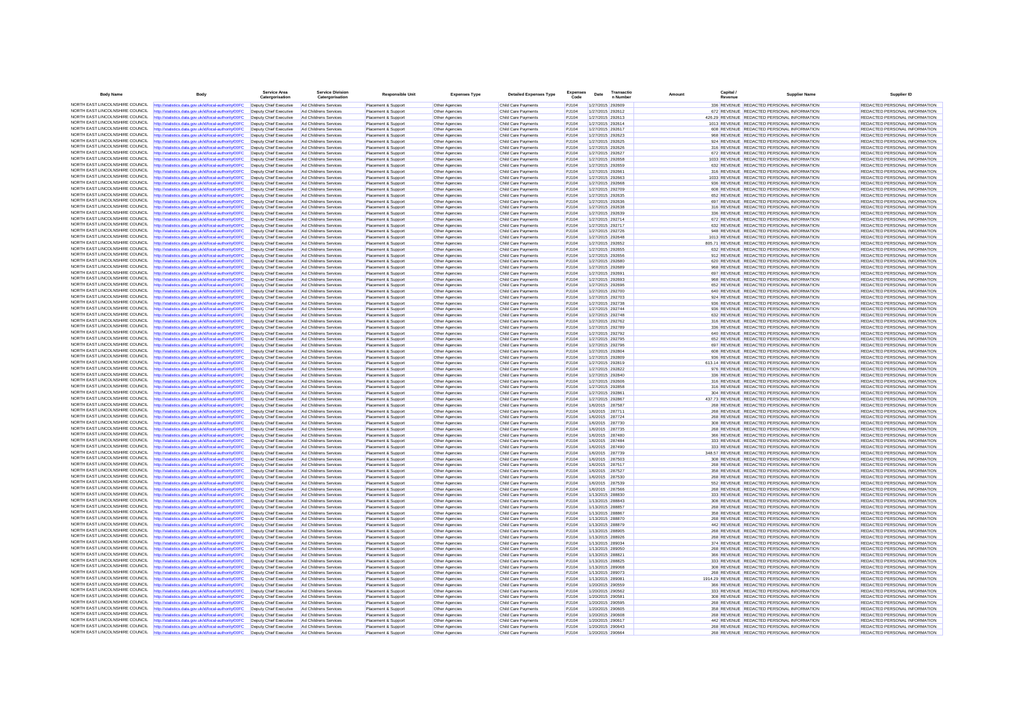| <b>Body Name</b>                                                   | Body                                                                                                                                                                                                                        | Service Are<br>Catero                            | Service Divisio<br>Catergorisation             | <b>Responsible Unit</b>                    | <b>Expenses Type</b>             | <b>Detailed Expenses Type</b>              | Code            | Date | Transacti<br>n Numbe                 | Capital<br>Amount | <b>Supplier Name</b>                                                                      | Supplier ID                                                    |
|--------------------------------------------------------------------|-----------------------------------------------------------------------------------------------------------------------------------------------------------------------------------------------------------------------------|--------------------------------------------------|------------------------------------------------|--------------------------------------------|----------------------------------|--------------------------------------------|-----------------|------|--------------------------------------|-------------------|-------------------------------------------------------------------------------------------|----------------------------------------------------------------|
|                                                                    | NORTH EAST LINCOLNSHIRE COUNCIL http://statistics.data.gov.uk/id/local-authority/00FC                                                                                                                                       | Deputy Chief Executive                           | Ad Childrens Services                          | Placement & Support                        | Other Agencies                   | Child Care Payments                        | PJ104           |      | 1/27/2015 292609                     |                   | 336 REVENUE REDACTED PERSONAL INFORMATION                                                 | REDACTED PERSONAL INFORMATION                                  |
|                                                                    | NORTH EAST LINCOLNSHIRE COUNCIL http://statistics.data.gov.uk/id/local-authority/00FC                                                                                                                                       | Deputy Chief Executive                           | Ad Childrens Services                          | Placement & Support                        | Other Agencies                   | Child Care Payments                        | P.1104          |      | 1/27/2015 292612                     |                   | 672 REVENUE REDACTED PERSONAL INFORMATION                                                 | REDACTED PERSONAL INFORMATION                                  |
| NORTH EAST LINCOLNSHIRE COUNCIL                                    | http://statistics.data.gov.uk/id/local-authority/00FC                                                                                                                                                                       | Deputy Chief Executive                           | Ad Childrens Services                          | Placement & Support                        | Other Agencies                   | Child Care Payments                        | PJ104           |      | 1/27/2015 292613                     |                   | 426.29 REVENUE REDACTED PERSONAL INFORMATION                                              | REDACTED PERSONAL INFORMATION                                  |
| NORTH FAST LINCOLNSHIRE COUNCIL                                    | http://statistics.data.gov.uk/id/local-authority/00FC                                                                                                                                                                       | Deputy Chief Executive                           | Ad Childrens Services                          | Placement & Support                        | Other Agencies                   | Child Care Payments                        | PJ104           |      | 1/27/2015 292614                     |                   | 1013 REVENUE REDACTED PERSONAL INFORMATION                                                | REDACTED PERSONAL INFORMATION                                  |
| NORTH EAST LINCOLNSHIRE COUNCIL                                    | NORTH EAST LINCOLNSHIRE COUNCIL http://statistics.data.gov.uk/id/local-authority/00FC                                                                                                                                       | Deputy Chief Executive<br>Deputy Chief Executive | Ad Childrens Services                          | Placement & Support                        | Other Agencies                   | Child Care Payments                        | PJ104<br>PJ104  |      | 1/27/2015 292617                     |                   | 608 REVENUE REDACTED PERSONAL INFORMATION                                                 | REDACTED PERSONAL INFORMATION                                  |
| NORTH EAST LINCOLNSHIRE COUNCIL                                    | http://statistics.data.gov.uk/id/local-authority/00FC<br>http://statistics.data.gov.uk/id/local-authority/00FC                                                                                                              | Deputy Chief Executive                           | Ad Childrens Services<br>Ad Childrens Service  | Placement & Support<br>Placement & Support | Other Agencies<br>Other Agencies | Child Care Payments<br>Child Care Payments | PJ104           |      | 1/27/2015 292623<br>1/27/2015 292625 |                   | 968 REVENUE REDACTED PERSONAL INFORMATION<br>924 REVENUE REDACTED PERSONAL INFORMATION    | REDACTED PERSONAL INFORMATION<br>REDACTED PERSONAL INFORMATION |
|                                                                    | NORTH EAST LINCOLNSHIRE COUNCIL http://statistics.data.gov.uk/id/local-authority/00FC                                                                                                                                       | Deputy Chief Executive                           | Ad Childrens Services                          | Placement & Support                        | Other Agencies                   | Child Care Payments                        | PJ104           |      | 1/27/2015 292626                     |                   | 316 REVENUE REDACTED PERSONAL INFORMATION                                                 | REDACTED PERSONAL INFORMATION                                  |
| NORTH EAST LINCOLNSHIRE COUNCIL                                    | http://statistics.data.gov.uk/id/local-authority/00FC                                                                                                                                                                       | Deputy Chief Executive                           | Ad Childrens Services                          | Placement & Support                        | Other Agencies                   | Child Care Payments                        | PJ104           |      | 1/27/2015 292627                     |                   | 672 REVENUE REDACTED PERSONAL INFORMATION                                                 | REDACTED PERSONAL INFORMATION                                  |
| NORTH EAST LINCOLNSHIRE COUNCIL                                    | http://statistics.data.gov.uk/id/local-authority/00FC                                                                                                                                                                       | Deputy Chief Executive                           | Ad Childrens Services                          | Placement & Support                        | Other Agencies                   | Child Care Payments                        | PJ104           |      | 1/27/2015 292658                     |                   | 1033 REVENUE REDACTED PERSONAL INFORMATION                                                | REDACTED PERSONAL INFORMATION                                  |
| NORTH EAST LINCOLNSHIRE COUNCIL                                    | http://statistics.data.gov.uk/id/local-authority/00FC                                                                                                                                                                       | Deputy Chief Executive                           | Ad Childrens Services                          | Placement & Support                        | Other Agencies                   | Child Care Payments                        | PJ104           |      | 1/27/2015 292659                     |                   | 632 REVENUE REDACTED PERSONAL INFORMATION                                                 | REDACTED PERSONAL INFORMATION                                  |
| NORTH EAST LINCOLNSHIRE COUNCIL<br>NORTH EAST LINCOLNSHIRE COUNCIL | http://statistics.data.gov.uk/id/local-authority/00FC                                                                                                                                                                       | Deputy Chief Executive                           | Ad Childrens Services                          | Placement & Support                        | Other Agencies                   | Child Care Payments                        | PJ104           |      | 1/27/2015 292661                     |                   | 316 REVENUE REDACTED PERSONAL INFORMATION                                                 | <b>REDACTED PERSONAL INFORMATION</b>                           |
| NORTH FAST LINCOLNSHIRE COUNCIL                                    | http://statistics.data.gov.uk/id/local-authority/00FC<br>http://statistics.data.gov.uk/id/local-authority/00FC                                                                                                              | Deputy Chief Executive<br>Deputy Chief Executive | Ad Childrens Service<br>Ad Childrens Services  | Placement & Suppor<br>Placement & Support  | Other Agencies<br>Other Agencies | Child Care Payments<br>Child Care Payments | PJ104<br>PJ104  |      | 1/27/2015 292663<br>1/27/2015 292668 |                   | 1033 REVENUE REDACTED PERSONAL INFORMATION<br>936 REVENUE REDACTED PERSONAL INFORMATION   | REDACTED PERSONAL INFORMATION<br>REDACTED PERSONAL INFORMATION |
| NORTH EAST LINCOLNSHIRE COUNCIL                                    | http://statistics.data.gov.uk/id/local-authority/00FC                                                                                                                                                                       | Deputy Chief Executive                           | Ad Childrens Services                          | Placement & Support                        | Other Agencies                   | Child Care Payments                        | P.1104          |      | 1/27/2015 292709                     |                   | 608 REVENUE REDACTED PERSONAL INFORMATION                                                 | REDACTED PERSONAL INFORMATION                                  |
|                                                                    | NORTH EAST LINCOLNSHIRE COUNCIL http://statistics.data.gov.uk/id/local-authority/00FC                                                                                                                                       | Deputy Chief Executive                           | Ad Childrens Service                           | Placement & Suppor                         | <b>Other Agencies</b>            | Child Care Payments                        | PJ104           |      | 1/27/2015 292635                     |                   | 652 REVENUE REDACTED PERSONAL INFORMATION                                                 | REDACTED PERSONAL INFORMATION                                  |
|                                                                    | NORTH EAST LINCOLNSHIRE COUNCIL http://statistics.data.gov.uk/id/local-authority/00FC                                                                                                                                       | Deputy Chief Executive                           | Ad Childrens Services                          | Placement & Support                        | Other Agencies                   | Child Care Payments                        | PJ104           |      | 1/27/2015 292636                     |                   | 697 REVENUE REDACTED PERSONAL INFORMATION                                                 | REDACTED PERSONAL INFORMATION                                  |
| NORTH EAST LINCOLNSHIRE COUNCIL                                    | http://statistics.data.gov.uk/id/local-authority/00FC                                                                                                                                                                       | Deputy Chief Executive                           | Ad Childrens Services                          | Placement & Support                        | Other Agencies                   | Child Care Payments                        | PJ104           |      | 1/27/2015 292638                     |                   | 316 REVENUE REDACTED PERSONAL INFORMATION                                                 | REDACTED PERSONAL INFORMATION                                  |
| NORTH EAST LINCOLNSHIRE COUNCIL<br>NORTH EAST LINCOLNSHIRE COUNCIL | http://statistics.data.gov.uk/id/local-authority/00FC                                                                                                                                                                       | Deputy Chief Executive                           | Ad Childrens Services                          | Placement & Support                        | Other Agencies                   | Child Care Payments                        | PJ104           |      | 1/27/2015 292639                     |                   | 336 REVENUE REDACTED PERSONAL INFORMATION                                                 | REDACTED PERSONAL INFORMATION                                  |
| NORTH EAST LINCOLNSHIRE COUNCIL                                    | http://statistics.data.gov.uk/id/local-authority/00FC                                                                                                                                                                       | Deputy Chief Executive                           | Ad Childrens Services                          | Placement & Support                        | Other Agencies                   | Child Care Payments                        | PJ104           |      | 1/27/2015 292714                     |                   | 672 REVENUE REDACTED PERSONAL INFORMATION                                                 | REDACTED PERSONAL INFORMATION                                  |
|                                                                    | http://statistics.data.gov.uk/id/local-authority/00FC<br>NORTH EAST LINCOLNSHIRE COUNCIL http://statistics.data.gov.uk/id/local-authority/00FC                                                                              | Deputy Chief Executive<br>Deputy Chief Executive | Ad Childrens Services<br>Ad Childrens Services | Placement & Support                        | Other Agencies                   | Child Care Payments<br>Child Care Payments | PJ104<br>PJ104  |      | 1/27/2015 292717<br>1/27/2015 292726 |                   | 632 REVENUE REDACTED PERSONAL INFORMATION<br>948 REVENUE REDACTED PERSONAL INFORMATION    | REDACTED PERSONAL INFORMATION<br>REDACTED PERSONAL INFORMATION |
|                                                                    | NORTH EAST LINCOLNSHIRE COUNCIL http://statistics.data.gov.uk/id/local-authority/00FC                                                                                                                                       | Deputy Chief Executive                           | Ad Childrens Services                          | Placement & Support<br>Placement & Support | Other Agencies<br>Other Agencies | Child Care Payments                        | PJ104           |      | 1/27/2015 292648                     |                   | 1013 REVENUE REDACTED PERSONAL INFORMATION                                                | REDACTED PERSONAL INFORMATION                                  |
| NORTH EAST LINCOLNSHIRE COUNCIL                                    | http://statistics.data.gov.uk/id/local-authority/00FC                                                                                                                                                                       | Deputy Chief Executive                           | Ad Childrens Services                          | Placement & Support                        | Other Agencies                   | Child Care Payments                        | PJ104           |      | 1/27/2015 292652                     |                   | 805.71 REVENUE REDACTED PERSONAL INFORMATION                                              | REDACTED PERSONAL INFORMATION                                  |
|                                                                    | NORTH EAST LINCOLNSHIRE COUNCIL http://statistics.data.gov.uk/id/local-authority/00FC                                                                                                                                       | Deputy Chief Executive                           | Ad Childrens Services                          | Placement & Support                        | Other Agencies                   | Child Care Payments                        | PJ104           |      | 1/27/2015 292655                     |                   | 632 REVENUE REDACTED PERSONAL INFORMATION                                                 | REDACTED PERSONAL INFORMATION                                  |
| NORTH EAST LINCOLNSHIRE COUNCIL                                    | http://statistics.data.gov.uk/id/local-authority/00FC                                                                                                                                                                       | Deputy Chief Executive                           | Ad Childrens Services                          | Placement & Support                        | Other Agencies                   | Child Care Payments                        | PJ104           |      | 1/27/2015 292656                     |                   | 912 REVENUE REDACTED PERSONAL INFORMATION                                                 | REDACTED PERSONAL INFORMATION                                  |
| NORTH EAST LINCOLNSHIRE COUNCIL                                    | http://statistics.data.gov.uk/id/local-authority/00FC                                                                                                                                                                       | Deputy Chief Executive                           | Ad Childrens Services                          | Placement & Support                        | Other Agencies                   | Child Care Payments                        | PJ104           |      | 1/27/2015 292680                     |                   | 620 REVENUE REDACTED PERSONAL INFORMATION                                                 | REDACTED PERSONAL INFORMATION                                  |
|                                                                    | NORTH EAST LINCOLNSHIRE COUNCIL http://statistics.data.gov.uk/id/local-authority/00FC                                                                                                                                       | Deputy Chief Executive                           | Ad Childrens Services                          | Placement & Support                        | Other Agencies                   | Child Care Payments                        | PJ104           |      | 1/27/2015 292689                     |                   | 968 REVENUE REDACTED PERSONAL INFORMATION                                                 | REDACTED PERSONAL INFORMATION                                  |
| NORTH EAST LINCOLNSHIRE COUNCIL                                    | http://statistics.data.gov.uk/id/local-authority/00FC                                                                                                                                                                       | Deputy Chief Executive                           | Ad Childrens Services                          | Placement & Support                        | Other Agencies                   | Child Care Payments                        | P.1104          |      | 1/27/2015 292691                     |                   | 697 REVENUE REDACTED PERSONAL INFORMATION                                                 | REDACTED PERSONAL INFORMATION                                  |
| NORTH FAST LINCOLNSHIRE COUNCIL<br>NORTH EAST LINCOLNSHIRE COUNCIL | http://statistics.data.gov.uk/id/local-authority/00FC                                                                                                                                                                       | Deputy Chief Executive                           | Ad Childrens Service                           | Placement & Suppor                         | Other Agencies                   | Child Care Payments                        | PJ104           |      | 1/27/2015 292693                     |                   | 968 REVENUE REDACTED PERSONAL INFORMATION                                                 | REDACTED PERSONAL INFORMATION                                  |
| NORTH EAST LINCOLNSHIRE COUNCIL                                    | http://statistics.data.gov.uk/id/local-authority/00FC<br>http://statistics.data.gov.uk/id/local-authority/00FC                                                                                                              | Deputy Chief Executive<br>Deputy Chief Executive | Ad Childrens Services<br>Ad Childrens Services | Placement & Support<br>Placement & Support | Other Agencies<br>Other Agencies | Child Care Payments<br>Child Care Payments | PJ104<br>PJ104  |      | 1/27/2015 292696<br>1/27/2015 292700 |                   | 652 REVENUE REDACTED PERSONAL INFORMATION<br>640 REVENUE REDACTED PERSONAL INFORMATION    | REDACTED PERSONAL INFORMATION<br>REDACTED PERSONAL INFORMATION |
| NORTH EAST LINCOLNSHIRE COUNCIL                                    | http://statistics.data.gov.uk/id/local-authority/00FC                                                                                                                                                                       | Deputy Chief Executive                           | Ad Childrens Services                          | Placement & Suppor                         | Other Agencies                   | Child Care Payments                        | PJ104           |      | 1/27/2015 292703                     |                   | 924 REVENUE REDACTED PERSONAL INFORMATION                                                 | REDACTED PERSONAL INFORMATION                                  |
|                                                                    | NORTH EAST LINCOLNSHIRE COUNCIL http://statistics.data.gov.uk/id/local-authority/00FC                                                                                                                                       | Deputy Chief Executive                           | Ad Childrens Services                          | Placement & Support                        | Other Agencies                   | Child Care Payments                        | PJ104           |      | 1/27/2015 292738                     |                   | 936 REVENUE REDACTED PERSONAL INFORMATION                                                 | REDACTED PERSONAL INFORMATION                                  |
| NORTH EAST LINCOLNSHIRE COUNCIL                                    | http://statistics.data.gov.uk/id/local-authority/00FC                                                                                                                                                                       | Deputy Chief Executive                           | Ad Childrens Services                          | Placement & Support                        | Other Agencies                   | Child Care Payments                        | PJ104           |      | 1/27/2015 292744                     |                   | 936 REVENUE REDACTED PERSONAL INFORMATION                                                 | REDACTED PERSONAL INFORMATION                                  |
| NORTH EAST LINCOLNSHIRE COUNCIL                                    | http://statistics.data.gov.uk/id/local-authority/00FC                                                                                                                                                                       | Deputy Chief Executive                           | Ad Childrens Services                          | Placement & Support                        | Other Agencies                   | Child Care Payments                        | PJ104           |      | 1/27/2015 292748                     |                   | 632 REVENUE REDACTED PERSONAL INFORMATION                                                 | REDACTED PERSONAL INFORMATION                                  |
| NORTH EAST LINCOLNSHIRE COUNCIL                                    | http://statistics.data.gov.uk/id/local-authority/00FC                                                                                                                                                                       | Deputy Chief Executive                           | Ad Childrens Services                          | Placement & Support                        | Other Agencies                   | Child Care Payments                        | PJ104           |      | 1/27/2015 292762                     |                   | 316 REVENUE REDACTED PERSONAL INFORMATION                                                 | REDACTED PERSONAL INFORMATION                                  |
| NORTH EAST LINCOLNSHIRE COUNCIL                                    | http://statistics.data.gov.uk/id/local-authority/00FC                                                                                                                                                                       | Deputy Chief Executive                           | Ad Childrens Services                          | Placement & Support                        | Other Agencies                   | Child Care Payments                        | PJ104           |      | 1/27/2015 292789                     |                   | 336 REVENUE REDACTED PERSONAL INFORMATION                                                 | REDACTED PERSONAL INFORMATION                                  |
|                                                                    | NORTH EAST LINCOLNSHIRE COUNCIL http://statistics.data.gov.uk/id/local-authority/00FC                                                                                                                                       | Deputy Chief Executive                           | Ad Childrens Services                          | Placement & Support                        | Other Agencies                   | Child Care Payments                        | PJ104           |      | 1/27/2015 292792                     |                   | 640 REVENUE REDACTED PERSONAL INFORMATION                                                 | REDACTED PERSONAL INFORMATION                                  |
| NORTH EAST LINCOLNSHIRE COUNCIL                                    | NORTH EAST LINCOLNSHIRE COUNCIL http://statistics.data.gov.uk/id/local-authority/00FC                                                                                                                                       | Deputy Chief Executive                           | Ad Childrens Services                          | Placement & Support                        | Other Agencies                   | Child Care Payments                        | PJ104           |      | 1/27/2015 292795                     |                   | 652 REVENUE REDACTED PERSONAL INFORMATION                                                 | REDACTED PERSONAL INFORMATION                                  |
|                                                                    | http://statistics.data.gov.uk/id/local-authority/00FC<br>NORTH EAST LINCOLNSHIRE COUNCIL http://statistics.data.gov.uk/id/local-authority/00FC                                                                              | Deputy Chief Executive<br>Deputy Chief Executive | Ad Childrens Services<br>Ad Childrens Services | Placement & Support                        | Other Agencies                   | Child Care Payments                        | PJ104<br>PJ104  |      | 1/27/2015 292796<br>1/27/2015 292804 |                   | 697 REVENUE REDACTED PERSONAL INFORMATION<br>608 REVENUE REDACTED PERSONAL INFORMATION    | REDACTED PERSONAL INFORMATION<br>REDACTED PERSONAL INFORMATION |
| NORTH EAST LINCOLNSHIRE COUNCIL                                    | http://statistics.data.gov.uk/id/local-authority/00FC                                                                                                                                                                       | Deputy Chief Executive                           | Ad Childrens Service                           | Placement & Support<br>Placement & Support | Other Agencies<br>Other Agencies | Child Care Payments<br>Child Care Payments | PJ104           |      | 1/27/2015 292809                     |                   | 936 REVENUE REDACTED PERSONAL INFORMATION                                                 | REDACTED PERSONAL INFORMATION                                  |
| NORTH FAST LINCOLNSHIRE COUNCIL                                    | http://statistics.data.gov.uk/id/local-authority/00FC                                                                                                                                                                       | Deputy Chief Executive                           | Ad Childrens Services                          | Placement & Support                        | Other Agencies                   | Child Care Payments                        | PJ104           |      | 1/27/2015 292819                     |                   | 613.14 REVENUE REDACTED PERSONAL INFORMATION                                              | REDACTED PERSONAL INFORMATION                                  |
|                                                                    | NORTH EAST LINCOLNSHIRE COUNCIL http://statistics.data.gov.uk/id/local-authority/00FC                                                                                                                                       | Deputy Chief Executive                           | Ad Childrens Services                          | Placement & Support                        | Other Agencies                   | Child Care Payments                        | PJ104           |      | 1/27/2015 292822                     |                   | 976 REVENUE REDACTED PERSONAL INFORMATION                                                 | REDACTED PERSONAL INFORMATION                                  |
|                                                                    | NORTH EAST LINCOLNSHIRE COUNCIL http://statistics.data.gov.uk/id/local-authority/00FC                                                                                                                                       | Deputy Chief Executive                           | Ad Childrens Services                          | Placement & Support                        | Other Agencies                   | Child Care Payments                        | PJ104           |      | 1/27/2015 292840                     |                   | 336 REVENUE REDACTED PERSONAL INFORMATION                                                 | REDACTED PERSONAL INFORMATION                                  |
| NORTH EAST LINCOLNSHIRE COUNCIL                                    | http://statistics.data.gov.uk/id/local-authority/00FC                                                                                                                                                                       | Deputy Chief Executive                           | Ad Childrens Services                          | Placement & Support                        | Other Agencies                   | Child Care Payments                        | PJ104           |      | 1/27/2015 292606                     |                   | 316 REVENUE REDACTED PERSONAL INFORMATION                                                 | REDACTED PERSONAL INFORMATION                                  |
| NORTH EAST LINCOLNSHIRE COUNCIL                                    | http://statistics.data.gov.uk/id/local-authority/00FC                                                                                                                                                                       | Deputy Chief Executive                           | Ad Childrens Services                          | Placement & Support                        | Other Agencies                   | Child Care Payments                        | PJ104           |      | 1/27/2015 292858                     |                   | 316 REVENUE REDACTED PERSONAL INFORMATION                                                 | REDACTED PERSONAL INFORMATION                                  |
| NORTH EAST LINCOLNSHIRE COUNCIL<br>NORTH EAST LINCOLNSHIRE COUNCIL | http://statistics.data.gov.uk/id/local-authority/00FC                                                                                                                                                                       | Deputy Chief Executive                           | Ad Childrens Services                          | Placement & Support                        | Other Agencies                   | Child Care Payments                        | PJ104           |      | 1/27/2015 292861                     |                   | 304 REVENUE REDACTED PERSONAL INFORMATION                                                 | REDACTED PERSONAL INFORMATION                                  |
|                                                                    | http://statistics.data.gov.uk/id/local-authority/00FC<br>NORTH EAST LINCOLNSHIRE COUNCIL http://statistics.data.gov.uk/id/local-authority/00FC                                                                              | Deputy Chief Executive<br>Deputy Chief Executive | Ad Childrens Services<br>Ad Childrens Services | Placement & Support<br>Placement & Support | Other Agencies<br>Other Agencies | Child Care Payments<br>Child Care Payments | PJ104<br>PJ104  |      | 1/27/2015 292867<br>1/6/2015 287587  |                   | 437.73 REVENUE REDACTED PERSONAL INFORMATION<br>268 REVENUE REDACTED PERSONAL INFORMATION | REDACTED PERSONAL INFORMATION<br>REDACTED PERSONAL INFORMATION |
| NORTH EAST LINCOLNSHIRE COUNCIL                                    | http://statistics.data.gov.uk/id/local-authority/00FC                                                                                                                                                                       | Deputy Chief Executive                           | Ad Childrens Services                          | Placement & Support                        | Other Agencies                   | Child Care Payments                        | PJ104           |      | 1/6/2015 287711                      |                   | 268 REVENUE REDACTED PERSONAL INFORMATION                                                 | REDACTED PERSONAL INFORMATION                                  |
|                                                                    | NORTH EAST LINCOLNSHIRE COUNCIL http://statistics.data.gov.uk/id/local-authority/00FC                                                                                                                                       | Deputy Chief Executive                           | Ad Childrens Services                          | Placement & Support                        | Other Agencies                   | Child Care Payments                        | PJ104           |      | 1/6/2015 287724                      |                   | 268 REVENUE REDACTED PERSONAL INFORMATION                                                 | REDACTED PERSONAL INFORMATION                                  |
| NORTH EAST LINCOLNSHIRE COUNCIL                                    | http://statistics.data.gov.uk/id/local-authority/00FC                                                                                                                                                                       | Deputy Chief Executive Ad Childrens Services     |                                                | Placement & Support                        | Other Agencies                   | Child Care Payments                        | PJ104           |      | 1/6/2015 287730                      |                   | 308 REVENUE REDACTED PERSONAL INFORMATION                                                 | REDACTED PERSONAL INFORMATION                                  |
| NORTH EAST LINCOLNSHIRE COUNCIL                                    | http://statistics.data.gov.uk/id/local-authority/00FC                                                                                                                                                                       | Deputy Chief Executive                           | Ad Childrens Services                          | Placement & Support                        | Other Agencies                   | Child Care Payments                        | PJ104           |      | 1/6/2015 287735                      |                   | 268 REVENUE REDACTED PERSONAL INFORMATION                                                 | REDACTED PERSONAL INFORMATION                                  |
| NORTH EAST LINCOLNSHIRE COUNCIL                                    | http://statistics.data.gov.uk/id/local-authority/00FC                                                                                                                                                                       | Deputy Chief Executive                           | Ad Childrens Service                           | Placement & Suppor                         | Other Agencies                   | Child Care Payments                        | PJ104           |      | 1/6/2015 287480                      |                   | 366 REVENUE REDACTED PERSONAL INFORMATION                                                 | REDACTED PERSONAL INFORMATION                                  |
| NORTH EAST LINCOLNSHIRE COUNCIL                                    | http://statistics.data.gov.uk/id/local-authority/00FC                                                                                                                                                                       | Deputy Chief Executive                           | Ad Childrens Services                          | Placement & Support                        | Other Agencies                   | Child Care Payments                        | PJ104           |      | 1/6/2015 287484                      |                   | 333 REVENUE REDACTED PERSONAL INFORMATION                                                 | REDACTED PERSONAL INFORMATION                                  |
| NORTH EAST LINCOLNSHIRE COUNCIL                                    | http://statistics.data.gov.uk/id/local-authority/00FC<br>NORTH EAST LINCOLNSHIRE COUNCIL http://statistics.data.gov.uk/id/local-authority/00FC                                                                              | Deputy Chief Executive                           | Ad Childrens Services                          | Placement & Support                        | Other Agencies                   | Child Care Payments                        | PJ104           |      | 1/6/2015 287490                      |                   | 333 REVENUE REDACTED PERSONAL INFORMATION                                                 | REDACTED PERSONAL INFORMATION<br>REDACTED PERSONAL INFORMATION |
| NORTH EAST LINCOLNSHIRE COUNCIL                                    | http://statistics.data.gov.uk/id/local-authority/00FC                                                                                                                                                                       | Deputy Chief Executive<br>Deputy Chief Executive | Ad Childrens Services<br>Ad Childrens Service  | Placement & Support<br>Placement & Suppor  | Other Agencies<br>Other Agencies | Child Care Payments<br>Child Care Payments | P.1104<br>PJ104 |      | 1/6/2015 287739<br>1/6/2015 287503   |                   | 348 57 REVENUE REDACTED PERSONAL INFORMATION<br>308 REVENUE REDACTED PERSONAL INFORMATION | REDACTED PERSONAL INFORMATION                                  |
| NORTH EAST LINCOLNSHIRE COUNCIL                                    | http://statistics.data.gov.uk/id/local-authority/00FC                                                                                                                                                                       | Deputy Chief Executive                           | Ad Childrens Services                          | Placement & Support                        | Other Agencies                   | Child Care Payments                        | PJ104           |      | 1/6/2015 287517                      |                   | 268 REVENUE REDACTED PERSONAL INFORMATION                                                 | REDACTED PERSONAL INFORMATION                                  |
|                                                                    | NORTH EAST LINCOLNSHIRE COUNCIL http://statistics.data.gov.uk/id/local-authority/00FC                                                                                                                                       | Deputy Chief Executive                           | Ad Childrens Services                          | Placement & Support                        | Other Agencies                   | Child Care Payments                        | PJ104           |      | 1/6/2015 287527                      |                   | 358 REVENUE REDACTED PERSONAL INFORMATION                                                 | REDACTED PERSONAL INFORMATION                                  |
|                                                                    | NORTH EAST LINCOLNSHIRE COUNCIL http://statistics.data.gov.uk/id/local-authority/00FC                                                                                                                                       | Deputy Chief Executive                           | Ad Childrens Services                          | Placement & Support                        | Other Agencies                   | Child Care Payments                        | PJ104           |      | 1/6/2015 287530                      |                   | 268 REVENUE REDACTED PERSONAL INFORMATION                                                 | REDACTED PERSONAL INFORMATION                                  |
| NORTH EAST LINCOLNSHIRE COUNCIL                                    | http://statistics.data.gov.uk/id/local-authority/00FC                                                                                                                                                                       | Deputy Chief Executive                           | Ad Childrens Services                          | Placement & Support                        | Other Agencies                   | Child Care Payments                        | PJ104           |      | 1/6/2015 287539                      |                   | 552 REVENUE REDACTED PERSONAL INFORMATION                                                 | REDACTED PERSONAL INFORMATION                                  |
| NORTH EAST LINCOLNSHIRE COUNCIL                                    | http://statistics.data.gov.uk/id/local-authority/00FC                                                                                                                                                                       | Deputy Chief Executive                           | Ad Childrens Services                          | Placement & Support                        | Other Agencies                   | Child Care Payments                        | PJ104           |      | 1/6/2015 287566                      |                   | 268 REVENUE REDACTED PERSONAL INFORMATION                                                 | REDACTED PERSONAL INFORMATION                                  |
| NORTH EAST LINCOLNSHIRE COUNCIL                                    | http://statistics.data.gov.uk/id/local-authority/00FC                                                                                                                                                                       | Deputy Chief Executive                           | Ad Childrens Services                          | Placement & Support                        | Other Agencies                   | Child Care Payments                        | PJ104           |      | 1/13/2015 288830                     |                   | 333 REVENUE REDACTED PERSONAL INFORMATION                                                 | REDACTED PERSONAL INFORMATION                                  |
| NORTH EAST LINCOLNSHIRE COUNCIL                                    | http://statistics.data.gov.uk/id/local-authority/00FC                                                                                                                                                                       | Deputy Chief Executive                           | Ad Childrens Services                          | Placement & Support                        | Other Agencies                   | Child Care Payments                        | PJ104           |      | 1/13/2015 288843                     |                   | 308 REVENUE REDACTED PERSONAL INFORMATION                                                 | REDACTED PERSONAL INFORMATION                                  |
| NORTH EAST LINCOLNSHIRE COUNCIL                                    | NORTH EAST LINCOLNSHIRE COUNCIL http://statistics.data.gov.uk/id/local-authority/00FC                                                                                                                                       | Deputy Chief Executive                           | Ad Childrens Services                          | Placement & Support                        | Other Agencies                   | Child Care Payments                        | PJ104           |      | 1/13/2015 288857                     |                   | 268 REVENUE REDACTED PERSONAL INFORMATION                                                 | REDACTED PERSONAL INFORMATION                                  |
| NORTH EAST LINCOLNSHIRE COUNCIL                                    | http://statistics.data.gov.uk/id/local-authority/00FC<br>http://statistics.data.gov.uk/id/local-authority/00FC                                                                                                              | Deputy Chief Executive<br>Deputy Chief Executive | Ad Childrens Services<br>Ad Childrens Services | Placement & Support<br>Placement & Support | Other Agencies<br>Other Agencies | Child Care Payments<br>Child Care Payments | PJ104<br>PJ104  |      | 1/13/2015 288867<br>1/13/2015 288870 |                   | 358 REVENUE REDACTED PERSONAL INFORMATION<br>268 REVENUE REDACTED PERSONAL INFORMATION    | REDACTED PERSONAL INFORMATION<br>REDACTED PERSONAL INFORMATION |
|                                                                    | NORTH EAST LINCOLNSHIRE COUNCIL http://statistics.data.gov.uk/id/local-authority/00FC                                                                                                                                       | Deputy Chief Executive                           | Ad Childrens Services                          | Placement & Support                        | Other Agencies                   | Child Care Payments                        | PJ104           |      | 1/13/2015 288879                     |                   | 442 REVENUE REDACTED PERSONAL INFORMATION                                                 | REDACTED PERSONAL INFORMATION                                  |
| NORTH EAST LINCOLNSHIRE COUNCIL                                    | http://statistics.data.gov.uk/id/local-authority/00FC                                                                                                                                                                       | Deputy Chief Executive                           | Ad Childrens Services                          | Placement & Support                        | Other Agencies                   | Child Care Payments                        | PJ104           |      | 1/13/2015 288905                     |                   | 268 REVENUE REDACTED PERSONAL INFORMATION                                                 | REDACTED PERSONAL INFORMATION                                  |
| NORTH EAST LINCOLNSHIRE COUNCIL                                    | http://statistics.data.gov.uk/id/local-authority/00FC                                                                                                                                                                       | Deputy Chief Executive                           | Ad Childrens Service                           | Placement & Suppor                         | Other Agencies                   | Child Care Payments                        | PJ104           |      | 1/13/2015 288926                     |                   | 268 REVENUE REDACTED PERSONAL INFORMATION                                                 | REDACTED PERSONAL INFORMATION                                  |
| NORTH EAST LINCOLNSHIRE COUNCIL                                    | http://statistics.data.gov.uk/id/local-authority/00FC                                                                                                                                                                       | Deputy Chief Executive                           | Ad Childrens Services                          | Placement & Support                        | Other Agencies                   | Child Care Payments                        | PJ104           |      | 1/13/2015 289034                     |                   | 374 REVENUE REDACTED PERSONAL INFORMATION                                                 | REDACTED PERSONAL INFORMATION                                  |
| NORTH EAST LINCOLNSHIRE COUNCIL                                    | http://statistics.data.gov.uk/id/local-authority/00FC                                                                                                                                                                       | Deputy Chief Executive                           | Ad Childrens Services                          | Placement & Support                        | Other Agencies                   | Child Care Payments                        | PJ104           |      | 1/13/2015 289050                     |                   | 268 REVENUE REDACTED PERSONAL INFORMATION                                                 | REDACTED PERSONAL INFORMATION                                  |
|                                                                    | NORTH EAST LINCOLNSHIRE COUNCIL http://statistics.data.gov.uk/id/local-authority/00FC                                                                                                                                       | Deputy Chief Executive                           | Ad Childrens Services                          | Placement & Support                        | Other Agencies                   | Child Care Payments                        | P.1104          |      | 1/13/2015 288821                     |                   | 366 REVENUE REDACTED PERSONAL INFORMATION                                                 | REDACTED PERSONAL INFORMATION                                  |
| NORTH FAST LINCOLNSHIRE COUNCIL                                    | http://statistics.data.gov.uk/id/local-authority/00FC                                                                                                                                                                       | Deputy Chief Executive                           | Ad Childrens Services                          | Placement & Support                        | Other Agencies                   | Child Care Payments                        | PJ104           |      | 1/13/2015 288825                     |                   | 333 REVENUE REDACTED PERSONAL INFORMATION                                                 | REDACTED PERSONAL INFORMATION                                  |
| NORTH EAST LINCOLNSHIRE COUNCIL                                    | http://statistics.data.gov.uk/id/local-authority/00FC<br>NORTH EAST LINCOLNSHIRE COUNCIL http://statistics.data.gov.uk/id/local-authority/00FC                                                                              | Deputy Chief Executive<br>Deputy Chief Executive | Ad Childrens Services<br>Ad Childrens Services | Placement & Support                        | Other Agencies                   | Child Care Payments                        | PJ104<br>PJ104  |      | 1/13/2015 289068<br>1/13/2015 289073 |                   | 308 REVENUE REDACTED PERSONAL INFORMATION<br>268 REVENUE REDACTED PERSONAL INFORMATION    | REDACTED PERSONAL INFORMATION<br>REDACTED PERSONAL INFORMATION |
|                                                                    | NORTH EAST LINCOLNSHIRE COUNCIL http://statistics.data.gov.uk/id/local-authority/00FC                                                                                                                                       | Deputy Chief Executive                           | Ad Childrens Services                          | Placement & Support<br>Placement & Support | Other Agencies<br>Other Agencies | Child Care Payments<br>Child Care Payments | PJ104           |      | 1/13/2015 28908                      |                   | 1914.29 REVENUE REDACTED PERSONAL INFORMATION                                             | REDACTED PERSONAL INFORMATION                                  |
| NORTH EAST LINCOLNSHIRE COUNCIL                                    | http://statistics.data.gov.uk/id/local-authority/00FC                                                                                                                                                                       | Deputy Chief Executive                           | Ad Childrens Services                          | Placement & Support                        | Other Agencies                   | Child Care Payments                        | PJ104           |      | 1/20/2015 290559                     |                   | 366 REVENUE REDACTED PERSONAL INFORMATION                                                 | REDACTED PERSONAL INFORMATION                                  |
|                                                                    | NORTH EAST LINCOLNSHIRE COUNCIL http://statistics.data.gov.uk/id/local-authority/00FC                                                                                                                                       | Deputy Chief Executive                           | Ad Childrens Services                          | Placement & Support                        | Other Agencies                   | Child Care Payments                        | PJ104           |      | 1/20/2015 290562                     |                   | 333 REVENUE REDACTED PERSONAL INFORMATION                                                 | REDACTED PERSONAL INFORMATION                                  |
| NORTH EAST LINCOLNSHIRE COUNCIL                                    | http://statistics.data.gov.uk/id/local-authority/00FC                                                                                                                                                                       | Deputy Chief Executive                           | Ad Childrens Services                          | Placement & Support                        | Other Agencies                   | Child Care Payments                        | PJ104           |      | 1/20/2015 290581                     |                   | 308 REVENUE REDACTED PERSONAL INFORMATION                                                 | REDACTED PERSONAL INFORMATION                                  |
| NORTH EAST LINCOLNSHIRE COUNCIL                                    | http://statistics.data.gov.uk/id/local-authority/00FC                                                                                                                                                                       | Deputy Chief Executive                           | Ad Childrens Services                          | Placement & Support                        | Other Agencies                   | Child Care Payments                        | PJ104           |      | 1/20/2015 290595                     |                   | 268 REVENUE REDACTED PERSONAL INFORMATION                                                 | REDACTED PERSONAL INFORMATION                                  |
|                                                                    | NORTH EAST LINCOLNSHIRE COUNCIL http://statistics.data.gov.uk/id/local-authority/00FC                                                                                                                                       | Deputy Chief Executive Ad Childrens Services     |                                                | Placement & Support                        | Other Agencies                   | Child Care Payments                        | PJ104           |      | 1/20/2015 290605                     |                   | 358 REVENUE REDACTED PERSONAL INFORMATION                                                 | REDACTED PERSONAL INFORMATION                                  |
|                                                                    | NORTH EAST LINCOLNSHIRE COUNCIL http://statistics.data.gov.uk/id/local-authority/00FC                                                                                                                                       | Deputy Chief Executive                           | Ad Childrens Service                           | Placement & Support                        | Other Agencies                   | Child Care Payments                        | PJ104           |      | 1/20/2015 290608                     |                   | 268 REVENUE REDACTED PERSONAL INFORMATION                                                 | REDACTED PERSONAL INFORMATION                                  |
|                                                                    | NORTH EAST LINCOLNSHIRE COUNCIL http://statistics.data.gov.uk/id/local-authority/00FC                                                                                                                                       | Deputy Chief Executive                           | Ad Childrens Service                           | Placement & Support                        | Other Agencies                   | Child Care Payments                        | PJ104           |      | 1/20/2015 290617                     |                   | 442 REVENUE REDACTED PERSONAL INFORMATION                                                 | REDACTED PERSONAL INFORMATION                                  |
|                                                                    | NORTH EAST LINCOLNSHIRE COUNCIL http://statistics.data.gov.uk/id/local-authority/00FC Deputy Chief Executive Ad Childrens Services<br>NORTH EAST LINCOLNSHIRE COUNCIL http://statistics.data.gov.uk/id/local-authority/00FC | Deputy Chief Executive                           | Ad Childrens Services                          | Placement & Support<br>Placement & Support | Other Agencies<br>Other Agencies | Child Care Payments<br>Child Care Payments | PJ104<br>PJ104  |      | 1/20/2015 290643<br>1/20/2015 290664 |                   | 268 REVENUE REDACTED PERSONAL INFORMATION<br>268 REVENUE REDACTED PERSONAL INFORMATION    | REDACTED PERSONAL INFORMATION<br>REDACTED PERSONAL INFORMATION |
|                                                                    |                                                                                                                                                                                                                             |                                                  |                                                |                                            |                                  |                                            |                 |      |                                      |                   |                                                                                           |                                                                |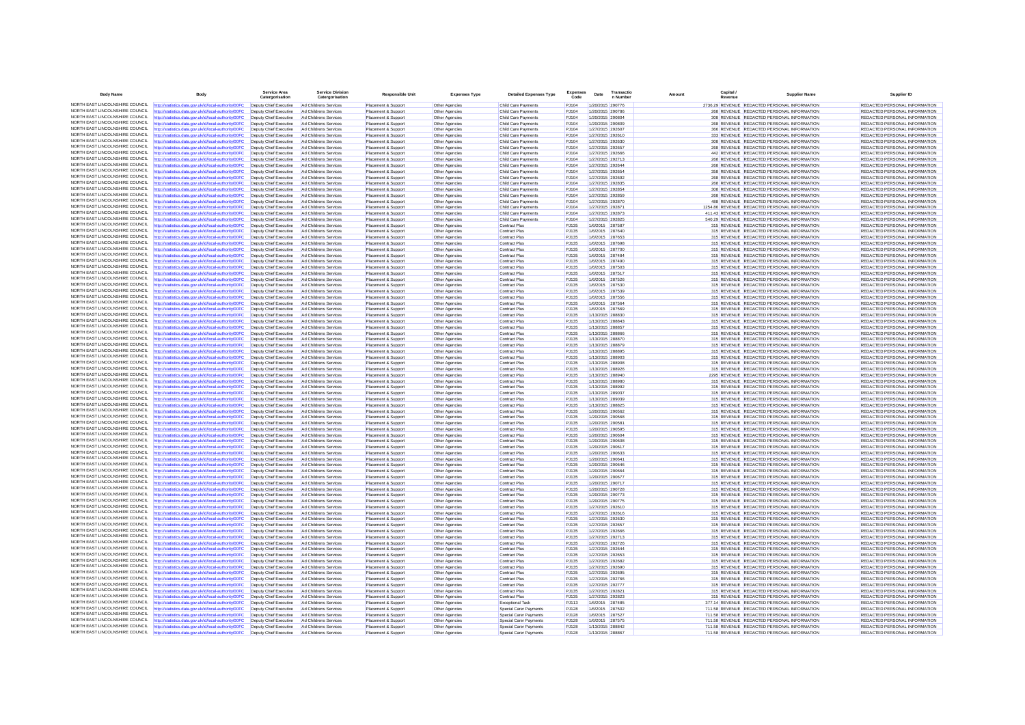| <b>Body Name</b>                                                   | Body                                                                                                                                                                                                                        | Service Are<br>Catero                            | Service Divisio<br>Catergorisation             | <b>Responsible Unit</b>                    | <b>Expenses Type</b>             | <b>Detailed Expenses Type</b>                                  | Code                  | Date                                 | Transacti<br>n Numbe | Capita<br>Amount | <b>Supplier Name</b>                                                                         | Supplier ID                                                    |
|--------------------------------------------------------------------|-----------------------------------------------------------------------------------------------------------------------------------------------------------------------------------------------------------------------------|--------------------------------------------------|------------------------------------------------|--------------------------------------------|----------------------------------|----------------------------------------------------------------|-----------------------|--------------------------------------|----------------------|------------------|----------------------------------------------------------------------------------------------|----------------------------------------------------------------|
|                                                                    | NORTH EAST LINCOLNSHIRE COUNCIL http://statistics.data.gov.uk/id/local-authority/00FC                                                                                                                                       | Deputy Chief Executive                           | Ad Childrens Services                          | Placement & Support                        | Other Agencies                   | Child Care Payments                                            | PJ104                 | 1/20/2015 290776                     |                      |                  | 2736.29 REVENUE REDACTED PERSONAL INFORMATION                                                | REDACTED PERSONAL INFORMATION                                  |
|                                                                    | NORTH EAST LINCOLNSHIRE COUNCIL http://statistics.data.gov.uk/id/local-authority/00FC                                                                                                                                       | Deputy Chief Executive                           | Ad Childrens Services                          | Placement & Support                        | Other Agencies                   | Child Care Payments                                            | P.1104                | 1/20/2015 290786                     |                      |                  | 268 REVENUE REDACTED PERSONAL INFORMATION                                                    | REDACTED PERSONAL INFORMATION                                  |
| NORTH EAST LINCOLNSHIRE COUNCIL                                    | http://statistics.data.gov.uk/id/local-authority/00FC                                                                                                                                                                       | Deputy Chief Executive                           | Ad Childrens Services                          | Placement & Support                        | Other Agencies                   | Child Care Payments                                            | PJ104                 | 1/20/2015 290804                     |                      |                  | 308 REVENUE REDACTED PERSONAL INFORMATION                                                    | REDACTED PERSONAL INFORMATION                                  |
| NORTH FAST LINCOLNSHIRE COUNCIL                                    | ttp://statistics.data.gov.uk/id/local-authority/00FC                                                                                                                                                                        | Deputy Chief Executive                           | Ad Childrens Services                          | Placement & Support                        | Other Agencies                   | Child Care Payments                                            | PJ104                 | 1/20/2015 290809                     |                      |                  | 268 REVENUE REDACTED PERSONAL INFORMATION                                                    | REDACTED PERSONAL INFORMATION                                  |
| NORTH EAST LINCOLNSHIRE COUNCIL                                    | NORTH EAST LINCOLNSHIRE COUNCIL http://statistics.data.gov.uk/id/local-authority/00FC                                                                                                                                       | Deputy Chief Executive<br>Deputy Chief Executive | Ad Childrens Services                          | Placement & Support                        | Other Agencies                   | Child Care Payments                                            | PJ104<br>PJ104        | 1/27/2015 292607                     |                      |                  | 366 REVENUE REDACTED PERSONAL INFORMATION                                                    | REDACTED PERSONAL INFORMATION                                  |
| NORTH EAST LINCOLNSHIRE COUNCIL                                    | http://statistics.data.gov.uk/id/local-authority/00FC<br>http://statistics.data.gov.uk/id/local-authority/00FC                                                                                                              | Deputy Chief Executive                           | Ad Childrens Services<br>Ad Childrens Service  | Placement & Support<br>Placement & Support | Other Agencies<br>Other Agencies | Child Care Payments<br>Child Care Payments                     | PJ104                 | 1/27/2015 292610<br>1/27/2015 292630 |                      |                  | 333 REVENUE REDACTED PERSONAL INFORMATION<br>308 REVENUE REDACTED PERSONAL INFORMATION       | REDACTED PERSONAL INFORMATION<br>REDACTED PERSONAL INFORMATION |
| NORTH EAST LINCOLNSHIRE COUNCIL                                    | http://statistics.data.gov.uk/id/local-authority/00FC                                                                                                                                                                       | Deputy Chief Executive                           | Ad Childrens Services                          | Placement & Support                        | Other Agencies                   | Child Care Payments                                            | PJ104                 | 1/27/2015 292657                     |                      |                  | 268 REVENUE REDACTED PERSONAL INFORMATION                                                    | REDACTED PERSONAL INFORMATION                                  |
| NORTH EAST LINCOLNSHIRE COUNCIL                                    | http://statistics.data.gov.uk/id/local-authority/00FC                                                                                                                                                                       | Deputy Chief Executive                           | Ad Childrens Services                          | Placement & Support                        | Other Agencies                   | Child Care Payments                                            | PJ104                 | 1/27/2015 292666                     |                      |                  | 442 REVENUE REDACTED PERSONAL INFORMATION                                                    | REDACTED PERSONAL INFORMATION                                  |
| NORTH EAST LINCOLNSHIRE COUNCIL                                    | http://statistics.data.gov.uk/id/local-authority/00FC                                                                                                                                                                       | Deputy Chief Executive                           | Ad Childrens Services                          | Placement & Support                        | Other Agencies                   | Child Care Payments                                            | PJ104                 | 1/27/2015 292713                     |                      |                  | 268 REVENUE REDACTED PERSONAL INFORMATION                                                    | REDACTED PERSONAL INFORMATION                                  |
| NORTH EAST LINCOLNSHIRE COUNCIL                                    | http://statistics.data.gov.uk/id/local-authority/00FC                                                                                                                                                                       | Deputy Chief Executive                           | Ad Childrens Services                          | Placement & Support                        | Other Agencies                   | Child Care Payments                                            | PJ104                 | 1/27/2015 292644                     |                      |                  | 268 REVENUE REDACTED PERSONAL INFORMATION                                                    | REDACTED PERSONAL INFORMATION                                  |
| NORTH EAST LINCOLNSHIRE COUNCIL<br>NORTH EAST LINCOLNSHIRE COUNCIL | http://statistics.data.gov.uk/id/local-authority/00FC                                                                                                                                                                       | Deputy Chief Executive                           | Ad Childrens Services                          | Placement & Support                        | Other Agencies                   | Child Care Payments                                            | PJ104                 | 1/27/2015 292654                     |                      |                  | 358 REVENUE REDACTED PERSONAL INFORMATION                                                    | <b>REDACTED PERSONAL INFORMATION</b>                           |
| NORTH FAST LINCOLNSHIRE COUNCIL                                    | http://statistics.data.gov.uk/id/local-authority/00FC<br>http://statistics.data.gov.uk/id/local-authority/00FC                                                                                                              | Deputy Chief Executive<br>Deputy Chief Executive | Ad Childrens Service<br>Ad Childrens Services  | Placement & Suppor<br>Placement & Support  | Other Agencies<br>Other Agencies | Child Care Payments<br>Child Care Payments                     | PJ104<br>PJ104        | 1/27/2015 292692<br>1/27/2015 292835 |                      |                  | 268 REVENUE REDACTED PERSONAL INFORMATION<br>268 REVENUE REDACTED PERSONAL INFORMATION       | REDACTED PERSONAL INFORMATION<br>REDACTED PERSONAL INFORMATION |
| NORTH EAST LINCOLNSHIRE COUNCIL                                    | http://statistics.data.gov.uk/id/local-authority/00FC                                                                                                                                                                       | Deputy Chief Executive                           | Ad Childrens Services                          | Placement & Support                        | Other Agencies                   | Child Care Payments                                            | P.1104                | 1/27/2015 292854                     |                      |                  | 308 REVENUE REDACTED PERSONAL INFORMATION                                                    | REDACTED PERSONAL INFORMATION                                  |
| NORTH EAST LINCOLNSHIRE COUNCIL                                    | http://statistics.data.gov.uk/id/local-authority/00FC                                                                                                                                                                       | Deputy Chief Executive                           | Ad Childrens Service                           | Placement & Suppor                         | Other Agencies                   | Child Care Payments                                            | PJ104                 | 1/27/2015 292859                     |                      |                  | 268 REVENUE REDACTED PERSONAL INFORMATION                                                    | REDACTED PERSONAL INFORMATION                                  |
|                                                                    | NORTH EAST LINCOLNSHIRE COUNCIL http://statistics.data.gov.uk/id/local-authority/00FC                                                                                                                                       | Deputy Chief Executive                           | Ad Childrens Services                          | Placement & Support                        | Other Agencies                   | Child Care Payments                                            | PJ104                 | 1/27/2015 292870                     |                      |                  | 488 REVENUE REDACTED PERSONAL INFORMATION                                                    | REDACTED PERSONAL INFORMATION                                  |
| NORTH EAST LINCOLNSHIRE COUNCIL                                    | http://statistics.data.gov.uk/id/local-authority/00FC                                                                                                                                                                       | Deputy Chief Executive                           | Ad Childrens Services                          | Placement & Support                        | Other Agencies                   | Child Care Payments                                            | PJ104                 | 1/27/2015 292871                     |                      |                  | 1254.86 REVENUE REDACTED PERSONAL INFORMATION                                                | REDACTED PERSONAL INFORMATION                                  |
| NORTH EAST LINCOLNSHIRE COUNCIL                                    | http://statistics.data.gov.uk/id/local-authority/00FC                                                                                                                                                                       | Deputy Chief Executive                           | Ad Childrens Services                          | Placement & Support                        | Other Agencies                   | Child Care Payments                                            | PJ104                 | 1/27/2015 292873                     |                      |                  | 411.43 REVENUE REDACTED PERSONAL INFORMATION                                                 | REDACTED PERSONAL INFORMATION                                  |
| NORTH EAST LINCOLNSHIRE COUNCIL<br>NORTH EAST LINCOLNSHIRE COUNCIL | http://statistics.data.gov.uk/id/local-authority/00FC                                                                                                                                                                       | Deputy Chief Executive                           | Ad Childrens Services                          | Placement & Support                        | Other Agencies                   | Child Care Payments                                            | PJ104                 | 1/27/2015 292825                     |                      |                  | 540.29 REVENUE REDACTED PERSONAL INFORMATION                                                 | REDACTED PERSONAL INFORMATION                                  |
|                                                                    | http://statistics.data.gov.uk/id/local-authority/00FC<br>NORTH EAST LINCOLNSHIRE COUNCIL http://statistics.data.gov.uk/id/local-authority/00FC                                                                              | Deputy Chief Executive<br>Deputy Chief Executive | Ad Childrens Services<br>Ad Childrens Services | Placement & Support<br>Placement & Support | Other Agencies                   | <b>Contract Plus</b><br><b>Contract Plus</b>                   | PJ135<br>PJ135        | 1/6/2015 287587<br>1/6/2015 287640   |                      |                  | 315 REVENUE REDACTED PERSONAL INFORMATION<br>315 REVENUE REDACTED PERSONAL INFORMATION       | REDACTED PERSONAL INFORMATION<br>REDACTED PERSONAL INFORMATION |
|                                                                    | NORTH EAST LINCOLNSHIRE COUNCIL http://statistics.data.gov.uk/id/local-authority/00FC                                                                                                                                       | Deputy Chief Executive                           | Ad Childrens Services                          | Placement & Support                        | Other Agencies<br>Other Agencies | <b>Contract Plus</b>                                           | PJ135                 | 1/6/2015 287653                      |                      |                  | 315 REVENUE REDACTED PERSONAL INFORMATION                                                    | REDACTED PERSONAL INFORMATION                                  |
| NORTH EAST LINCOLNSHIRE COUNCIL                                    | http://statistics.data.gov.uk/id/local-authority/00FC                                                                                                                                                                       | Deputy Chief Executive                           | Ad Childrens Services                          | Placement & Support                        | Other Agencies                   | <b>Contract Plus</b>                                           | PJ135                 | 1/6/2015 287698                      |                      |                  | 315 REVENUE REDACTED PERSONAL INFORMATION                                                    | REDACTED PERSONAL INFORMATION                                  |
| NORTH EAST LINCOLNSHIRE COUNCIL                                    | http://statistics.data.gov.uk/id/local-authority/00FC                                                                                                                                                                       | Deputy Chief Executive                           | Ad Childrens Services                          | Placement & Support                        | Other Agencies                   | <b>Contract Plus</b>                                           | PJ135                 | 1/6/2015 287700                      |                      |                  | 315 REVENUE REDACTED PERSONAL INFORMATION                                                    | REDACTED PERSONAL INFORMATION                                  |
| NORTH EAST LINCOLNSHIRE COUNCIL                                    | http://statistics.data.gov.uk/id/local-authority/00FC                                                                                                                                                                       | Deputy Chief Executive                           | Ad Childrens Services                          | Placement & Support                        | Other Agencies                   | Contract Plus                                                  | PJ135                 | 1/6/2015 287484                      |                      |                  | 315 REVENUE REDACTED PERSONAL INFORMATION                                                    | REDACTED PERSONAL INFORMATION                                  |
| NORTH EAST LINCOLNSHIRE COUNCIL                                    | http://statistics.data.gov.uk/id/local-authority/00FC                                                                                                                                                                       | Deputy Chief Executive                           | Ad Childrens Services                          | Placement & Support                        | Other Agencies                   | <b>Contract Plus</b>                                           | PJ135                 | 1/6/2015                             | 287490               |                  | 315 REVENUE REDACTED PERSONAL INFORMATION                                                    | REDACTED PERSONAL INFORMATION                                  |
| NORTH EAST LINCOLNSHIRE COUNCIL                                    | http://statistics.data.gov.uk/id/local-authority/00FC                                                                                                                                                                       | Deputy Chief Executive                           | Ad Childrens Services                          | Placement & Support                        | Other Agencies                   | <b>Contract Plus</b>                                           | PJ135                 | 1/6/2015 287503                      |                      |                  | 315 REVENUE REDACTED PERSONAL INFORMATION                                                    | REDACTED PERSONAL INFORMATION                                  |
| NORTH EAST LINCOLNSHIRE COUNCIL                                    | http://statistics.data.gov.uk/id/local-authority/00FC                                                                                                                                                                       | Deputy Chief Executive                           | Ad Childrens Services                          | Placement & Support                        | Other Agencies                   | <b>Contract Plus</b>                                           | P.1135                | 1/6/2015 287517                      |                      |                  | 315 REVENUE REDACTED PERSONAL INFORMATION                                                    | REDACTED PERSONAL INFORMATION                                  |
| NORTH FAST LINCOLNSHIRE COUNCIL<br>NORTH EAST LINCOLNSHIRE COUNCIL | http://statistics.data.gov.uk/id/local-authority/00FC                                                                                                                                                                       | Deputy Chief Executive                           | Ad Childrens Service                           | Placement & Suppor                         | Other Agencies                   | <b>Contract Plus</b>                                           | PJ135                 | 1/6/2015                             | 287526               |                  | 315 REVENUE REDACTED PERSONAL INFORMATION                                                    | REDACTED PERSONAL INFORMATION                                  |
| NORTH EAST LINCOLNSHIRE COUNCIL                                    | http://statistics.data.gov.uk/id/local-authority/00FC<br>http://statistics.data.gov.uk/id/local-authority/00FC                                                                                                              | Deputy Chief Executive<br>Deputy Chief Executive | Ad Childrens Services<br>Ad Childrens Services | Placement & Support<br>Placement & Support | Other Agencies                   | <b>Contract Plus</b><br><b>Contract Plus</b>                   | <b>PJ135</b><br>PJ135 | 1/6/2015 287530<br>1/6/2015 287539   |                      |                  | 315 REVENUE REDACTED PERSONAL INFORMATION<br>315 REVENUE REDACTED PERSONAL INFORMATION       | REDACTED PERSONAL INFORMATION<br>REDACTED PERSONAL INFORMATION |
| NORTH EAST LINCOLNSHIRE COUNCIL                                    | http://statistics.data.gov.uk/id/local-authority/00FC                                                                                                                                                                       | Deputy Chief Executive                           | Ad Childrens Services                          | Placement & Suppor                         | Other Agencies<br>Other Agencies | <b>Contract Plus</b>                                           | PJ135                 | 1/6/2015                             | 287556               |                  | 315 REVENUE REDACTED PERSONAL INFORMATION                                                    | REDACTED PERSONAL INFORMATION                                  |
| NORTH FAST LINCOLNSHIRE COUNCIL                                    | http://statistics.data.gov.uk/id/local-authority/00FC                                                                                                                                                                       | Deputy Chief Executive                           | Ad Childrens Services                          | Placement & Support                        | Other Agencies                   | <b>Contract Plus</b>                                           | <b>PJ135</b>          | 1/6/2015 287564                      |                      |                  | 315 REVENUE REDACTED PERSONAL INFORMATION                                                    | REDACTED PERSONAL INFORMATION                                  |
| NORTH EAST LINCOLNSHIRE COUNCIL                                    | http://statistics.data.gov.uk/id/local-authority/00FC                                                                                                                                                                       | Deputy Chief Executive                           | Ad Childrens Services                          | Placement & Support                        | Other Agencies                   | <b>Contract Plus</b>                                           | PJ135                 | 1/6/2015 287569                      |                      |                  | 315 REVENUE REDACTED PERSONAL INFORMATION                                                    | REDACTED PERSONAL INFORMATION                                  |
| NORTH EAST LINCOLNSHIRE COUNCIL                                    | http://statistics.data.gov.uk/id/local-authority/00FC                                                                                                                                                                       | Deputy Chief Executive                           | Ad Childrens Services                          | Placement & Support                        | Other Agencies                   | <b>Contract Plus</b>                                           | PJ135                 | 1/13/2015 288830                     |                      |                  | 315 REVENUE REDACTED PERSONAL INFORMATION                                                    | REDACTED PERSONAL INFORMATION                                  |
| NORTH EAST LINCOLNSHIRE COUNCIL                                    | http://statistics.data.gov.uk/id/local-authority/00FC                                                                                                                                                                       | Deputy Chief Executive                           | Ad Childrens Services                          | Placement & Support                        | Other Agencies                   | <b>Contract Plus</b>                                           | PJ135                 | 1/13/2015 288843                     |                      |                  | 315 REVENUE REDACTED PERSONAL INFORMATION                                                    | REDACTED PERSONAL INFORMATION                                  |
| NORTH EAST LINCOLNSHIRE COUNCIL                                    | http://statistics.data.gov.uk/id/local-authority/00FC                                                                                                                                                                       | Deputy Chief Executive                           | Ad Childrens Services                          | Placement & Support                        | Other Agencies                   | <b>Contract Plus</b>                                           | PJ135                 | 1/13/2015 288857                     |                      |                  | 315 REVENUE REDACTED PERSONAL INFORMATION                                                    | REDACTED PERSONAL INFORMATION                                  |
|                                                                    | NORTH EAST LINCOLNSHIRE COUNCIL http://statistics.data.gov.uk/id/local-authority/00FC                                                                                                                                       | Deputy Chief Executive                           | Ad Childrens Services                          | Placement & Support                        | Other Agencies                   | <b>Contract Plus</b>                                           | <b>PJ135</b>          | 1/13/2015 288866                     |                      |                  | 315 REVENUE REDACTED PERSONAL INFORMATION                                                    | REDACTED PERSONAL INFORMATION                                  |
| NORTH EAST LINCOLNSHIRE COUNCIL<br>NORTH EAST LINCOLNSHIRE COUNCIL | http://statistics.data.gov.uk/id/local-authority/00FC                                                                                                                                                                       | Deputy Chief Executive                           | Ad Childrens Services                          | Placement & Support                        | Other Agencies                   | <b>Contract Plus</b>                                           | PJ135                 | 1/13/2015 288870                     |                      |                  | 315 REVENUE REDACTED PERSONAL INFORMATION                                                    | REDACTED PERSONAL INFORMATION                                  |
| NORTH EAST LINCOLNSHIRE COUNCIL                                    | http://statistics.data.gov.uk/id/local-authority/00FC                                                                                                                                                                       | Deputy Chief Executive<br>Deputy Chief Executive | Ad Childrens Services<br>Ad Childrens Services | Placement & Support                        | Other Agencies                   | <b>Contract Plus</b>                                           | PJ135<br>PJ135        | 1/13/2015 288879<br>1/13/2015 288895 |                      |                  | 315 REVENUE REDACTED PERSONAL INFORMATION<br>315 REVENUE REDACTED PERSONAL INFORMATION       | REDACTED PERSONAL INFORMATION<br>REDACTED PERSONAL INFORMATION |
| NORTH EAST LINCOLNSHIRE COUNCIL                                    | http://statistics.data.gov.uk/id/local-authority/00FC<br>http://statistics.data.gov.uk/id/local-authority/00FC                                                                                                              | Deputy Chief Executive                           | Ad Childrens Service                           | Placement & Support<br>Placement & Suppor  | Other Agencies<br>Other Agencies | <b>Contract Plus</b><br><b>Contract Plus</b>                   | PJ135                 | 1/13/2015 288903                     |                      |                  | 315 REVENUE REDACTED PERSONAL INFORMATION                                                    | REDACTED PERSONAL INFORMATION                                  |
| NORTH FAST LINCOLNSHIRE COUNCIL                                    | http://statistics.data.gov.uk/id/local-authority/00FC                                                                                                                                                                       | Deputy Chief Executive                           | Ad Childrens Services                          | Placement & Support                        | Other Agencies                   | <b>Contract Plus</b>                                           | PJ135                 | 1/13/2015 288908                     |                      |                  | 315 REVENUE REDACTED PERSONAL INFORMATION                                                    | REDACTED PERSONAL INFORMATION                                  |
|                                                                    | NORTH EAST LINCOLNSHIRE COUNCIL http://statistics.data.gov.uk/id/local-authority/00FC                                                                                                                                       | Deputy Chief Executive                           | Ad Childrens Services                          | Placement & Support                        | Other Agencies                   | <b>Contract Plus</b>                                           | <b>PJ135</b>          | 1/13/2015 288926                     |                      |                  | 315 REVENUE REDACTED PERSONAL INFORMATION                                                    | REDACTED PERSONAL INFORMATION                                  |
|                                                                    | NORTH EAST LINCOLNSHIRE COUNCIL http://statistics.data.gov.uk/id/local-authority/00FC                                                                                                                                       | Deputy Chief Executive                           | Ad Childrens Services                          | Placement & Support                        | Other Agencies                   | <b>Contract Plus</b>                                           | PJ135                 | 1/13/2015 288940                     |                      |                  | 2295 REVENUE REDACTED PERSONAL INFORMATION                                                   | REDACTED PERSONAL INFORMATION                                  |
| NORTH EAST LINCOLNSHIRE COUNCIL                                    | http://statistics.data.gov.uk/id/local-authority/00FC                                                                                                                                                                       | Deputy Chief Executive                           | Ad Childrens Services                          | Placement & Support                        | Other Agencies                   | <b>Contract Plus</b>                                           | <b>PJ135</b>          | 1/13/2015 288980                     |                      |                  | 315 REVENUE REDACTED PERSONAL INFORMATION                                                    | REDACTED PERSONAL INFORMATION                                  |
| NORTH EAST LINCOLNSHIRE COUNCIL                                    | http://statistics.data.gov.uk/id/local-authority/00FC                                                                                                                                                                       | Deputy Chief Executive                           | Ad Childrens Services                          | Placement & Support                        | Other Agencies                   | <b>Contract Plus</b>                                           | PJ135                 | 1/13/2015 288992                     |                      |                  | 315 REVENUE REDACTED PERSONAL INFORMATION                                                    | REDACTED PERSONAL INFORMATION                                  |
| NORTH EAST LINCOLNSHIRE COUNCIL<br>NORTH EAST LINCOLNSHIRE COUNCIL | http://statistics.data.gov.uk/id/local-authority/00FC                                                                                                                                                                       | Deputy Chief Executive                           | Ad Childrens Services                          | Placement & Support                        | Other Agencies                   | <b>Contract Plus</b>                                           | PJ135                 | 1/13/2015 289037                     |                      |                  | 315 REVENUE REDACTED PERSONAL INFORMATION                                                    | REDACTED PERSONAL INFORMATION                                  |
| NORTH EAST LINCOLNSHIRE COUNCIL                                    | http://statistics.data.gov.uk/id/local-authority/00FC<br>http://statistics.data.gov.uk/id/local-authority/00FC                                                                                                              | Deputy Chief Executive<br>Deputy Chief Executive | Ad Childrens Services<br>Ad Childrens Services | Placement & Suppor<br>Placement & Support  | Other Agencies<br>Other Agencies | <b>Contract Plus</b><br><b>Contract Plus</b>                   | PJ135<br>PJ135        | 1/13/2015 289039<br>1/13/2015 288825 |                      |                  | 315 REVENUE REDACTED PERSONAL INFORMATION<br>315 REVENUE REDACTED PERSONAL INFORMATION       | REDACTED PERSONAL INFORMATION<br>REDACTED PERSONAL INFORMATION |
| NORTH EAST LINCOLNSHIRE COUNCIL                                    | http://statistics.data.gov.uk/id/local-authority/00FC                                                                                                                                                                       | Deputy Chief Executive                           | Ad Childrens Services                          | Placement & Support                        | Other Agencies                   | <b>Contract Plus</b>                                           | PJ135                 | 1/20/2015 290562                     |                      |                  | 315 REVENUE REDACTED PERSONAL INFORMATION                                                    | REDACTED PERSONAL INFORMATION                                  |
| NORTH EAST LINCOLNSHIRE COUNCIL                                    | http://statistics.data.gov.uk/id/local-authority/00FC                                                                                                                                                                       | Deputy Chief Executive                           | Ad Childrens Services                          | Placement & Support                        | Other Agencies                   | <b>Contract Plus</b>                                           | PJ135                 | 1/20/2015 290568                     |                      |                  | 315 REVENUE REDACTED PERSONAL INFORMATION                                                    | REDACTED PERSONAL INFORMATION                                  |
| NORTH EAST LINCOLNSHIRE COUNCIL                                    | http://statistics.data.gov.uk/id/local-authority/00FC                                                                                                                                                                       | Deputy Chief Executive Ad Childrens Services     |                                                | Placement & Support                        | Other Agencies                   | <b>Contract Plus</b>                                           | <b>PJ135</b>          | 1/20/2015 290581                     |                      |                  | 315 REVENUE REDACTED PERSONAL INFORMATION                                                    | REDACTED PERSONAL INFORMATION                                  |
| NORTH EAST LINCOLNSHIRE COUNCIL                                    | http://statistics.data.gov.uk/id/local-authority/00FC                                                                                                                                                                       | Deputy Chief Executive                           | Ad Childrens Services                          | Placement & Support                        | Other Agencies                   | <b>Contract Plus</b>                                           | PJ135                 | 1/20/2015 290595                     |                      |                  | 315 REVENUE REDACTED PERSONAL INFORMATION                                                    | REDACTED PERSONAL INFORMATION                                  |
| NORTH EAST LINCOLNSHIRE COUNCIL                                    | http://statistics.data.gov.uk/id/local-authority/00FC                                                                                                                                                                       | Deputy Chief Executive                           | Ad Childrens Service                           | Placement & Suppor                         | Other Agencies                   | <b>Contract Plus</b>                                           | PJ135                 | 1/20/2015 290604                     |                      |                  | 315 REVENUE REDACTED PERSONAL INFORMATION                                                    | REDACTED PERSONAL INFORMATION                                  |
| NORTH EAST LINCOLNSHIRE COUNCIL                                    | http://statistics.data.gov.uk/id/local-authority/00FC                                                                                                                                                                       | Deputy Chief Executive                           | Ad Childrens Services                          | Placement & Support                        | Other Agencies                   | <b>Contract Plus</b>                                           | PJ135                 | 1/20/2015 290608                     |                      |                  | 315 REVENUE REDACTED PERSONAL INFORMATION                                                    | REDACTED PERSONAL INFORMATION                                  |
| NORTH EAST LINCOLNSHIRE COUNCIL                                    | http://statistics.data.gov.uk/id/local-authority/00FC                                                                                                                                                                       | Deputy Chief Executive                           | Ad Childrens Services                          | Placement & Support                        | Other Agencies                   | <b>Contract Plus</b>                                           | PJ135                 | 1/20/2015 290617                     |                      |                  | 315 REVENUE REDACTED PERSONAL INFORMATION                                                    | REDACTED PERSONAL INFORMATION                                  |
| NORTH EAST LINCOLNSHIRE COUNCIL                                    | NORTH EAST LINCOLNSHIRE COUNCIL http://statistics.data.gov.uk/id/local-authority/00FC<br>http://statistics.data.gov.uk/id/local-authority/00FC                                                                              | Deputy Chief Executive<br>Deputy Chief Executive | Ad Childrens Services<br>Ad Childrens Service  | Placement & Support<br>Placement & Suppor  | Other Agencies<br>Other Agencies | <b>Contract Plus</b><br><b>Contract Plus</b>                   | P.1135<br>PJ135       | 1/20/2015 290633<br>1/20/2015 290641 |                      |                  | 315 REVENUE REDACTED PERSONAL INFORMATION<br>315 REVENUE REDACTED PERSONAL INFORMATION       | REDACTED PERSONAL INFORMATION                                  |
| NORTH EAST LINCOLNSHIRE COUNCIL                                    | http://statistics.data.gov.uk/id/local-authority/00FC                                                                                                                                                                       | Deputy Chief Executive                           | Ad Childrens Services                          | Placement & Support                        | Other Agencies                   | <b>Contract Plus</b>                                           | PJ135                 | 1/20/2015 290646                     |                      |                  | 315 REVENUE REDACTED PERSONAL INFORMATION                                                    | REDACTED PERSONAL INFORMATION<br>REDACTED PERSONAL INFORMATION |
|                                                                    | NORTH EAST LINCOLNSHIRE COUNCIL http://statistics.data.gov.uk/id/local-authority/00FC                                                                                                                                       | Deputy Chief Executive                           | Ad Childrens Services                          | Placement & Support                        | Other Agencies                   | <b>Contract Plus</b>                                           | PJ135                 | 1/20/2015 290664                     |                      |                  | 315 REVENUE REDACTED PERSONAL INFORMATION                                                    | REDACTED PERSONAL INFORMATION                                  |
| NORTH EAST LINCOLNSHIRE COUNCIL                                    | http://statistics.data.gov.uk/id/local-authority/00FC                                                                                                                                                                       | Deputy Chief Executive                           | Ad Childrens Services                          | Placement & Support                        | Other Agencies                   | <b>Contract Plus</b>                                           | PJ135                 | 1/20/2015 290677                     |                      |                  | 315 REVENUE REDACTED PERSONAL INFORMATION                                                    | REDACTED PERSONAL INFORMATION                                  |
| NORTH EAST LINCOLNSHIRE COUNCIL                                    | http://statistics.data.gov.uk/id/local-authority/00FC                                                                                                                                                                       | Deputy Chief Executive                           | Ad Childrens Services                          | Placement & Support                        | Other Agencies                   | <b>Contract Plus</b>                                           | PJ135                 | 1/20/2015 290717                     |                      |                  | 315 REVENUE REDACTED PERSONAL INFORMATION                                                    | REDACTED PERSONAL INFORMATION                                  |
| NORTH EAST LINCOLNSHIRE COUNCIL                                    | http://statistics.data.gov.uk/id/local-authority/00FC                                                                                                                                                                       | Deputy Chief Executive                           | Ad Childrens Services                          | Placement & Support                        | Other Agencies                   | <b>Contract Plus</b>                                           | PJ135                 | 1/20/2015 290728                     |                      |                  | 315 REVENUE REDACTED PERSONAL INFORMATION                                                    | REDACTED PERSONAL INFORMATION                                  |
| NORTH EAST LINCOLNSHIRE COUNCIL                                    | http://statistics.data.gov.uk/id/local-authority/00FC                                                                                                                                                                       | Deputy Chief Executive                           | Ad Childrens Services                          | Placement & Support                        | Other Agencies                   | <b>Contract Plus</b>                                           | PJ135                 | 1/20/2015 290773                     |                      |                  | 315 REVENUE REDACTED PERSONAL INFORMATION                                                    | REDACTED PERSONAL INFORMATION                                  |
| NORTH EAST LINCOLNSHIRE COUNCIL                                    | http://statistics.data.gov.uk/id/local-authority/00FC                                                                                                                                                                       | Deputy Chief Executive                           | Ad Childrens Services                          | Placement & Support                        | Other Agencies                   | <b>Contract Plus</b>                                           | PJ135                 | 1/20/2015 290775                     |                      |                  | 315 REVENUE REDACTED PERSONAL INFORMATION                                                    | REDACTED PERSONAL INFORMATION                                  |
| NORTH EAST LINCOLNSHIRE COUNCIL                                    | NORTH EAST LINCOLNSHIRE COUNCIL http://statistics.data.gov.uk/id/local-authority/00FC                                                                                                                                       | Deputy Chief Executive                           | Ad Childrens Services                          | Placement & Support                        | Other Agencies                   | <b>Contract Plus</b>                                           | PJ135                 | 1/27/2015 292610                     |                      |                  | 315 REVENUE REDACTED PERSONAL INFORMATION                                                    | REDACTED PERSONAL INFORMATION                                  |
| NORTH EAST LINCOLNSHIRE COUNCIL                                    | http://statistics.data.gov.uk/id/local-authority/00FC<br>http://statistics.data.gov.uk/id/local-authority/00FC                                                                                                              | Deputy Chief Executive<br>Deputy Chief Executive | Ad Childrens Services<br>Ad Childrens Service  | Placement & Support<br>Placement & Support | Other Agencies<br>Other Agencies | <b>Contract Plus</b><br><b>Contract Plus</b>                   | PJ135<br>PJ135        | 1/27/2015 292616<br>1/27/2015 292630 |                      |                  | 315 REVENUE REDACTED PERSONAL INFORMATION<br>315 REVENUE REDACTED PERSONAL INFORMATION       | REDACTED PERSONAL INFORMATION<br>REDACTED PERSONAL INFORMATION |
| NORTH EAST LINCOLNSHIRE COUNCIL                                    | http://statistics.data.gov.uk/id/local-authority/00FC                                                                                                                                                                       | Deputy Chief Executive                           | Ad Childrens Services                          | Placement & Support                        | Other Agencies                   | <b>Contract Plus</b>                                           | PJ135                 | 1/27/2015 292657                     |                      |                  | 315 REVENUE REDACTED PERSONAL INFORMATION                                                    | REDACTED PERSONAL INFORMATION                                  |
| NORTH EAST LINCOLNSHIRE COUNCIL                                    | http://statistics.data.gov.uk/id/local-authority/00FC                                                                                                                                                                       | Deputy Chief Executive                           | Ad Childrens Services                          | Placement & Support                        | Other Agencies                   | <b>Contract Plus</b>                                           | PJ135                 | 1/27/2015 292666                     |                      |                  | 315 REVENUE REDACTED PERSONAL INFORMATION                                                    | REDACTED PERSONAL INFORMATION                                  |
| NORTH EAST LINCOLNSHIRE COUNCIL                                    | http://statistics.data.gov.uk/id/local-authority/00FC                                                                                                                                                                       | Deputy Chief Executive                           | Ad Childrens Service                           | Placement & Suppor                         | Other Agencies                   | <b>Contract Plus</b>                                           | PJ135                 | 1/27/2015 292713                     |                      |                  | 315 REVENUE REDACTED PERSONAL INFORMATION                                                    | REDACTED PERSONAL INFORMATION                                  |
| NORTH EAST LINCOLNSHIRE COUNCIL                                    | http://statistics.data.gov.uk/id/local-authority/00FC                                                                                                                                                                       | Deputy Chief Executive                           | Ad Childrens Services                          | Placement & Support                        | Other Agencies                   | <b>Contract Plus</b>                                           | PJ135                 | 1/27/2015 292726                     |                      |                  | 315 REVENUE REDACTED PERSONAL INFORMATION                                                    | REDACTED PERSONAL INFORMATION                                  |
| NORTH EAST LINCOLNSHIRE COUNCIL                                    | http://statistics.data.gov.uk/id/local-authority/00FC                                                                                                                                                                       | Deputy Chief Executive                           | Ad Childrens Services                          | Placement & Support                        | Other Agencies                   | <b>Contract Plus</b>                                           | PJ135                 | 1/27/2015 292644                     |                      |                  | 315 REVENUE REDACTED PERSONAL INFORMATION                                                    | REDACTED PERSONAL INFORMATION                                  |
| NORTH EAST LINCOLNSHIRE COUNCIL                                    | http://statistics.data.gov.uk/id/local-authority/00FC                                                                                                                                                                       | Deputy Chief Executive                           | Ad Childrens Services                          | Placement & Support                        | Other Agencies                   | <b>Contract Plus</b>                                           | P.1135                | 1/27/2015 292653                     |                      |                  | 315 REVENUE REDACTED PERSONAL INFORMATION                                                    | REDACTED PERSONAL INFORMATION                                  |
| NORTH FAST LINCOLNSHIRE COUNCIL                                    | http://statistics.data.gov.uk/id/local-authority/00FC                                                                                                                                                                       | Deputy Chief Executive                           | Ad Childrens Services                          | Placement & Support                        | Other Agencies                   | <b>Contract Plus</b>                                           | <b>PJ135</b>          | 1/27/2015 292682                     |                      |                  | 315 REVENUE REDACTED PERSONAL INFORMATION                                                    | REDACTED PERSONAL INFORMATION                                  |
| NORTH EAST LINCOLNSHIRE COUNCIL                                    | http://statistics.data.gov.uk/id/local-authority/00FC<br>NORTH EAST LINCOLNSHIRE COUNCIL http://statistics.data.gov.uk/id/local-authority/00FC                                                                              | Deputy Chief Executive<br>Deputy Chief Executive | Ad Childrens Services<br>Ad Childrens Services | Placement & Support                        | Other Agencies                   | <b>Contract Plus</b>                                           | PJ135<br>PJ135        | 1/27/2015 292690<br>1/27/2015 292695 |                      |                  | 315 REVENUE REDACTED PERSONAL INFORMATION<br>315 REVENUE REDACTED PERSONAL INFORMATION       | REDACTED PERSONAL INFORMATION<br>REDACTED PERSONAL INFORMATION |
| NORTH EAST LINCOLNSHIRE COUNCIL                                    | http://statistics.data.gov.uk/id/local-authority/00FC                                                                                                                                                                       | Deputy Chief Executive                           | Ad Childrens Services                          | Placement & Support<br>Placement & Support | Other Agencies<br>Other Agencies | <b>Contract Plus</b><br><b>Contract Plus</b>                   | PJ135                 | 1/27/2015 292766                     |                      |                  | 315 REVENUE REDACTED PERSONAL INFORMATION                                                    | REDACTED PERSONAL INFORMATION                                  |
| NORTH EAST LINCOLNSHIRE COUNCIL                                    | http://statistics.data.gov.uk/id/local-authority/00FC                                                                                                                                                                       | Deputy Chief Executive                           | Ad Childrens Services                          | Placement & Support                        | Other Agencies                   | <b>Contract Plus</b>                                           | PJ135                 | 1/27/2015 292777                     |                      |                  | 315 REVENUE REDACTED PERSONAL INFORMATION                                                    | REDACTED PERSONAL INFORMATION                                  |
| NORTH EAST LINCOLNSHIRE COUNCIL                                    | http://statistics.data.gov.uk/id/local-authority/00FC                                                                                                                                                                       | Deputy Chief Executive                           | Ad Childrens Services                          | Placement & Support                        | Other Agencies                   | <b>Contract Plus</b>                                           | PJ135                 | 1/27/2015 292821                     |                      |                  | 315 REVENUE REDACTED PERSONAL INFORMATION                                                    | REDACTED PERSONAL INFORMATION                                  |
| NORTH EAST LINCOLNSHIRE COUNCIL                                    | http://statistics.data.gov.uk/id/local-authority/00FC                                                                                                                                                                       | Deputy Chief Executive                           | Ad Childrens Services                          | Placement & Support                        | Other Agencies                   | <b>Contract Plus</b>                                           | PJ135                 | 1/27/2015 292823                     |                      |                  | 315 REVENUE REDACTED PERSONAL INFORMATION                                                    | REDACTED PERSONAL INFORMATION                                  |
| NORTH EAST LINCOLNSHIRE COUNCIL                                    | http://statistics.data.gov.uk/id/local-authority/00FC                                                                                                                                                                       | Deputy Chief Executive                           | Ad Childrens Service                           | Placement & Support                        | Other Agencies                   | <b>Exceptional Task</b>                                        | PJ113                 | 1/6/2015 287485                      |                      |                  | 377.14 REVENUE REDACTED PERSONAL INFORMATION                                                 | REDACTED PERSONAL INFORMATION                                  |
|                                                                    | NORTH EAST LINCOLNSHIRE COUNCIL http://statistics.data.gov.uk/id/local-authority/00FC                                                                                                                                       | Deputy Chief Executive Ad Childrens Services     |                                                | Placement & Support                        | Other Agencies                   | Special Carer Payments                                         | <b>PJ128</b>          | 1/6/2015 287502                      |                      |                  | 711.58 REVENUE REDACTED PERSONAL INFORMATION                                                 | REDACTED PERSONAL INFORMATION                                  |
|                                                                    | NORTH EAST LINCOLNSHIRE COUNCIL http://statistics.data.gov.uk/id/local-authority/00FC                                                                                                                                       | Deputy Chief Executive                           | Ad Childrens Service                           | Placement & Support                        | Other Agencies                   | Special Carer Payments                                         | <b>PJ128</b>          | 1/6/2015 287527                      |                      |                  | 711.58 REVENUE REDACTED PERSONAL INFORMATION                                                 | REDACTED PERSONAL INFORMATION                                  |
|                                                                    | NORTH EAST LINCOLNSHIRE COUNCIL http://statistics.data.gov.uk/id/local-authority/00FC                                                                                                                                       | Deputy Chief Executive                           | Ad Childrens Service                           | Placement & Suppor                         | Other Agencies                   | Special Carer Payments                                         | <b>PJ128</b><br>PJ128 | 1/6/2015 287575<br>1/13/2015 288842  |                      |                  | 711.58 REVENUE REDACTED PERSONAL INFORMATION                                                 | REDACTED PERSONAL INFORMATION                                  |
|                                                                    | NORTH EAST LINCOLNSHIRE COUNCIL http://statistics.data.gov.uk/id/local-authority/00FC Deputy Chief Executive Ad Childrens Services<br>NORTH EAST LINCOLNSHIRE COUNCIL http://statistics.data.gov.uk/id/local-authority/00FC | Deputy Chief Executive                           | Ad Childrens Services                          | Placement & Support<br>Placement & Support | Other Agencies<br>Other Agencies | <b>Special Carer Payments</b><br><b>Special Carer Payments</b> | <b>PJ128</b>          | 1/13/2015 288867                     |                      |                  | 711.58 REVENUE REDACTED PERSONAL INFORMATION<br>711.58 REVENUE REDACTED PERSONAL INFORMATION | REDACTED PERSONAL INFORMATION<br>REDACTED PERSONAL INFORMATION |
|                                                                    |                                                                                                                                                                                                                             |                                                  |                                                |                                            |                                  |                                                                |                       |                                      |                      |                  |                                                                                              |                                                                |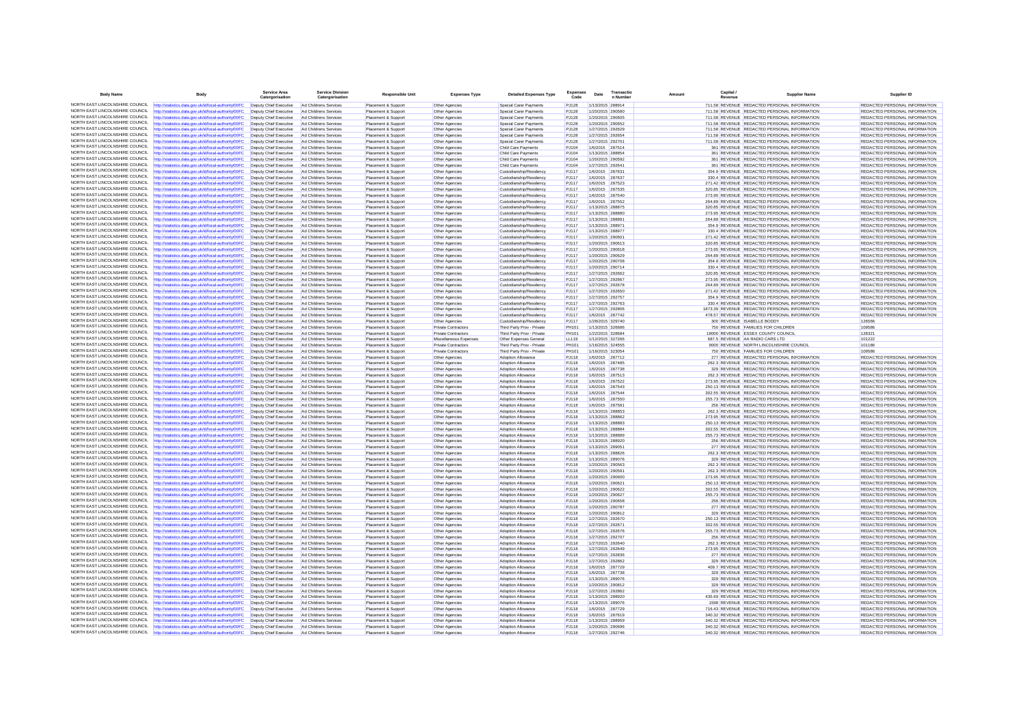| <b>Body Name</b>                                                   | Body                                                                                                           | <b>Service Area</b><br>Catergorisation           | <b>Service Division</b><br>Catergorisation     | <b>Responsible Unit</b>                    | <b>Expenses Type</b>             | <b>Detailed Expenses Type</b>                           | <b>Expenses</b><br>Code      | Date                                 | Transactic<br>n Numbe                | Amount | Capital | <b>Supplier Name</b>                                                                         | Supplier ID                                                    |
|--------------------------------------------------------------------|----------------------------------------------------------------------------------------------------------------|--------------------------------------------------|------------------------------------------------|--------------------------------------------|----------------------------------|---------------------------------------------------------|------------------------------|--------------------------------------|--------------------------------------|--------|---------|----------------------------------------------------------------------------------------------|----------------------------------------------------------------|
| NORTH EAST LINCOLNSHIRE COUNCIL                                    | http://statistics.data.gov.uk/id/local-authority/00FC                                                          | Deputy Chief Executive                           | Ad Childrens Services                          | Placement & Sunnort                        | Other Agencies                   | Special Carer Payments                                  | P.1128                       |                                      | 1/13/2015 288914                     |        |         | 711 58 REVENUE REDACTED PERSONAL INFORMATION                                                 | REDACTED PERSONAL INFORMATION                                  |
| NORTH EAST LINCOLNSHIRE COUNCIL                                    | statistics.data.gov.uk/id/local-authority/00FC                                                                 | Deputy Chief Executive                           | Ad Childrens Services                          | Placement & Support                        | Other Agencies                   | Special Carer Payments                                  | <b>PJ128</b>                 |                                      | 1/20/2015 290580                     |        |         | 711.58 REVENUE REDACTED PERSONAL INFORMATION                                                 | REDACTED PERSONAL INFORMATION                                  |
| NORTH FAST LINCOLNSHIRE COUNCIL                                    | http://statistics.data.gov.uk/id/local-authority/00FC                                                          | Deputy Chief Executive                           | Ad Childrens Services                          | Placement & Support                        | Other Agencies                   | Special Carer Payments                                  | <b>PJ128</b>                 | 1/20/2015 290605                     |                                      |        |         | 711.58 REVENUE REDACTED PERSONAL INFORMATION                                                 | REDACTED PERSONAL INFORMATION                                  |
| NORTH EAST LINCOLNSHIRE COUNCIL<br>NORTH EAST LINCOLNSHIRE COUNCIL | http://statistics.data.gov.uk/id/local-authority/00FC                                                          | Deputy Chief Executive                           | Ad Childrens Services                          | Placement & Support                        | Other Agencies                   | Special Carer Payments                                  | <b>PJ128</b>                 | 1/20/2015 290652                     |                                      |        |         | 711.58 REVENUE REDACTED PERSONAL INFORMATION                                                 | REDACTED PERSONAL INFORMATION                                  |
| NORTH EAST LINCOLNSHIRE COUNCIL                                    | http://statistics.data.gov.uk/id/local-authority/00FC<br>http://statistics.data.gov.uk/id/local-authority/00FC | Deputy Chief Executive<br>Deputy Chief Executive | Ad Childrens Services<br>Ad Childrens Services | Placement & Support<br>Placement & Support | Other Agencies<br>Other Agencies | Special Carer Payments<br><b>Special Carer Payments</b> | <b>PJ128</b><br>PJ128        | 1/27/2015 292629<br>1/27/2015 292654 |                                      |        |         | 711.58 REVENUE REDACTED PERSONAL INFORMATION<br>711.58 REVENUE REDACTED PERSONAL INFORMATION | REDACTED PERSONAL INFORMATION<br>REDACTED PERSONAL INFORMATION |
| NORTH EAST LINCOLNSHIRE COUNCIL                                    | http://statistics.data.gov.uk/id/local-authority/00FC                                                          | Deputy Chief Executive                           | Ad Childrens Services                          | Placement & Support                        | Other Agencies                   | Special Carer Payments                                  | PJ128                        |                                      | 1/27/2015 292701                     |        |         | 711.58 REVENUE REDACTED PERSONAL INFORMATION                                                 | REDACTED PERSONAL INFORMATION                                  |
| NORTH EAST LINCOLNSHIRE COUNCIL                                    | http://statistics.data.gov.uk/id/local-authority/00FC                                                          | Deputy Chief Executive                           | Ad Childrens Services                          | Placement & Support                        | Other Agencies                   | Child Care Payments                                     | PJ104                        | 1/6/2015 287514                      |                                      |        |         | 361 REVENUE REDACTED PERSONAL INFORMATION                                                    | REDACTED PERSONAL INFORMATION                                  |
| NORTH EAST LINCOLNSHIRE COUNCIL                                    | http://statistics.data.gov.uk/id/local-authority/00FC                                                          | Deputy Chief Executive                           | Ad Childrens Services                          | Placement & Support                        | Other Agencies                   | Child Care Payments                                     | PJ104                        | 1/13/2015 288854                     |                                      |        |         | 361 REVENUE REDACTED PERSONAL INFORMATION                                                    | REDACTED PERSONAL INFORMATION                                  |
| NORTH EAST LINCOLNSHIRE COUNCIL                                    | ttp://statistics.data.gov.uk/id/local-authority/00FC                                                           | Deputy Chief Executive                           | Ad Childrens Services                          | Placement & Support                        | Other Agencies                   | Child Care Payments                                     | PJ104                        | 1/20/2015 290592                     |                                      |        |         | 361 REVENUE REDACTED PERSONAL INFORMATION                                                    | REDACTED PERSONAL INFORMATION                                  |
| NORTH EAST LINCOLNSHIRE COUNCIL                                    | http://statistics.data.gov.uk/id/local-authority/00FC                                                          | Deputy Chief Executive                           | Ad Childrens Services                          | Placement & Support                        | Other Agencies                   | Child Care Payments                                     | PJ104                        | 1/27/2015 292641                     |                                      |        |         | 361 REVENUE REDACTED PERSONAL INFORMATION                                                    | REDACTED PERSONAL INFORMATION                                  |
| NORTH EAST LINCOLNSHIRE COUNCIL<br>NORTH EAST LINCOLNSHIRE COUNCIL | http://statistics.data.gov.uk/id/local-authority/00FC                                                          | Deputy Chief Executive                           | Ad Childrens Services                          | Placement & Support                        | Other Agencies                   | Custodianship/Residency                                 | PJ117                        |                                      | 1/6/2015 287631                      |        |         | 354.9 REVENUE REDACTED PERSONAL INFORMATION                                                  | REDACTED PERSONAL INFORMATION                                  |
| NORTH EAST LINCOLNSHIRE COUNCIL                                    | ttp://statistics.data.gov.uk/id/local-authority/00FC<br>http://statistics.data.gov.uk/id/local-authority/00FC  | Deputy Chief Executive<br>Deputy Chief Executive | Ad Childrens Services<br>Ad Childrens Services | Placement & Support<br>Placement & Support | Other Agencies<br>Other Agencies | Custodianship/Residency<br>Custodianship/Residency      | PJ117<br><b>PJ117</b>        |                                      | 1/6/2015 287637<br>1/6/2015 287523   |        |         | 330.4 REVENUE REDACTED PERSONAL INFORMATION<br>271.42 REVENUE REDACTED PERSONAL INFORMATION  | REDACTED PERSONAL INFORMATION<br>REDACTED PERSONAL INFORMATION |
| NORTH EAST LINCOLNSHIRE COUNCIL                                    | http://statistics.data.gov.uk/id/local-authority/00FC                                                          | Deputy Chief Executive                           | Ad Childrens Services                          | Placement & Support                        | Other Agencies                   | Custodianship/Residency                                 | <b>PJ117</b>                 | 1/6/2015 287535                      |                                      |        |         | 320 85 REVENUE REDACTED PERSONAL INFORMATION                                                 | REDACTED PERSONAL INFORMATION                                  |
| NORTH FAST LINCOLNSHIRE COUNCIL                                    | ttp://statistics.data.gov.uk/id/local-authority/00FC                                                           | Deputy Chief Executive                           | Ad Childrens Services                          | Placement & Support                        | Other Agencies                   | Custodianship/Residency                                 | <b>PJ117</b>                 | 1/6/2015 287540                      |                                      |        |         | 273.95 REVENUE REDACTED PERSONAL INFORMATION                                                 | REDACTED PERSONAL INFORMATION                                  |
| NORTH EAST LINCOLNSHIRE COUNCIL                                    | http://statistics.data.gov.uk/id/local-authority/00FC                                                          | Deputy Chief Executive                           | Ad Childrens Services                          | Placement & Support                        | Other Agencies                   | Custodianship/Residency                                 | <b>PJ117</b>                 | 1/6/2015 287552                      |                                      |        |         | 264.89 REVENUE REDACTED PERSONAL INFORMATION                                                 | REDACTED PERSONAL INFORMATION                                  |
| NORTH EAST LINCOLNSHIRE COUNCIL                                    | http://statistics.data.gov.uk/id/local-authority/00FC                                                          | Deputy Chief Executive                           | Ad Childrens Services                          | Placement & Support                        | Other Agencies                   | Custodianship/Residency                                 | PJ117                        | 1/13/2015 288875                     |                                      |        |         | 320 85 REVENUE REDACTED PERSONAL INFORMATION                                                 | REDACTED PERSONAL INFORMATION                                  |
| NORTH EAST LINCOLNSHIRE COUNCIL                                    | http://statistics.data.gov.uk/id/local-authority/00FC                                                          | Deputy Chief Executive                           | Ad Childrens Services                          | Placement & Suppor                         | Other Agencies                   | Custodianship/Residency                                 | PJ117                        | 1/13/2015 288880                     |                                      |        |         | 273.95 REVENUE REDACTED PERSONAL INFORMATION                                                 | REDACTED PERSONAL INFORMATION                                  |
| NORTH FAST LINCOLNSHIRE COUNCIL                                    | http://statistics.data.gov.uk/id/local-authority/00FC                                                          | Deputy Chief Executive                           | Ad Childrens Services                          | Placement & Support                        | Other Agencies                   | Custodianship/Residency                                 | <b>PJ117</b>                 |                                      | 1/13/2015 288891                     |        |         | 264.89 REVENUE REDACTED PERSONAL INFORMATION                                                 | REDACTED PERSONAL INFORMATION                                  |
| NORTH EAST LINCOLNSHIRE COUNCIL<br>NORTH EAST LINCOLNSHIRE COUNCIL | http://statistics.data.gov.uk/id/local-authority/00FC                                                          | Deputy Chief Executive                           | Ad Childrens Services                          | Placement & Support                        | Other Agencies                   | Custodianship/Residency                                 | PJ117                        | 1/13/2015 288971                     |                                      |        |         | 354.9 REVENUE REDACTED PERSONAL INFORMATION                                                  | REDACTED PERSONAL INFORMATION                                  |
| NORTH EAST LINCOLNSHIRE COUNCIL                                    | http://statistics.data.gov.uk/id/local-authority/00FC                                                          | Deputy Chief Executive                           | Ad Childrens Services<br>Ad Childrens Services | Placement & Support                        | Other Agencies                   | Custodianship/Residency                                 | PJ117<br><b>PJ117</b>        | 1/13/2015 288977                     |                                      |        |         | 330.4 REVENUE REDACTED PERSONAL INFORMATION                                                  | REDACTED PERSONAL INFORMATION                                  |
| NORTH EAST LINCOLNSHIRE COUNCIL                                    | http://statistics.data.gov.uk/id/local-authority/00FC<br>http://statistics.data.gov.uk/id/local-authority/00FC | Deputy Chief Executive<br>Deputy Chief Executive | Ad Childrens Services                          | Placement & Support<br>Placement & Support | Other Agencies<br>Other Agencies | Custodianship/Residency<br>Custodianship/Residency      | PJ117                        | 1/20/2015 290613                     | 1/20/2015 290601                     |        |         | 271.42 REVENUE REDACTED PERSONAL INFORMATION<br>320.85 REVENUE REDACTED PERSONAL INFORMATION | REDACTED PERSONAL INFORMATION<br>REDACTED PERSONAL INFORMATION |
| NORTH EAST LINCOLNSHIRE COUNCIL                                    | http://statistics.data.gov.uk/id/local-authority/00FC                                                          | Deputy Chief Executive                           | Ad Childrens Services                          | Placement & Support                        | Other Agencies                   | Custodianship/Residency                                 | PJ117                        | 1/20/2015 290618                     |                                      |        |         | 273.95 REVENUE REDACTED PERSONAL INFORMATION                                                 | REDACTED PERSONAL INFORMATION                                  |
| NORTH EAST LINCOLNSHIRE COUNCIL                                    | http://statistics.data.gov.uk/id/local-authority/00FC                                                          | Deputy Chief Executive                           | Ad Childrens Services                          | Placement & Support                        | Other Agencies                   | Custodianship/Residency                                 | PJ117                        | 1/20/2015 290629                     |                                      |        |         | 264.89 REVENUE REDACTED PERSONAL INFORMATION                                                 | REDACTED PERSONAL INFORMATION                                  |
| NORTH EAST LINCOLNSHIRE COUNCIL                                    | ttp://statistics.data.gov.uk/id/local-authority/00FC                                                           | Deputy Chief Executive                           | Ad Childrens Services                          | Placement & Support                        | Other Agencies                   | Custodianship/Residency                                 | PJ117                        | 1/20/2015 290708                     |                                      |        |         | 354.9 REVENUE REDACTED PERSONAL INFORMATION                                                  | REDACTED PERSONAL INFORMATION                                  |
| NORTH EAST LINCOLNSHIRE COUNCIL                                    | http://statistics.data.gov.uk/id/local-authority/00FC                                                          | Deputy Chief Executive                           | Ad Childrens Services                          | Placement & Support                        | Other Agencies                   | Custodianship/Residency                                 | PJ117                        | 1/20/2015 290714                     |                                      |        |         | 330.4 REVENUE REDACTED PERSONAL INFORMATION                                                  | REDACTED PERSONAL INFORMATION                                  |
| NORTH EAST LINCOLNSHIRE COUNCIL                                    | http://statistics.data.gov.uk/id/local-authority/00FC                                                          | Deputy Chief Executive                           | Ad Childrens Services                          | Placement & Support                        | Other Agencies                   | Custodianship/Residency                                 | PJ117                        |                                      | 1/27/2015 292662                     |        |         | 320.85 REVENUE REDACTED PERSONAL INFORMATION                                                 | REDACTED PERSONAL INFORMATION                                  |
| NORTH EAST LINCOLNSHIRE COUNCIL                                    | ttp://statistics.data.gov.uk/id/local-authority/00FC                                                           | Deputy Chief Executive                           | Ad Childrens Services                          | Placement & Support                        | Other Agencies                   | Custodianship/Residency                                 | <b>PJ117</b>                 | 1/27/2015 292667                     |                                      |        |         | 273.95 REVENUE REDACTED PERSONAL INFORMATION                                                 | REDACTED PERSONAL INFORMATION                                  |
| NORTH EAST LINCOLNSHIRE COUNCIL<br>NORTH EAST LINCOLNSHIRE COUNCIL | http://statistics.data.gov.uk/id/local-authority/00FC                                                          | Deputy Chief Executive                           | Ad Childrens Services                          | Placement & Support                        | Other Agencies                   | Custodianship/Residency                                 | P.1117                       |                                      | 1/27/2015 292678                     |        |         | 264 89 REVENUE REDACTED PERSONAL INFORMATION                                                 | REDACTED PERSONAL INFORMATION                                  |
| NORTH EAST LINCOLNSHIRE COUNCIL                                    | http://statistics.data.gov.uk/id/local-authority/00FC                                                          | Deputy Chief Executive<br>Deputy Chief Executive | Ad Childrens Services<br>Ad Childrens Services | Placement & Support                        | Other Agencies                   | Custodianship/Residency<br>Custodianship/Residency      | PJ117<br><b>PJ117</b>        | 1/27/2015 292650<br>1/27/2015 292757 |                                      |        |         | 271.42 REVENUE REDACTED PERSONAL INFORMATION<br>354.9 REVENUE REDACTED PERSONAL INFORMATION  | REDACTED PERSONAL INFORMATION<br>REDACTED PERSONAL INFORMATION |
| NORTH EAST LINCOLNSHIRE COUNCIL                                    | ttp://statistics.data.gov.uk/id/local-authority/00FC<br>http://statistics.data.gov.uk/id/local-authority/00FC  | Deputy Chief Executive                           | Ad Childrens Services                          | Placement & Support<br>Placement & Support | Other Agencies<br>Other Agencies | Custodianship/Residency                                 | PJ117                        | 1/27/2015 292763                     |                                      |        |         | 330.4 REVENUE REDACTED PERSONAL INFORMATION                                                  | REDACTED PERSONAL INFORMATION                                  |
| NORTH EAST LINCOLNSHIRE COUNCIL                                    | http://statistics.data.gov.uk/id/local-authority/00FC                                                          | Deputy Chief Executive                           | Ad Childrens Services                          | Placement & Support                        | Other Agencies                   | Custodianship/Residency                                 | PJ117                        | 1/27/2015 292806                     |                                      |        |         | 1873.39 REVENUE REDACTED PERSONAL INFORMATION                                                | REDACTED PERSONAL INFORMATION                                  |
| NORTH EAST LINCOLNSHIRE COUNCIL                                    | http://statistics.data.gov.uk/id/local-authority/00FC                                                          | Deputy Chief Executive                           | Ad Childrens Services                          | Placement & Suppor                         | Other Agencies                   | Custodianship/Residency                                 | PJ117                        | 1/6/2015 287742                      |                                      |        |         | 478.57 REVENUE REDACTED PERSONAL INFORMATION                                                 | REDACTED PERSONAL INFORMATION                                  |
| NORTH EAST LINCOLNSHIRE COUNCIL                                    | http://statistics.data.gov.uk/id/local-authority/00FC                                                          | Deputy Chief Executive                           | Ad Childrens Services                          | Placement & Support                        | Other Agencies                   | Custodianship/Residency                                 | PJ117                        |                                      | 1/28/2015 329740                     |        |         | 300 REVENUE ISABELLE BODDY                                                                   | 126566                                                         |
| NORTH EAST LINCOLNSHIRE COUNCIL                                    | http://statistics.data.gov.uk/id/local-authority/00FC                                                          | Deputy Chief Executive                           | Ad Childrens Services                          | Placement & Support                        | <b>Private Contractors</b>       | Third Party Prov - Private                              | <b>PH101</b>                 | 1/13/2015 326686                     |                                      |        |         | 750 REVENUE FAMILIES FOR CHILDREN                                                            | 109586                                                         |
| NORTH EAST LINCOLNSHIRE COUNCIL                                    | http://statistics.data.gov.uk/id/local-authority/00FC                                                          | Deputy Chief Executive                           | Ad Childrens Services                          | Placement & Support                        | <b>Private Contractors</b>       | Third Party Prov - Private                              | <b>PH101</b>                 | 1/22/2015 328684                     |                                      |        |         | 18000 REVENUE ESSEX COUNTY COUNCIL                                                           | 128321                                                         |
| NORTH EAST LINCOLNSHIRE COUNCIL                                    | http://statistics.data.gov.uk/id/local-authority/00FC                                                          | Deputy Chief Executive                           | Ad Childrens Services                          | Placement & Support                        | Miscellaneous Expenses           | Other Expenses General                                  | LL119                        | 1/12/2015 327266                     |                                      |        |         | 687.5 REVENUE AA RADIO CARS LTD                                                              | 101222                                                         |
| NORTH EAST LINCOLNSHIRE COUNCIL                                    | http://statistics.data.gov.uk/id/local-authority/00FC                                                          | Deputy Chief Executive                           | Ad Childrens Services                          | Placement & Support                        | <b>Private Contractors</b>       | Third Party Prov - Private                              | <b>PH101</b>                 | 1/16/2015 324555                     |                                      |        |         | 9000 REVENUE NORTH LINCOLNSHIRE COUNCIL                                                      | 101186                                                         |
| NORTH EAST LINCOLNSHIRE COUNCIL<br>NORTH EAST LINCOLNSHIRE COUNCIL | http://statistics.data.gov.uk/id/local-authority/00FC                                                          | Deputy Chief Executive                           | Ad Childrens Services                          | Placement & Support                        | Private Contractors              | Third Party Prov - Private                              | PH101                        | 1/16/2015 323054                     |                                      |        |         | 750 REVENUE FAMILIES FOR CHILDREN                                                            | 109586                                                         |
| NORTH EAST LINCOLNSHIRE COUNCIL                                    | http://statistics.data.gov.uk/id/local-authority/00FC<br>ttp://statistics.data.gov.uk/id/local-authority/00FC  | Deputy Chief Executive<br>Deputy Chief Executive | Ad Childrens Services<br>Ad Childrens Services | Placement & Support<br>Placement & Support | Other Agencies<br>Other Agencies | Adoption Allowance<br>Adoption Allowance                | <b>PJ118</b><br><b>PJ118</b> | 1/6/2015 287712<br>1/6/2015 287485   |                                      |        |         | 277 REVENUE REDACTED PERSONAL INFORMATION<br>262.3 REVENUE REDACTED PERSONAL INFORMATION     | REDACTED PERSONAL INFORMATION<br>REDACTED PERSONAL INFORMATION |
| NORTH EAST LINCOLNSHIRE COUNCIL                                    | http://statistics.data.gov.uk/id/local-authority/00FC                                                          | Deputy Chief Executive                           | Ad Childrens Services                          | Placement & Support                        | Other Agencies                   | Adoption Allowance                                      | <b>PJ118</b>                 | 1/6/2015 287738                      |                                      |        |         | 329 REVENUE REDACTED PERSONAL INFORMATION                                                    | REDACTED PERSONAL INFORMATION                                  |
| NORTH FAST LINCOLNSHIRE COUNCIL                                    | http://statistics.data.gov.uk/id/local-authority/00FC                                                          | Deputy Chief Executive                           | Ad Childrens Services                          | Placement & Support                        | Other Agencies                   | Adoption Allowance                                      | <b>PJ118</b>                 | 1/6/2015 287513                      |                                      |        |         | 262.3 REVENUE REDACTED PERSONAL INFORMATION                                                  | REDACTED PERSONAL INFORMATION                                  |
| NORTH EAST LINCOLNSHIRE COUNCIL                                    | http://statistics.data.gov.uk/id/local-authority/00FC                                                          | Deputy Chief Executive                           | Ad Childrens Services                          | Placement & Support                        | Other Agencies                   | Adoption Allowance                                      | <b>PJ118</b>                 |                                      | 1/6/2015 287522                      |        |         | 273.95 REVENUE REDACTED PERSONAL INFORMATION                                                 | REDACTED PERSONAL INFORMATION                                  |
| NORTH EAST LINCOLNSHIRE COUNCIL                                    | http://statistics.data.gov.uk/id/local-authority/00FC                                                          | Deputy Chief Executive                           | Ad Childrens Services                          | Placement & Support                        | Other Agencies                   | Adoption Allowance                                      | <b>PJ118</b>                 | 1/6/2015 287543                      |                                      |        |         | 250 13 REVENUE REDACTED PERSONAL INFORMATION                                                 | REDACTED PERSONAL INFORMATION                                  |
| NORTH EAST LINCOLNSHIRE COUNCIL                                    | http://statistics.data.gov.uk/id/local-authority/00FC                                                          | Deputy Chief Executive                           | Ad Childrens Services                          | Placement & Support                        | Other Agencies                   | Adoption Allowance                                      | <b>PJ118</b>                 | 1/6/2015 287544                      |                                      |        |         | 302.55 REVENUE REDACTED PERSONAL INFORMATION                                                 | REDACTED PERSONAL INFORMATION                                  |
| NORTH EAST LINCOLNSHIRE COUNCIL                                    | ttp://statistics.data.gov.uk/id/local-authority/00FC                                                           | Deputy Chief Executive                           | Ad Childrens Services                          | Placement & Support                        | Other Agencies                   | Adoption Allowance                                      | <b>PJ118</b>                 | 1/6/2015 287550                      |                                      |        |         | 255.73 REVENUE REDACTED PERSONAL INFORMATION                                                 | REDACTED PERSONAL INFORMATION                                  |
| NORTH EAST LINCOLNSHIRE COUNCIL<br>NORTH EAST LINCOLNSHIRE COUNCIL | http://statistics.data.gov.uk/id/local-authority/00FC                                                          | Deputy Chief Executive                           | Ad Childrens Services                          | Placement & Support                        | Other Agencies                   | <b>Adoption Allowance</b>                               | <b>PJ118</b>                 | 1/6/2015 287581                      |                                      |        |         | 256 REVENUE REDACTED PERSONAL INFORMATION                                                    | REDACTED PERSONAL INFORMATION                                  |
| NORTH EAST LINCOLNSHIRE COUNCIL                                    | http://statistics.data.gov.uk/id/local-authority/00FC<br>http://statistics.data.gov.uk/id/local-authority/00FC | Deputy Chief Executive<br>Deputy Chief Executive | Ad Childrens Services<br>Ad Childrens Services | Placement & Support<br>Placement & Suppor  | Other Agencies<br>Other Agencies | Adoption Allowance<br>Adoption Allowance                | <b>PJ118</b><br>PJ118        | 1/13/2015 288853<br>1/13/2015 288862 |                                      |        |         | 262.3 REVENUE REDACTED PERSONAL INFORMATION<br>273.95 REVENUE REDACTED PERSONAL INFORMATION  | REDACTED PERSONAL INFORMATION<br>REDACTED PERSONAL INFORMATION |
| NORTH EAST LINCOLNSHIRE COUNCIL                                    | http://statistics.data.gov.uk/id/local-authority/00FC                                                          | Deputy Chief Executive                           | Ad Childrens Services                          | Placement & Support                        | Other Agencies                   | <b>Adoption Allowance</b>                               | <b>PJ118</b>                 |                                      | 1/13/2015 288883                     |        |         | 250.13 REVENUE REDACTED PERSONAL INFORMATION                                                 | REDACTED PERSONAL INFORMATION                                  |
| NORTH EAST LINCOLNSHIRE COUNCIL                                    | http://statistics.data.gov.uk/id/local-authority/00FC                                                          | Deputy Chief Executive                           | Ad Childrens Services                          | Placement & Support                        | Other Agencies                   | Adoption Allowance                                      | <b>PJ118</b>                 | 1/13/2015 288884                     |                                      |        |         | 302.55 REVENUE REDACTED PERSONAL INFORMATION                                                 | REDACTED PERSONAL INFORMATION                                  |
| NORTH EAST LINCOLNSHIRE COUNCIL                                    | http://statistics.data.gov.uk/id/local-authority/00FC                                                          | Deputy Chief Executive                           | Ad Childrens Services                          | Placement & Support                        | Other Agencies                   | Adoption Allowance                                      | PJ118                        | 1/13/2015 288889                     |                                      |        |         | 255.73 REVENUE REDACTED PERSONAL INFORMATION                                                 | REDACTED PERSONAL INFORMATION                                  |
| NORTH EAST LINCOLNSHIRE COUNCIL                                    | http://statistics.data.gov.uk/id/local-authority/00FC                                                          | Deputy Chief Executive                           | Ad Childrens Services                          | Placement & Support                        | Other Agencies                   | Adoption Allowance                                      | <b>PJ118</b>                 | 1/13/2015 288920                     |                                      |        |         | 256 REVENUE REDACTED PERSONAL INFORMATION                                                    | REDACTED PERSONAL INFORMATION                                  |
| NORTH EAST LINCOLNSHIRE COUNCIL                                    | http://statistics.data.gov.uk/id/local-authority/00FC                                                          | Deputy Chief Executive                           | Ad Childrens Services                          | Placement & Support                        | Other Agencies                   | Adoption Allowance                                      | PJ118                        | 1/13/2015 289051                     |                                      |        |         | 277 REVENUE REDACTED PERSONAL INFORMATION                                                    | <b>REDACTED PERSONAL INFORMATION</b>                           |
| NORTH EAST LINCOLNSHIRE COUNCIL                                    | http://statistics.data.gov.uk/id/local-authority/00FC                                                          | Deputy Chief Executive                           | Ad Childrens Services                          | Placement & Support                        | Other Agencies                   | <b>Adoption Allowance</b>                               | PJ118                        | 1/13/2015 288826                     |                                      |        |         | 262.3 REVENUE REDACTED PERSONAL INFORMATION                                                  | REDACTED PERSONAL INFORMATION                                  |
| NORTH FAST LINCOLNSHIRE COUNCIL<br>NORTH EAST LINCOLNSHIRE COUNCIL | http://statistics.data.gov.uk/id/local-authority/00FC                                                          | Deputy Chief Executive                           | Ad Childrens Services                          | Placement & Support                        | Other Agencies                   | Adoption Allowance                                      | <b>PJ118</b>                 | 1/13/2015 289076                     |                                      |        |         | 329 REVENUE REDACTED PERSONAL INFORMATION                                                    | REDACTED PERSONAL INFORMATION                                  |
| NORTH EAST LINCOLNSHIRE COUNCIL                                    | http://statistics.data.gov.uk/id/local-authority/00FC                                                          | Deputy Chief Executive                           | Ad Childrens Services<br>Ad Childrens Services | Placement & Support                        | Other Agencies                   | Adoption Allowance                                      | <b>PJ118</b><br><b>PJ118</b> | 1/20/2015 290563<br>1/20/2015 290591 |                                      |        |         | 262.3 REVENUE REDACTED PERSONAL INFORMATION<br>262.3 REVENUE REDACTED PERSONAL INFORMATION   | REDACTED PERSONAL INFORMATION<br>REDACTED PERSONAL INFORMATION |
| NORTH FAST LINCOLNSHIRE COUNCIL                                    | http://statistics.data.gov.uk/id/local-authority/00FC<br>http://statistics.data.gov.uk/id/local-authority/00FC | Deputy Chief Executive<br>Deputy Chief Executive | Ad Childrens Services                          | Placement & Support<br>Placement & Support | Other Agencies<br>Other Agencies | Adoption Allowance<br>Adoption Allowance                | <b>PJ118</b>                 | 1/20/2015 290600                     |                                      |        |         | 273.95 REVENUE REDACTED PERSONAL INFORMATION                                                 | REDACTED PERSONAL INFORMATION                                  |
| NORTH EAST LINCOLNSHIRE COUNCIL                                    | http://statistics.data.gov.uk/id/local-authority/00FC                                                          | Deputy Chief Executive                           | Ad Childrens Services                          | Placement & Support                        | Other Agencies                   | Adoption Allowance                                      | <b>PJ118</b>                 | 1/20/2015 290621                     |                                      |        |         | 250.13 REVENUE REDACTED PERSONAL INFORMATION                                                 | REDACTED PERSONAL INFORMATION                                  |
| NORTH EAST LINCOLNSHIRE COUNCIL                                    | http://statistics.data.gov.uk/id/local-authority/00FC                                                          | Deputy Chief Executive                           | Ad Childrens Services                          | Placement & Support                        | Other Agencies                   | Adoption Allowance                                      | <b>PJ118</b>                 | 1/20/2015 290622                     |                                      |        |         | 302.55 REVENUE REDACTED PERSONAL INFORMATION                                                 | REDACTED PERSONAL INFORMATION                                  |
| NORTH EAST LINCOLNSHIRE COUNCIL                                    | http://statistics.data.gov.uk/id/local-authority/00FC                                                          | Deputy Chief Executive                           | Ad Childrens Services                          | Placement & Support                        | Other Agencies                   | Adoption Allowance                                      | <b>PJ118</b>                 | 1/20/2015 290627                     |                                      |        |         | 255.73 REVENUE REDACTED PERSONAL INFORMATION                                                 | REDACTED PERSONAL INFORMATION                                  |
| NORTH EAST LINCOLNSHIRE COUNCIL                                    | http://statistics.data.gov.uk/id/local-authority/00FC                                                          | Deputy Chief Executive                           | Ad Childrens Services                          | Placement & Support                        | Other Agencies                   | Adoption Allowance                                      | <b>PJ118</b>                 | 1/20/2015 290658                     |                                      |        |         | 256 REVENUE REDACTED PERSONAL INFORMATION                                                    | REDACTED PERSONAL INFORMATION                                  |
| NORTH EAST LINCOLNSHIRE COUNCIL                                    | http://statistics.data.gov.uk/id/local-authority/00FC                                                          | Deputy Chief Executive                           | Ad Childrens Services                          | Placement & Support                        | Other Agencies                   | <b>Adoption Allowance</b>                               | <b>PJ118</b>                 | 1/20/2015 290787                     |                                      |        |         | 277 REVENUE REDACTED PERSONAL INFORMATION                                                    | REDACTED PERSONAL INFORMATION                                  |
| NORTH EAST LINCOLNSHIRE COUNCIL                                    | http://statistics.data.gov.uk/id/local-authority/00FC                                                          | Deputy Chief Executive                           | Ad Childrens Services                          | Placement & Support                        | Other Agencies                   | <b>Adoption Allowance</b>                               | <b>PJ118</b>                 | 1/20/2015 290812                     |                                      |        |         | 329 REVENUE REDACTED PERSONAL INFORMATION                                                    | REDACTED PERSONAL INFORMATION                                  |
| NORTH EAST LINCOLNSHIRE COUNCIL<br>NORTH EAST LINCOLNSHIRE COUNCIL | http://statistics.data.gov.uk/id/local-authority/00FC                                                          | Deputy Chief Executive                           | Ad Childrens Services                          | Placement & Support                        | Other Agencies                   | Adoption Allowance                                      | <b>PJ118</b>                 |                                      | 1/27/2015 292670                     |        |         | 250.13 REVENUE REDACTED PERSONAL INFORMATION                                                 | REDACTED PERSONAL INFORMATION                                  |
| NORTH EAST LINCOLNSHIRE COUNCIL                                    | http://statistics.data.gov.uk/id/local-authority/00FC                                                          | Deputy Chief Executive<br>Deputy Chief Executive | Ad Childrens Services<br>Ad Childrens Services | Placement & Support                        | Other Agencies                   | <b>Adoption Allowance</b>                               | PJ118<br><b>PJ118</b>        | 1/27/2015 292671<br>1/27/2015 292676 |                                      |        |         | 302.55 REVENUE REDACTED PERSONAL INFORMATION<br>255.73 REVENUE REDACTED PERSONAL INFORMATION | REDACTED PERSONAL INFORMATION<br>REDACTED PERSONAL INFORMATION |
| NORTH EAST LINCOLNSHIRE COUNCIL                                    | http://statistics.data.gov.uk/id/local-authority/00FC<br>ttp://statistics.data.gov.uk/id/local-authority/00FC  | Deputy Chief Executive                           | Ad Childrens Services                          | Placement & Support<br>Placement & Support | Other Agencies<br>Other Agencies | Adoption Allowance<br>Adoption Allowance                | PJ118                        | 1/27/2015 292707                     |                                      |        |         | 256 REVENUE REDACTED PERSONAL INFORMATION                                                    | REDACTED PERSONAL INFORMATION                                  |
| NORTH EAST LINCOLNSHIRE COUNCIL                                    | http://statistics.data.gov.uk/id/local-authority/00FC                                                          | Deputy Chief Executive                           | Ad Childrens Services                          | Placement & Support                        | Other Agencies                   | <b>Adoption Allowance</b>                               | <b>PJ118</b>                 | 1/27/2015 292640                     |                                      |        |         | 262.3 REVENUE REDACTED PERSONAL INFORMATION                                                  | REDACTED PERSONAL INFORMATION                                  |
| NORTH EAST LINCOLNSHIRE COUNCIL                                    | http://statistics.data.gov.uk/id/local-authority/00FC                                                          | Deputy Chief Executive                           | Ad Childrens Services                          | Placement & Support                        | Other Agencies                   | Adoption Allowance                                      | P.I118                       | 1/27/2015 292649                     |                                      |        |         | 273.95 REVENUE REDACTED PERSONAL INFORMATION                                                 | REDACTED PERSONAL INFORMATION                                  |
| NORTH FAST LINCOLNSHIRE COUNCIL                                    | http://statistics.data.gov.uk/id/local-authority/00FC                                                          | Deputy Chief Executive                           | Ad Childrens Services                          | Placement & Support                        | Other Agencies                   | Adoption Allowance                                      | PJ118                        | 1/27/2015 292836                     |                                      |        |         | 277 REVENUE REDACTED PERSONAL INFORMATION                                                    | REDACTED PERSONAL INFORMATION                                  |
| NORTH EAST LINCOLNSHIRE COUNCIL                                    | http://statistics.data.gov.uk/id/local-authority/00FC                                                          | Deputy Chief Executive                           | Ad Childrens Services                          | Placement & Support                        | Other Agencies                   | Adoption Allowance                                      | <b>PJ118</b>                 |                                      | 1/27/2015 292862                     |        |         | 329 REVENUE REDACTED PERSONAL INFORMATION                                                    | REDACTED PERSONAL INFORMATION                                  |
| NORTH EAST LINCOLNSHIRE COUNCIL                                    | http://statistics.data.gov.uk/id/local-authority/00FC                                                          | Deputy Chief Executive                           | Ad Childrens Services                          | Placement & Support                        | Other Agencies                   | Adoption Allowance                                      | P.I118                       |                                      | 1/6/2015 287729                      |        |         | 409 7 REVENUE REDACTED PERSONAL INFORMATION                                                  | REDACTED PERSONAL INFORMATION                                  |
| NORTH EAST LINCOLNSHIRE COUNCIL<br>NORTH EAST LINCOLNSHIRE COUNCIL | http://statistics.data.gov.uk/id/local-authority/00FC                                                          | Deputy Chief Executive                           | Ad Childrens Services                          | Placement & Support                        | Other Agencies                   | Adoption Allowance                                      | <b>PJ118</b>                 | 1/6/2015 287738                      |                                      |        |         | 329 REVENUE REDACTED PERSONAL INFORMATION                                                    | REDACTED PERSONAL INFORMATION                                  |
| NORTH EAST LINCOLNSHIRE COUNCIL                                    | http://statistics.data.gov.uk/id/local-authority/00FC                                                          | Deputy Chief Executive                           | Ad Childrens Services                          | Placement & Support                        | Other Agencies                   | Adoption Allowance                                      | <b>PJ118</b>                 | 1/13/2015 289076                     |                                      |        |         | 329 REVENUE REDACTED PERSONAL INFORMATION                                                    | REDACTED PERSONAL INFORMATION                                  |
| NORTH EAST LINCOLNSHIRE COUNCIL                                    | http://statistics.data.gov.uk/id/local-authority/00FC<br>http://statistics.data.gov.uk/id/local-authority/00FC | Deputy Chief Executive<br>Deputy Chief Executive | Ad Childrens Services<br>Ad Childrens Services | Placement & Support<br>Placement & Support | Other Agencies<br>Other Agencies | Adoption Allowance<br>Adoption Allowance                | <b>PJ118</b><br><b>PJ118</b> |                                      | 1/20/2015 290812<br>1/27/2015 292862 |        |         | 329 REVENUE REDACTED PERSONAL INFORMATION<br>329 REVENUE REDACTED PERSONAL INFORMATION       | REDACTED PERSONAL INFORMATION<br>REDACTED PERSONAL INFORMATION |
| NORTH EAST LINCOLNSHIRE COUNCIL                                    | http://statistics.data.gov.uk/id/local-authority/00FC                                                          | Deputy Chief Executive                           | Ad Childrens Services                          | Placement & Support                        | Other Agencies                   | Adoption Allowance                                      | <b>PJ118</b>                 | 1/13/2015 288920                     |                                      |        |         | 435.69 REVENUE REDACTED PERSONAL INFORMATION                                                 | REDACTED PERSONAL INFORMATION                                  |
| NORTH EAST LINCOLNSHIRE COUNCIL                                    | http://statistics.data.gov.uk/id/local-authority/00FC                                                          | Deputy Chief Executive                           | Ad Childrens Services                          | Placement & Support                        | Other Agencies                   | Adoption Allowance                                      | PJ118                        | 1/13/2015 289076                     |                                      |        |         | 1598 REVENUE REDACTED PERSONAL INFORMATION                                                   | REDACTED PERSONAL INFORMATION                                  |
| NORTH EAST LINCOLNSHIRE COUNCIL                                    | http://statistics.data.gov.uk/id/local-authority/00FC                                                          | Deputy Chief Executive                           | Ad Childrens Services                          | Placement & Support                        | Other Agencies                   | Adoption Allowance                                      | <b>PJ118</b>                 | 1/6/2015 287729                      |                                      |        |         | 716.43 REVENUE REDACTED PERSONAL INFORMATION                                                 | REDACTED PERSONAL INFORMATION                                  |
| NORTH EAST LINCOLNSHIRE COUNCIL                                    | http://statistics.data.gov.uk/id/local-authority/00FC   Deputy Chief Executive                                 |                                                  | Ad Childrens Services                          | Placement & Support                        | Other Agencies                   | <b>Adoption Allowance</b>                               | <b>PJ118</b>                 | 1/6/2015 287619                      |                                      |        |         | 340.32 REVENUE REDACTED PERSONAL INFORMATION                                                 | REDACTED PERSONAL INFORMATION                                  |
| NORTH EAST LINCOLNSHIRE COUNCIL                                    | http://statistics.data.gov.uk/id/local-authority/00FC                                                          | Deputy Chief Executive                           | Ad Childrens Services                          | Placement & Support                        | Other Agencies                   | Adoption Allowance                                      | <b>PJ118</b>                 | 1/13/2015 288959                     |                                      |        |         | 340.32 REVENUE REDACTED PERSONAL INFORMATION                                                 | REDACTED PERSONAL INFORMATION                                  |
| NORTH EAST LINCOLNSHIRE COUNCIL                                    | http://statistics.data.gov.uk/id/local-authority/00FC Deputy Chief Executive Ad Childrens Services             |                                                  |                                                | Placement & Support                        | Other Agencies                   | Adoption Allowance                                      | <b>PJ118</b>                 | 1/20/2015 290696                     |                                      |        |         | 340.32 REVENUE REDACTED PERSONAL INFORMATION                                                 | REDACTED PERSONAL INFORMATION                                  |
| NORTH EAST LINCOLNSHIRE COUNCIL                                    | http://statistics.data.gov.uk/id/local-authority/00FC                                                          | Deputy Chief Executive                           | Ad Childrens Services                          | Placement & Support                        | Other Agencies                   | Adoption Allowance                                      | <b>PJ118</b>                 | 1/27/2015 292746                     |                                      |        |         | 340.32 REVENUE REDACTED PERSONAL INFORMATION                                                 | REDACTED PERSONAL INFORMATION                                  |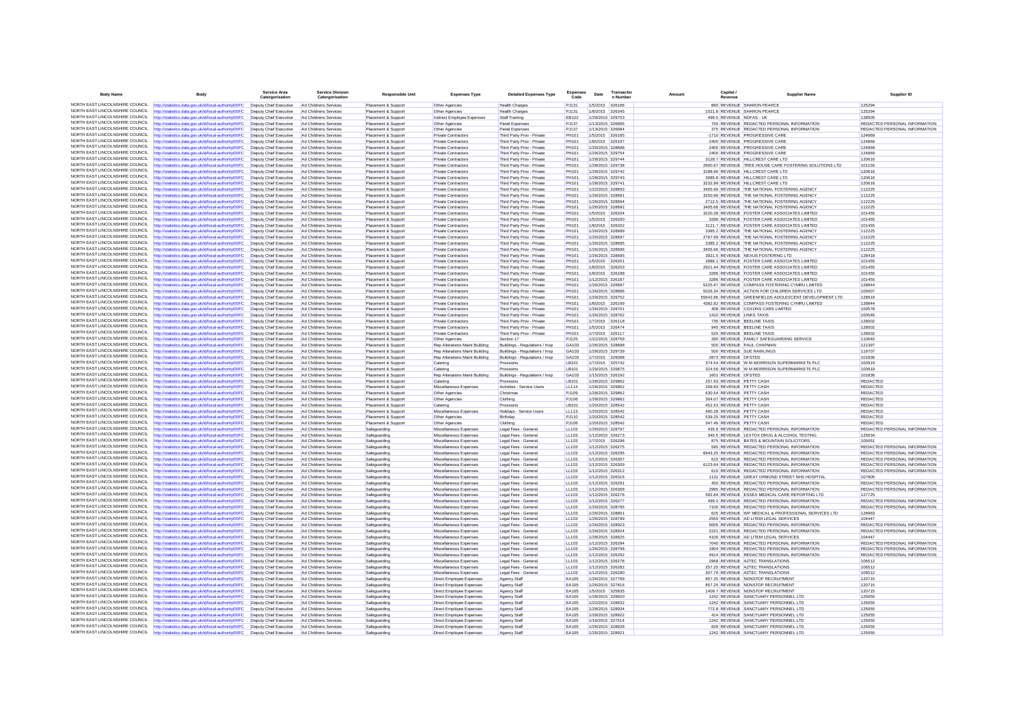| <b>Body Name</b>                                                   | <b>Body</b>                                                                                                    | Service Area<br>Catergorisation                  | Service Division<br>Catergorisation            | <b>Responsible Unit</b>                  | <b>Expenses Type</b>                                             | <b>Detailed Expenses Type</b>                                     | <b>Expenses</b><br>Code | Date                                 | Transactio<br>n Number | Amoun | Canital.            | <b>Supplier Name</b>                                                                          | Supplier ID                                                    |
|--------------------------------------------------------------------|----------------------------------------------------------------------------------------------------------------|--------------------------------------------------|------------------------------------------------|------------------------------------------|------------------------------------------------------------------|-------------------------------------------------------------------|-------------------------|--------------------------------------|------------------------|-------|---------------------|-----------------------------------------------------------------------------------------------|----------------------------------------------------------------|
|                                                                    | NORTH EAST LINCOLNSHIRE COUNCIL http://statistics.data.gov.uk/id/local-authority/00FC                          | Deputy Chief Executive                           | Ad Childrens Services                          | Placement & Support                      | Other Agencies                                                   | <b>Health Charges</b>                                             | PJ131                   | 1/5/2015 326186                      |                        |       |                     | 890 REVENUE SHARON PEARCE                                                                     | 125294                                                         |
| NORTH FAST LINCOLNSHIRE COUNCIL                                    | tp://statistics.data.gov.uk/id/local-authority/00FC                                                            | Deputy Chief Executive                           | Ad Childrens Services                          | Placement & Suppor                       | Other Agencies                                                   | <b>Health Charges</b>                                             | PJ131                   |                                      | 1/8/2015 326345        |       |                     | 1021.8 REVENUE SHARON PEARCE                                                                  | 125294                                                         |
| NORTH EAST LINCOLNSHIRE COUNCIL                                    | http://statistics.data.gov.uk/id/local-authority/00FC                                                          | Deputy Chief Executive                           | Ad Childrens Services                          | Placement & Support                      | Indirect Employee Expenses                                       | Staff Training                                                    | <b>EB122</b>            | 1/29/2015 329753                     |                        |       |                     | 496.5 REVENUE NOFAS - UK                                                                      | 128505                                                         |
| NORTH EAST LINCOLNSHIRE COUNCIL                                    | ttn://statistics.data.oov.uk/id/local-authority/00EC                                                           | Deputy Chief Executive                           | Ad Childrens Services                          | Placement & Sunnor                       | Other Agencies                                                   | Panel Expenses                                                    | P.1137                  | 1/13/2015 326685                     |                        |       |                     | 750 REVENUE REDACTED PERSONAL INFORMATION                                                     | REDACTED PERSONAL INFORMATION                                  |
| NORTH EAST LINCOLNSHIRE COUNCIL                                    | http://statistics.data.gov.uk/id/local-authority/00FC                                                          | Deputy Chief Executive                           | Ad Childrens Services                          | Placement & Suppor                       | Other Agencies                                                   | Panel Expense                                                     | <b>PJ137</b>            | 1/13/2015 326684                     |                        |       |                     | 375 REVENUE REDACTED PERSONAL INFORMATION                                                     | REDACTED PERSONAL INFORMATION                                  |
| NORTH EAST LINCOLNSHIRE COUNCIL                                    | http://statistics.data.gov.uk/id/local-authority/00FC                                                          | Deputy Chief Executive                           | Ad Childrens Services                          | Placement & Suppor                       | <b>Private Contractors</b>                                       | Third Party Prov - Private                                        | <b>PH101</b>            | 1/5/2015 326185                      |                        |       |                     | -1710 REVENUE PROGRESSIVE CARE                                                                | 124869                                                         |
| NORTH EAST LINCOLNSHIRE COUNCIL                                    | http://statistics.data.gov.uk/id/local-authority/00FC                                                          | Deputy Chief Executive                           | Ad Childrens Services                          | Placement & Suppor                       | <b>Private Contractors</b>                                       | Third Party Prov - Private                                        | PH101                   | 1/8/2015 326197                      |                        |       |                     | 2400 REVENUE PROGRESSIVE CARE                                                                 | 124869                                                         |
| NORTH EAST LINCOLNSHIRE COUNCIL<br>NORTH FAST LINCOLNSHIRE COUNCIL | http://statistics.data.gov.uk/id/local-authority/00FC                                                          | Deputy Chief Executive                           | Ad Childrens Services                          | Placement & Suppor                       | <b>Private Contractors</b>                                       | Third Party Prov - Private                                        | PH101                   | 1/26/2015 328688                     |                        |       |                     | 2400 REVENUE PROGRESSIVE CARE                                                                 | 124869                                                         |
| NORTH EAST LINCOLNSHIRE COUNCIL                                    | http://statistics.data.gov.uk/id/local-authority/00FC                                                          | Deputy Chief Executive                           | Ad Childrens Services                          | Placement & Suppor                       | Private Contractors                                              | Third Party Prov - Private                                        | <b>PH101</b>            | 1/29/2015 329754                     |                        |       |                     | 2400 REVENUE PROGRESSIVE CARE                                                                 | 124869                                                         |
| NORTH EAST LINCOLNSHIRE COUNCIL                                    | http://statistics.data.gov.uk/id/local-authority/00FC                                                          | Deputy Chief Executive                           | Ad Childrens Services<br>Ad Childrens Services | Placement & Suppor                       | <b>Private Contractors</b>                                       | Third Party Prov - Private                                        | PH101<br><b>PH101</b>   | 1/28/2015 329744                     |                        |       |                     | 3128.7 REVENUE HILLCREST CARE LTD                                                             | 120616                                                         |
| NORTH EAST LINCOLNSHIRE COUNCIL                                    | http://statistics.data.gov.uk/id/local-authority/00FC<br>http://statistics.data.gov.uk/id/local-authority/00FC | Deputy Chief Executive<br>Deputy Chief Executive | Ad Childrens Services                          | Placement & Suppor<br>Placement & Suppor | Private Contractors<br>Private Contractors                       | Third Party Prov - Private<br>Third Party Prov - Private          | PH101                   | 1/28/2015 329738<br>1/28/2015 329742 |                        |       |                     | 2900.67 REVENUE TREE HOUSE CARE FOSTERING SOLUTIONS LTD<br>3188.66 REVENUE HILLCREST CARE LTD | 101150<br>120616                                               |
| NORTH EAST LINCOLNSHIRE COUNCIL                                    | tp://statistics.data.gov.uk/id/local-authority/00FC                                                            | Deputy Chief Executive                           | Ad Childrens Services                          | Placement & Suppor                       | Private Contractors                                              | Third Party Prov - Private                                        | <b>PH101</b>            |                                      | 1/28/2015 329743       |       |                     | 3085.8 REVENUE HILLCREST CARE LTD                                                             | 120616                                                         |
| NORTH EAST LINCOLNSHIRE COUNCIL                                    | http://statistics.data.gov.uk/id/local-authority/00FC                                                          | Deputy Chief Executive                           | Ad Childrens Services                          | Placement & Suppor                       | <b>Private Contractors</b>                                       | Third Party Prov - Private                                        | <b>PH101</b>            | 1/28/2015 329741                     |                        |       |                     | 3232.99 REVENUE HILLCREST CARE LTD                                                            | 120616                                                         |
| NORTH EAST LINCOLNSHIRE COUNCIL                                    | http://statistics.data.gov.uk/id/local-authority/00FC                                                          | Deputy Chief Executive                           | Ad Childrens Services                          | Placement & Suppor                       | Private Contractors                                              | Third Party Prov - Private                                        | <b>PH101</b>            | 1/22/2015 328693                     |                        |       |                     | 3405.66 REVENUE THE NATIONAL FOSTERING AGENCY                                                 | 112225                                                         |
| NORTH EAST LINCOLNSHIRE COUNCIL                                    | ttp://statistics.data.gov.uk/id/local-authority/00FC                                                           | Deputy Chief Executive                           | Ad Childrens Services                          | Placement & Suppor                       | <b>Private Contractors</b>                                       | Third Party Prov - Private                                        | PH101                   | 1/26/2015 328691                     |                        |       |                     | 3250.66 REVENUE THE NATIONAL FOSTERING AGENCY                                                 | 112225                                                         |
| NORTH EAST LINCOLNSHIRE COUNCIL                                    | http://statistics.data.gov.uk/id/local-authority/00FC                                                          | Deputy Chief Executive                           | Ad Childrens Services                          | Placement & Suppor                       | <b>Private Contractors</b>                                       | Third Party Prov - Private                                        | <b>PH101</b>            | 1/26/2015 328694                     |                        |       |                     | 2712.5 REVENUE THE NATIONAL FOSTERING AGENCY                                                  | 112225                                                         |
| NORTH EAST LINCOLNSHIRE COUNCIL                                    | http://statistics.data.gov.uk/id/local-authority/00FC                                                          | Deputy Chief Executive                           | Ad Childrens Services                          | Placement & Suppor                       | Private Contractors                                              | Third Party Prov - Private                                        | PH101                   | 1/26/2015 328692                     |                        |       |                     | 3405.66 REVENUE THE NATIONAL FOSTERING AGENCY                                                 | 112225                                                         |
| NORTH EAST LINCOLNSHIRE COUNCIL                                    | ttp://statistics.data.gov.uk/id/local-authority/00FC                                                           | Deputy Chief Executive                           | Ad Childrens Services                          | Placement & Suppor                       | Private Contractors                                              | Third Party Prov - Private                                        | PH101                   | 1/5/2015 326204                      |                        |       |                     | 3220.28 REVENUE FOSTER CARE ASSOCIATES LIMITED                                                | 101455                                                         |
| NORTH EAST LINCOLNSHIRE COUNCIL                                    | http://statistics.data.gov.uk/id/local-authority/00FC                                                          | Deputy Chief Executive                           | Ad Childrens Services                          | Placement & Suppor                       | Private Contractors                                              | Third Party Prov - Private                                        | PH101                   | 1/5/2015 326200                      |                        |       |                     | 3286 REVENUE FOSTER CARE ASSOCIATES LIMITED                                                   | 101455                                                         |
| NORTH EAST LINCOLNSHIRE COUNCIL                                    | http://statistics.data.gov.uk/id/local-authority/00FC                                                          | Deputy Chief Executive                           | Ad Childrens Services                          | Placement & Suppor                       | <b>Private Contractors</b>                                       | Third Party Prov - Private                                        | PH101                   | 1/8/2015 326202                      |                        |       |                     | 3121.7 REVENUE FOSTER CARE ASSOCIATES LIMITED                                                 | 101455                                                         |
| NORTH EAST LINCOLNSHIRE COUNCIL                                    | http://statistics.data.gov.uk/id/local-authority/00FC                                                          | Deputy Chief Executive                           | Ad Childrens Services                          | Placement & Suppor                       | Private Contractors                                              | Third Party Prov - Private                                        | PH101                   | 1/26/2015 328689                     |                        |       |                     | 3385.2 REVENUE THE NATIONAL FOSTERING AGENCY                                                  | 112225                                                         |
| NORTH EAST LINCOLNSHIRE COUNCIL                                    | http://statistics.data.gov.uk/id/local-authority/00FC                                                          | Deputy Chief Executive                           | Ad Childrens Services                          | Placement & Support                      | <b>Private Contractors</b>                                       | Third Party Prov - Private                                        | PH101                   | 1/26/2015 328697                     |                        |       |                     | 2767.99 REVENUE THE NATIONAL FOSTERING AGENCY                                                 | 112225                                                         |
| NORTH EAST LINCOLNSHIRE COUNCIL<br>NORTH EAST LINCOLNSHIRE COUNCIL | http://statistics.data.gov.uk/id/local-authority/00FC                                                          | Deputy Chief Executive                           | Ad Childrens Services                          | Placement & Suppor                       | <b>Private Contractors</b>                                       | Third Party Prov - Private                                        | <b>PH101</b>            | 1/26/2015 328695                     |                        |       |                     | 3385.2 REVENUE THE NATIONAL FOSTERING AGENCY                                                  | 112225                                                         |
| NORTH EAST LINCOLNSHIRE COUNCIL                                    | http://statistics.data.gov.uk/id/local-authority/00FC                                                          | Deputy Chief Executive                           | Ad Childrens Services                          | Placement & Suppor                       | Private Contractors                                              | Third Party Prov - Private                                        | PH101                   | 1/26/2015 328696                     |                        |       |                     | 3405.66 REVENUE THE NATIONAL FOSTERING AGENCY                                                 | 112225                                                         |
| NORTH EAST LINCOLNSHIRE COUNCIL                                    | http://statistics.data.gov.uk/id/local-authority/00FC<br>ttp://statistics.data.gov.uk/id/local-authority/00FC  | Deputy Chief Executive<br>Deputy Chief Executive | Ad Childrens Services<br>Ad Childrens Services | Placement & Suppor                       | Private Contractors                                              | Third Party Prov - Private<br>Third Party Prov - Private          | PH101<br>PH101          | 1/26/2015 328685<br>1/5/2015 326201  |                        |       |                     | 3921.5 REVENUE NEXUS FOSTERING LTD<br>2886.1 REVENUE FOSTER CARE ASSOCIATES LIMITED           | 128418<br>101455                                               |
| NORTH EAST LINCOLNSHIRE COUNCIL                                    | http://statistics.data.gov.uk/id/local-authority/00FC                                                          | Deputy Chief Executive                           | Ad Childrens Services                          | Placement & Suppor<br>Placement & Suppor | <b>Private Contractors</b><br>Private Contractors                | Third Party Prov - Private                                        | <b>PH101</b>            | 1/8/2015 326203                      |                        |       |                     | 2921.44 REVENUE FOSTER CARE ASSOCIATES LIMITED                                                | 101455                                                         |
| NORTH EAST LINCOLNSHIRE COUNCIL                                    | http://statistics.data.gov.uk/id/local-authority/00FC                                                          | Deputy Chief Executive                           | Ad Childrens Services                          | Placement & Suppor                       | Private Contractors                                              | Third Party Prov - Privat                                         | <b>PH101</b>            | 1/8/2015 326188                      |                        |       |                     | 3286 REVENUE FOSTER CARE ASSOCIATES LIMITED                                                   | 101455                                                         |
| NORTH EAST LINCOLNSHIRE COUNCIL                                    | ttp://statistics.data.gov.uk/id/local-authority/00FC                                                           | Deputy Chief Executive                           | Ad Childrens Services                          | Placement & Suppor                       | <b>Private Contractors</b>                                       | Third Party Prov - Private                                        | PH101                   | 1/12/2015 326187                     |                        |       |                     | 3286 REVENUE FOSTER CARE ASSOCIATES LIMITED                                                   | 101455                                                         |
| NORTH EAST LINCOLNSHIRE COUNCIL                                    | http://statistics.data.gov.uk/id/local-authority/00FC                                                          | Deputy Chief Executive                           | Ad Childrens Services                          | Placement & Support                      | Private Contractors                                              | Third Party Prov - Private                                        | <b>PH101</b>            | 1/26/2015 328687                     |                        |       |                     | 5225 67 REVENUE COMPASS FOSTERING CYMRU LIMITED                                               | 128844                                                         |
| NORTH EAST LINCOLNSHIRE COUNCIL                                    | http://statistics.data.gov.uk/id/local-authority/00FC                                                          | Deputy Chief Executive                           | Ad Childrens Services                          | Placement & Suppor                       | Private Contractors                                              | Third Party Prov - Private                                        | PH101                   | 1/26/2015 328686                     |                        |       |                     | 5026.34 REVENUE ACTION FOR CHILDREN SERVICES LTD                                              | 105607                                                         |
| NORTH EAST LINCOLNSHIRE COUNCIL                                    | ttp://statistics.data.gov.uk/id/local-authority/00FC                                                           | Deputy Chief Executive                           | Ad Childrens Services                          | Placement & Suppor                       | Private Contractors                                              | Third Party Prov - Private                                        | PH101                   |                                      | 1/29/2015 329752       |       |                     | 55642.86 REVENUE GREENFIELDS ADOLESCENT DEVELOPMENT LTD                                       | 128919                                                         |
| NORTH EAST LINCOLNSHIRE COUNCIL                                    | http://statistics.data.gov.uk/id/local-authority/00FC                                                          | Deputy Chief Executive                           | Ad Childrens Services                          | Placement & Suppor                       | <b>Private Contractors</b>                                       | Third Party Prov - Private                                        | PH101                   | 1/8/2015 326199                      |                        |       |                     | 4382.82 REVENUE COMPASS FOSTERING CYMRU LIMITED                                               | 128844                                                         |
| NORTH EAST LINCOLNSHIRE COUNCIL                                    | http://statistics.data.gov.uk/id/local-authority/00FC                                                          | Deputy Chief Executive                           | Ad Childrens Services                          | Placement & Suppor                       | <b>Private Contractors</b>                                       | Third Party Prov - Private                                        | <b>PH101</b>            | 1/26/2015 328761                     |                        |       |                     | 408 REVENUE COXONS CARS LIMITED                                                               | 100578                                                         |
| NORTH EAST LINCOLNSHIRE COUNCIL                                    | http://statistics.data.gov.uk/id/local-authority/00FC                                                          | Deputy Chief Executive                           | Ad Childrens Services                          | Placement & Suppor                       | Private Contractors                                              | Third Party Prov - Private                                        | PH101                   |                                      | 1/26/2015 328762       |       |                     | 1410 REVENUE LINKS TAXIS                                                                      | 100546                                                         |
| NORTH FAST LINCOLNSHIRE COUNCIL                                    | ttp://statistics.data.gov.uk/id/local-authority/00FC                                                           | Deputy Chief Executive                           | Ad Childrens Services                          | Placement & Suppor                       | Private Contractors                                              | Third Party Prov - Private                                        | <b>PH101</b>            | 1/7/2015 326118                      |                        |       |                     | 735 REVENUE BEELINE TAXIS                                                                     | 128002                                                         |
| NORTH EAST LINCOLNSHIRE COUNCIL<br>NORTH EAST LINCOLNSHIRE COUNCIL | http://statistics.data.gov.uk/id/local-authority/00FC                                                          | Deputy Chief Executive                           | Ad Childrens Services                          | Placement & Suppor                       | <b>Private Contractors</b>                                       | Third Party Prov - Private                                        | PH101                   | 1/5/2015 326474                      |                        |       |                     | 945 REVENUE BEELINE TAXIS                                                                     | 128002                                                         |
| NORTH FAST LINCOLNSHIRE COUNCIL                                    | http://statistics.data.gov.uk/id/local-authority/00FC                                                          | Deputy Chief Executive                           | Ad Childrens Services                          | Placement & Support                      | <b>Private Contractors</b>                                       | Third Party Prov - Private                                        | PH101                   | 1/7/2015 326117                      |                        |       |                     | 525 REVENUE BEELINE TAXIS                                                                     | 128002                                                         |
| NORTH EAST LINCOLNSHIRE COUNCIL                                    | http://statistics.data.gov.uk/id/local-authority/00FC                                                          | Deputy Chief Executive                           | Ad Childrens Services                          | Placement & Suppor                       | Other Agencies                                                   | Section 17                                                        | PJ125                   | 1/22/2015 328759                     |                        |       |                     | 280 REVENUE FAMILY SAFEGUARDING SERVICE                                                       | 110640                                                         |
| NORTH EAST LINCOLNSHIRE COUNCIL                                    | http://statistics.data.gov.uk/id/local-authority/00FC<br>http://statistics.data.gov.uk/id/local-authority/00FC | Deputy Chief Executive<br>Deputy Chief Executive | Ad Childrens Services<br>Ad Childrens Services | Placement & Suppor<br>Placement & Suppor | Rep Alterations Maint Building<br>Rep Alterations Maint Building | Buildings - Regulations / Insp.<br>Buildings - Regulations / Insp | GA103<br>GA103          | 1/26/2015 328698<br>1/28/2015 329739 |                        |       |                     | 500 REVENUE PAUL CHAPMAN<br>500 REVENUE SUE RAWLINGS                                          | 121397<br>119707                                               |
| NORTH EAST LINCOLNSHIRE COUNCIL                                    | http://statistics.data.gov.uk/id/local-authority/00FC                                                          | Deputy Chief Executive                           | Ad Childrens Services                          | Placement & Suppor                       | Rep Alterations Maint Building                                   | Buildings - Regulations / Insp                                    | GA103                   | 1/7/2015 326098                      |                        |       | 2873 REVENUE OFSTED |                                                                                               | 101836                                                         |
| NORTH EAST LINCOLNSHIRE COUNCIL                                    | ttp://statistics.data.gov.uk/id/local-authority/00FC                                                           | Deputy Chief Executive                           | Ad Childrens Services                          | Placement & Suppor                       | Catering                                                         | Provisions                                                        | LB101                   |                                      | 1/7/2015 325742        |       |                     | 374.54 REVENUE W M MORRISON SUPERMARKETS PLC                                                  | 100919                                                         |
| NORTH EAST LINCOLNSHIRE COUNCIL                                    | http://statistics.data.gov.uk/id/local-authority/00FC                                                          | Deputy Chief Executive                           | Ad Childrens Services                          | Placement & Suppor                       | Catering                                                         | Provisions                                                        | LB101                   | 1/29/2015 329875                     |                        |       |                     | 324.59 REVENUE W M MORRISON SUPERMARKETS PLC                                                  | 100919                                                         |
| NORTH EAST LINCOLNSHIRE COUNCIL                                    | http://statistics.data.gov.uk/id/local-authority/00FC                                                          | Deputy Chief Executive                           | Ad Childrens Services                          | Placement & Suppor                       | Rep Alterations Maint Building                                   | Buildings - Regulations / Insp.                                   | GA103                   | 1/15/2015 326192                     |                        |       | 1601 REVENUE OFSTED |                                                                                               | 101836                                                         |
| NORTH EAST LINCOLNSHIRE COUNCIL                                    | ttp://statistics.data.gov.uk/id/local-authority/00FC                                                           | Deputy Chief Executive                           | Ad Childrens Services                          | Placement & Suppor                       | Catering                                                         | Provisions                                                        | LB101                   |                                      | 1/28/2015 329862       |       |                     | 257.93 REVENUE PETTY CASH                                                                     | <b>REDACTED</b>                                                |
| NORTH EAST LINCOLNSHIRE COUNCIL                                    | http://statistics.data.gov.uk/id/local-authority/00FC                                                          | Deputy Chief Executive                           | Ad Childrens Services                          | Placement & Suppor                       | Miscellaneous Expenses                                           | Activities - Service Users                                        | LL114                   | 1/28/2015 329862                     |                        |       |                     | 299.83 REVENUE PETTY CASH                                                                     | REDACTED                                                       |
| NORTH EAST LINCOLNSHIRE COUNCIL                                    | http://statistics.data.gov.uk/id/local-authority/00FC                                                          | Deputy Chief Executive                           | Ad Childrens Services                          | Placement & Suppor                       | Other Agencies                                                   | Christmas                                                         | PJ109                   | 1/28/2015 329862                     |                        |       |                     | 630.54 REVENUE PETTY CASH                                                                     | <b>REDACTED</b>                                                |
| NORTH EAST LINCOLNSHIRE COUNCIL                                    | ttp://statistics.data.gov.uk/id/local-authority/00FC                                                           | Deputy Chief Executive                           | Ad Childrens Services                          | Placement & Suppor                       | Other Agencies                                                   | Clothing                                                          | PJ106                   | 1/28/2015 329862                     |                        |       |                     | 364.07 REVENUE PETTY CASH                                                                     | REDACTED                                                       |
| NORTH EAST LINCOLNSHIRE COUNCIL                                    | http://statistics.data.gov.uk/id/local-authority/00FC                                                          | Deputy Chief Executive                           | Ad Childrens Services                          | Placement & Suppor                       | Catering                                                         | Provisions                                                        | LB101                   | 1/20/2015 328542                     |                        |       |                     | 452.53 REVENUE PETTY CASH                                                                     | <b>REDACTED</b>                                                |
| NORTH EAST LINCOLNSHIRE COUNCIL                                    | http://statistics.data.gov.uk/id/local-authority/00FC                                                          | Deputy Chief Executive                           | Ad Childrens Services                          | Placement & Suppor                       | Miscellaneous Expenses                                           | Holidays - Service Users                                          | LL113                   | 1/20/2015 328542                     |                        |       |                     | 480.28 REVENUE PETTY CASH                                                                     | <b>REDACTED</b>                                                |
| NORTH EAST LINCOLNSHIRE COUNCIL<br>NORTH EAST LINCOLNSHIRE COUNCIL | http://statistics.data.gov.uk/id/local-authority/00FC                                                          | Deputy Chief Executive                           | Ad Childrens Services                          | Placement & Suppor                       | Other Agencies                                                   | Birthday                                                          | PJ110                   | 1/20/2015 328542                     |                        |       |                     | 539.25 REVENUE PETTY CASH                                                                     | REDACTED                                                       |
| NORTH EAST LINCOLNSHIRE COUNCIL                                    | http://statistics.data.gov.uk/id/local-authority/00FC                                                          | Deputy Chief Executive                           | Ad Childrens Services                          | Placement & Support                      | Other Agencies                                                   | Clothing                                                          | PJ106                   | 1/20/2015 328542                     |                        |       |                     | 347.46 REVENUE PETTY CASH                                                                     | <b>REDACTED</b>                                                |
| NORTH EAST LINCOLNSHIRE COUNCIL                                    | http://statistics.data.gov.uk/id/local-authority/00FC                                                          | Deputy Chief Executive                           | Ad Childrens Services                          | Safeguarding                             | Miscellaneous Expenses                                           | Legal Fees - General                                              | LL103                   | 1/26/2015 328797                     |                        |       |                     | 435.8 REVENUE REDACTED PERSONAL INFORMATION                                                   | REDACTED PERSONAL INFORMATION                                  |
| NORTH EAST LINCOLNSHIRE COUNCIL                                    | http://statistics.data.gov.uk/id/local-authority/00FC<br>http://statistics.data.gov.uk/id/local-authority/00FC | Deputy Chief Executive<br>Deputy Chief Executive | Ad Childrens Services<br>Ad Childrens Services | Safeguarding<br>Safeguarding             | Miscellaneous Expenses<br>Miscellaneous Expenses                 | Legal Fees - General<br>Legal Fees - General                      | LL103<br>LL103          | 1/12/2015 326273<br>1/7/2015 326296  |                        |       |                     | 340.5 REVENUE LEXTOX DRUG & ALCOHOL TESTING<br>875 REVENUE BATES & MOUNTAIN SOLICITORS        | 125634<br>105051                                               |
| NORTH EAST LINCOLNSHIRE COUNCIL                                    | http://statistics.data.gov.uk/id/local-authority/00FC                                                          | Deputy Chief Executive                           | Ad Childrens Services                          | Safeguarding                             | Miscellaneous Expenses                                           | Legal Fees - General                                              | LL103                   | 1/12/2015 326275                     |                        |       |                     | 595 REVENUE REDACTED PERSONAL INFORMATION                                                     | REDACTED PERSONAL INFORMATION                                  |
| NORTH EAST LINCOLNSHIRE COUNCIL                                    | http://statistics.data.gov.uk/id/local-authority/00FC                                                          | Deputy Chief Executive                           | Ad Childrens Services                          | Safeguarding                             | Miscellaneous Expenses                                           | Legal Fees - General                                              | 11103                   | 1/12/2015 326295                     |                        |       |                     | 6943.25 REVENUE REDACTED PERSONAL INFORMATION                                                 | REDACTED PERSONAL INFORMATION                                  |
| NORTH EAST LINCOLNSHIRE COUNCIL                                    | http://statistics.data.gov.uk/id/local-authority/00FC                                                          | Deputy Chief Executive                           | Ad Childrens Services                          | Safeguarding                             | Miscellaneous Expenses                                           | Legal Fees - General                                              | LL103                   | 1/12/2015 326307                     |                        |       |                     | 615 REVENUE REDACTED PERSONAL INFORMATION                                                     | REDACTED PERSONAL INFORMATION                                  |
| NORTH EAST LINCOLNSHIRE COUNCIL                                    | ttp://statistics.data.gov.uk/id/local-authority/00FC                                                           | Deputy Chief Executive                           | Ad Childrens Services                          | Safeguarding                             | Miscellaneous Expenses                                           | Legal Fees - General                                              | LL103                   | 1/12/2015 326309                     |                        |       |                     | 6123.64 REVENUE REDACTED PERSONAL INFORMATION                                                 | REDACTED PERSONAL INFORMATION                                  |
| NORTH EAST LINCOLNSHIRE COUNCIL                                    | http://statistics.data.gov.uk/id/local-authority/00FC                                                          | Deputy Chief Executive                           | Ad Childrens Services                          | Safeguarding                             | Miscellaneous Expenses                                           | Legal Fees - General                                              | 11 103                  | 1/12/2015 326312                     |                        |       |                     | 610 REVENUE REDACTED PERSONAL INFORMATION                                                     | REDACTED PERSONAL INFORMATION                                  |
| NORTH EAST LINCOLNSHIRE COUNCIL                                    | http://statistics.data.gov.uk/id/local-authority/00FC                                                          | Deputy Chief Executive                           | Ad Childrens Services                          | Safeguarding                             | Miscellaneous Expenses                                           | Legal Fees - General                                              | LL103                   | 1/12/2015 326316                     |                        |       |                     | 1131 REVENUE GREAT ORMOND STREET NHS HOSPITAL                                                 | 107905                                                         |
| NORTH FAST LINCOLNSHIRE COUNCIL                                    | ttp://statistics.data.gov.uk/id/local-authority/00FC                                                           | Deputy Chief Executive                           | Ad Childrens Services                          | Safeguarding                             | Miscellaneous Expenses                                           | Legal Fees - General                                              | LL103                   | 1/12/2015 326291                     |                        |       |                     | 450 REVENUE REDACTED PERSONAL INFORMATION                                                     | REDACTED PERSONAL INFORMATION                                  |
| NORTH EAST LINCOLNSHIRE COUNCIL                                    | http://statistics.data.gov.uk/id/local-authority/00FC                                                          | Deputy Chief Executive                           | Ad Childrens Services                          | Safeguarding                             | Miscellaneous Expenses                                           | Legal Fees - General                                              | LL103                   | 1/12/2015 326308                     |                        |       |                     | 2995 REVENUE REDACTED PERSONAL INFORMATION                                                    | REDACTED PERSONAL INFORMATION                                  |
| NORTH EAST LINCOLNSHIRE COUNCIL                                    | http://statistics.data.gov.uk/id/local-authority/00FC                                                          | Deputy Chief Executive                           | Ad Childrens Services                          | Safeguarding                             | Miscellaneous Expenses                                           | Legal Fees - General                                              | LL103                   | 1/12/2015 326276                     |                        |       |                     | 582 84 REVENUE ESSEX MEDICAL CARE REPORTING LTD                                               | 127725                                                         |
| NORTH EAST LINCOLNSHIRE COUNCIL                                    | http://statistics.data.gov.uk/id/local-authority/00FC                                                          | Deputy Chief Executive                           | Ad Childrens Services                          | Safeguarding                             | Miscellaneous Expenses                                           | Legal Fees - General                                              | LL103                   | 1/12/2015 326277                     |                        |       |                     | 499.2 REVENUE REDACTED PERSONAL INFORMATION                                                   | REDACTED PERSONAL INFORMATION                                  |
| NORTH EAST LINCOLNSHIRE COUNCIL<br>NORTH EAST LINCOLNSHIRE COUNCIL | http://statistics.data.gov.uk/id/local-authority/00FC                                                          | Deputy Chief Executive                           | Ad Childrens Services                          | Safeguarding                             | Miscellaneous Expenses                                           | Legal Fees - General                                              | LL103                   | 1/26/2015 328795                     |                        |       |                     | 7100 REVENUE REDACTED PERSONAL INFORMATION                                                    | REDACTED PERSONAL INFORMATION                                  |
| NORTH EAST LINCOLNSHIRE COUNCIL                                    | http://statistics.data.gov.uk/id/local-authority/00FC                                                          | Deputy Chief Executive                           | Ad Childrens Services                          | Safeguarding                             | Miscellaneous Expenses                                           | Legal Fees - General                                              | 11 103                  | 1/26/2015 328801                     |                        |       |                     | 625 REVENUE WP MEDICAL & PROFESSIONAL SERVICES LTD                                            | 128983                                                         |
| NORTH FAST LINCOLNSHIRE COUNCIL                                    | http://statistics.data.gov.uk/id/local-authority/00FC                                                          | Deputy Chief Executive                           | Ad Childrens Services                          | Safeguarding                             | Miscellaneous Expenses                                           | Legal Fees - General                                              | LL103                   | 1/26/2015 328799                     |                        |       |                     | 2555 REVENUE AD LITEM LEGAL SERVICES                                                          | 104447                                                         |
| NORTH EAST LINCOLNSHIRE COUNCIL                                    | http://statistics.data.gov.uk/id/local-authority/00FC                                                          | Deputy Chief Executive                           | Ad Childrens Services                          | Safeguarding                             | Miscellaneous Expenses                                           | Legal Fees - General                                              | LL103<br>LL103          | 1/26/2015 328923                     |                        |       |                     | 6005 REVENUE REDACTED PERSONAL INFORMATION<br>2221 REVENUE REDACTED PERSONAL INFORMATION      | REDACTED PERSONAL INFORMATION<br>REDACTED PERSONAL INFORMATION |
| NORTH EAST LINCOLNSHIRE COUNCIL                                    | http://statistics.data.gov.uk/id/local-authority/00FC<br>http://statistics.data.gov.uk/id/local-authority/00FC | Deputy Chief Executive<br>Deputy Chief Executive | Ad Childrens Services<br>Ad Childrens Services | Safeguarding<br>Safeguarding             | Miscellaneous Expenses<br>Miscellaneous Expenses                 | Legal Fees - General<br>Legal Fees - General                      | LL103                   | 1/26/2015 328924<br>1/28/2015 328925 |                        |       |                     | 4100 REVENUE AD LITEM LEGAL SERVICES                                                          | 104447                                                         |
| NORTH EAST LINCOLNSHIRE COUNCIL                                    | http://statistics.data.gov.uk/id/local-authority/00FC                                                          | Deputy Chief Executive                           | Ad Childrens Services                          | Safeguarding                             | Miscellaneous Expenses                                           | Legal Fees - Genera                                               | LL103                   | 1/12/2015 326294                     |                        |       |                     | 7040 REVENUE REDACTED PERSONAL INFORMATION                                                    | REDACTED PERSONAL INFORMATION                                  |
| NORTH EAST LINCOLNSHIRE COUNCIL                                    | ttp://statistics.data.gov.uk/id/local-authority/00FC                                                           | Deputy Chief Executive                           | Ad Childrens Services                          | Safeguarding                             | Miscellaneous Expenses                                           | Legal Fees - General                                              | LL103                   |                                      | 1/26/2015 328798       |       |                     | 1904 REVENUE REDACTED PERSONAL INFORMATION                                                    | REDACTED PERSONAL INFORMATION                                  |
| NORTH EAST LINCOLNSHIRE COUNCIL                                    | http://statistics.data.gov.uk/id/local-authority/00FC                                                          | Deputy Chief Executive                           | Ad Childrens Services                          | Safeguarding                             | Miscellaneous Expenses                                           | Legal Fees - General                                              | LL103                   | 1/12/2015 326292                     |                        |       |                     | 4914 REVENUE REDACTED PERSONAL INFORMATION                                                    | REDACTED PERSONAL INFORMATION                                  |
| NORTH EAST LINCOLNSHIRE COUNCIL                                    | http://statistics.data.gov.uk/id/local-authority/00FC                                                          | Deputy Chief Executive                           | Ad Childrens Services                          | Safeguarding                             | Miscellaneous Expenses                                           | Legal Fees - General                                              | LL103                   | 1/12/2015 326278                     |                        |       |                     | 2968 REVENUE AZTEC TRANSLATIONS                                                               | 106512                                                         |
| NORTH EAST LINCOLNSHIRE COUNCIL                                    | ttp://statistics.data.gov.uk/id/local-authority/00FC                                                           | Deputy Chief Executive                           | Ad Childrens Services                          | Safeguarding                             | Miscellaneous Expenses                                           | Legal Fees - General                                              | LL103                   |                                      | 1/12/2015 326282       |       |                     | 257.25 REVENUE AZTEC TRANSLATIONS                                                             | 106512                                                         |
| NORTH EAST LINCOLNSHIRE COUNCIL                                    | http://statistics.data.gov.uk/id/local-authority/00FC                                                          | Deputy Chief Executive                           | Ad Childrens Services                          | Safeguarding                             | Miscellaneous Expenses                                           | Legal Fees - General                                              | LL103                   | 1/12/2015 326280                     |                        |       |                     | 307.76 REVENUE AZTEC TRANSLATIONS                                                             | 106512                                                         |
| NORTH EAST LINCOLNSHIRE COUNCIL                                    | http://statistics.data.gov.uk/id/local-authority/00FC                                                          | Deputy Chief Executive                           | Ad Childrens Services                          | Safeguarding                             | Direct Employee Expenses                                         | Agency Staff                                                      | EA105                   | 1/26/2015 327799                     |                        |       |                     | 857.25 REVENUE NONSTOP RECRUITMENT                                                            | 120715                                                         |
| NORTH EAST LINCOLNSHIRE COUNCIL                                    | ttp://statistics.data.gov.uk/id/local-authority/00FC                                                           | Deputy Chief Executive                           | Ad Childrens Services                          | Safeguarding                             | Direct Employee Expenses                                         | Agency Staf                                                       | EA105                   | 1/26/2015 327816                     |                        |       |                     | 857.25 REVENUE NONSTOP RECRUITMENT                                                            | 120715                                                         |
| NORTH EAST LINCOLNSHIRE COUNCIL                                    | http://statistics.data.gov.uk/id/local-authority/00FC                                                          | Deputy Chief Executive                           | Ad Childrens Services                          | Safeguarding                             | Direct Employee Expenses                                         | Agency Staff                                                      | EA105                   | 1/5/2015 325835                      |                        |       |                     | 1409.7 REVENUE NONSTOP RECRUITMENT                                                            | 120715                                                         |
| NORTH EAST LINCOLNSHIRE COUNCIL                                    | http://statistics.data.gov.uk/id/local-authority/00FC                                                          | Deputy Chief Executive                           | Ad Childrens Services                          | Safeguarding                             | <b>Direct Employee Expenses</b>                                  | Agency Staff                                                      | EA105                   | 1/28/2015 328920                     |                        |       |                     | 1242 REVENUE SANCTUARY PERSONNEL LTD                                                          | 125055                                                         |
| NORTH EAST LINCOLNSHIRE COUNCIL                                    | http://statistics.data.gov.uk/id/local-authority/00FC                                                          | Deputy Chief Executive                           | Ad Childrens Services                          | Safeguarding                             | Direct Employee Expenses                                         | <b>Agency Staff</b>                                               | EA105                   | 1/22/2015 328932                     |                        |       |                     | 1242 REVENUE SANCTUARY PERSONNEL LTD                                                          | 125055                                                         |
| NORTH EAST LINCOLNSHIRE COUNCIL                                    | http://statistics.data.gov.uk/id/local-authority/00FC                                                          | Deputy Chief Executive                           | Ad Childrens Services                          | Safeguarding                             | <b>Direct Employee Expenses</b>                                  | <b>Agency Staff</b>                                               | EA105                   | 1/28/2015 328934                     |                        |       |                     | 772.8 REVENUE SANCTUARY PERSONNEL LTD                                                         | 125055                                                         |
| NORTH EAST LINCOLNSHIRE COUNCIL<br>NORTH EAST LINCOLNSHIRE COUNCIL | http://statistics.data.gov.uk/id/local-authority/00FC                                                          | Deputy Chief Executive                           | Ad Childrens Services                          | Safeguarding                             | <b>Direct Employee Expenses</b>                                  | <b>Agency Staff</b>                                               | EA105                   | 1/28/2015 328922                     |                        |       |                     | 414 REVENUE SANCTUARY PERSONNEL LTD                                                           | 125055                                                         |
| NORTH EAST LINCOLNSHIRE COUNCIL                                    | http://statistics.data.gov.uk/id/local-authority/00FC                                                          | Deputy Chief Executive                           | Ad Childrens Services                          | Safeguarding                             | Direct Employee Expenses                                         | Agency Staf                                                       | EA105                   | 1/16/2015 327514                     |                        |       |                     | 1242 REVENUE SANCTUARY PERSONNEL LTD                                                          | 125055                                                         |
| NORTH EAST LINCOLNSHIRE COUNCIL                                    | http://statistics.data.gov.uk/id/local-authority/00FC<br>http://statistics.data.gov.uk/id/local-authority/00FC | Deputy Chief Executive<br>Deputy Chief Executive | Ad Childrens Services<br>Ad Childrens Services | Safeguarding                             | Direct Employee Expenses                                         | Agency Staf                                                       | EA105<br>EA105          | 1/26/2015 328928                     |                        |       |                     | 828 REVENUE SANCTUARY PERSONNEL LTD<br>1242 REVENUE SANCTUARY PERSONNEL LTD                   | 125055<br>125055                                               |
|                                                                    |                                                                                                                |                                                  |                                                | Safeguarding                             | Direct Employee Expenses                                         | Agency Staf                                                       |                         | 1/26/2015 328921                     |                        |       |                     |                                                                                               |                                                                |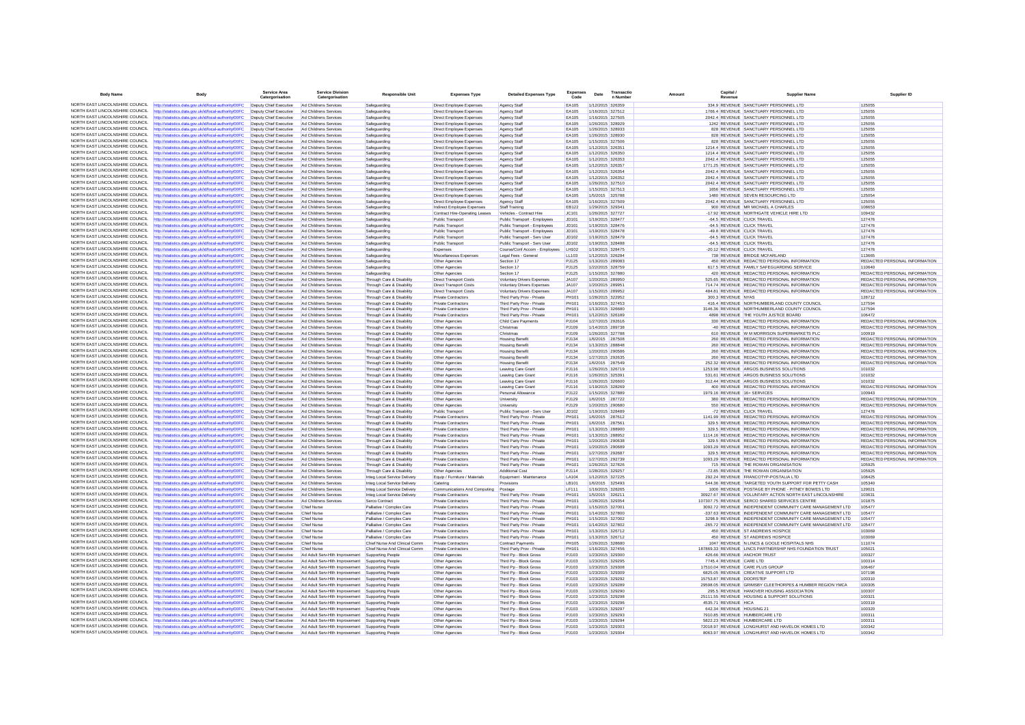| <b>Body Name</b>                                                   | Body                                                                                                                                                          | <b>Service Area</b><br>Catergo<br>satio          | <b>Service Division</b><br>Catergorisation                       | <b>Responsible Unit</b>                                | <b>Expenses Type</b>                                        | <b>Detailed Expenses Type</b>                            | <b>Expenses</b><br>Code | Date | Transactio                           | Amount               | Capital            | <b>Supplier Name</b>                                                                                                  | Supplier ID                                                    |
|--------------------------------------------------------------------|---------------------------------------------------------------------------------------------------------------------------------------------------------------|--------------------------------------------------|------------------------------------------------------------------|--------------------------------------------------------|-------------------------------------------------------------|----------------------------------------------------------|-------------------------|------|--------------------------------------|----------------------|--------------------|-----------------------------------------------------------------------------------------------------------------------|----------------------------------------------------------------|
|                                                                    | NORTH EAST LINCOLNSHIRE COUNCIL http://statistics.data.gov.uk/id/local-authority/00FC                                                                         | Deputy Chief Executive                           | Ad Childrens Services                                            | Safeguarding                                           | Direct Employee Expenses                                    | Agency Staff                                             | <b>EA105</b>            |      | 1/12/2015 326359                     |                      |                    | 334 9 REVENUE SANCTUARY PERSONNEL LTD                                                                                 | 125055                                                         |
| NORTH EAST LINCOLNSHIRE COUNCIL                                    | http://statistics.data.gov.uk/id/local-authority/00FC                                                                                                         | Deputy Chief Executive                           | Ad Childrens Service                                             | Safeguarding                                           | Direct Employee Expenses                                    | Agency Staf                                              | EA105                   |      | 1/16/2015 327512                     |                      |                    | 1766.4 REVENUE SANCTUARY PERSONNEL LTD                                                                                | 125055                                                         |
| NORTH FAST LINCOLNSHIRE COUNCIL                                    | http://statistics.data.gov.uk/id/local-authority/00FC                                                                                                         | Deputy Chief Executive                           | Ad Childrens Services                                            | Safeguarding                                           | Direct Employee Expenses                                    | <b>Agency Staff</b>                                      | EA105                   |      | 1/16/2015 327505                     |                      |                    | 2042.4 REVENUE SANCTUARY PERSONNEL LTD                                                                                | 125055                                                         |
| NORTH EAST LINCOLNSHIRE COUNCIL                                    | http://statistics.data.gov.uk/id/local-authority/00FC                                                                                                         | Deputy Chief Executive                           | Ad Childrens Services                                            | Safeguarding                                           | Direct Employee Expenses                                    | Agency Staf                                              | EA105                   |      | 1/26/2015 328929                     |                      |                    | 1242 REVENUE SANCTUARY PERSONNEL LTD                                                                                  | 125055                                                         |
| NORTH EAST LINCOLNSHIRE COUNCIL                                    | http://statistics.data.gov.uk/id/local-authority/00FC                                                                                                         | Deputy Chief Executive                           | Ad Childrens Services                                            | Safeguarding                                           | Direct Employee Expenses                                    | Agency Staf                                              | <b>FA105</b>            |      | 1/26/2015 328933                     |                      |                    | 828 REVENUE SANCTUARY PERSONNEL LTD                                                                                   | 125055                                                         |
| NORTH EAST LINCOLNSHIRE COUNCIL                                    | http://statistics.data.gov.uk/id/local-authority/00FC                                                                                                         | Deputy Chief Executive                           | Ad Childrens Services                                            | Safeguarding                                           | Direct Employee Expenses                                    | Agency Staf                                              | EA105                   |      | 1/26/2015 328930                     |                      |                    | 828 REVENUE SANCTUARY PERSONNEL LTD                                                                                   | 125055                                                         |
| NORTH EAST LINCOLNSHIRE COUNCIL<br>NORTH EAST LINCOLNSHIRE COUNCIL | http://statistics.data.gov.uk/id/local-authority/00FC                                                                                                         | Deputy Chief Executive                           | Ad Childrens Services<br>Ad Childrens Services                   | Safeguarding                                           | Direct Employee Expenses                                    | Agency Staf                                              | EA105                   |      | 1/15/2015 327506                     |                      |                    | 828 REVENUE SANCTUARY PERSONNEL LTD                                                                                   | 125055                                                         |
| NORTH EAST LINCOLNSHIRE COUNCIL                                    | http://statistics.data.gov.uk/id/local-authority/00FC<br>http://statistics.data.gov.uk/id/local-authority/00FC                                                | Deputy Chief Executive<br>Deputy Chief Executive | Ad Childrens Services                                            | Safeguarding<br>Safeguarding                           | <b>Direct Employee Expenses</b><br>Direct Employee Expenses | Agency Staff<br>Agency Staf                              | EA105<br>EA105          |      | 1/12/2015 326351<br>1/12/2015 326350 |                      |                    | 1214.4 REVENUE SANCTUARY PERSONNEL LTD<br>1214.4 REVENUE SANCTUARY PERSONNEL LTD                                      | 125055<br>125055                                               |
| NORTH EAST LINCOLNSHIRE COUNCIL                                    | ttp://statistics.data.gov.uk/id/local-authority/00FC                                                                                                          | Deputy Chief Executive                           | Ad Childrens Services                                            | Safeguarding                                           | Direct Employee Expenses                                    | Agency Staf                                              | EA105                   |      | 1/12/2015 326353                     |                      |                    | 2042.4 REVENUE SANCTUARY PERSONNEL LTD                                                                                | 125055                                                         |
| NORTH EAST LINCOLNSHIRE COUNCIL                                    | http://statistics.data.gov.uk/id/local-authority/00FC                                                                                                         | Deputy Chief Executive                           | Ad Childrens Services                                            | Safeguarding                                           | Direct Employee Expenses                                    | <b>Agency Staff</b>                                      | EA105                   |      | 1/12/2015 326357                     |                      |                    | 1771.25 REVENUE SANCTUARY PERSONNEL LTD                                                                               | 125055                                                         |
| NORTH EAST LINCOLNSHIRE COUNCIL                                    | http://statistics.data.gov.uk/id/local-authority/00FC                                                                                                         | Deputy Chief Executive                           | Ad Childrens Services                                            | Safeguarding                                           | Direct Employee Expenses                                    | <b>Agency Staf</b>                                       | EA105                   |      | 1/12/2015 326354                     |                      |                    | 2042.4 REVENUE SANCTUARY PERSONNEL LTD                                                                                | 125055                                                         |
| NORTH EAST LINCOLNSHIRE COUNCIL                                    | http://statistics.data.gov.uk/id/local-authority/00FC                                                                                                         | Deputy Chief Executive                           | Ad Childrens Services                                            | Safeguarding                                           | Direct Employee Expenses                                    | Agency Staf                                              | EA105                   |      | 1/12/2015 326352                     |                      |                    | 2042.4 REVENUE SANCTUARY PERSONNEL LTD                                                                                | 125055                                                         |
| NORTH EAST LINCOLNSHIRE COUNCIL                                    | http://statistics.data.gov.uk/id/local-authority/00FC                                                                                                         | Deputy Chief Executive                           | Ad Childrens Services                                            | Safeguarding                                           | Direct Employee Expenses                                    | <b>Agency Staff</b>                                      | EA105                   |      | 1/26/2015 327510                     |                      |                    | 2042.4 REVENUE SANCTUARY PERSONNEL LTD                                                                                | 125055                                                         |
| NORTH EAST LINCOLNSHIRE COUNCIL                                    | http://statistics.data.gov.uk/id/local-authority/00FC                                                                                                         | Deputy Chief Executive                           | Ad Childrens Services                                            | Safeguarding                                           | Direct Employee Expenses                                    | <b>Agency Staff</b>                                      | EA105                   |      | 1/15/2015 327513                     |                      |                    | 1656 REVENUE SANCTUARY PERSONNEL LTD                                                                                  | 125055                                                         |
| NORTH EAST LINCOLNSHIRE COUNCIL                                    | http://statistics.data.gov.uk/id/local-authority/00FC                                                                                                         | Deputy Chief Executive                           | Ad Childrens Services                                            | Safequarding                                           | <b>Direct Employee Expenses</b>                             | Agency Staf                                              | EA105                   |      | 1/5/2015 325788                      |                      |                    | 1480 REVENUE SEVEN RESOURCING LTD                                                                                     | 125054                                                         |
| NORTH EAST LINCOLNSHIRE COUNCIL<br>NORTH EAST LINCOLNSHIRE COUNCIL | http://statistics.data.gov.uk/id/local-authority/00FC<br>http://statistics.data.gov.uk/id/local-authority/00FC                                                | Deputy Chief Executive<br>Deputy Chief Executive | Ad Childrens Services<br>Ad Childrens Services                   | Safeguarding<br>Safeguarding                           | Direct Employee Expenses<br>Indirect Employee Expenses      | Agency Staff<br>Staff Training                           | EA105<br>FR122          |      | 1/16/2015 327509<br>1/29/2015 329341 |                      |                    | 2042.4 REVENUE SANCTUARY PERSONNEL LTD<br>900 REVENUE MR MICHAEL A CHARLES                                            | 125055<br>108653                                               |
| NORTH EAST LINCOLNSHIRE COUNCIL                                    | http://statistics.data.gov.uk/id/local-authority/00FC                                                                                                         | Deputy Chief Executive                           | Ad Childrens Service                                             | Safeguarding                                           | Contract Hire-Operating Leases                              | Vehicles - Contract Hire                                 | JC101                   |      | 1/26/2015 327727                     |                      |                    | -17.92 REVENUE NORTHGATE VEHICLE HIRE LTD                                                                             | 109432                                                         |
| NORTH FAST LINCOLNSHIRE COUNCIL                                    | http://statistics.data.gov.uk/id/local-authority/00FC                                                                                                         | Deputy Chief Executive                           | Ad Childrens Services                                            | Safeguarding                                           | Public Transport                                            | Public Transport - Employees                             | JD101                   |      | 1/19/2015 328477                     |                      |                    | -64.5 REVENUE CLICK TRAVEL                                                                                            | 127476                                                         |
| NORTH EAST LINCOLNSHIRE COUNCIL                                    | http://statistics.data.gov.uk/id/local-authority/00FC                                                                                                         | Deputy Chief Executive                           | Ad Childrens Services                                            | Safeguarding                                           | Public Transport                                            | Public Transport - Employees                             | JD101                   |      | 1/19/2015 328476                     |                      |                    | -64.5 REVENUE CLICK TRAVEL                                                                                            | 127476                                                         |
| NORTH EAST LINCOLNSHIRE COUNCIL                                    | http://statistics.data.gov.uk/id/local-authority/00FC                                                                                                         | Deputy Chief Executive                           | Ad Childrens Services                                            | Safeguarding                                           | Public Transport                                            | Public Transport - Employees                             | JD101                   |      | 1/19/2015 328478                     |                      |                    | -49.8 REVENUE CLICK TRAVEL                                                                                            | 127476                                                         |
| NORTH EAST LINCOLNSHIRE COUNCIL                                    | http://statistics.data.gov.uk/id/local-authority/00FC                                                                                                         | Deputy Chief Executive                           | Ad Childrens Services                                            | Safeguarding                                           | Public Transport                                            | Public Transport - Serv User                             | JD102                   |      | 1/19/2015 328479                     |                      |                    | -64.5 REVENUE CLICK TRAVEL                                                                                            | 127476                                                         |
| NORTH EAST LINCOLNSHIRE COUNCIL                                    | http://statistics.data.gov.uk/id/local-authority/00FC                                                                                                         | Deputy Chief Executive                           | Ad Childrens Services                                            | Safeguarding                                           | <b>Public Transport</b>                                     | Public Transport - Serv User                             | JD102                   |      | 1/19/2015 328488                     |                      |                    | -64.5 REVENUE CLICK TRAVEL                                                                                            | 127476                                                         |
| NORTH EAST LINCOLNSHIRE COUNCIL                                    | http://statistics.data.gov.uk/id/local-authority/00FC                                                                                                         | Deputy Chief Executive                           | Ad Childrens Services                                            | Safeguarding                                           | Expenses                                                    | Course/Conf Accom - Employees                            | LH102                   |      | 1/19/2015 328475                     |                      |                    | -20.12 REVENUE CLICK TRAVEL                                                                                           | 127476                                                         |
| NORTH EAST LINCOLNSHIRE COUNCIL<br>NORTH EAST LINCOLNSHIRE COUNCIL | http://statistics.data.gov.uk/id/local-authority/00FC                                                                                                         | Deputy Chief Executive                           | Ad Childrens Services                                            | Safeguarding                                           | Miscellaneous Expenses                                      | Legal Fees - General                                     | LL103                   |      | 1/12/2015 326284                     |                      |                    | 738 REVENUE BRIDGE MCFARLAND                                                                                          | 113665                                                         |
| NORTH EAST LINCOLNSHIRE COUNCIL                                    | ttp://statistics.data.gov.uk/id/local-authority/00FC                                                                                                          | Deputy Chief Executive                           | Ad Childrens Services                                            | Safeguarding                                           | Other Agencies                                              | Section 17                                               | PJ125                   |      | 1/13/2015 289083                     |                      |                    | 450 REVENUE REDACTED PERSONAL INFORMATION                                                                             | REDACTED PERSONAL INFORMATION                                  |
| NORTH EAST LINCOLNSHIRE COUNCIL                                    | http://statistics.data.gov.uk/id/local-authority/00FC                                                                                                         | Deputy Chief Executive<br>Deputy Chief Executive | Ad Childrens Services                                            | Safeguarding                                           | Other Agencies                                              | Section 17                                               | PJ125<br>PJ125          |      | 1/22/2015 328759<br>1/15/2015 327880 |                      |                    | 617.5 REVENUE FAMILY SAFEGUARDING SERVICE<br>420 REVENUE REDACTED PERSONAL INFORMATION                                | 110640<br>REDACTED PERSONAL INFORMATION                        |
| NORTH EAST LINCOLNSHIRE COUNCIL                                    | http://statistics.data.gov.uk/id/local-authority/00FC<br>http://statistics.data.gov.uk/id/local-authority/00FC                                                | Deputy Chief Executive                           | Ad Childrens Services<br>Ad Childrens Services                   | Safeguarding<br>Through Care & Disability              | Other Agencies<br><b>Direct Transport Costs</b>             | Section 17<br>Voluntary Drivers Expenses                 | JA107                   |      | 1/20/2015 289950                     |                      |                    | 525.65 REVENUE REDACTED PERSONAL INFORMATION                                                                          | REDACTED PERSONAL INFORMATION                                  |
| NORTH EAST LINCOLNSHIRE COUNCIL                                    | http://statistics.data.gov.uk/id/local-authority/00FC                                                                                                         | Deputy Chief Executive                           | Ad Childrens Services                                            | Through Care & Disability                              | <b>Direct Transport Costs</b>                               | <b>Voluntary Drivers Expenses</b>                        | <b>JA107</b>            |      | 1/20/2015 289951                     |                      |                    | 714.74 REVENUE REDACTED PERSONAL INFORMATION                                                                          | REDACTED PERSONAL INFORMATION                                  |
| NORTH EAST LINCOLNSHIRE COUNCIL                                    | http://statistics.data.gov.uk/id/local-authority/00FC                                                                                                         | Deputy Chief Executive                           | Ad Childrens Services                                            | Through Care & Disability                              | Direct Transport Costs                                      | <b>Voluntary Drivers Expenses</b>                        | JA107                   |      | 1/15/2015 289952                     |                      |                    | 484.81 REVENUE REDACTED PERSONAL INFORMATION                                                                          | REDACTED PERSONAL INFORMATION                                  |
| NORTH EAST LINCOLNSHIRE COUNCIL                                    | ttp://statistics.data.gov.uk/id/local-authority/00FC                                                                                                          | Deputy Chief Executive                           | Ad Childrens Services                                            | Through Care & Disability                              | Private Contractors                                         | Third Party Prov - Private                               | PH101                   |      | 1/28/2015 322952                     |                      | 300.3 REVENUE NYAS |                                                                                                                       | 128712                                                         |
| NORTH EAST LINCOLNSHIRE COUNCIL                                    | http://statistics.data.gov.uk/id/local-authority/00FC                                                                                                         | Deputy Chief Executive                           | Ad Childrens Services                                            | Through Care & Disability                              | <b>Private Contractors</b>                                  | Third Party Prov - Private                               | PH101                   |      | 1/16/2015 327453                     |                      |                    | 416.4 REVENUE NORTHUMBERLAND COUNTY COUNCIL                                                                           | 127594                                                         |
| NORTH EAST LINCOLNSHIRE COUNCIL                                    | http://statistics.data.gov.uk/id/local-authority/00FC                                                                                                         | Deputy Chief Executive                           | Ad Childrens Services                                            | Through Care & Disability                              | <b>Private Contractors</b>                                  | Third Party Prov - Private                               | PH101                   |      | 1/13/2015 326680                     |                      |                    | 3146.36 REVENUE NORTHUMBERLAND COUNTY COUNCIL                                                                         | 127594                                                         |
| NORTH EAST LINCOLNSHIRE COUNCIL                                    | http://statistics.data.gov.uk/id/local-authority/00FC                                                                                                         | Deputy Chief Executive                           | Ad Childrens Services                                            | Through Care & Disability                              | Private Contractor                                          | Third Party Prov - Private                               | PH101                   |      | 1/12/2015 326189                     |                      |                    | 4898 REVENUE THE YOUTH JUSTICE BOARD                                                                                  | 106472                                                         |
| NORTH FAST LINCOLNSHIRE COUNCIL                                    | http://statistics.data.gov.uk/id/local-authority/00FC                                                                                                         | Deputy Chief Executive                           | Ad Childrens Services                                            | Through Care & Disability                              | Other Agencies                                              | Child Care Payments                                      | PJ104                   |      | 1/27/2015 292616                     |                      |                    | 330 REVENUE REDACTED PERSONAL INFORMATION                                                                             | REDACTED PERSONAL INFORMATION                                  |
| NORTH EAST LINCOLNSHIRE COUNCIL<br>NORTH EAST LINCOLNSHIRE COUNCIL | http://statistics.data.gov.uk/id/local-authority/00FC                                                                                                         | Deputy Chief Executive                           | Ad Childrens Services                                            | Through Care & Disability                              | Other Agencies                                              | Christmas                                                | <b>PJ109</b>            |      | 1/14/2015 289738                     |                      |                    | -40 REVENUE REDACTED PERSONAL INFORMATION                                                                             | REDACTED PERSONAL INFORMATION                                  |
| NORTH FAST LINCOLNSHIRE COUNCIL                                    | http://statistics.data.gov.uk/id/local-authority/00FC                                                                                                         | Deputy Chief Executive<br>Deputy Chief Executive | Ad Childrens Services<br>Ad Childrens Services                   | Through Care & Disability<br>Through Care & Disability | Other Agencies                                              | Christmas                                                | <b>PJ109</b><br>PJ134   |      | 1/26/2015 327788<br>1/6/2015 287508  |                      |                    | 610 REVENUE W M MORRISON SUPERMARKETS PLO<br>260 REVENUE REDACTED PERSONAL INFORMATION                                | 100919<br>REDACTED PERSONAL INFORMATION                        |
| NORTH EAST LINCOLNSHIRE COUNCIL                                    | http://statistics.data.gov.uk/id/local-authority/00FC<br>http://statistics.data.gov.uk/id/local-authority/00FC                                                | Deputy Chief Executive                           | Ad Childrens Services                                            | Through Care & Disability                              | Other Agencies<br>Other Agencies                            | <b>Housing Benef</b><br><b>Housing Benefit</b>           | PJ134                   |      | 1/13/2015 288848                     |                      |                    | 260 REVENUE REDACTED PERSONAL INFORMATION                                                                             | REDACTED PERSONAL INFORMATION                                  |
| NORTH EAST LINCOLNSHIRE COUNCIL                                    | http://statistics.data.gov.uk/id/local-authority/00FC                                                                                                         | Deputy Chief Executive                           | Ad Childrens Services                                            | Through Care & Disability                              | Other Agencies                                              | <b>Housing Benefit</b>                                   | PJ134                   |      | 1/20/2015 290586                     |                      |                    | 260 REVENUE REDACTED PERSONAL INFORMATION                                                                             | REDACTED PERSONAL INFORMATION                                  |
| NORTH EAST LINCOLNSHIRE COUNCIL                                    | http://statistics.data.gov.uk/id/local-authority/00FC                                                                                                         | Deputy Chief Executive                           | Ad Childrens Services                                            | Through Care & Disability                              | Other Agencies                                              | <b>Housing Benef</b>                                     | PJ134                   |      | 1/27/2015 292635                     |                      |                    | 260 REVENUE REDACTED PERSONAL INFORMATION                                                                             | REDACTED PERSONAL INFORMATION                                  |
| NORTH EAST LINCOLNSHIRE COUNCIL                                    | ttp://statistics.data.gov.uk/id/local-authority/00FC                                                                                                          | Deputy Chief Executive                           | Ad Childrens Services                                            | Through Care & Disability                              | Other Agencies                                              | <b>Housing Benefit</b>                                   | PJ134                   |      | 1/6/2015 287549                      |                      |                    | 252.32 REVENUE REDACTED PERSONAL INFORMATION                                                                          | REDACTED PERSONAL INFORMATION                                  |
|                                                                    | NORTH EAST LINCOLNSHIRE COUNCIL http://statistics.data.gov.uk/id/local-authority/00FC                                                                         | Deputy Chief Executive                           | Ad Childrens Services                                            | Through Care & Disability                              | Other Agencies                                              | Leaving Care Grant                                       | PJ116                   |      | 1/26/2015 326719                     |                      |                    | 1253.98 REVENUE ARGOS BUSINESS SOLUTIONS                                                                              | 101032                                                         |
| NORTH EAST LINCOLNSHIRE COUNCIL                                    | http://statistics.data.gov.uk/id/local-authority/00FC                                                                                                         | Deputy Chief Executive                           | Ad Childrens Services                                            | Through Care & Disability                              | Other Agencies                                              | Leaving Care Grant                                       | PJ116                   |      | 1/26/2015 325391                     |                      |                    | 531.61 REVENUE ARGOS BUSINESS SOLUTIONS                                                                               | 101032                                                         |
| NORTH EAST LINCOLNSHIRE COUNCIL                                    | http://statistics.data.gov.uk/id/local-authority/00FC                                                                                                         | Deputy Chief Executive                           | Ad Childrens Services                                            | Through Care & Disability                              | Other Agencies                                              | Leaving Care Grant                                       | PJ116                   |      | 1/26/2015 326600                     |                      |                    | 312.44 REVENUE ARGOS BUSINESS SOLUTIONS                                                                               | 101032                                                         |
| NORTH EAST LINCOLNSHIRE COUNCIL<br>NORTH EAST LINCOLNSHIRE COUNCIL | http://statistics.data.gov.uk/id/local-authority/00FC                                                                                                         | Deputy Chief Executive                           | Ad Childrens Services                                            | Through Care & Disability                              | Other Agencies                                              | <b>Leaving Care Grant</b>                                | PJ116                   |      | 1/19/2015 328269                     |                      |                    | 400 REVENUE REDACTED PERSONAL INFORMATION                                                                             | REDACTED PERSONAL INFORMATION                                  |
| NORTH EAST LINCOLNSHIRE COUNCIL                                    | http://statistics.data.gov.uk/id/local-authority/00FC                                                                                                         | Deputy Chief Executive                           | Ad Childrens Services                                            | Through Care & Disability                              | Other Agencies                                              | Personal Allowance                                       | PJ122                   |      | 1/15/2015 327889                     |                      |                    | 1979.16 REVENUE 16+ SERVICES                                                                                          | 100943                                                         |
| NORTH EAST LINCOLNSHIRE COUNCIL                                    | ttp://statistics.data.gov.uk/id/local-authority/00FC                                                                                                          | Deputy Chief Executive<br>Deputy Chief Executive | Ad Childrens Services                                            | Through Care & Disability<br>Through Care & Disability | Other Agencies                                              | University                                               | PJ129<br>PJ129          |      | 1/6/2015 287722<br>1/20/2015 290680  |                      |                    | 380 REVENUE REDACTED PERSONAL INFORMATION<br>550 REVENUE REDACTED PERSONAL INFORMATION                                | REDACTED PERSONAL INFORMATION<br>REDACTED PERSONAL INFORMATION |
| NORTH EAST LINCOLNSHIRE COUNCIL                                    | http://statistics.data.gov.uk/id/local-authority/00FC<br>http://statistics.data.gov.uk/id/local-authority/00FC                                                | Deputy Chief Executive                           | Ad Childrens Services<br>Ad Childrens Services                   | Through Care & Disability                              | Other Agencies<br>Public Transport                          | University<br>Public Transport - Serv User               | JD102                   |      | 1/19/2015 328489                     |                      |                    | -72 REVENUE CLICK TRAVEL                                                                                              | 127476                                                         |
| NORTH FAST LINCOLNSHIRE COUNCIL                                    | http://statistics.data.gov.uk/id/local-authority/00FC                                                                                                         | Deputy Chief Executive                           | Ad Childrens Services                                            | Through Care & Disability                              | Private Contractors                                         | Third Party Prov - Private                               | <b>PH101</b>            |      | 1/6/2015 287612                      |                      |                    | 1141.99 REVENUE REDACTED PERSONAL INFORMATION                                                                         | REDACTED PERSONAL INFORMATION                                  |
| NORTH EAST LINCOLNSHIRE COUNCIL                                    | http://statistics.data.gov.uk/id/local-authority/00FC                                                                                                         | Deputy Chief Executive Ad Childrens Services     |                                                                  | Through Care & Disability                              | Private Contractors                                         | Third Party Prov - Private                               | PH101                   |      | 1/6/2015 287561                      |                      |                    | 329.5 REVENUE REDACTED PERSONAL INFORMATION                                                                           | REDACTED PERSONAL INFORMATION                                  |
| NORTH EAST LINCOLNSHIRE COUNCIL                                    | http://statistics.data.gov.uk/id/local-authority/00FC                                                                                                         | Deputy Chief Executive                           | Ad Childrens Services                                            | Through Care & Disability                              | Private Contractors                                         | Third Party Prov - Private                               | PH101                   |      | 1/13/2015 288900                     |                      |                    | 329 5 REVENUE REDACTED PERSONAL INFORMATION                                                                           | REDACTED PERSONAL INFORMATION                                  |
| NORTH EAST LINCOLNSHIRE COUNCIL                                    | http://statistics.data.gov.uk/id/local-authority/00FC                                                                                                         | Deputy Chief Executive                           | Ad Childrens Services                                            | Through Care & Disability                              | Private Contractors                                         | Third Party Prov - Private                               | PH101                   |      | 1/13/2015 288952                     |                      |                    | 1114.16 REVENUE REDACTED PERSONAL INFORMATION                                                                         | REDACTED PERSONAL INFORMATION                                  |
| NORTH FAST LINCOLNSHIRE COUNCIL                                    | http://statistics.data.gov.uk/id/local-authority/00FC                                                                                                         | Deputy Chief Executive                           | Ad Childrens Services                                            | Through Care & Disability                              | Private Contractors                                         | Third Party Prov - Private                               | PH101                   |      | 1/20/2015 290638                     |                      |                    | 329.5 REVENUE REDACTED PERSONAL INFORMATION                                                                           | REDACTED PERSONAL INFORMATION                                  |
| NORTH EAST LINCOLNSHIRE COUNCIL<br>NORTH EAST LINCOLNSHIRE COUNCIL | http://statistics.data.gov.uk/id/local-authority/00FC                                                                                                         | Deputy Chief Executive                           | Ad Childrens Services                                            | Through Care & Disability                              | <b>Private Contractors</b>                                  | Third Party Prov - Private                               | PH101                   |      | 1/20/2015 290689                     |                      |                    | 1093.29 REVENUE REDACTED PERSONAL INFORMATION                                                                         | REDACTED PERSONAL INFORMATION                                  |
| NORTH EAST LINCOLNSHIRE COUNCIL                                    | http://statistics.data.gov.uk/id/local-authority/00FC                                                                                                         | Deputy Chief Executive                           | Ad Childrens Services                                            | Through Care & Disability                              | Private Contractors                                         | Third Party Prov - Private                               | PH101<br>PH101          |      | 1/27/2015 292687                     |                      |                    | 329.5 REVENUE REDACTED PERSONAL INFORMATION                                                                           | REDACTED PERSONAL INFORMATION                                  |
| NORTH EAST LINCOLNSHIRE COUNCIL                                    | http://statistics.data.gov.uk/id/local-authority/00FC<br>http://statistics.data.gov.uk/id/local-authority/00FC                                                | Deputy Chief Executive<br>Deputy Chief Executive | Ad Childrens Services<br>Ad Childrens Services                   | Through Care & Disability<br>Through Care & Disability | Private Contractors<br>Private Contractors                  | Third Party Prov - Private<br>Third Party Prov - Private | <b>PH101</b>            |      | 1/27/2015 292739<br>1/26/2015 327826 |                      |                    | 1093.29 REVENUE REDACTED PERSONAL INFORMATION<br>715 REVENUE THE ROWAN ORGANISATION                                   | REDACTED PERSONAL INFORMATION<br>105925                        |
|                                                                    | NORTH EAST LINCOLNSHIRE COUNCIL http://statistics.data.gov.uk/id/local-authority/00FC                                                                         | Deputy Chief Executive                           | Ad Childrens Services                                            | Through Care & Disability                              | Other Agencies                                              | <b>Additional Cost</b>                                   | P.1114                  |      | 1/28/2015 329257                     |                      |                    | -72.85 REVENUE THE ROWAN ORGANISATION                                                                                 | 105925                                                         |
| NORTH EAST LINCOLNSHIRE COUNCIL                                    | http://statistics.data.gov.uk/id/local-authority/00FC                                                                                                         | Deputy Chief Executive                           | Ad Childrens Services                                            | Integ Local Service Delivery                           | Equip / Furniture / Materials                               | Equipment - Maintenance                                  | LA104                   |      | 1/12/2015 327225                     |                      |                    | 292.24 REVENUE FRANCOTYP-POSTALIA LTD                                                                                 | 108425                                                         |
| NORTH EAST LINCOLNSHIRE COUNCIL                                    | http://statistics.data.gov.uk/id/local-authority/00FC                                                                                                         | Deputy Chief Executive                           | Ad Childrens Services                                            | Integ Local Service Delivery                           | Catering                                                    | Provisions                                               | LB101                   |      | 1/6/2015 325493                      |                      |                    | 544.36 REVENUE TARGETED YOUTH SUPPORT FOR PETTY CASH                                                                  | 105340                                                         |
| NORTH EAST LINCOLNSHIRE COUNCIL                                    | http://statistics.data.gov.uk/id/local-authority/00FC                                                                                                         | Deputy Chief Executive                           | Ad Childrens Services                                            | Integ Local Service Delivery                           | Communications And Computing                                | Postage                                                  | <b>LF111</b>            |      | 1/16/2015 328265                     |                      |                    | 1000 REVENUE POSTAGE BY PHONE - PITNEY BOWES LTD                                                                      | 129021                                                         |
| NORTH EAST LINCOLNSHIRE COUNCIL                                    | http://statistics.data.gov.uk/id/local-authority/00FC                                                                                                         | Deputy Chief Executive                           | Ad Childrens Services                                            | Integ Local Service Delivery                           | Private Contractors                                         | Third Party Prov - Private                               | PH101                   |      | 1/5/2015 326211                      |                      |                    | 30927.67 REVENUE VOLUNTARY ACTION NORTH EAST LINCOLNSHIRE                                                             | 103631                                                         |
| NORTH EAST LINCOLNSHIRE COUNCIL                                    | http://statistics.data.gov.uk/id/local-authority/00FC                                                                                                         | Deputy Chief Executive                           | Ad Childrens Services                                            | Serco Contract                                         | Private Contractors                                         | Third Party Prov - Private                               | PH101                   |      | 1/28/2015 329354                     |                      |                    | 107307.75 REVENUE SERCO SHARED SERVICES CENTRE                                                                        | 101875                                                         |
| NORTH EAST LINCOLNSHIRE COUNCIL                                    | http://statistics.data.gov.uk/id/local-authority/00FC                                                                                                         | Deputy Chief Executive                           | <b>Chief Nurse</b>                                               | Palliative / Complex Care                              | Private Contractors                                         | Third Party Prov - Private                               | PH101                   |      | 1/15/2015 327001                     |                      |                    | 3092.72 REVENUE INDEPENDENT COMMUNITY CARE MANAGEMENT LTD                                                             | 105477                                                         |
| NORTH EAST LINCOLNSHIRE COUNCIL<br>NORTH EAST LINCOLNSHIRE COUNCIL | http://statistics.data.gov.uk/id/local-authority/00FC                                                                                                         | Deputy Chief Executive                           | <b>Chief Nurse</b>                                               | Palliative / Complex Care                              | <b>Private Contractors</b>                                  | Third Party Prov - Private                               | <b>PH101</b>            |      | 1/14/2015 327800                     |                      |                    | -337.63 REVENUE INDEPENDENT COMMUNITY CARE MANAGEMENT LTD                                                             | 105477                                                         |
| NORTH EAST LINCOLNSHIRE COUNCIL                                    | http://statistics.data.gov.uk/id/local-authority/00FC                                                                                                         | Deputy Chief Executive                           | <b>Chief Nurse</b>                                               | Palliative / Complex Care                              | <b>Private Contractors</b>                                  | Third Party Prov - Private                               | <b>PH101</b><br>PH101   |      | 1/15/2015 327002                     |                      |                    | 3298.9 REVENUE INDEPENDENT COMMUNITY CARE MANAGEMENT LTD<br>-265.72 REVENUE INDEPENDENT COMMUNITY CARE MANAGEMENT LTD | 105477<br>105477                                               |
| NORTH EAST LINCOLNSHIRE COUNCIL                                    | http://statistics.data.gov.uk/id/local-authority/00FC<br>http://statistics.data.gov.uk/id/local-authority/00FC                                                | Deputy Chief Executive<br>Deputy Chief Executive | <b>Chief Nurse</b><br>Chief Nurse                                | Palliative / Complex Care<br>Palliative / Complex Care | <b>Private Contractors</b><br>Private Contractors           | Third Party Prov - Private<br>Third Party Prov - Private | PH101                   |      | 1/14/2015 327802<br>1/13/2015 326712 |                      |                    | 450 REVENUE ST ANDREWS HOSPICE                                                                                        | 103069                                                         |
| NORTH EAST LINCOLNSHIRE COUNCIL                                    | http://statistics.data.gov.uk/id/local-authority/00FC                                                                                                         | Deputy Chief Executive                           | Chief Nurse                                                      | Palliative / Complex Care                              | Private Contractors                                         | Third Party Prov - Private                               | PH101                   |      | 1/13/2015 326712                     |                      |                    | 450 REVENUE ST ANDREWS HOSPICE                                                                                        | 103069                                                         |
| NORTH EAST LINCOLNSHIRE COUNCIL                                    | http://statistics.data.gov.uk/id/local-authority/00FC                                                                                                         | Deputy Chief Executive                           | Chief Nurse                                                      | Chief Nurse And Clinical Comm                          | Private Contractors                                         | <b>Contract Payments</b>                                 | <b>PH105</b>            |      | 1/26/2015 328680                     |                      |                    | 1047 REVENUE N LINCS & GOOLE HOSPITALS NHS                                                                            | 111074                                                         |
| NORTH EAST LINCOLNSHIRE COUNCIL                                    | http://statistics.data.gov.uk/id/local-authority/00FC                                                                                                         | Deputy Chief Executive                           | Chief Nurse                                                      | Chief Nurse And Clinical Comm                          | <b>Private Contractors</b>                                  | Third Party Prov - Private                               | PH101                   |      | 1/16/2015 327456                     |                      |                    | 187869.33 REVENUE LINCS PARTNERSHIP NHS FOUNDATION TRUST                                                              | 105021                                                         |
| NORTH EAST LINCOLNSHIRE COUNCIL                                    | http://statistics.data.gov.uk/id/local-authority/00FC                                                                                                         | Deputy Chief Executive                           | Ad Adult Serv-Hith Improvement                                   | Supporting People                                      | Other Agencies                                              | Third Pp - Block Gross                                   | P.1103                  |      | 1/23/2015 329300                     |                      |                    | 426.66 REVENUE ANCHOR TRUST                                                                                           | 100327                                                         |
| NORTH FAST LINCOLNSHIRE COUNCIL                                    | http://statistics.data.gov.uk/id/local-authority/00FC                                                                                                         | Deputy Chief Executive                           | Ad Adult Serv-Hith Improvement                                   | Supporting People                                      | Other Agencies                                              | Third Pp - Block Gross                                   | PJ103                   |      | 1/23/2015 329295                     |                      |                    | 7745.4 REVENUE CARE LTD                                                                                               | 100314                                                         |
| NORTH EAST LINCOLNSHIRE COUNCIL                                    | http://statistics.data.gov.uk/id/local-authority/00FC                                                                                                         | Deputy Chief Executive                           | Ad Adult Serv-Hith Improvement                                   | Supporting People                                      | Other Agencies                                              | Third Pp - Block Gross                                   | PJ103                   |      | 1/23/2015 329308                     |                      |                    | 17510.04 REVENUE CARE PLUS GROUP                                                                                      | 106467                                                         |
| NORTH EAST LINCOLNSHIRE COUNCIL                                    | http://statistics.data.gov.uk/id/local-authority/00FC                                                                                                         | Deputy Chief Executive                           | Ad Adult Serv-Hith Improvement                                   | Supporting People                                      | Other Agencies                                              | Third Pp - Block Gross                                   | PJ103                   |      | 1/23/2015 329309                     |                      |                    | 6825.05 REVENUE CREATIVE SUPPORT LTD                                                                                  | 107198                                                         |
| NORTH EAST LINCOLNSHIRE COUNCIL<br>NORTH EAST LINCOLNSHIRE COUNCIL | http://statistics.data.gov.uk/id/local-authority/00FC                                                                                                         | Deputy Chief Executive                           | Ad Adult Serv-Hith Improvement                                   | Supporting People                                      | Other Agencies                                              | Third Pp - Block Gross                                   | PJ103                   |      | 1/23/2015 329292                     |                      |                    | 15753.87 REVENUE DOORSTEP                                                                                             | 100310                                                         |
| NORTH EAST LINCOLNSHIRE COUNCIL                                    | ttp://statistics.data.gov.uk/id/local-authority/00FC<br>http://statistics.data.gov.uk/id/local-authority/00FC                                                 | Deputy Chief Executive<br>Deputy Chief Executive | Ad Adult Serv-Hith Improvement<br>Ad Adult Serv-Hith Improvement | Supporting People<br>Supporting People                 | Other Agencies<br>Other Agencies                            | Third Pp - Block Gross<br>Third Pp - Block Gross         | PJ103<br>PJ103          |      | 1/23/2015 329289<br>1/23/2015 329290 |                      |                    | 29598.05 REVENUE GRIMSBY CLEETHORPES & HUMBER REGION YMCA<br>295.5 REVENUE HANOVER HOUSING ASSOCIATION                | 100305<br>100307                                               |
| NORTH EAST LINCOLNSHIRE COUNCIL                                    | http://statistics.data.gov.uk/id/local-authority/00FC                                                                                                         | Deputy Chief Executive                           | Ad Adult Serv-Hith Improvement                                   | Supporting People                                      | Other Agencies                                              | Third Pp - Block Gross                                   | PJ103                   |      | 1/23/2015 329298                     |                      |                    | 25111.55 REVENUE HOUSING & SUPPORT SOLUTIONS                                                                          | 100321                                                         |
| NORTH EAST LINCOLNSHIRE COUNCIL                                    | http://statistics.data.gov.uk/id/local-authority/00FC                                                                                                         | Deputy Chief Executive                           | Ad Adult Serv-Hith Improvement                                   | Supporting People                                      | Other Agencies                                              | Third Pp - Block Gross                                   | PJ103                   |      | 1/23/2015 329296                     | 4535.71 REVENUE HICA |                    |                                                                                                                       | 100319                                                         |
|                                                                    | NORTH EAST LINCOLNSHIRE COUNCIL http://statistics.data.gov.uk/id/local-authority/00FC                                                                         | Deputy Chief Executive                           | Ad Adult Serv-Hith Improvement Supporting People                 |                                                        | Other Agencies                                              | Third Pp - Block Gross                                   | PJ103                   |      | 1/23/2015 329297                     |                      |                    | 642.34 REVENUE HOUSING 21                                                                                             | 100320                                                         |
| NORTH EAST LINCOLNSHIRE COUNCIL                                    | http://statistics.data.gov.uk/id/local-authority/00FC                                                                                                         | Deputy Chief Executive                           | Ad Adult Serv-Hith Improvement Supporting People                 |                                                        | Other Agencies                                              | Third Po - Block Gross                                   | PJ103                   |      | 1/23/2015 329293                     |                      |                    | 7910.85 REVENUE HUMBERCARE LTD                                                                                        | 100311                                                         |
| NORTH EAST LINCOLNSHIRE COUNCIL                                    | http://statistics.data.gov.uk/id/local-authority/00FC                                                                                                         | Deputy Chief Executive                           | Ad Adult Serv-Hith Improvement                                   |                                                        | Other Agencies                                              | Third Pp - Block Gross                                   | PJ103                   |      | 1/23/2015 329294                     |                      |                    | 5822.23 REVENUE HUMBERCARE LTD                                                                                        | 100311                                                         |
|                                                                    | NORTH EAST LINCOLNSHIRE COUNCIL http://statistics.data.gov.uk/id/local-authority/00FC Deputy Chief Executive Ad Adult Serv-Hith Improvement Supporting People |                                                  |                                                                  |                                                        | Other Agencies                                              | Third Pp - Block Gross                                   | PJ103                   |      | 1/23/2015 329303                     |                      |                    | 72018.97 REVENUE LONGHURST AND HAVELOK HOMES LTD                                                                      | 100342                                                         |
|                                                                    | NORTH EAST LINCOLNSHIRE COUNCIL http://statistics.data.gov.uk/id/local-authority/00FC                                                                         | Deputy Chief Executive                           | Ad Adult Serv-Hith Improvement Supporting People                 |                                                        | Other Agencies                                              | Third Pp - Block Gross                                   | PJ103                   |      | 1/23/2015 329304                     |                      |                    | 8063.97 REVENUE LONGHURST AND HAVELOK HOMES LTD                                                                       | 100342                                                         |